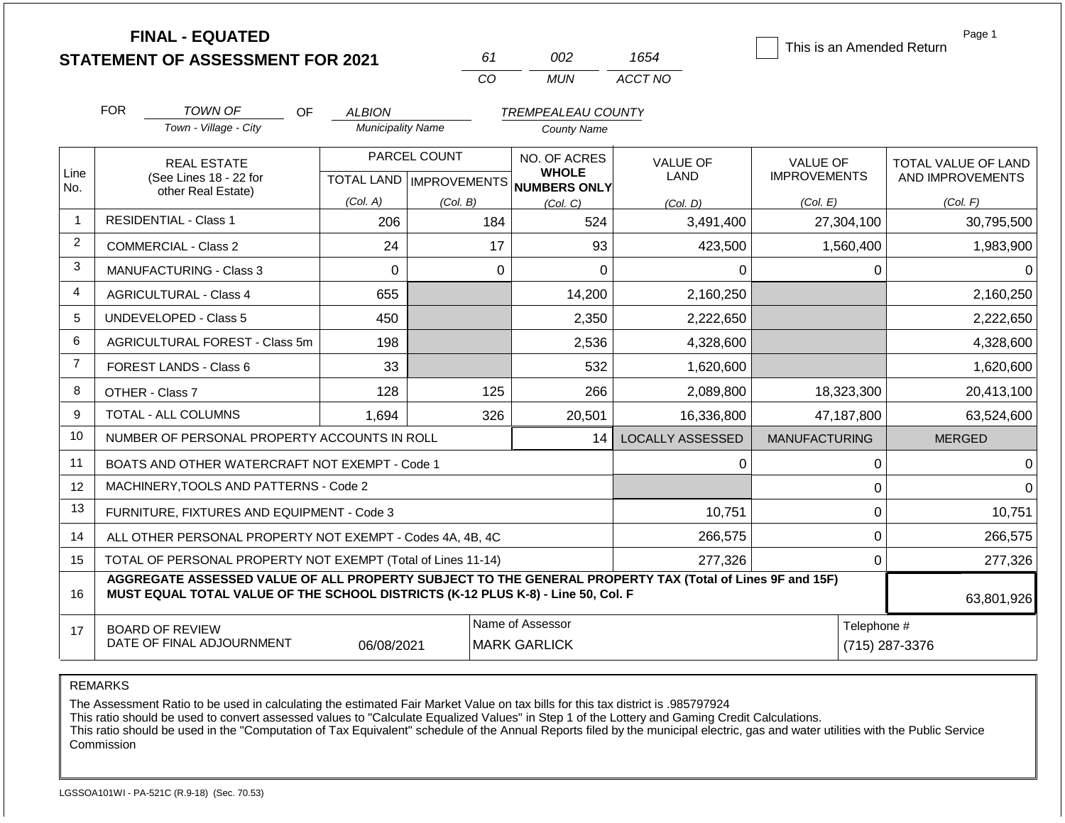|                | <b>FINAL - EQUATED</b>                                                                                                                                                                       |                          |                           |                              |                         | This is an Amended Return | Page 1              |
|----------------|----------------------------------------------------------------------------------------------------------------------------------------------------------------------------------------------|--------------------------|---------------------------|------------------------------|-------------------------|---------------------------|---------------------|
|                | <b>STATEMENT OF ASSESSMENT FOR 2021</b>                                                                                                                                                      |                          | 61                        | 002                          | 1654                    |                           |                     |
|                |                                                                                                                                                                                              |                          | CO                        | <b>MUN</b>                   | ACCT NO                 |                           |                     |
|                | <b>FOR</b><br>TOWN OF<br>OF.                                                                                                                                                                 | <b>ALBION</b>            |                           | <b>TREMPEALEAU COUNTY</b>    |                         |                           |                     |
|                | Town - Village - City                                                                                                                                                                        | <b>Municipality Name</b> |                           | <b>County Name</b>           |                         |                           |                     |
|                | <b>REAL ESTATE</b>                                                                                                                                                                           |                          | PARCEL COUNT              | NO. OF ACRES                 | <b>VALUE OF</b>         | <b>VALUE OF</b>           | TOTAL VALUE OF LAND |
| Line<br>No.    | (See Lines 18 - 22 for<br>other Real Estate)                                                                                                                                                 |                          | TOTAL LAND   IMPROVEMENTS | <b>WHOLE</b><br>NUMBERS ONLY | <b>LAND</b>             | <b>IMPROVEMENTS</b>       | AND IMPROVEMENTS    |
|                |                                                                                                                                                                                              | (Col. A)                 | (Col. B)                  | (Col, C)                     | (Col. D)                | (Col. E)                  | (Col. F)            |
| -1             | <b>RESIDENTIAL - Class 1</b>                                                                                                                                                                 | 206                      | 184                       | 524                          | 3,491,400               | 27,304,100                | 30,795,500          |
| 2              | <b>COMMERCIAL - Class 2</b>                                                                                                                                                                  | 24                       | 17                        | 93                           | 423,500                 | 1,560,400                 | 1,983,900           |
| 3              | <b>MANUFACTURING - Class 3</b>                                                                                                                                                               | $\Omega$                 | $\Omega$                  | $\Omega$                     | $\Omega$                | 0                         | 0                   |
| 4              | <b>AGRICULTURAL - Class 4</b>                                                                                                                                                                | 655                      |                           | 14,200                       | 2,160,250               |                           | 2,160,250           |
| 5              | <b>UNDEVELOPED - Class 5</b>                                                                                                                                                                 | 450                      |                           | 2,350                        | 2,222,650               |                           | 2,222,650           |
| 6              | AGRICULTURAL FOREST - Class 5m                                                                                                                                                               | 198                      |                           | 2,536                        | 4,328,600               |                           | 4,328,600           |
| $\overline{7}$ | FOREST LANDS - Class 6                                                                                                                                                                       | 33                       |                           | 532                          | 1,620,600               |                           | 1,620,600           |
| 8              | OTHER - Class 7                                                                                                                                                                              | 128                      | 125                       | 266                          | 2,089,800               | 18,323,300                | 20,413,100          |
| 9              | <b>TOTAL - ALL COLUMNS</b>                                                                                                                                                                   | 1,694                    | 326                       | 20,501                       | 16,336,800              | 47,187,800                | 63,524,600          |
| 10             | NUMBER OF PERSONAL PROPERTY ACCOUNTS IN ROLL                                                                                                                                                 |                          |                           | 14                           | <b>LOCALLY ASSESSED</b> | <b>MANUFACTURING</b>      | <b>MERGED</b>       |
| 11             | BOATS AND OTHER WATERCRAFT NOT EXEMPT - Code 1                                                                                                                                               |                          |                           |                              | 0                       | 0                         | 0                   |
| 12             | MACHINERY, TOOLS AND PATTERNS - Code 2                                                                                                                                                       |                          |                           |                              |                         | 0                         | $\Omega$            |
| 13             | FURNITURE, FIXTURES AND EQUIPMENT - Code 3                                                                                                                                                   |                          |                           |                              | 10,751                  | 0                         | 10,751              |
| 14             | ALL OTHER PERSONAL PROPERTY NOT EXEMPT - Codes 4A, 4B, 4C                                                                                                                                    |                          |                           |                              | 266,575                 | 0                         | 266,575             |
| 15             | TOTAL OF PERSONAL PROPERTY NOT EXEMPT (Total of Lines 11-14)                                                                                                                                 |                          |                           |                              | 277,326                 | 0                         | 277,326             |
| 16             | AGGREGATE ASSESSED VALUE OF ALL PROPERTY SUBJECT TO THE GENERAL PROPERTY TAX (Total of Lines 9F and 15F)<br>MUST EQUAL TOTAL VALUE OF THE SCHOOL DISTRICTS (K-12 PLUS K-8) - Line 50, Col. F |                          |                           |                              |                         |                           | 63,801,926          |
| 17             | <b>BOARD OF REVIEW</b>                                                                                                                                                                       |                          |                           | Name of Assessor             |                         | Telephone #               |                     |
|                | DATE OF FINAL ADJOURNMENT                                                                                                                                                                    | 06/08/2021               |                           | <b>MARK GARLICK</b>          |                         |                           | (715) 287-3376      |

REMARKS

The Assessment Ratio to be used in calculating the estimated Fair Market Value on tax bills for this tax district is .985797924

This ratio should be used to convert assessed values to "Calculate Equalized Values" in Step 1 of the Lottery and Gaming Credit Calculations.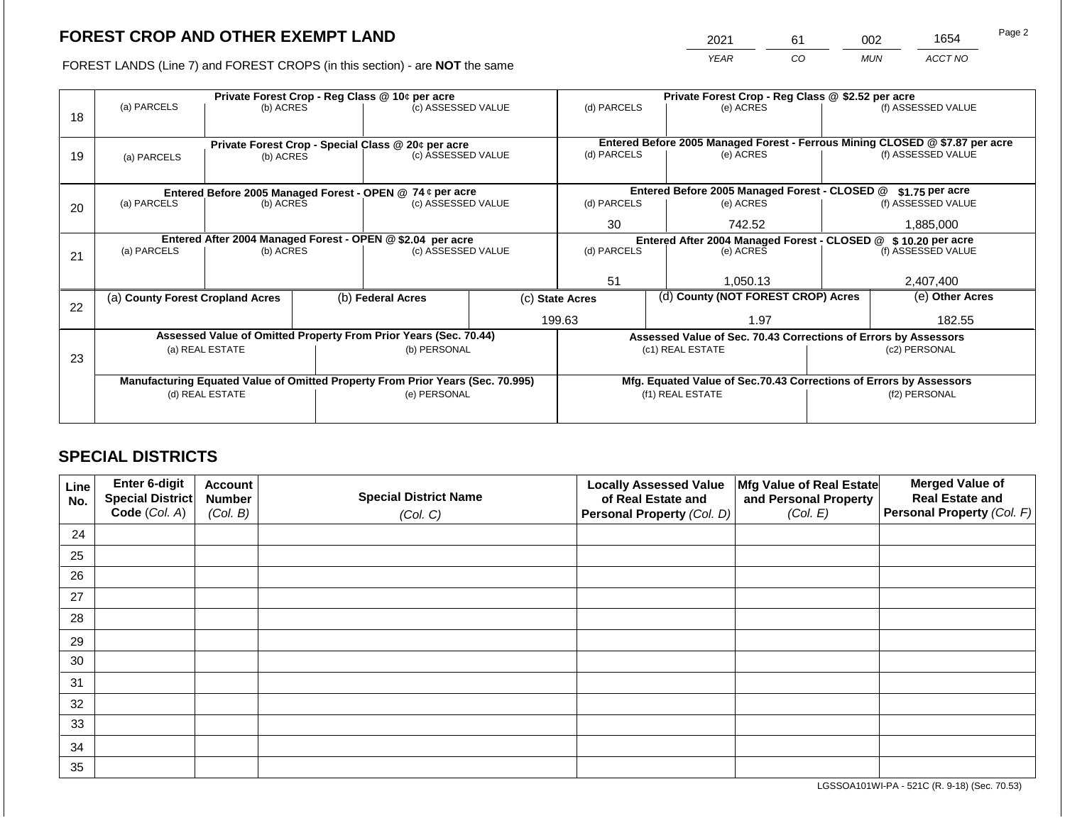2021 61 002 1654

FOREST LANDS (Line 7) and FOREST CROPS (in this section) - are **NOT** the same *YEAR CO MUN ACCT NO*

|    |                                  |                 |  | Private Forest Crop - Reg Class @ 10¢ per acre                                 |    | Private Forest Crop - Reg Class @ \$2.52 per acre                            |                                                               |                                                                    |               |                    |  |
|----|----------------------------------|-----------------|--|--------------------------------------------------------------------------------|----|------------------------------------------------------------------------------|---------------------------------------------------------------|--------------------------------------------------------------------|---------------|--------------------|--|
| 18 | (a) PARCELS                      | (b) ACRES       |  | (c) ASSESSED VALUE                                                             |    | (d) PARCELS                                                                  |                                                               | (e) ACRES                                                          |               | (f) ASSESSED VALUE |  |
|    |                                  |                 |  | Private Forest Crop - Special Class @ 20¢ per acre                             |    | Entered Before 2005 Managed Forest - Ferrous Mining CLOSED @ \$7.87 per acre |                                                               |                                                                    |               |                    |  |
| 19 | (a) PARCELS                      | (b) ACRES       |  | (c) ASSESSED VALUE                                                             |    | (d) PARCELS                                                                  |                                                               | (e) ACRES                                                          |               | (f) ASSESSED VALUE |  |
|    |                                  |                 |  |                                                                                |    |                                                                              |                                                               |                                                                    |               |                    |  |
|    |                                  |                 |  | Entered Before 2005 Managed Forest - OPEN @ 74 ¢ per acre                      |    |                                                                              |                                                               | Entered Before 2005 Managed Forest - CLOSED @                      |               | $$1.75$ per acre   |  |
| 20 | (a) PARCELS                      | (b) ACRES       |  | (c) ASSESSED VALUE                                                             |    | (d) PARCELS                                                                  |                                                               | (e) ACRES                                                          |               | (f) ASSESSED VALUE |  |
|    |                                  |                 |  |                                                                                |    | 30                                                                           |                                                               | 742.52                                                             |               | 1,885,000          |  |
|    |                                  |                 |  | Entered After 2004 Managed Forest - OPEN @ \$2.04 per acre                     |    |                                                                              | Entered After 2004 Managed Forest - CLOSED @ \$10.20 per acre |                                                                    |               |                    |  |
| 21 | (a) PARCELS                      | (b) ACRES       |  | (c) ASSESSED VALUE                                                             |    | (d) PARCELS                                                                  |                                                               | (e) ACRES                                                          |               | (f) ASSESSED VALUE |  |
|    |                                  |                 |  |                                                                                |    |                                                                              |                                                               |                                                                    |               |                    |  |
|    |                                  |                 |  |                                                                                | 51 |                                                                              | 1,050.13                                                      |                                                                    | 2,407,400     |                    |  |
| 22 | (a) County Forest Cropland Acres |                 |  | (b) Federal Acres                                                              |    | (c) State Acres                                                              |                                                               | (d) County (NOT FOREST CROP) Acres                                 |               | (e) Other Acres    |  |
|    |                                  |                 |  |                                                                                |    | 199.63<br>1.97                                                               |                                                               |                                                                    | 182.55        |                    |  |
|    |                                  |                 |  | Assessed Value of Omitted Property From Prior Years (Sec. 70.44)               |    |                                                                              |                                                               | Assessed Value of Sec. 70.43 Corrections of Errors by Assessors    |               |                    |  |
| 23 |                                  | (a) REAL ESTATE |  | (b) PERSONAL                                                                   |    |                                                                              |                                                               | (c1) REAL ESTATE                                                   | (c2) PERSONAL |                    |  |
|    |                                  |                 |  |                                                                                |    |                                                                              |                                                               |                                                                    |               |                    |  |
|    |                                  |                 |  | Manufacturing Equated Value of Omitted Property From Prior Years (Sec. 70.995) |    |                                                                              |                                                               | Mfg. Equated Value of Sec.70.43 Corrections of Errors by Assessors |               |                    |  |
|    |                                  | (d) REAL ESTATE |  | (e) PERSONAL                                                                   |    |                                                                              | (f1) REAL ESTATE                                              |                                                                    |               | (f2) PERSONAL      |  |
|    |                                  |                 |  |                                                                                |    |                                                                              |                                                               |                                                                    |               |                    |  |
|    |                                  |                 |  |                                                                                |    |                                                                              |                                                               |                                                                    |               |                    |  |

## **SPECIAL DISTRICTS**

| Line<br>No. | Enter 6-digit<br>Special District<br>Code (Col. A) | <b>Account</b><br><b>Number</b><br>(Col. B) | <b>Special District Name</b><br>(Col. C) | <b>Locally Assessed Value</b><br>of Real Estate and<br><b>Personal Property (Col. D)</b> | Mfg Value of Real Estate<br>and Personal Property<br>(Col. E) | <b>Merged Value of</b><br><b>Real Estate and</b><br>Personal Property (Col. F) |
|-------------|----------------------------------------------------|---------------------------------------------|------------------------------------------|------------------------------------------------------------------------------------------|---------------------------------------------------------------|--------------------------------------------------------------------------------|
| 24          |                                                    |                                             |                                          |                                                                                          |                                                               |                                                                                |
| 25          |                                                    |                                             |                                          |                                                                                          |                                                               |                                                                                |
| 26          |                                                    |                                             |                                          |                                                                                          |                                                               |                                                                                |
| 27          |                                                    |                                             |                                          |                                                                                          |                                                               |                                                                                |
| 28          |                                                    |                                             |                                          |                                                                                          |                                                               |                                                                                |
| 29          |                                                    |                                             |                                          |                                                                                          |                                                               |                                                                                |
| 30          |                                                    |                                             |                                          |                                                                                          |                                                               |                                                                                |
| 31          |                                                    |                                             |                                          |                                                                                          |                                                               |                                                                                |
| 32          |                                                    |                                             |                                          |                                                                                          |                                                               |                                                                                |
| 33          |                                                    |                                             |                                          |                                                                                          |                                                               |                                                                                |
| 34          |                                                    |                                             |                                          |                                                                                          |                                                               |                                                                                |
| 35          |                                                    |                                             |                                          |                                                                                          |                                                               |                                                                                |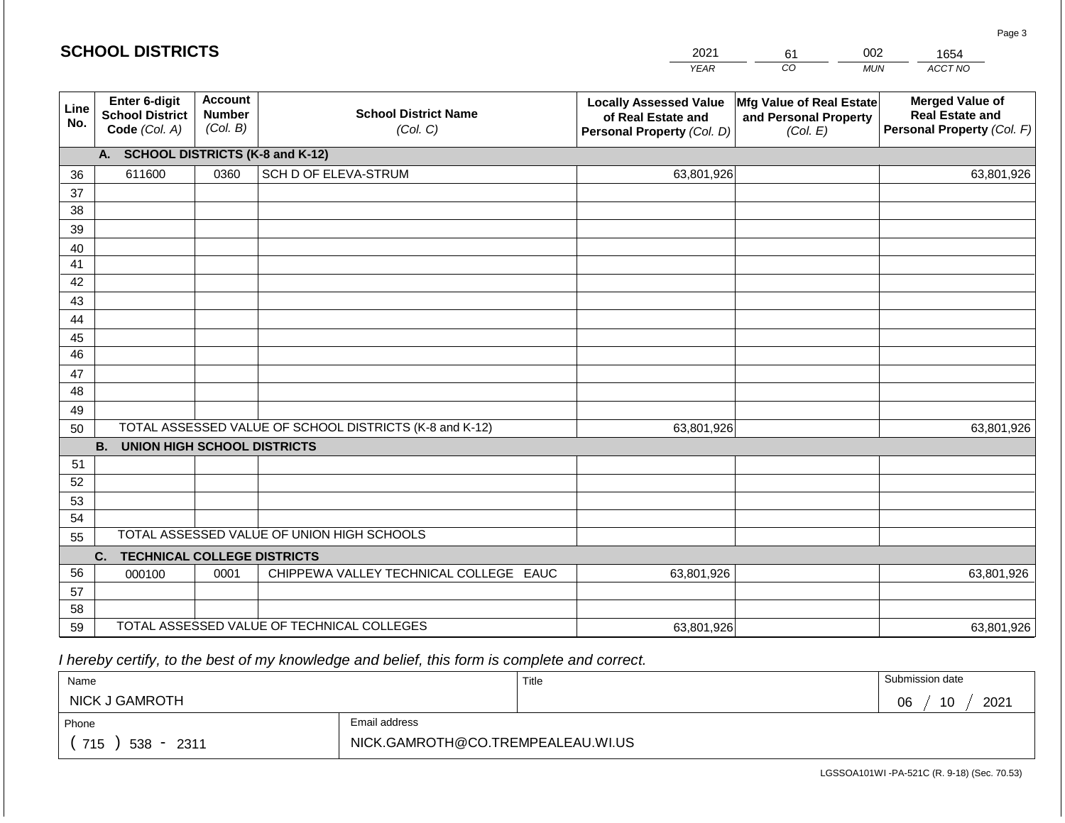|             | <b>SCHOOL DISTRICTS</b>                                  |                                             |                                                         | 2021                                                                              | 002<br>61                                                     | 1654                                                                           |
|-------------|----------------------------------------------------------|---------------------------------------------|---------------------------------------------------------|-----------------------------------------------------------------------------------|---------------------------------------------------------------|--------------------------------------------------------------------------------|
|             |                                                          |                                             |                                                         | <b>YEAR</b>                                                                       | CO                                                            | ACCT NO<br><b>MUN</b>                                                          |
| Line<br>No. | Enter 6-digit<br><b>School District</b><br>Code (Col. A) | <b>Account</b><br><b>Number</b><br>(Col. B) | <b>School District Name</b><br>(Col. C)                 | <b>Locally Assessed Value</b><br>of Real Estate and<br>Personal Property (Col. D) | Mfg Value of Real Estate<br>and Personal Property<br>(Col. E) | <b>Merged Value of</b><br><b>Real Estate and</b><br>Personal Property (Col. F) |
|             | <b>SCHOOL DISTRICTS (K-8 and K-12)</b><br>A.             |                                             |                                                         |                                                                                   |                                                               |                                                                                |
| 36          | 611600                                                   | 0360                                        | SCH D OF ELEVA-STRUM                                    | 63,801,926                                                                        |                                                               | 63,801,926                                                                     |
| 37          |                                                          |                                             |                                                         |                                                                                   |                                                               |                                                                                |
| 38          |                                                          |                                             |                                                         |                                                                                   |                                                               |                                                                                |
| 39          |                                                          |                                             |                                                         |                                                                                   |                                                               |                                                                                |
| 40          |                                                          |                                             |                                                         |                                                                                   |                                                               |                                                                                |
| 41<br>42    |                                                          |                                             |                                                         |                                                                                   |                                                               |                                                                                |
| 43          |                                                          |                                             |                                                         |                                                                                   |                                                               |                                                                                |
| 44          |                                                          |                                             |                                                         |                                                                                   |                                                               |                                                                                |
| 45          |                                                          |                                             |                                                         |                                                                                   |                                                               |                                                                                |
| 46          |                                                          |                                             |                                                         |                                                                                   |                                                               |                                                                                |
| 47          |                                                          |                                             |                                                         |                                                                                   |                                                               |                                                                                |
| 48          |                                                          |                                             |                                                         |                                                                                   |                                                               |                                                                                |
| 49          |                                                          |                                             |                                                         |                                                                                   |                                                               |                                                                                |
| 50          |                                                          |                                             | TOTAL ASSESSED VALUE OF SCHOOL DISTRICTS (K-8 and K-12) | 63,801,926                                                                        |                                                               | 63,801,926                                                                     |
|             | <b>B.</b><br><b>UNION HIGH SCHOOL DISTRICTS</b>          |                                             |                                                         |                                                                                   |                                                               |                                                                                |
| 51          |                                                          |                                             |                                                         |                                                                                   |                                                               |                                                                                |
| 52          |                                                          |                                             |                                                         |                                                                                   |                                                               |                                                                                |
| 53<br>54    |                                                          |                                             |                                                         |                                                                                   |                                                               |                                                                                |
| 55          |                                                          |                                             | TOTAL ASSESSED VALUE OF UNION HIGH SCHOOLS              |                                                                                   |                                                               |                                                                                |
|             | <b>TECHNICAL COLLEGE DISTRICTS</b><br>C.                 |                                             |                                                         |                                                                                   |                                                               |                                                                                |
| 56          | 000100                                                   | 0001                                        | CHIPPEWA VALLEY TECHNICAL COLLEGE EAUC                  | 63,801,926                                                                        |                                                               | 63,801,926                                                                     |
| 57          |                                                          |                                             |                                                         |                                                                                   |                                                               |                                                                                |
| 58          |                                                          |                                             |                                                         |                                                                                   |                                                               |                                                                                |
| 59          |                                                          |                                             | TOTAL ASSESSED VALUE OF TECHNICAL COLLEGES              | 63,801,926                                                                        |                                                               | 63,801,926                                                                     |

| Name                |                                   | Title | Submission date  |
|---------------------|-----------------------------------|-------|------------------|
| NICK J GAMROTH      |                                   |       | 2021<br>10<br>06 |
| Phone               | Email address                     |       |                  |
| 715<br>$538 - 2311$ | NICK.GAMROTH@CO.TREMPEALEAU.WI.US |       |                  |

LGSSOA101WI -PA-521C (R. 9-18) (Sec. 70.53)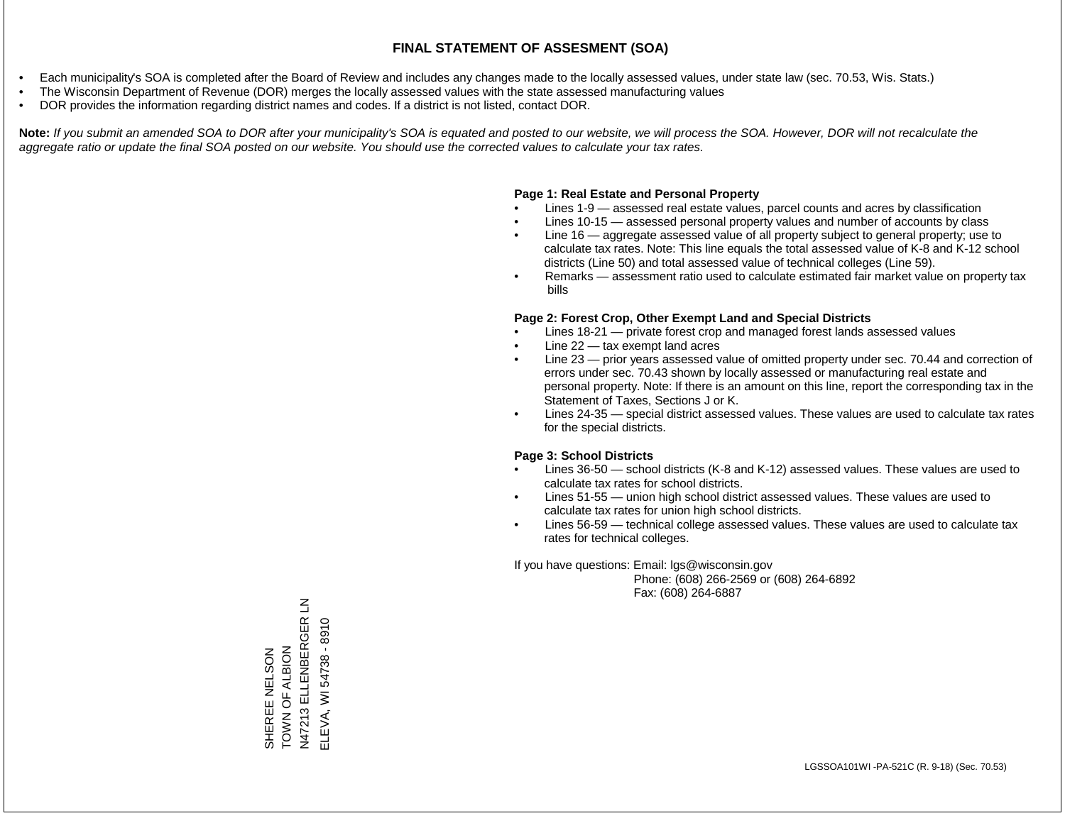- Each municipality's SOA is completed after the Board of Review and includes any changes made to the locally assessed values, under state law (sec. 70.53, Wis. Stats.)
- The Wisconsin Department of Revenue (DOR) merges the locally assessed values with the state assessed manufacturing values
- DOR provides the information regarding district names and codes. If a district is not listed, contact DOR.

Note: If you submit an amended SOA to DOR after your municipality's SOA is equated and posted to our website, we will process the SOA. However, DOR will not recalculate the *aggregate ratio or update the final SOA posted on our website. You should use the corrected values to calculate your tax rates.*

#### **Page 1: Real Estate and Personal Property**

- Lines 1-9 assessed real estate values, parcel counts and acres by classification
- Lines 10-15 assessed personal property values and number of accounts by class
- Line 16 aggregate assessed value of all property subject to general property; use to calculate tax rates. Note: This line equals the total assessed value of K-8 and K-12 school districts (Line 50) and total assessed value of technical colleges (Line 59).
- Remarks assessment ratio used to calculate estimated fair market value on property tax bills

#### **Page 2: Forest Crop, Other Exempt Land and Special Districts**

- Lines 18-21 private forest crop and managed forest lands assessed values
- Line  $22 -$  tax exempt land acres
- Line 23 prior years assessed value of omitted property under sec. 70.44 and correction of errors under sec. 70.43 shown by locally assessed or manufacturing real estate and personal property. Note: If there is an amount on this line, report the corresponding tax in the Statement of Taxes, Sections J or K.
- Lines 24-35 special district assessed values. These values are used to calculate tax rates for the special districts.

#### **Page 3: School Districts**

- Lines 36-50 school districts (K-8 and K-12) assessed values. These values are used to calculate tax rates for school districts.
- Lines 51-55 union high school district assessed values. These values are used to calculate tax rates for union high school districts.
- Lines 56-59 technical college assessed values. These values are used to calculate tax rates for technical colleges.

If you have questions: Email: lgs@wisconsin.gov

 Phone: (608) 266-2569 or (608) 264-6892 Fax: (608) 264-6887

N47213 ELLENBERGER LN<br>ELEVA, WI 54738 - 8910 N47213 ELLENBERGER LN ELEVA, WI 54738 - 8910SHEREE NELSON<br>TOWN OF ALBION TOWN OF ALBION SHEREE NELSON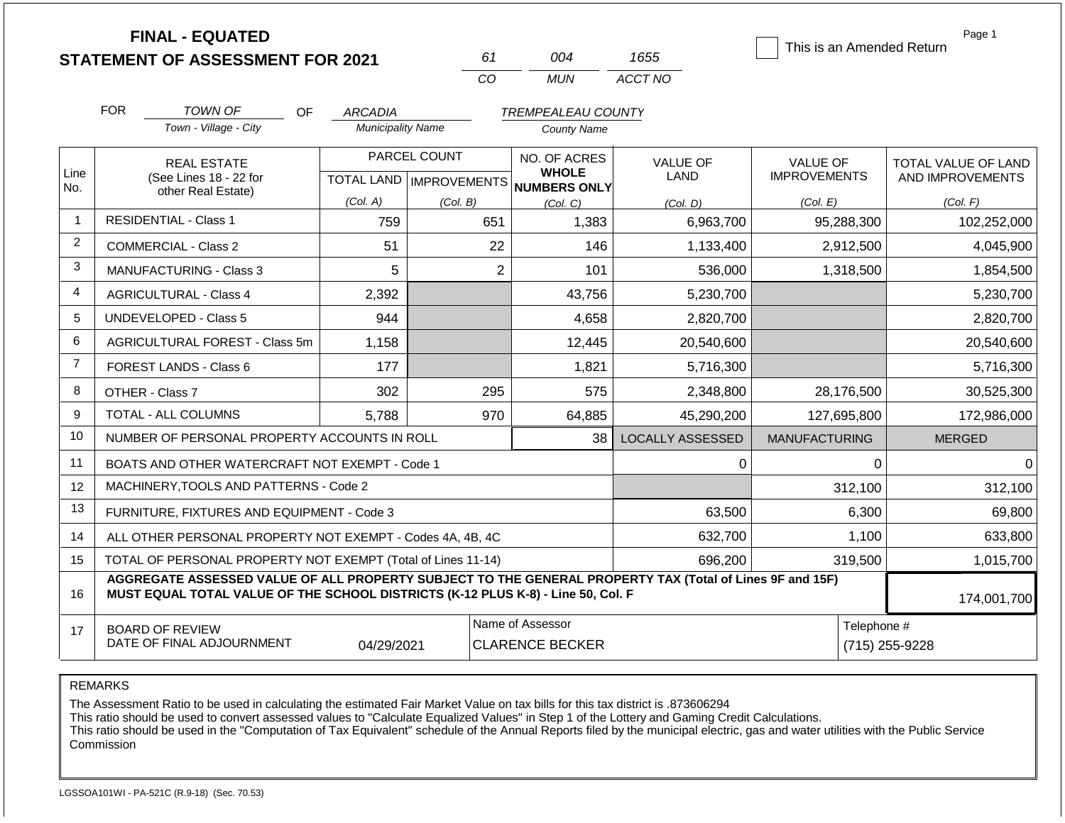|                                                                                                                                            |            | <b>FINAL - EQUATED</b><br><b>STATEMENT OF ASSESSMENT FOR 2021</b> |           |                          | 61           | 004                | 1655            | This is an Amended Return | Page 1                     |                     |                  |
|--------------------------------------------------------------------------------------------------------------------------------------------|------------|-------------------------------------------------------------------|-----------|--------------------------|--------------|--------------------|-----------------|---------------------------|----------------------------|---------------------|------------------|
|                                                                                                                                            |            |                                                                   |           |                          | CO           | <b>MUN</b>         | ACCT NO         |                           |                            |                     |                  |
|                                                                                                                                            | <b>FOR</b> | TOWN OF                                                           | OF        | <b>ARCADIA</b>           |              | TREMPEALEAU COUNTY |                 |                           |                            |                     |                  |
|                                                                                                                                            |            | Town - Village - City                                             |           | <b>Municipality Name</b> |              | <b>County Name</b> |                 |                           |                            |                     |                  |
|                                                                                                                                            |            | <b>REAL ESTATE</b>                                                |           |                          | PARCEL COUNT | NO. OF ACRES       | <b>VALUE OF</b> | <b>VALUE OF</b>           | <b>TOTAL VALUE OF LAND</b> |                     |                  |
| No.                                                                                                                                        |            | (See Lines 18 - 22 for                                            |           |                          |              | <b>TOTAL LAND</b>  |                 | <b>NUMBERS ONLY</b>       | LAND                       | <b>IMPROVEMENTS</b> | AND IMPROVEMENTS |
|                                                                                                                                            |            |                                                                   |           | (Col. A)                 | (Col. B)     | (Col, C)           | (Col, D)        | (Col. E)                  | (Col. F)                   |                     |                  |
|                                                                                                                                            |            |                                                                   |           | 759                      | 651          | 1,383              | 6,963,700       | 95,288,300                | 102,252,000                |                     |                  |
| Line<br><b>WHOLE</b><br>IMPROVEMENTS<br>other Real Estate)<br><b>RESIDENTIAL - Class 1</b><br>2<br>51<br>22<br>146<br>COMMERCIAL - Class 2 | 1,133,400  | 2,912,500                                                         | 4,045,900 |                          |              |                    |                 |                           |                            |                     |                  |
| 3                                                                                                                                          |            | <b>MANUFACTURING - Class 3</b>                                    |           | 5                        | 2            | 101                | 536,000         | 1,318,500                 | 1,854,500                  |                     |                  |
| $\overline{4}$                                                                                                                             |            | <b>AGRICULTURAL - Class 4</b>                                     |           | 2,392                    |              | 43,756             | 5,230,700       |                           | 5,230,700                  |                     |                  |

174,001,700

0 0

 312,100 312,100 6,300 69,800 1,100 633,800 319,500 1,015,700

LOCALLY ASSESSED | MANUFACTURING | MERGED

0

 63,500 632,700

944 2,820,700 2,820,700 2,820,700 2,820,700 2,820,700 1,158 12,445 20,540,600 20,540,600 177 1,821 5,716,300 5,716,300 302 295 2,348,800 28,176,500 30,525,300 5,788 970 64,885 45,290,200 127,695,800 172,986,000

38

15 16 17 TOTAL OF PERSONAL PROPERTY NOT EXEMPT (Total of Lines 11-14) **AGGREGATE ASSESSED VALUE OF ALL PROPERTY SUBJECT TO THE GENERAL PROPERTY TAX (Total of Lines 9F and 15F) MUST EQUAL TOTAL VALUE OF THE SCHOOL DISTRICTS (K-12 PLUS K-8) - Line 50, Col. F** BOARD OF REVIEW DATE OF FINAL ADJOURNMENT Name of Assessor **Telephone #**  696,200 04/29/2021 CLARENCE BECKER (715) 255-9228

REMARKS

5 6 7

AGRICULTURAL FOREST - Class 5m

NUMBER OF PERSONAL PROPERTY ACCOUNTS IN ROLL BOATS AND OTHER WATERCRAFT NOT EXEMPT - Code 1

ALL OTHER PERSONAL PROPERTY NOT EXEMPT - Codes 4A, 4B, 4C

MACHINERY,TOOLS AND PATTERNS - Code 2

FURNITURE, FIXTURES AND EQUIPMENT - Code 3

UNDEVELOPED - Class 5

FOREST LANDS - Class 6

TOTAL - ALL COLUMNS

OTHER - Class 7

8 9 10

11 12 13

14

The Assessment Ratio to be used in calculating the estimated Fair Market Value on tax bills for this tax district is .873606294

This ratio should be used to convert assessed values to "Calculate Equalized Values" in Step 1 of the Lottery and Gaming Credit Calculations.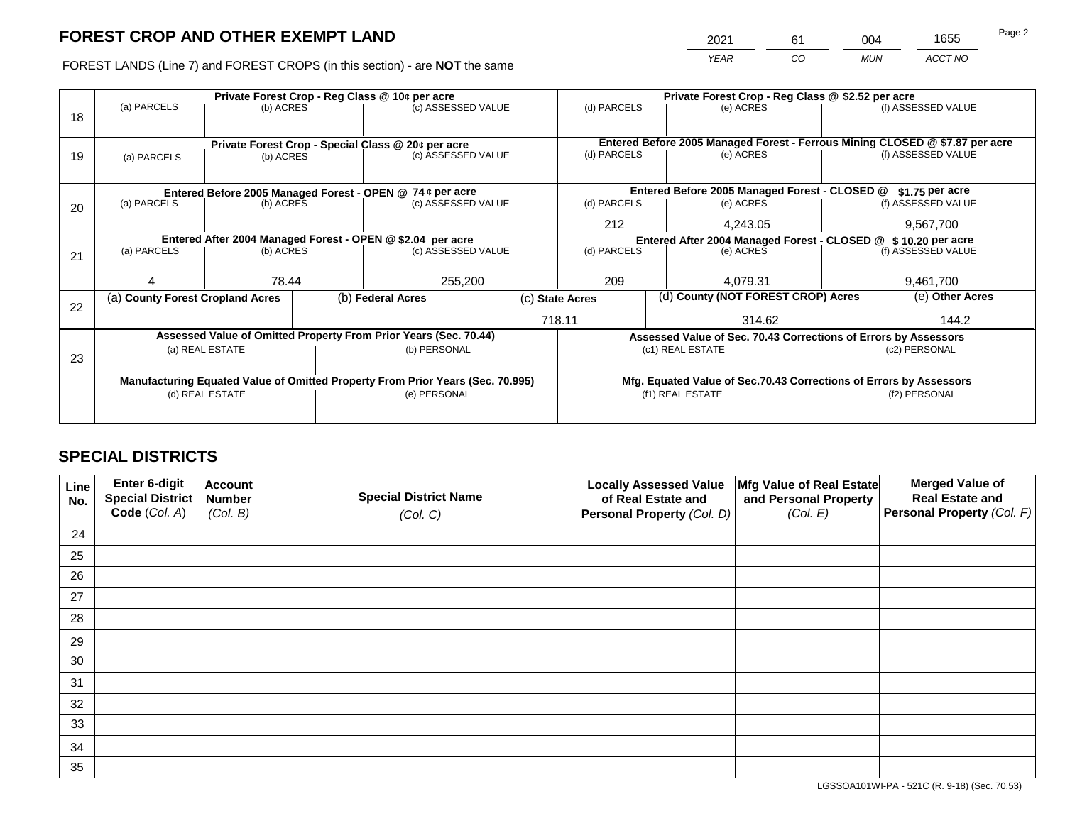2021 61 004 1655

FOREST LANDS (Line 7) and FOREST CROPS (in this section) - are **NOT** the same *YEAR CO MUN ACCT NO*

|    |                                                            |                 |  | Private Forest Crop - Reg Class @ 10¢ per acre                                 |  | Private Forest Crop - Reg Class @ \$2.52 per acre              |                  |                                                                                           |                                                                 |                    |
|----|------------------------------------------------------------|-----------------|--|--------------------------------------------------------------------------------|--|----------------------------------------------------------------|------------------|-------------------------------------------------------------------------------------------|-----------------------------------------------------------------|--------------------|
| 18 | (a) PARCELS                                                | (b) ACRES       |  | (c) ASSESSED VALUE                                                             |  | (d) PARCELS                                                    |                  | (e) ACRES                                                                                 |                                                                 | (f) ASSESSED VALUE |
|    |                                                            |                 |  |                                                                                |  |                                                                |                  |                                                                                           |                                                                 |                    |
|    |                                                            |                 |  |                                                                                |  |                                                                |                  |                                                                                           |                                                                 |                    |
| 19 |                                                            | (b) ACRES       |  | Private Forest Crop - Special Class @ 20¢ per acre<br>(c) ASSESSED VALUE       |  | (d) PARCELS                                                    |                  | Entered Before 2005 Managed Forest - Ferrous Mining CLOSED @ \$7.87 per acre<br>(e) ACRES |                                                                 | (f) ASSESSED VALUE |
|    | (a) PARCELS                                                |                 |  |                                                                                |  |                                                                |                  |                                                                                           |                                                                 |                    |
|    |                                                            |                 |  |                                                                                |  |                                                                |                  |                                                                                           |                                                                 |                    |
|    |                                                            |                 |  | Entered Before 2005 Managed Forest - OPEN @ 74 ¢ per acre                      |  |                                                                |                  | Entered Before 2005 Managed Forest - CLOSED @                                             |                                                                 | \$1.75 per acre    |
| 20 | (a) PARCELS                                                | (b) ACRES       |  | (c) ASSESSED VALUE                                                             |  | (d) PARCELS                                                    |                  | (e) ACRES                                                                                 |                                                                 | (f) ASSESSED VALUE |
|    |                                                            |                 |  |                                                                                |  |                                                                |                  |                                                                                           |                                                                 |                    |
|    |                                                            |                 |  |                                                                                |  | 212<br>4.243.05                                                |                  |                                                                                           |                                                                 | 9,567,700          |
|    | Entered After 2004 Managed Forest - OPEN @ \$2.04 per acre |                 |  |                                                                                |  | Entered After 2004 Managed Forest - CLOSED @ \$ 10.20 per acre |                  |                                                                                           |                                                                 |                    |
| 21 | (a) PARCELS                                                | (b) ACRES       |  | (c) ASSESSED VALUE                                                             |  | (d) PARCELS                                                    |                  | (e) ACRES                                                                                 |                                                                 | (f) ASSESSED VALUE |
|    |                                                            |                 |  |                                                                                |  |                                                                |                  |                                                                                           |                                                                 |                    |
|    |                                                            | 78.44           |  | 255,200                                                                        |  | 209                                                            |                  | 4,079.31                                                                                  |                                                                 | 9,461,700          |
|    | (a) County Forest Cropland Acres                           |                 |  | (b) Federal Acres                                                              |  | (c) State Acres                                                |                  | (d) County (NOT FOREST CROP) Acres                                                        |                                                                 | (e) Other Acres    |
| 22 |                                                            |                 |  |                                                                                |  |                                                                |                  |                                                                                           |                                                                 |                    |
|    |                                                            |                 |  |                                                                                |  |                                                                | 718.11<br>314.62 |                                                                                           | 144.2                                                           |                    |
|    |                                                            |                 |  | Assessed Value of Omitted Property From Prior Years (Sec. 70.44)               |  |                                                                |                  |                                                                                           | Assessed Value of Sec. 70.43 Corrections of Errors by Assessors |                    |
|    |                                                            | (a) REAL ESTATE |  | (b) PERSONAL                                                                   |  |                                                                |                  | (c1) REAL ESTATE                                                                          | (c2) PERSONAL                                                   |                    |
| 23 |                                                            |                 |  |                                                                                |  |                                                                |                  |                                                                                           |                                                                 |                    |
|    |                                                            |                 |  | Manufacturing Equated Value of Omitted Property From Prior Years (Sec. 70.995) |  |                                                                |                  | Mfg. Equated Value of Sec.70.43 Corrections of Errors by Assessors                        |                                                                 |                    |
|    |                                                            | (d) REAL ESTATE |  | (e) PERSONAL                                                                   |  |                                                                |                  | (f1) REAL ESTATE                                                                          | (f2) PERSONAL                                                   |                    |
|    |                                                            |                 |  |                                                                                |  |                                                                |                  |                                                                                           |                                                                 |                    |
|    |                                                            |                 |  |                                                                                |  |                                                                |                  |                                                                                           |                                                                 |                    |

## **SPECIAL DISTRICTS**

| Line<br>No. | Enter 6-digit<br>Special District<br>Code (Col. A) | <b>Account</b><br><b>Number</b><br>(Col. B) | <b>Special District Name</b><br>(Col. C) | <b>Locally Assessed Value</b><br>of Real Estate and<br><b>Personal Property (Col. D)</b> | Mfg Value of Real Estate<br>and Personal Property<br>(Col. E) | <b>Merged Value of</b><br><b>Real Estate and</b><br>Personal Property (Col. F) |
|-------------|----------------------------------------------------|---------------------------------------------|------------------------------------------|------------------------------------------------------------------------------------------|---------------------------------------------------------------|--------------------------------------------------------------------------------|
| 24          |                                                    |                                             |                                          |                                                                                          |                                                               |                                                                                |
| 25          |                                                    |                                             |                                          |                                                                                          |                                                               |                                                                                |
| 26          |                                                    |                                             |                                          |                                                                                          |                                                               |                                                                                |
| 27          |                                                    |                                             |                                          |                                                                                          |                                                               |                                                                                |
| 28          |                                                    |                                             |                                          |                                                                                          |                                                               |                                                                                |
| 29          |                                                    |                                             |                                          |                                                                                          |                                                               |                                                                                |
| 30          |                                                    |                                             |                                          |                                                                                          |                                                               |                                                                                |
| 31          |                                                    |                                             |                                          |                                                                                          |                                                               |                                                                                |
| 32          |                                                    |                                             |                                          |                                                                                          |                                                               |                                                                                |
| 33          |                                                    |                                             |                                          |                                                                                          |                                                               |                                                                                |
| 34          |                                                    |                                             |                                          |                                                                                          |                                                               |                                                                                |
| 35          |                                                    |                                             |                                          |                                                                                          |                                                               |                                                                                |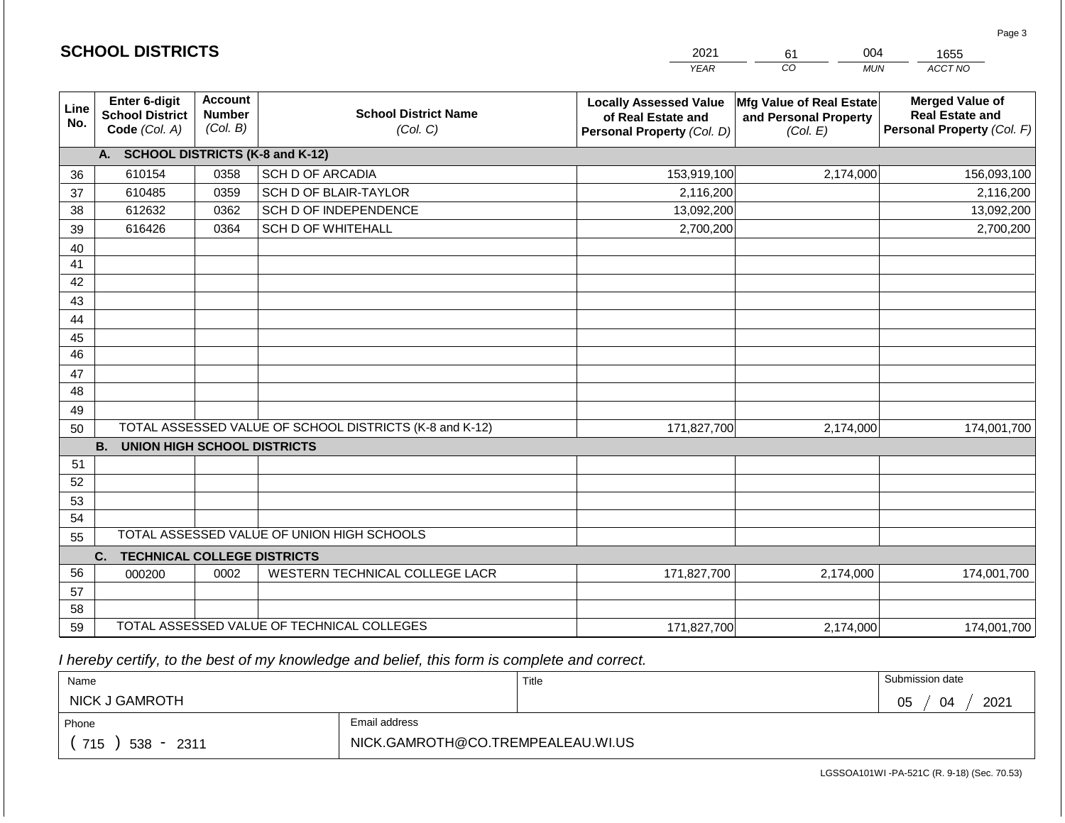|                 | <b>SCHOOL DISTRICTS</b>                                  |                                             |                                                         | 2021                                                                              | 004<br>61                                                     | 1655                                                                           |  |
|-----------------|----------------------------------------------------------|---------------------------------------------|---------------------------------------------------------|-----------------------------------------------------------------------------------|---------------------------------------------------------------|--------------------------------------------------------------------------------|--|
|                 |                                                          |                                             |                                                         | <b>YEAR</b>                                                                       | CO<br><b>MUN</b>                                              | ACCT NO                                                                        |  |
| Line<br>No.     | Enter 6-digit<br><b>School District</b><br>Code (Col. A) | <b>Account</b><br><b>Number</b><br>(Col. B) | <b>School District Name</b><br>(Col. C)                 | <b>Locally Assessed Value</b><br>of Real Estate and<br>Personal Property (Col. D) | Mfg Value of Real Estate<br>and Personal Property<br>(Col. E) | <b>Merged Value of</b><br><b>Real Estate and</b><br>Personal Property (Col. F) |  |
|                 | A. SCHOOL DISTRICTS (K-8 and K-12)                       |                                             |                                                         |                                                                                   |                                                               |                                                                                |  |
| 36              | 610154                                                   | 0358                                        | <b>SCH D OF ARCADIA</b>                                 | 153,919,100                                                                       | 2,174,000                                                     | 156,093,100                                                                    |  |
| 37              | 610485                                                   | 0359                                        | SCH D OF BLAIR-TAYLOR                                   | 2,116,200                                                                         |                                                               | 2,116,200                                                                      |  |
| 38              | 612632                                                   | 0362                                        | SCH D OF INDEPENDENCE                                   | 13,092,200                                                                        |                                                               | 13,092,200                                                                     |  |
| 39              | 616426                                                   | 0364                                        | <b>SCH D OF WHITEHALL</b>                               | 2,700,200                                                                         |                                                               | 2,700,200                                                                      |  |
| 40              |                                                          |                                             |                                                         |                                                                                   |                                                               |                                                                                |  |
| 41              |                                                          |                                             |                                                         |                                                                                   |                                                               |                                                                                |  |
| 42              |                                                          |                                             |                                                         |                                                                                   |                                                               |                                                                                |  |
| 43              |                                                          |                                             |                                                         |                                                                                   |                                                               |                                                                                |  |
| 44              |                                                          |                                             |                                                         |                                                                                   |                                                               |                                                                                |  |
| 45              |                                                          |                                             |                                                         |                                                                                   |                                                               |                                                                                |  |
| $\overline{46}$ |                                                          |                                             |                                                         |                                                                                   |                                                               |                                                                                |  |
| 47              |                                                          |                                             |                                                         |                                                                                   |                                                               |                                                                                |  |
| 48              |                                                          |                                             |                                                         |                                                                                   |                                                               |                                                                                |  |
| 49<br>50        |                                                          |                                             | TOTAL ASSESSED VALUE OF SCHOOL DISTRICTS (K-8 and K-12) | 171,827,700                                                                       | 2,174,000                                                     | 174,001,700                                                                    |  |
|                 | <b>UNION HIGH SCHOOL DISTRICTS</b><br><b>B.</b>          |                                             |                                                         |                                                                                   |                                                               |                                                                                |  |
| 51              |                                                          |                                             |                                                         |                                                                                   |                                                               |                                                                                |  |
| 52              |                                                          |                                             |                                                         |                                                                                   |                                                               |                                                                                |  |
| 53              |                                                          |                                             |                                                         |                                                                                   |                                                               |                                                                                |  |
| 54              |                                                          |                                             |                                                         |                                                                                   |                                                               |                                                                                |  |
| 55              |                                                          |                                             | TOTAL ASSESSED VALUE OF UNION HIGH SCHOOLS              |                                                                                   |                                                               |                                                                                |  |
|                 | <b>TECHNICAL COLLEGE DISTRICTS</b><br>C.                 |                                             |                                                         |                                                                                   |                                                               |                                                                                |  |
| 56              | 000200                                                   | 0002                                        | WESTERN TECHNICAL COLLEGE LACR                          | 171,827,700                                                                       | 2,174,000                                                     | 174,001,700                                                                    |  |
| 57              |                                                          |                                             |                                                         |                                                                                   |                                                               |                                                                                |  |
| 58              |                                                          |                                             |                                                         |                                                                                   |                                                               |                                                                                |  |
| 59              |                                                          |                                             | TOTAL ASSESSED VALUE OF TECHNICAL COLLEGES              | 171,827,700                                                                       | 2,174,000                                                     | 174,001,700                                                                    |  |

**SCHOOL DISTRICTS**

| Name                  |                                   | Title | Submission date  |
|-----------------------|-----------------------------------|-------|------------------|
| <b>NICK J GAMROTH</b> |                                   |       | 2021<br>05<br>04 |
| Phone                 | Email address                     |       |                  |
| 715<br>538 -<br>2311  | NICK.GAMROTH@CO.TREMPEALEAU.WI.US |       |                  |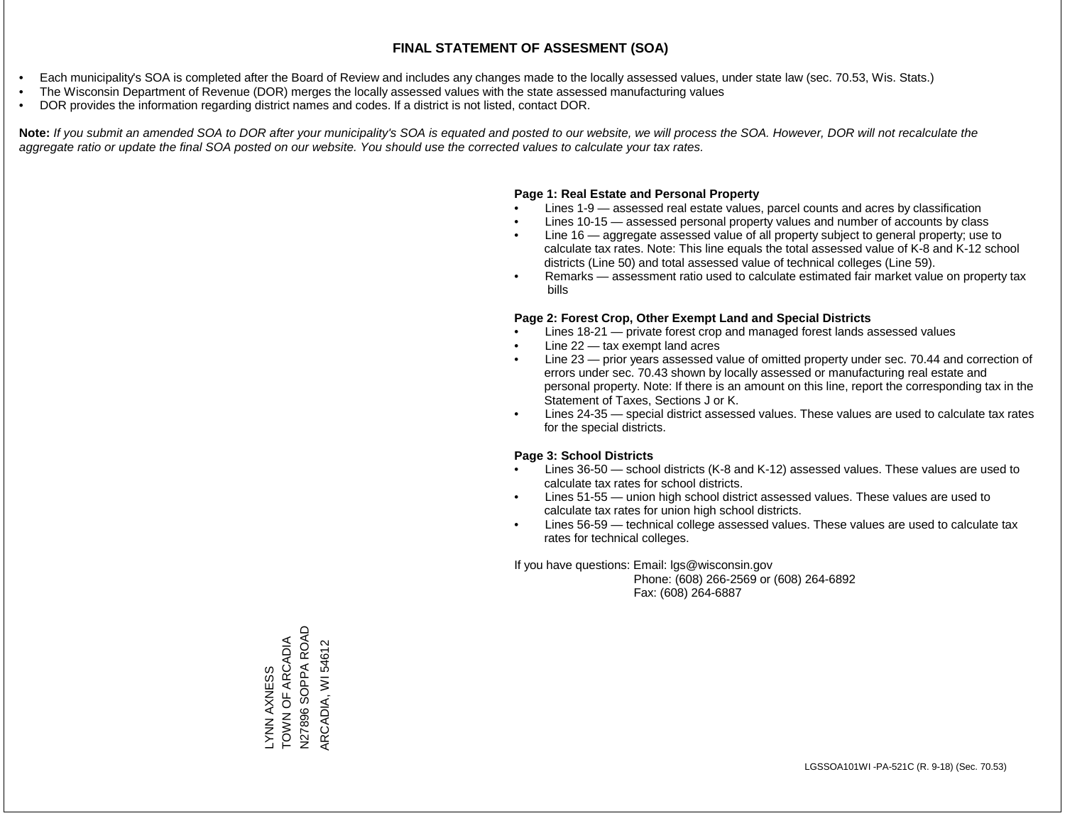- Each municipality's SOA is completed after the Board of Review and includes any changes made to the locally assessed values, under state law (sec. 70.53, Wis. Stats.)
- The Wisconsin Department of Revenue (DOR) merges the locally assessed values with the state assessed manufacturing values
- DOR provides the information regarding district names and codes. If a district is not listed, contact DOR.

Note: If you submit an amended SOA to DOR after your municipality's SOA is equated and posted to our website, we will process the SOA. However, DOR will not recalculate the *aggregate ratio or update the final SOA posted on our website. You should use the corrected values to calculate your tax rates.*

#### **Page 1: Real Estate and Personal Property**

- Lines 1-9 assessed real estate values, parcel counts and acres by classification
- Lines 10-15 assessed personal property values and number of accounts by class
- Line 16 aggregate assessed value of all property subject to general property; use to calculate tax rates. Note: This line equals the total assessed value of K-8 and K-12 school districts (Line 50) and total assessed value of technical colleges (Line 59).
- Remarks assessment ratio used to calculate estimated fair market value on property tax bills

#### **Page 2: Forest Crop, Other Exempt Land and Special Districts**

- Lines 18-21 private forest crop and managed forest lands assessed values
- Line  $22 -$  tax exempt land acres
- Line 23 prior years assessed value of omitted property under sec. 70.44 and correction of errors under sec. 70.43 shown by locally assessed or manufacturing real estate and personal property. Note: If there is an amount on this line, report the corresponding tax in the Statement of Taxes, Sections J or K.
- Lines 24-35 special district assessed values. These values are used to calculate tax rates for the special districts.

#### **Page 3: School Districts**

- Lines 36-50 school districts (K-8 and K-12) assessed values. These values are used to calculate tax rates for school districts.
- Lines 51-55 union high school district assessed values. These values are used to calculate tax rates for union high school districts.
- Lines 56-59 technical college assessed values. These values are used to calculate tax rates for technical colleges.

If you have questions: Email: lgs@wisconsin.gov

 Phone: (608) 266-2569 or (608) 264-6892 Fax: (608) 264-6887

N27896 SOPPA ROAD N27896 SOPPA ROAD TOWN OF ARCADIA LYNN AXNESS<br>TOWN OF ARCADIA ARCADIA, WI 54612 ARCADIA, WI 54612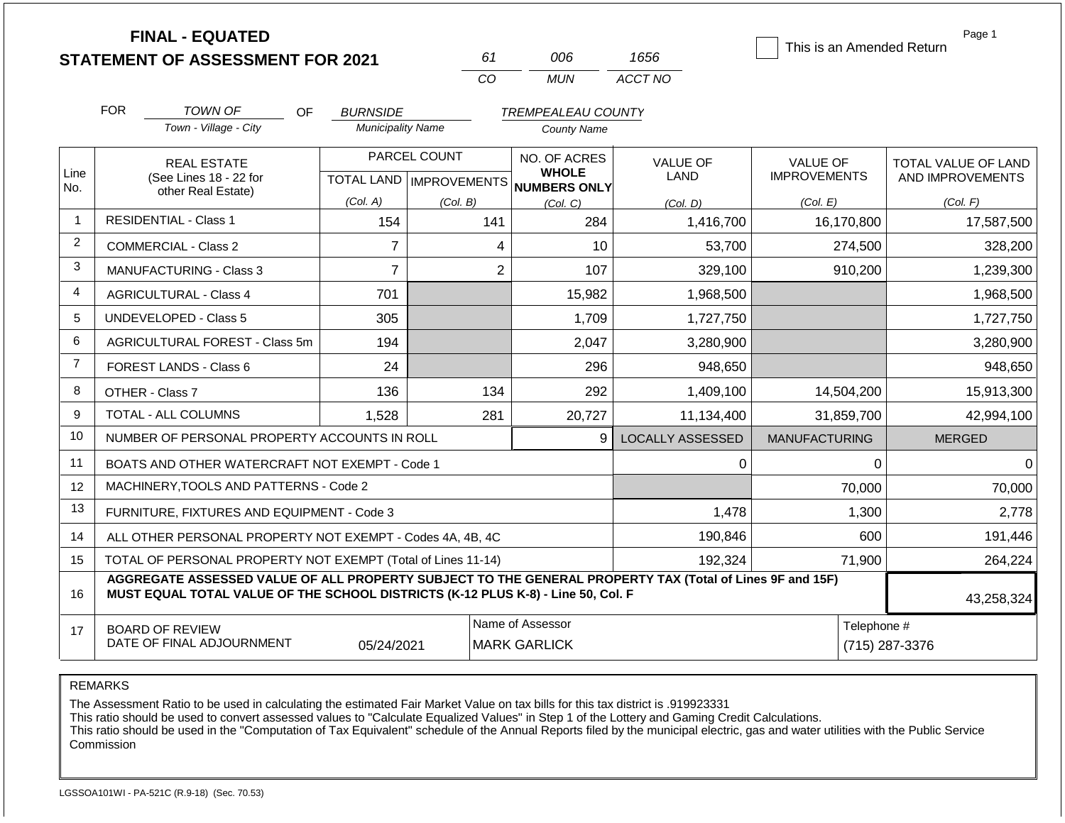|                | <b>FINAL - EQUATED</b>                                                                                                                                                                       |                          |                           |                                         |                         | This is an Amended Return | Page 1              |
|----------------|----------------------------------------------------------------------------------------------------------------------------------------------------------------------------------------------|--------------------------|---------------------------|-----------------------------------------|-------------------------|---------------------------|---------------------|
|                | <b>STATEMENT OF ASSESSMENT FOR 2021</b>                                                                                                                                                      |                          | 61                        | 006                                     | 1656                    |                           |                     |
|                |                                                                                                                                                                                              |                          | CO                        | <b>MUN</b>                              | ACCT NO                 |                           |                     |
|                | <b>FOR</b><br>TOWN OF<br>OF                                                                                                                                                                  | <b>BURNSIDE</b>          |                           | <b>TREMPEALEAU COUNTY</b>               |                         |                           |                     |
|                | Town - Village - City                                                                                                                                                                        | <b>Municipality Name</b> |                           | <b>County Name</b>                      |                         |                           |                     |
|                | <b>REAL ESTATE</b>                                                                                                                                                                           |                          | PARCEL COUNT              | NO. OF ACRES                            | <b>VALUE OF</b>         | <b>VALUE OF</b>           | TOTAL VALUE OF LAND |
| Line<br>No.    | (See Lines 18 - 22 for                                                                                                                                                                       |                          | TOTAL LAND   IMPROVEMENTS | <b>WHOLE</b><br><b>NUMBERS ONLY</b>     | <b>LAND</b>             | <b>IMPROVEMENTS</b>       | AND IMPROVEMENTS    |
|                | other Real Estate)                                                                                                                                                                           | (Col. A)                 | (Col. B)                  | (Col, C)                                | (Col. D)                | (Col. E)                  | (Col. F)            |
| $\overline{1}$ | <b>RESIDENTIAL - Class 1</b>                                                                                                                                                                 | 154                      | 141                       | 284                                     | 1,416,700               | 16,170,800                | 17,587,500          |
| $\overline{c}$ | <b>COMMERCIAL - Class 2</b>                                                                                                                                                                  | 7                        | 4                         | 10                                      | 53,700                  | 274,500                   | 328,200             |
| 3              | <b>MANUFACTURING - Class 3</b>                                                                                                                                                               | $\overline{7}$           | $\overline{2}$            | 107                                     | 329,100                 | 910,200                   | 1,239,300           |
| 4              | <b>AGRICULTURAL - Class 4</b>                                                                                                                                                                | 701                      |                           | 15,982                                  | 1,968,500               |                           | 1,968,500           |
| 5              | <b>UNDEVELOPED - Class 5</b>                                                                                                                                                                 | 305                      |                           | 1,709                                   | 1,727,750               |                           | 1,727,750           |
| 6              | AGRICULTURAL FOREST - Class 5m                                                                                                                                                               | 194                      |                           | 2,047                                   | 3,280,900               |                           | 3,280,900           |
| $\overline{7}$ | FOREST LANDS - Class 6                                                                                                                                                                       | 24                       |                           | 296                                     | 948,650                 |                           | 948,650             |
| 8              | OTHER - Class 7                                                                                                                                                                              | 136                      | 134                       | 292                                     | 1,409,100               | 14,504,200                | 15,913,300          |
| 9              | TOTAL - ALL COLUMNS                                                                                                                                                                          | 1,528                    | 281                       | 20,727                                  | 11,134,400              | 31,859,700                | 42,994,100          |
| 10             | NUMBER OF PERSONAL PROPERTY ACCOUNTS IN ROLL                                                                                                                                                 |                          |                           | 9                                       | <b>LOCALLY ASSESSED</b> | <b>MANUFACTURING</b>      | <b>MERGED</b>       |
| 11             | BOATS AND OTHER WATERCRAFT NOT EXEMPT - Code 1                                                                                                                                               |                          |                           |                                         | 0                       | $\Omega$                  | $\Omega$            |
| 12             | MACHINERY, TOOLS AND PATTERNS - Code 2                                                                                                                                                       |                          |                           |                                         |                         | 70,000                    | 70,000              |
| 13             | FURNITURE, FIXTURES AND EQUIPMENT - Code 3                                                                                                                                                   |                          |                           |                                         | 1,478                   | 1,300                     | 2,778               |
| 14             | ALL OTHER PERSONAL PROPERTY NOT EXEMPT - Codes 4A, 4B, 4C                                                                                                                                    |                          |                           |                                         | 190,846                 | 600                       | 191,446             |
| 15             | TOTAL OF PERSONAL PROPERTY NOT EXEMPT (Total of Lines 11-14)                                                                                                                                 |                          |                           |                                         | 192,324                 | 71,900                    | 264,224             |
| 16             | AGGREGATE ASSESSED VALUE OF ALL PROPERTY SUBJECT TO THE GENERAL PROPERTY TAX (Total of Lines 9F and 15F)<br>MUST EQUAL TOTAL VALUE OF THE SCHOOL DISTRICTS (K-12 PLUS K-8) - Line 50, Col. F |                          |                           |                                         |                         |                           | 43,258,324          |
| 17             | <b>BOARD OF REVIEW</b><br>DATE OF FINAL ADJOURNMENT                                                                                                                                          | 05/24/2021               |                           | Name of Assessor<br><b>MARK GARLICK</b> |                         | Telephone #               | (715) 287-3376      |

REMARKS

The Assessment Ratio to be used in calculating the estimated Fair Market Value on tax bills for this tax district is .919923331

This ratio should be used to convert assessed values to "Calculate Equalized Values" in Step 1 of the Lottery and Gaming Credit Calculations.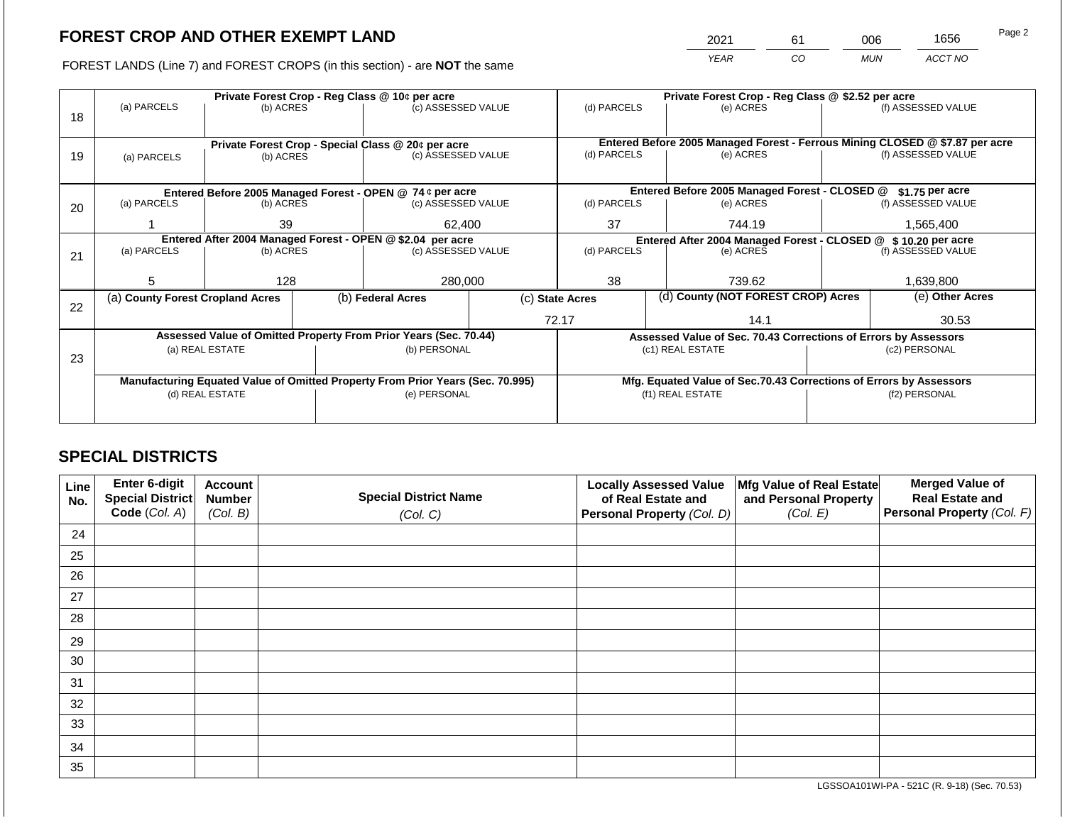2021 61 006 1656

FOREST LANDS (Line 7) and FOREST CROPS (in this section) - are **NOT** the same *YEAR CO MUN ACCT NO*

|    |                                                            |                 |  | Private Forest Crop - Reg Class @ 10¢ per acre                                 |  | Private Forest Crop - Reg Class @ \$2.52 per acre             |                                               |                                                                    |                                                                              |                    |
|----|------------------------------------------------------------|-----------------|--|--------------------------------------------------------------------------------|--|---------------------------------------------------------------|-----------------------------------------------|--------------------------------------------------------------------|------------------------------------------------------------------------------|--------------------|
|    | (a) PARCELS                                                | (b) ACRES       |  | (c) ASSESSED VALUE                                                             |  | (d) PARCELS                                                   |                                               | (e) ACRES                                                          |                                                                              | (f) ASSESSED VALUE |
| 18 |                                                            |                 |  |                                                                                |  |                                                               |                                               |                                                                    |                                                                              |                    |
|    |                                                            |                 |  |                                                                                |  |                                                               |                                               |                                                                    | Entered Before 2005 Managed Forest - Ferrous Mining CLOSED @ \$7.87 per acre |                    |
|    |                                                            |                 |  | Private Forest Crop - Special Class @ 20¢ per acre<br>(c) ASSESSED VALUE       |  | (d) PARCELS                                                   |                                               | (e) ACRES                                                          |                                                                              | (f) ASSESSED VALUE |
| 19 | (a) PARCELS                                                | (b) ACRES       |  |                                                                                |  |                                                               |                                               |                                                                    |                                                                              |                    |
|    |                                                            |                 |  |                                                                                |  |                                                               |                                               |                                                                    |                                                                              |                    |
|    |                                                            |                 |  | Entered Before 2005 Managed Forest - OPEN @ 74 ¢ per acre                      |  |                                                               | Entered Before 2005 Managed Forest - CLOSED @ |                                                                    | \$1.75 per acre                                                              |                    |
| 20 | (a) PARCELS                                                | (b) ACRES       |  | (c) ASSESSED VALUE                                                             |  | (d) PARCELS                                                   |                                               | (e) ACRES                                                          |                                                                              | (f) ASSESSED VALUE |
|    |                                                            | 39              |  |                                                                                |  |                                                               |                                               |                                                                    |                                                                              |                    |
|    |                                                            |                 |  | 62,400                                                                         |  | 37                                                            |                                               | 744.19                                                             |                                                                              | 1,565,400          |
|    | Entered After 2004 Managed Forest - OPEN @ \$2.04 per acre |                 |  |                                                                                |  | Entered After 2004 Managed Forest - CLOSED @ \$10.20 per acre |                                               |                                                                    |                                                                              |                    |
| 21 | (a) PARCELS                                                | (b) ACRES       |  | (c) ASSESSED VALUE                                                             |  | (d) PARCELS                                                   |                                               | (e) ACRES                                                          |                                                                              | (f) ASSESSED VALUE |
|    |                                                            |                 |  |                                                                                |  |                                                               |                                               |                                                                    |                                                                              |                    |
|    | 5                                                          | 128             |  | 280,000                                                                        |  | 38                                                            |                                               | 739.62                                                             |                                                                              | 1,639,800          |
|    | (a) County Forest Cropland Acres                           |                 |  | (b) Federal Acres                                                              |  | (d) County (NOT FOREST CROP) Acres<br>(c) State Acres         |                                               |                                                                    |                                                                              | (e) Other Acres    |
| 22 |                                                            |                 |  |                                                                                |  |                                                               |                                               |                                                                    |                                                                              |                    |
|    |                                                            |                 |  |                                                                                |  |                                                               | 72.17<br>14.1                                 |                                                                    | 30.53                                                                        |                    |
|    |                                                            |                 |  | Assessed Value of Omitted Property From Prior Years (Sec. 70.44)               |  |                                                               |                                               |                                                                    | Assessed Value of Sec. 70.43 Corrections of Errors by Assessors              |                    |
|    |                                                            | (a) REAL ESTATE |  | (b) PERSONAL                                                                   |  |                                                               |                                               | (c1) REAL ESTATE                                                   | (c2) PERSONAL                                                                |                    |
| 23 |                                                            |                 |  |                                                                                |  |                                                               |                                               |                                                                    |                                                                              |                    |
|    |                                                            |                 |  | Manufacturing Equated Value of Omitted Property From Prior Years (Sec. 70.995) |  |                                                               |                                               | Mfg. Equated Value of Sec.70.43 Corrections of Errors by Assessors |                                                                              |                    |
|    |                                                            | (d) REAL ESTATE |  | (e) PERSONAL                                                                   |  |                                                               | (f1) REAL ESTATE                              |                                                                    | (f2) PERSONAL                                                                |                    |
|    |                                                            |                 |  |                                                                                |  |                                                               |                                               |                                                                    |                                                                              |                    |
|    |                                                            |                 |  |                                                                                |  |                                                               |                                               |                                                                    |                                                                              |                    |

## **SPECIAL DISTRICTS**

| Line<br>No. | <b>Enter 6-digit</b><br>Special District | <b>Account</b><br><b>Number</b> | <b>Special District Name</b> | <b>Locally Assessed Value</b><br>of Real Estate and | Mfg Value of Real Estate<br>and Personal Property | <b>Merged Value of</b><br><b>Real Estate and</b> |
|-------------|------------------------------------------|---------------------------------|------------------------------|-----------------------------------------------------|---------------------------------------------------|--------------------------------------------------|
|             | Code (Col. A)                            | (Col. B)                        | (Col. C)                     | Personal Property (Col. D)                          | (Col. E)                                          | Personal Property (Col. F)                       |
| 24          |                                          |                                 |                              |                                                     |                                                   |                                                  |
| 25          |                                          |                                 |                              |                                                     |                                                   |                                                  |
| 26          |                                          |                                 |                              |                                                     |                                                   |                                                  |
| 27          |                                          |                                 |                              |                                                     |                                                   |                                                  |
| 28          |                                          |                                 |                              |                                                     |                                                   |                                                  |
| 29          |                                          |                                 |                              |                                                     |                                                   |                                                  |
| 30          |                                          |                                 |                              |                                                     |                                                   |                                                  |
| 31          |                                          |                                 |                              |                                                     |                                                   |                                                  |
| 32          |                                          |                                 |                              |                                                     |                                                   |                                                  |
| 33          |                                          |                                 |                              |                                                     |                                                   |                                                  |
| 34          |                                          |                                 |                              |                                                     |                                                   |                                                  |
| 35          |                                          |                                 |                              |                                                     |                                                   |                                                  |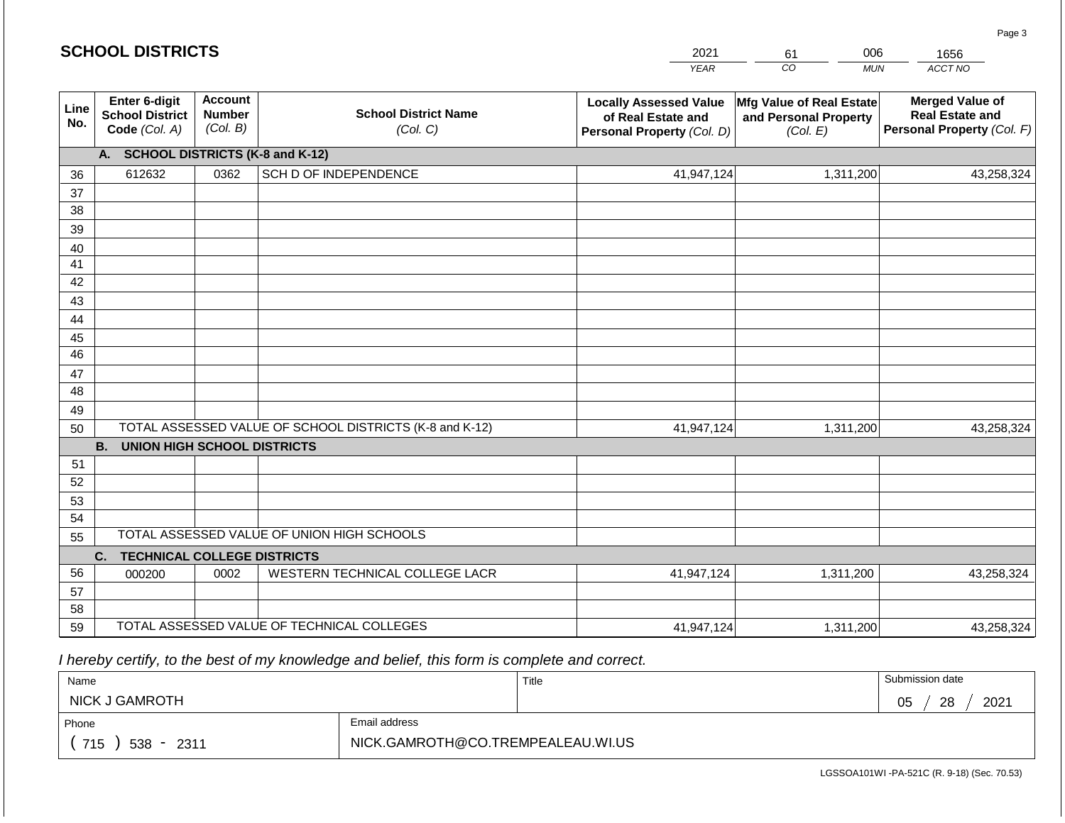#### *YEAR*  2021 *CO*  61 *MUN*  006 *ACCT NO*  1656 **Line No. Enter 6-digit School District Code** *(Col. A)* **Account Number** *(Col. B)* **School District Name** *(Col. C)* **Locally Assessed Value of Real Estate and Personal Property** *(Col. D)* **Mfg Value of Real Estate and Personal Property** *(Col. E)* **Merged Value of Real Estate and Personal Property** *(Col. F)* **A. SCHOOL DISTRICTS (K-8 and K-12)** 36 37 38 39 40 41 42 43 44 45 46 47 48 49 50 TOTAL ASSESSED VALUE OF SCHOOL DISTRICTS (K-8 and K-12) **B. UNION HIGH SCHOOL DISTRICTS** 51 52 53 54 55 **C. TECHNICAL COLLEGE DISTRICTS** 56 57 58 59 TOTAL ASSESSED VALUE OF TECHNICAL COLLEGES TOTAL ASSESSED VALUE OF UNION HIGH SCHOOLS 612632 0362 SCH D OF INDEPENDENCE 2001 120 41,947,124 41,947,124 000200 | 0002 | WESTERN TECHNICAL COLLEGE LACR 41,947,124 1,311,200 43,258,324 1,311,200 43,258,324 1,311,200 43,258,324 41,947,124 1,311,200 43,258,324

 *I hereby certify, to the best of my knowledge and belief, this form is complete and correct.*

| Name                   |                                   | Title | Submission date  |
|------------------------|-----------------------------------|-------|------------------|
| NICK J GAMROTH         |                                   |       | 2021<br>28<br>05 |
| Phone                  | Email address                     |       |                  |
| 715<br>$538 -$<br>2311 | NICK.GAMROTH@CO.TREMPEALEAU.WI.US |       |                  |

LGSSOA101WI -PA-521C (R. 9-18) (Sec. 70.53)

| <b>SCHOOL DISTRICTS</b> |  |
|-------------------------|--|
|-------------------------|--|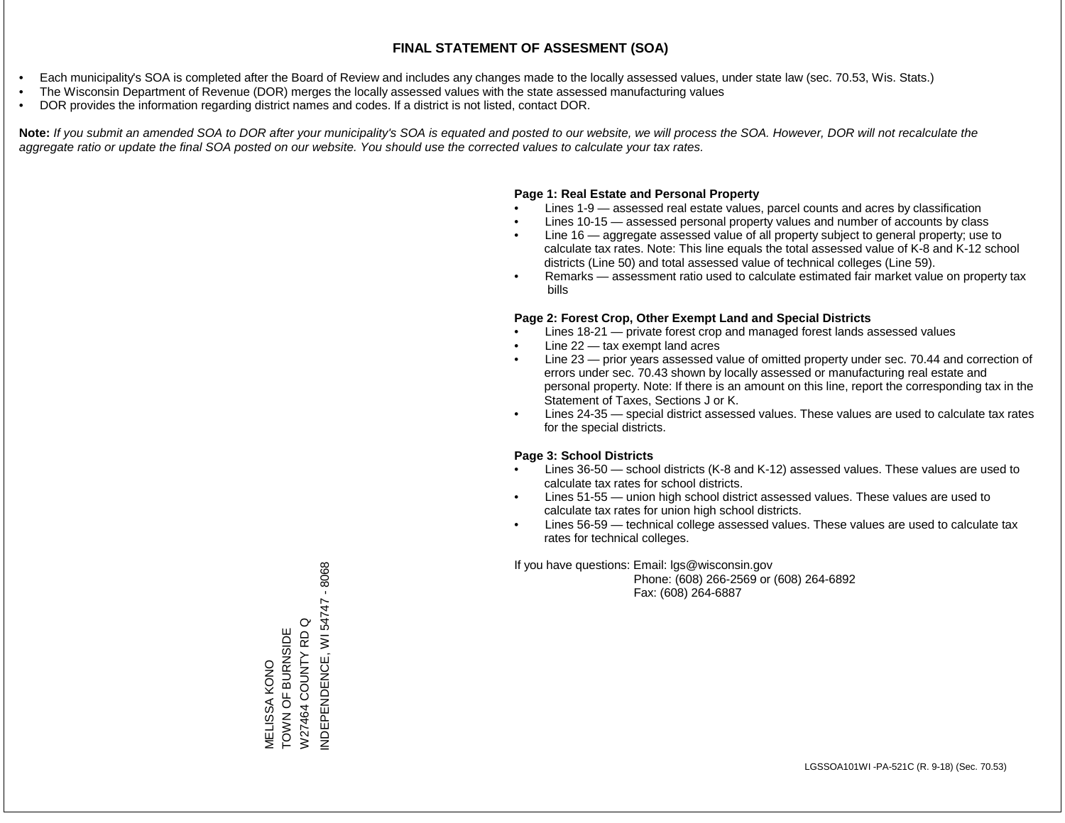- Each municipality's SOA is completed after the Board of Review and includes any changes made to the locally assessed values, under state law (sec. 70.53, Wis. Stats.)
- The Wisconsin Department of Revenue (DOR) merges the locally assessed values with the state assessed manufacturing values
- DOR provides the information regarding district names and codes. If a district is not listed, contact DOR.

Note: If you submit an amended SOA to DOR after your municipality's SOA is equated and posted to our website, we will process the SOA. However, DOR will not recalculate the *aggregate ratio or update the final SOA posted on our website. You should use the corrected values to calculate your tax rates.*

#### **Page 1: Real Estate and Personal Property**

- Lines 1-9 assessed real estate values, parcel counts and acres by classification
- Lines 10-15 assessed personal property values and number of accounts by class
- Line 16 aggregate assessed value of all property subject to general property; use to calculate tax rates. Note: This line equals the total assessed value of K-8 and K-12 school districts (Line 50) and total assessed value of technical colleges (Line 59).
- Remarks assessment ratio used to calculate estimated fair market value on property tax bills

#### **Page 2: Forest Crop, Other Exempt Land and Special Districts**

- Lines 18-21 private forest crop and managed forest lands assessed values
- Line  $22 -$  tax exempt land acres
- Line 23 prior years assessed value of omitted property under sec. 70.44 and correction of errors under sec. 70.43 shown by locally assessed or manufacturing real estate and personal property. Note: If there is an amount on this line, report the corresponding tax in the Statement of Taxes, Sections J or K.
- Lines 24-35 special district assessed values. These values are used to calculate tax rates for the special districts.

#### **Page 3: School Districts**

- Lines 36-50 school districts (K-8 and K-12) assessed values. These values are used to calculate tax rates for school districts.
- Lines 51-55 union high school district assessed values. These values are used to calculate tax rates for union high school districts.
- Lines 56-59 technical college assessed values. These values are used to calculate tax rates for technical colleges.

If you have questions: Email: lgs@wisconsin.gov

 Phone: (608) 266-2569 or (608) 264-6892 Fax: (608) 264-6887

NDEPENDENCE, WI 54747 - 8068 INDEPENDENCE, WI 54747 - 8068W27464 COUNTY RD Q W27464 COUNTY RD Q TOWN OF BURNSIDE MELISSA KONO<br>TOWN OF BURNSIDE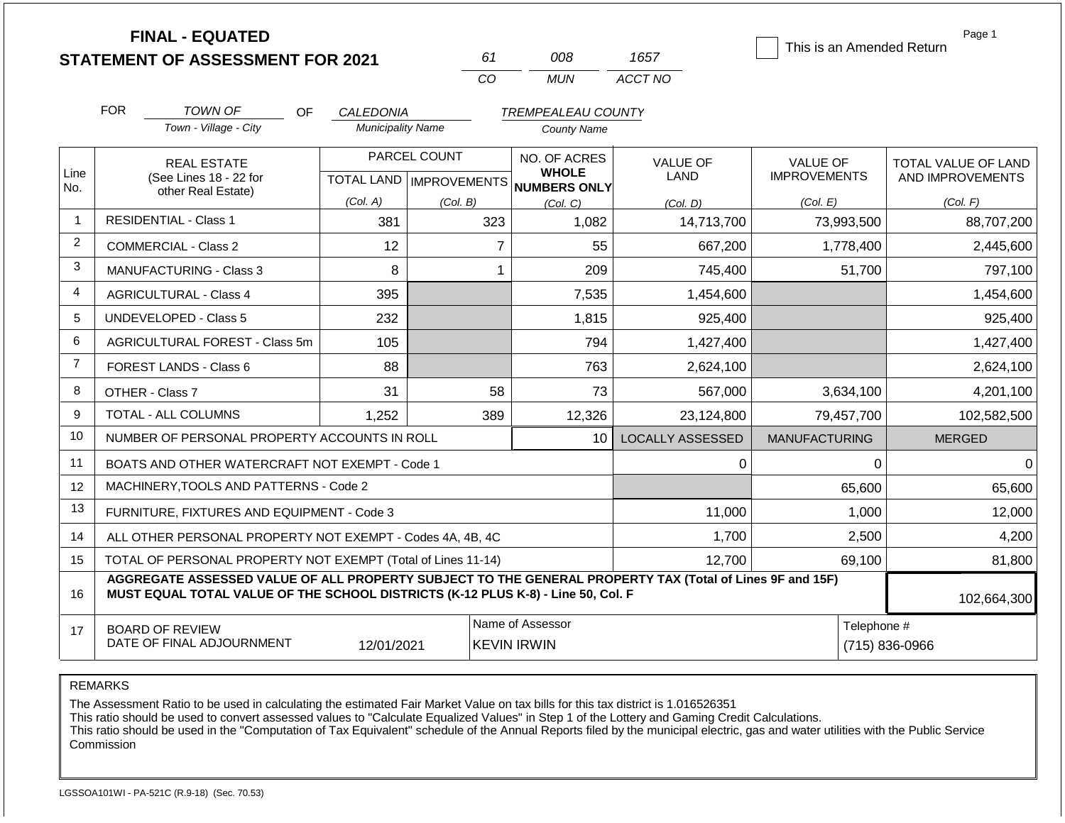|                | <b>FINAL - EQUATED</b>                                                                                                                                                                                      |                          |                           |                              |                         | This is an Amended Return | Page 1              |  |
|----------------|-------------------------------------------------------------------------------------------------------------------------------------------------------------------------------------------------------------|--------------------------|---------------------------|------------------------------|-------------------------|---------------------------|---------------------|--|
|                | <b>STATEMENT OF ASSESSMENT FOR 2021</b>                                                                                                                                                                     |                          | 61                        | 008                          | 1657                    |                           |                     |  |
|                |                                                                                                                                                                                                             |                          | CO                        | <b>MUN</b>                   | ACCT NO                 |                           |                     |  |
|                | <b>FOR</b><br><b>TOWN OF</b><br>OF                                                                                                                                                                          | CALEDONIA                |                           | <b>TREMPEALEAU COUNTY</b>    |                         |                           |                     |  |
|                | Town - Village - City                                                                                                                                                                                       | <b>Municipality Name</b> |                           | <b>County Name</b>           |                         |                           |                     |  |
|                | <b>REAL ESTATE</b>                                                                                                                                                                                          |                          | PARCEL COUNT              | NO. OF ACRES                 | <b>VALUE OF</b>         | <b>VALUE OF</b>           | TOTAL VALUE OF LAND |  |
| Line<br>No.    | (See Lines 18 - 22 for                                                                                                                                                                                      |                          | TOTAL LAND   IMPROVEMENTS | <b>WHOLE</b><br>NUMBERS ONLY | <b>LAND</b>             | <b>IMPROVEMENTS</b>       | AND IMPROVEMENTS    |  |
|                | other Real Estate)                                                                                                                                                                                          | (Col. A)                 | (Col. B)                  | (Col. C)                     | (Col. D)                | (Col. E)                  | (Col. F)            |  |
| $\overline{1}$ | <b>RESIDENTIAL - Class 1</b>                                                                                                                                                                                | 381                      | 323                       | 1,082                        | 14,713,700              | 73,993,500                | 88,707,200          |  |
| 2              | <b>COMMERCIAL - Class 2</b>                                                                                                                                                                                 | 12                       | $\overline{7}$            | 55                           | 667,200                 | 1,778,400                 | 2,445,600           |  |
| 3              | <b>MANUFACTURING - Class 3</b>                                                                                                                                                                              | 8                        | $\mathbf{1}$              | 209                          | 745,400                 | 51,700                    | 797,100             |  |
| $\overline{4}$ | <b>AGRICULTURAL - Class 4</b>                                                                                                                                                                               | 395                      |                           | 7,535                        | 1,454,600               |                           | 1,454,600           |  |
| 5              | <b>UNDEVELOPED - Class 5</b>                                                                                                                                                                                | 232                      |                           | 1,815                        | 925,400                 |                           | 925,400             |  |
| 6              | AGRICULTURAL FOREST - Class 5m                                                                                                                                                                              | 105                      |                           | 794                          | 1,427,400               |                           | 1,427,400           |  |
| $\overline{7}$ | FOREST LANDS - Class 6                                                                                                                                                                                      | 88                       |                           | 763                          | 2,624,100               |                           | 2,624,100           |  |
| 8              | OTHER - Class 7                                                                                                                                                                                             | 31                       | 58                        | 73                           | 567,000                 | 3,634,100                 | 4,201,100           |  |
| 9              | TOTAL - ALL COLUMNS                                                                                                                                                                                         | 1,252                    | 389                       | 12,326                       | 23,124,800              | 79,457,700                | 102,582,500         |  |
| 10             | NUMBER OF PERSONAL PROPERTY ACCOUNTS IN ROLL                                                                                                                                                                |                          |                           | 10                           | <b>LOCALLY ASSESSED</b> | <b>MANUFACTURING</b>      | <b>MERGED</b>       |  |
| 11             | BOATS AND OTHER WATERCRAFT NOT EXEMPT - Code 1                                                                                                                                                              |                          |                           |                              | 0                       | 0                         | $\Omega$            |  |
| 12             | MACHINERY, TOOLS AND PATTERNS - Code 2                                                                                                                                                                      |                          |                           |                              |                         | 65,600                    | 65,600              |  |
| 13             | FURNITURE, FIXTURES AND EQUIPMENT - Code 3                                                                                                                                                                  |                          |                           |                              | 11,000                  | 1,000                     | 12,000              |  |
| 14             | ALL OTHER PERSONAL PROPERTY NOT EXEMPT - Codes 4A, 4B, 4C                                                                                                                                                   |                          |                           |                              | 1,700                   | 2,500                     | 4,200               |  |
| 15             | TOTAL OF PERSONAL PROPERTY NOT EXEMPT (Total of Lines 11-14)                                                                                                                                                |                          |                           | 12,700                       | 69,100                  | 81,800                    |                     |  |
| 16             | AGGREGATE ASSESSED VALUE OF ALL PROPERTY SUBJECT TO THE GENERAL PROPERTY TAX (Total of Lines 9F and 15F)<br>MUST EQUAL TOTAL VALUE OF THE SCHOOL DISTRICTS (K-12 PLUS K-8) - Line 50, Col. F<br>102,664,300 |                          |                           |                              |                         |                           |                     |  |
| 17             | <b>BOARD OF REVIEW</b>                                                                                                                                                                                      |                          |                           | Name of Assessor             |                         | Telephone #               |                     |  |
|                | DATE OF FINAL ADJOURNMENT                                                                                                                                                                                   | 12/01/2021               |                           | <b>KEVIN IRWIN</b>           | (715) 836-0966          |                           |                     |  |

REMARKS

The Assessment Ratio to be used in calculating the estimated Fair Market Value on tax bills for this tax district is 1.016526351

This ratio should be used to convert assessed values to "Calculate Equalized Values" in Step 1 of the Lottery and Gaming Credit Calculations.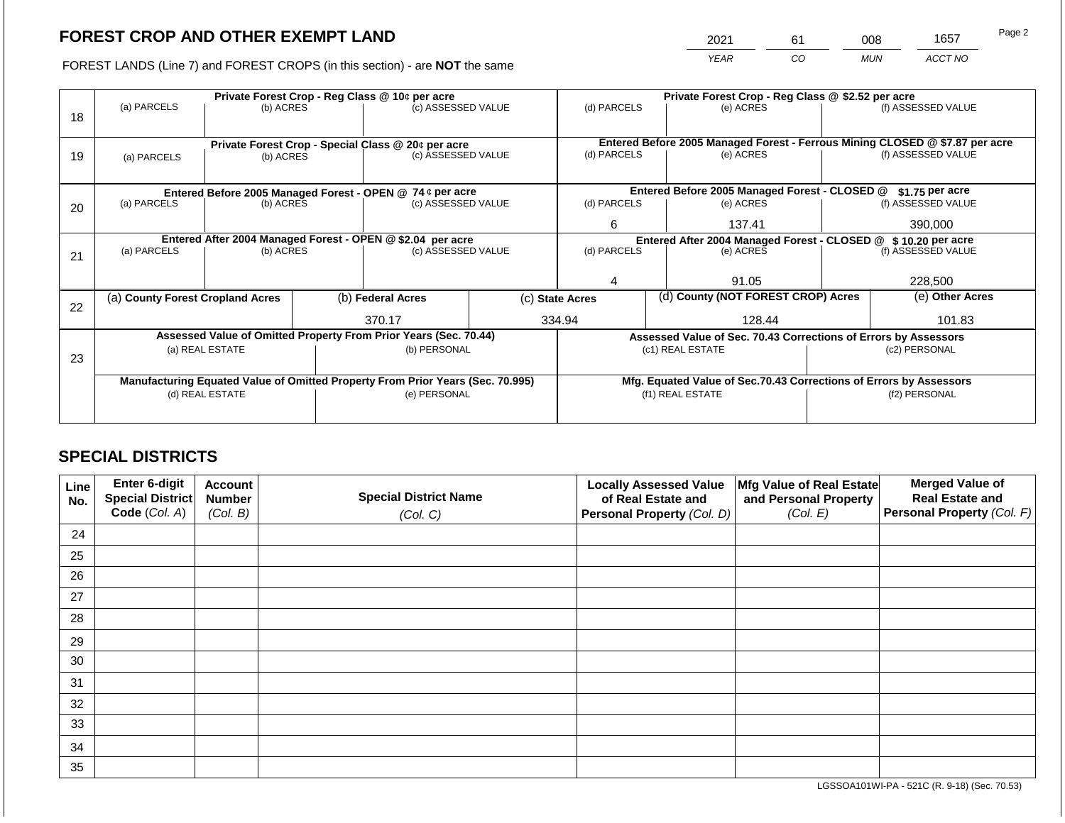2021 61 008 1657

FOREST LANDS (Line 7) and FOREST CROPS (in this section) - are **NOT** the same *YEAR CO MUN ACCT NO*

|    | Private Forest Crop - Reg Class @ 10¢ per acre |                 |  |                                                                                |  | Private Forest Crop - Reg Class @ \$2.52 per acre             |       |                                                                    |         |                                                                              |
|----|------------------------------------------------|-----------------|--|--------------------------------------------------------------------------------|--|---------------------------------------------------------------|-------|--------------------------------------------------------------------|---------|------------------------------------------------------------------------------|
| 18 | (a) PARCELS                                    | (b) ACRES       |  | (c) ASSESSED VALUE                                                             |  | (d) PARCELS                                                   |       | (e) ACRES                                                          |         | (f) ASSESSED VALUE                                                           |
|    |                                                |                 |  |                                                                                |  |                                                               |       |                                                                    |         |                                                                              |
|    |                                                |                 |  |                                                                                |  |                                                               |       |                                                                    |         | Entered Before 2005 Managed Forest - Ferrous Mining CLOSED @ \$7.87 per acre |
| 19 | (a) PARCELS                                    | (b) ACRES       |  | Private Forest Crop - Special Class @ 20¢ per acre<br>(c) ASSESSED VALUE       |  | (d) PARCELS                                                   |       | (e) ACRES                                                          |         | (f) ASSESSED VALUE                                                           |
|    |                                                |                 |  |                                                                                |  |                                                               |       |                                                                    |         |                                                                              |
|    |                                                |                 |  |                                                                                |  |                                                               |       |                                                                    |         |                                                                              |
|    |                                                |                 |  | Entered Before 2005 Managed Forest - OPEN @ 74 ¢ per acre                      |  |                                                               |       | Entered Before 2005 Managed Forest - CLOSED @                      |         | $$1.75$ per acre                                                             |
| 20 | (a) PARCELS                                    | (b) ACRES       |  | (c) ASSESSED VALUE                                                             |  | (d) PARCELS                                                   |       | (e) ACRES                                                          |         | (f) ASSESSED VALUE                                                           |
|    |                                                |                 |  | 6                                                                              |  | 137.41                                                        |       | 390,000                                                            |         |                                                                              |
|    |                                                |                 |  | Entered After 2004 Managed Forest - OPEN @ \$2.04 per acre                     |  | Entered After 2004 Managed Forest - CLOSED @ \$10.20 per acre |       |                                                                    |         |                                                                              |
|    | (a) PARCELS                                    | (b) ACRES       |  | (c) ASSESSED VALUE                                                             |  | (d) PARCELS                                                   |       | (e) ACRES                                                          |         | (f) ASSESSED VALUE                                                           |
| 21 |                                                |                 |  |                                                                                |  |                                                               |       |                                                                    |         |                                                                              |
|    |                                                |                 |  |                                                                                |  |                                                               | 91.05 |                                                                    | 228,500 |                                                                              |
|    |                                                |                 |  |                                                                                |  |                                                               |       |                                                                    |         | (e) Other Acres                                                              |
| 22 | (a) County Forest Cropland Acres               |                 |  | (b) Federal Acres                                                              |  | (d) County (NOT FOREST CROP) Acres<br>(c) State Acres         |       |                                                                    |         |                                                                              |
|    |                                                |                 |  | 370.17                                                                         |  | 334.94                                                        |       | 128.44                                                             |         | 101.83                                                                       |
|    |                                                |                 |  | Assessed Value of Omitted Property From Prior Years (Sec. 70.44)               |  |                                                               |       | Assessed Value of Sec. 70.43 Corrections of Errors by Assessors    |         |                                                                              |
|    |                                                | (a) REAL ESTATE |  | (b) PERSONAL                                                                   |  |                                                               |       | (c1) REAL ESTATE                                                   |         | (c2) PERSONAL                                                                |
| 23 |                                                |                 |  |                                                                                |  |                                                               |       |                                                                    |         |                                                                              |
|    |                                                |                 |  | Manufacturing Equated Value of Omitted Property From Prior Years (Sec. 70.995) |  |                                                               |       | Mfg. Equated Value of Sec.70.43 Corrections of Errors by Assessors |         |                                                                              |
|    |                                                | (d) REAL ESTATE |  | (e) PERSONAL                                                                   |  |                                                               |       | (f1) REAL ESTATE                                                   |         | (f2) PERSONAL                                                                |
|    |                                                |                 |  |                                                                                |  |                                                               |       |                                                                    |         |                                                                              |
|    |                                                |                 |  |                                                                                |  |                                                               |       |                                                                    |         |                                                                              |

## **SPECIAL DISTRICTS**

| Line<br>No. | Enter 6-digit<br>Special District<br>Code (Col. A) | <b>Account</b><br><b>Number</b><br>(Col. B) | <b>Special District Name</b><br>(Col. C) | <b>Locally Assessed Value</b><br>of Real Estate and<br><b>Personal Property (Col. D)</b> | Mfg Value of Real Estate<br>and Personal Property<br>(Col. E) | <b>Merged Value of</b><br><b>Real Estate and</b><br>Personal Property (Col. F) |
|-------------|----------------------------------------------------|---------------------------------------------|------------------------------------------|------------------------------------------------------------------------------------------|---------------------------------------------------------------|--------------------------------------------------------------------------------|
| 24          |                                                    |                                             |                                          |                                                                                          |                                                               |                                                                                |
| 25          |                                                    |                                             |                                          |                                                                                          |                                                               |                                                                                |
| 26          |                                                    |                                             |                                          |                                                                                          |                                                               |                                                                                |
| 27          |                                                    |                                             |                                          |                                                                                          |                                                               |                                                                                |
| 28          |                                                    |                                             |                                          |                                                                                          |                                                               |                                                                                |
| 29          |                                                    |                                             |                                          |                                                                                          |                                                               |                                                                                |
| 30          |                                                    |                                             |                                          |                                                                                          |                                                               |                                                                                |
| 31          |                                                    |                                             |                                          |                                                                                          |                                                               |                                                                                |
| 32          |                                                    |                                             |                                          |                                                                                          |                                                               |                                                                                |
| 33          |                                                    |                                             |                                          |                                                                                          |                                                               |                                                                                |
| 34          |                                                    |                                             |                                          |                                                                                          |                                                               |                                                                                |
| 35          |                                                    |                                             |                                          |                                                                                          |                                                               |                                                                                |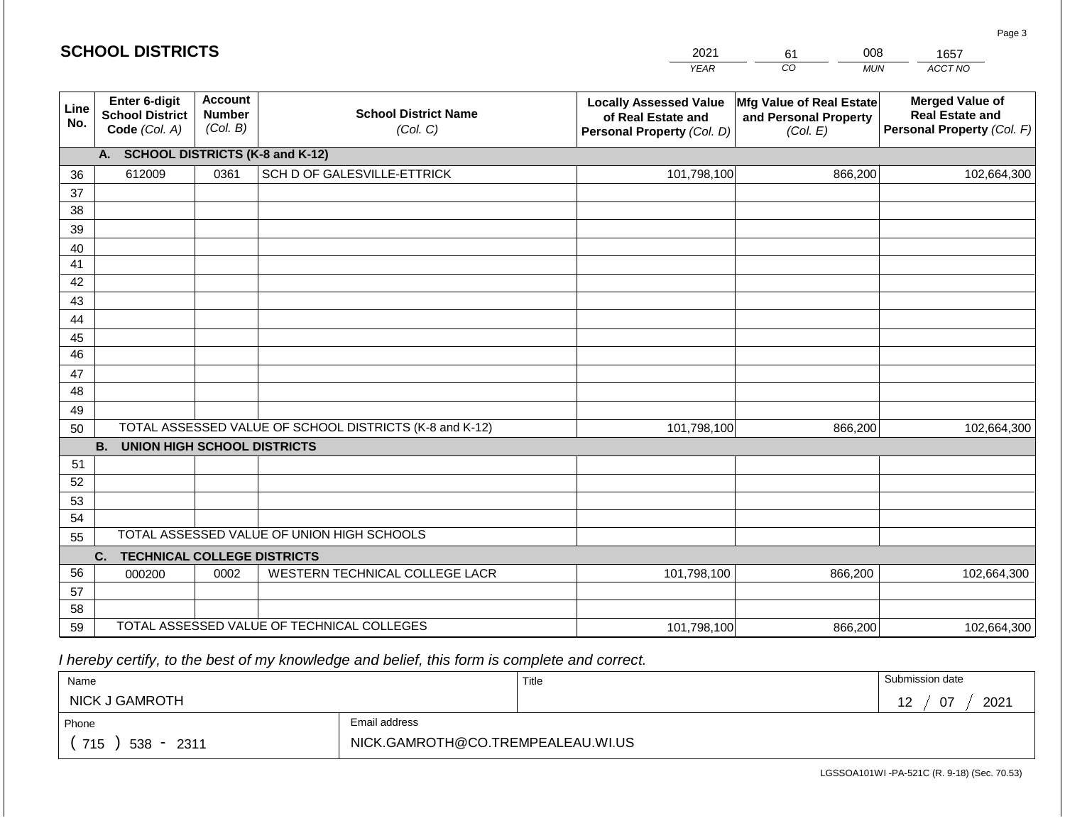|             | <b>SCHOOL DISTRICTS</b>                                         |                                      |                                         | 2021<br><b>YEAR</b>                                                                      | 008<br>61<br>CO<br><b>MUI</b>                                 |
|-------------|-----------------------------------------------------------------|--------------------------------------|-----------------------------------------|------------------------------------------------------------------------------------------|---------------------------------------------------------------|
| Line<br>No. | <b>Enter 6-digit</b><br><b>School District</b><br>Code (Col. A) | Account<br><b>Number</b><br>(Col. B) | <b>School District Name</b><br>(Col. C) | <b>Locally Assessed Value</b><br>of Real Estate and<br><b>Personal Property (Col. D)</b> | Mfg Value of Real Estate<br>and Personal Property<br>(Col. E) |
|             | <b>SCHOOL DISTRICTS (K-8 and K-12)</b>                          |                                      |                                         |                                                                                          |                                                               |

| No.      | Code (Col. A)                            | (Col. B)<br>(Col. C) |                                                         | Personal Property (Col. D) | $\frac{1}{2}$<br>(Col. E) | Personal Property (Col. F) |
|----------|------------------------------------------|----------------------|---------------------------------------------------------|----------------------------|---------------------------|----------------------------|
|          | A. SCHOOL DISTRICTS (K-8 and K-12)       |                      |                                                         |                            |                           |                            |
| 36       | 612009                                   | 0361                 | SCH D OF GALESVILLE-ETTRICK                             | 101,798,100                | 866,200                   | 102,664,300                |
| 37       |                                          |                      |                                                         |                            |                           |                            |
| 38       |                                          |                      |                                                         |                            |                           |                            |
| 39       |                                          |                      |                                                         |                            |                           |                            |
| 40       |                                          |                      |                                                         |                            |                           |                            |
| 41       |                                          |                      |                                                         |                            |                           |                            |
| 42       |                                          |                      |                                                         |                            |                           |                            |
| 43       |                                          |                      |                                                         |                            |                           |                            |
| 44       |                                          |                      |                                                         |                            |                           |                            |
| 45       |                                          |                      |                                                         |                            |                           |                            |
| 46       |                                          |                      |                                                         |                            |                           |                            |
| 47       |                                          |                      |                                                         |                            |                           |                            |
| 48       |                                          |                      |                                                         |                            |                           |                            |
| 49       |                                          |                      |                                                         |                            |                           |                            |
| 50       |                                          |                      | TOTAL ASSESSED VALUE OF SCHOOL DISTRICTS (K-8 and K-12) | 101,798,100                | 866,200                   | 102,664,300                |
|          | <b>B. UNION HIGH SCHOOL DISTRICTS</b>    |                      |                                                         |                            |                           |                            |
| 51       |                                          |                      |                                                         |                            |                           |                            |
| 52       |                                          |                      |                                                         |                            |                           |                            |
| 53<br>54 |                                          |                      |                                                         |                            |                           |                            |
|          |                                          |                      | TOTAL ASSESSED VALUE OF UNION HIGH SCHOOLS              |                            |                           |                            |
| 55       |                                          |                      |                                                         |                            |                           |                            |
| 56       | <b>TECHNICAL COLLEGE DISTRICTS</b><br>C. | 0002                 | WESTERN TECHNICAL COLLEGE LACR                          | 101,798,100                | 866,200                   | 102,664,300                |
| 57       | 000200                                   |                      |                                                         |                            |                           |                            |
| 58       |                                          |                      |                                                         |                            |                           |                            |
| 59       |                                          |                      | TOTAL ASSESSED VALUE OF TECHNICAL COLLEGES              | 101,798,100                | 866,200                   | 102,664,300                |

| Name                  |                                   | Title | Submission date                     |
|-----------------------|-----------------------------------|-------|-------------------------------------|
| <b>NICK J GAMROTH</b> |                                   |       | 2021<br><u>ሰ7</u><br>$\overline{a}$ |
| Phone                 | Email address                     |       |                                     |
| 715<br>$538 - 2311$   | NICK.GAMROTH@CO.TREMPEALEAU.WI.US |       |                                     |

Page 3

*ACCT NO*  1657

**Merged Value of Real Estate and** 

*MUN*  008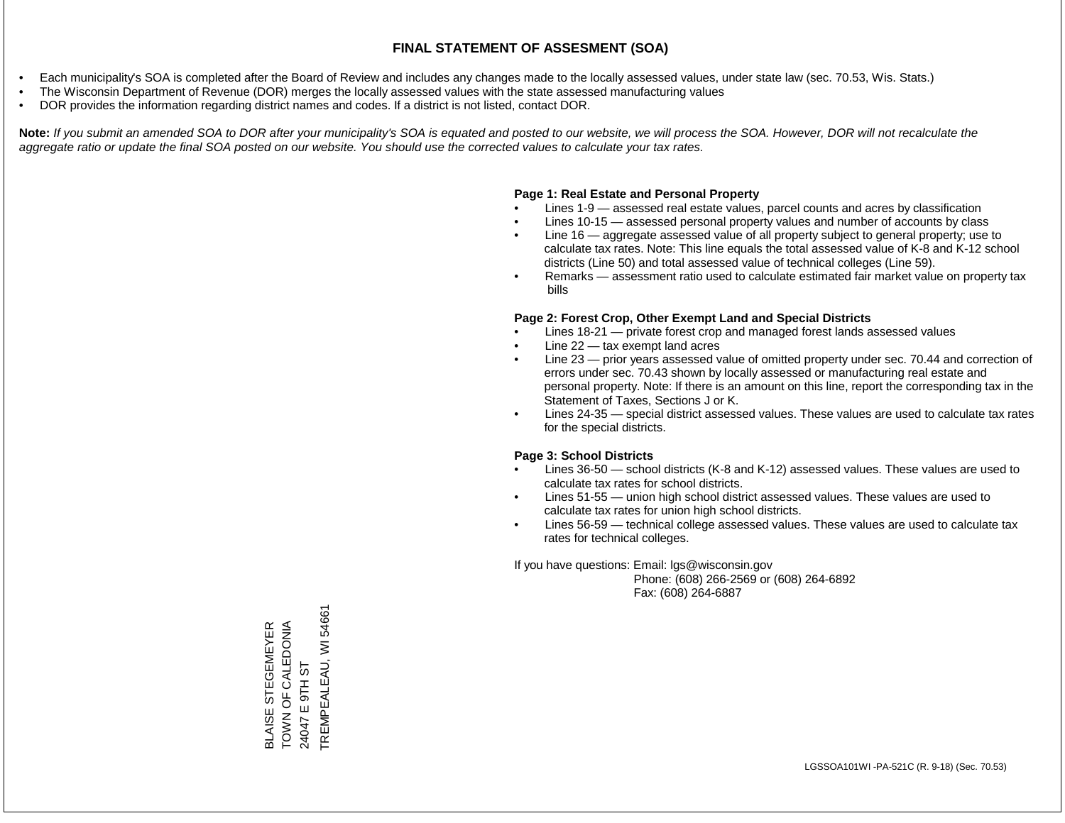- Each municipality's SOA is completed after the Board of Review and includes any changes made to the locally assessed values, under state law (sec. 70.53, Wis. Stats.)
- The Wisconsin Department of Revenue (DOR) merges the locally assessed values with the state assessed manufacturing values
- DOR provides the information regarding district names and codes. If a district is not listed, contact DOR.

Note: If you submit an amended SOA to DOR after your municipality's SOA is equated and posted to our website, we will process the SOA. However, DOR will not recalculate the *aggregate ratio or update the final SOA posted on our website. You should use the corrected values to calculate your tax rates.*

#### **Page 1: Real Estate and Personal Property**

- Lines 1-9 assessed real estate values, parcel counts and acres by classification
- Lines 10-15 assessed personal property values and number of accounts by class
- Line 16 aggregate assessed value of all property subject to general property; use to calculate tax rates. Note: This line equals the total assessed value of K-8 and K-12 school districts (Line 50) and total assessed value of technical colleges (Line 59).
- Remarks assessment ratio used to calculate estimated fair market value on property tax bills

#### **Page 2: Forest Crop, Other Exempt Land and Special Districts**

- Lines 18-21 private forest crop and managed forest lands assessed values
- Line  $22 -$  tax exempt land acres
- Line 23 prior years assessed value of omitted property under sec. 70.44 and correction of errors under sec. 70.43 shown by locally assessed or manufacturing real estate and personal property. Note: If there is an amount on this line, report the corresponding tax in the Statement of Taxes, Sections J or K.
- Lines 24-35 special district assessed values. These values are used to calculate tax rates for the special districts.

#### **Page 3: School Districts**

- Lines 36-50 school districts (K-8 and K-12) assessed values. These values are used to calculate tax rates for school districts.
- Lines 51-55 union high school district assessed values. These values are used to calculate tax rates for union high school districts.
- Lines 56-59 technical college assessed values. These values are used to calculate tax rates for technical colleges.

If you have questions: Email: lgs@wisconsin.gov

 Phone: (608) 266-2569 or (608) 264-6892 Fax: (608) 264-6887

TREMPEALEAU, WI54661 TREMPEALEAU, WI 54661TOWN OF CALEDONIA **BLAISE STEGEMEYER**<br>TOWN OF CALEDONIA BLAISE STEGEMEYER E 9TH ST 24047 E 9TH ST 24047<sub>E</sub>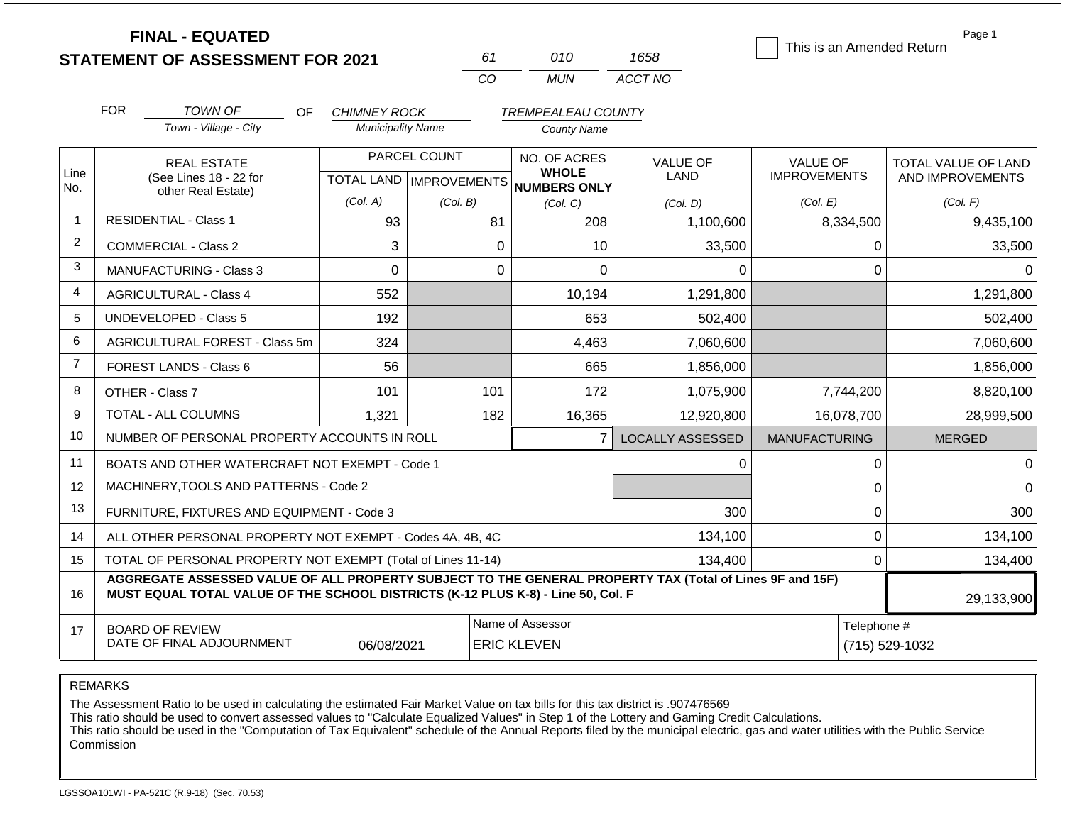|                | <b>FINAL - EQUATED</b><br><b>STATEMENT OF ASSESSMENT FOR 2021</b>                                                                                                                            |                          | 61                                        | 010                                                   | 1658                    | This is an Amended Return              | Page 1                                  |
|----------------|----------------------------------------------------------------------------------------------------------------------------------------------------------------------------------------------|--------------------------|-------------------------------------------|-------------------------------------------------------|-------------------------|----------------------------------------|-----------------------------------------|
|                |                                                                                                                                                                                              |                          | CO                                        | <b>MUN</b>                                            | ACCT NO                 |                                        |                                         |
|                | <b>FOR</b><br><b>TOWN OF</b><br><b>OF</b>                                                                                                                                                    | <b>CHIMNEY ROCK</b>      |                                           | <b>TREMPEALEAU COUNTY</b>                             |                         |                                        |                                         |
|                | Town - Village - City                                                                                                                                                                        | <b>Municipality Name</b> |                                           | <b>County Name</b>                                    |                         |                                        |                                         |
| Line<br>No.    | <b>REAL ESTATE</b><br>(See Lines 18 - 22 for                                                                                                                                                 |                          | PARCEL COUNT<br>TOTAL LAND   IMPROVEMENTS | NO. OF ACRES<br><b>WHOLE</b><br>NUMBERS ONLY          | VALUE OF<br>LAND        | <b>VALUE OF</b><br><b>IMPROVEMENTS</b> | TOTAL VALUE OF LAND<br>AND IMPROVEMENTS |
|                | other Real Estate)                                                                                                                                                                           | (Col. A)                 | (Col. B)                                  | (Col. C)                                              | (Col. D)                | (Col. E)                               | (Col. F)                                |
| $\mathbf{1}$   | <b>RESIDENTIAL - Class 1</b>                                                                                                                                                                 | 93                       | 81                                        | 208                                                   | 1,100,600               | 8,334,500                              | 9,435,100                               |
| $\overline{2}$ | <b>COMMERCIAL - Class 2</b>                                                                                                                                                                  | 3                        |                                           | $\mathbf 0$<br>10                                     | 33,500                  | $\mathbf 0$                            | 33,500                                  |
| 3              | <b>MANUFACTURING - Class 3</b>                                                                                                                                                               | 0                        |                                           | $\mathbf 0$<br>0                                      | 0                       | $\mathbf 0$                            | 0                                       |
| 4              | <b>AGRICULTURAL - Class 4</b>                                                                                                                                                                | 552                      |                                           | 10,194                                                | 1,291,800               |                                        | 1,291,800                               |
| 5              | <b>UNDEVELOPED - Class 5</b>                                                                                                                                                                 | 192                      |                                           | 653                                                   | 502,400                 |                                        | 502,400                                 |
| 6              | AGRICULTURAL FOREST - Class 5m                                                                                                                                                               | 324                      |                                           | 4,463                                                 | 7,060,600               |                                        | 7,060,600                               |
| $\overline{7}$ | FOREST LANDS - Class 6                                                                                                                                                                       | 56                       |                                           | 665                                                   | 1,856,000               |                                        | 1,856,000                               |
| 8              | OTHER - Class 7                                                                                                                                                                              | 101                      | 101                                       | 172                                                   | 1,075,900               | 7,744,200                              | 8,820,100                               |
| 9              | <b>TOTAL - ALL COLUMNS</b>                                                                                                                                                                   | 1,321                    | 182                                       | 16,365                                                | 12,920,800              | 16,078,700                             | 28,999,500                              |
| 10             | NUMBER OF PERSONAL PROPERTY ACCOUNTS IN ROLL                                                                                                                                                 |                          |                                           | 7                                                     | <b>LOCALLY ASSESSED</b> | <b>MANUFACTURING</b>                   | <b>MERGED</b>                           |
| 11             | BOATS AND OTHER WATERCRAFT NOT EXEMPT - Code 1                                                                                                                                               |                          |                                           |                                                       | 0                       | 0                                      | $\Omega$                                |
| 12             | MACHINERY, TOOLS AND PATTERNS - Code 2                                                                                                                                                       |                          |                                           |                                                       |                         | $\pmb{0}$                              | $\Omega$                                |
| 13             | FURNITURE, FIXTURES AND EQUIPMENT - Code 3                                                                                                                                                   |                          |                                           |                                                       | 300                     | 0                                      | 300                                     |
| 14             | ALL OTHER PERSONAL PROPERTY NOT EXEMPT - Codes 4A, 4B, 4C                                                                                                                                    |                          |                                           |                                                       | 134,100                 | $\mathbf 0$                            | 134,100                                 |
| 15             | TOTAL OF PERSONAL PROPERTY NOT EXEMPT (Total of Lines 11-14)                                                                                                                                 |                          |                                           |                                                       | 134,400                 | $\mathbf 0$                            | 134,400                                 |
| 16             | AGGREGATE ASSESSED VALUE OF ALL PROPERTY SUBJECT TO THE GENERAL PROPERTY TAX (Total of Lines 9F and 15F)<br>MUST EQUAL TOTAL VALUE OF THE SCHOOL DISTRICTS (K-12 PLUS K-8) - Line 50, Col. F |                          |                                           |                                                       |                         |                                        | 29,133,900                              |
| 17             | <b>BOARD OF REVIEW</b><br>DATE OF FINAL ADJOURNMENT                                                                                                                                          | 06/08/2021               |                                           | Name of Assessor<br>Telephone #<br><b>ERIC KLEVEN</b> |                         |                                        | (715) 529-1032                          |

REMARKS

The Assessment Ratio to be used in calculating the estimated Fair Market Value on tax bills for this tax district is .907476569

This ratio should be used to convert assessed values to "Calculate Equalized Values" in Step 1 of the Lottery and Gaming Credit Calculations.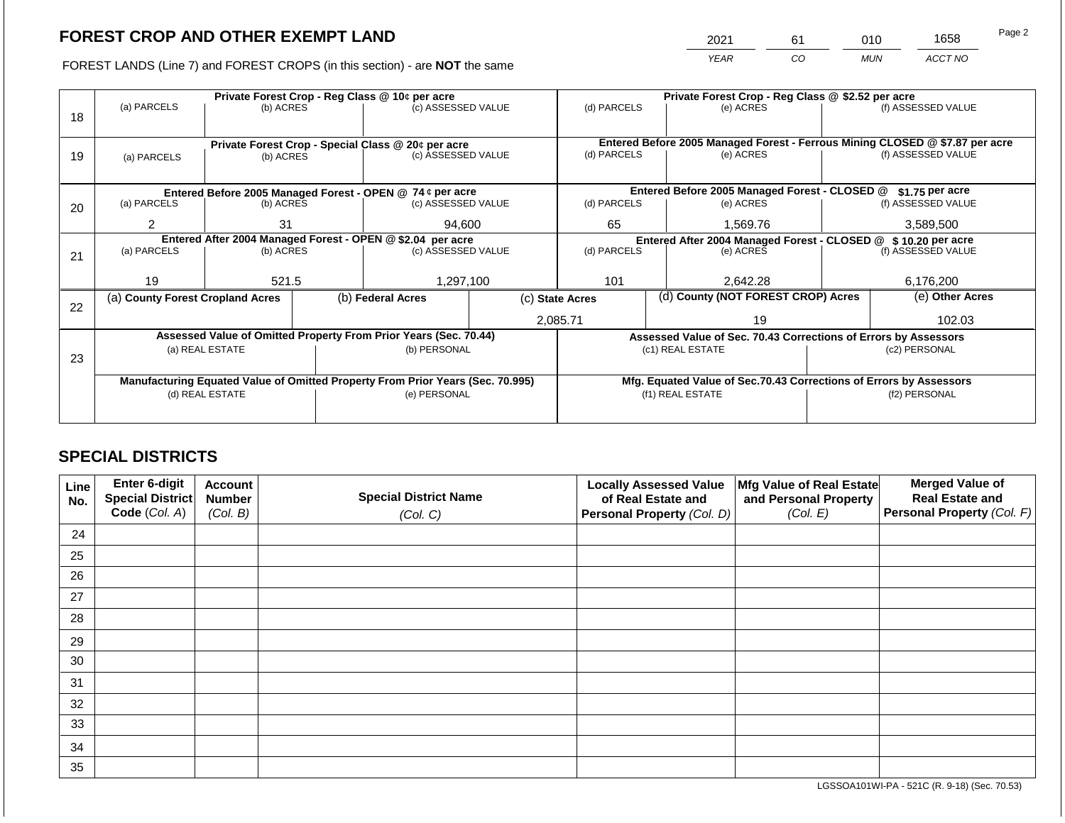2021 61 010 1658

FOREST LANDS (Line 7) and FOREST CROPS (in this section) - are **NOT** the same *YEAR CO MUN ACCT NO*

|    |                                                            | Private Forest Crop - Reg Class @ 10¢ per acre |  | Private Forest Crop - Reg Class @ \$2.52 per acre                              |  |                                                                              |  |                                                                    |  |                    |
|----|------------------------------------------------------------|------------------------------------------------|--|--------------------------------------------------------------------------------|--|------------------------------------------------------------------------------|--|--------------------------------------------------------------------|--|--------------------|
|    | (a) PARCELS                                                | (b) ACRES                                      |  | (c) ASSESSED VALUE                                                             |  | (d) PARCELS                                                                  |  | (e) ACRES                                                          |  | (f) ASSESSED VALUE |
| 18 |                                                            |                                                |  |                                                                                |  |                                                                              |  |                                                                    |  |                    |
|    |                                                            |                                                |  |                                                                                |  |                                                                              |  |                                                                    |  |                    |
|    | Private Forest Crop - Special Class @ 20¢ per acre         |                                                |  |                                                                                |  | Entered Before 2005 Managed Forest - Ferrous Mining CLOSED @ \$7.87 per acre |  |                                                                    |  |                    |
| 19 | (a) PARCELS                                                | (b) ACRES                                      |  | (c) ASSESSED VALUE                                                             |  | (d) PARCELS                                                                  |  | (e) ACRES                                                          |  | (f) ASSESSED VALUE |
|    |                                                            |                                                |  |                                                                                |  |                                                                              |  |                                                                    |  |                    |
|    |                                                            |                                                |  | Entered Before 2005 Managed Forest - OPEN @ 74 ¢ per acre                      |  | Entered Before 2005 Managed Forest - CLOSED @<br>\$1.75 per acre             |  |                                                                    |  |                    |
| 20 | (a) PARCELS                                                | (b) ACRES                                      |  | (c) ASSESSED VALUE                                                             |  | (d) PARCELS                                                                  |  | (e) ACRES                                                          |  | (f) ASSESSED VALUE |
|    |                                                            |                                                |  |                                                                                |  |                                                                              |  |                                                                    |  |                    |
|    | $\overline{2}$                                             | 31                                             |  | 94,600                                                                         |  | 65                                                                           |  | 1,569.76                                                           |  | 3,589,500          |
|    | Entered After 2004 Managed Forest - OPEN @ \$2.04 per acre |                                                |  |                                                                                |  |                                                                              |  | Entered After 2004 Managed Forest - CLOSED @ \$ 10.20 per acre     |  |                    |
| 21 | (a) PARCELS                                                | (b) ACRES                                      |  | (c) ASSESSED VALUE                                                             |  | (d) PARCELS<br>(e) ACRES                                                     |  | (f) ASSESSED VALUE                                                 |  |                    |
|    |                                                            |                                                |  |                                                                                |  |                                                                              |  |                                                                    |  |                    |
|    | 19                                                         | 521.5                                          |  | 1,297,100                                                                      |  | 101                                                                          |  | 2,642.28                                                           |  | 6,176,200          |
|    | (a) County Forest Cropland Acres                           |                                                |  | (b) Federal Acres                                                              |  | (c) State Acres                                                              |  | (d) County (NOT FOREST CROP) Acres                                 |  | (e) Other Acres    |
| 22 |                                                            |                                                |  |                                                                                |  |                                                                              |  |                                                                    |  |                    |
|    |                                                            |                                                |  |                                                                                |  | 2,085.71                                                                     |  | 19                                                                 |  | 102.03             |
|    |                                                            |                                                |  | Assessed Value of Omitted Property From Prior Years (Sec. 70.44)               |  |                                                                              |  | Assessed Value of Sec. 70.43 Corrections of Errors by Assessors    |  |                    |
|    |                                                            | (a) REAL ESTATE                                |  | (b) PERSONAL                                                                   |  |                                                                              |  | (c1) REAL ESTATE                                                   |  | (c2) PERSONAL      |
| 23 |                                                            |                                                |  |                                                                                |  |                                                                              |  |                                                                    |  |                    |
|    |                                                            |                                                |  | Manufacturing Equated Value of Omitted Property From Prior Years (Sec. 70.995) |  |                                                                              |  | Mfg. Equated Value of Sec.70.43 Corrections of Errors by Assessors |  |                    |
|    |                                                            | (d) REAL ESTATE                                |  | (e) PERSONAL                                                                   |  |                                                                              |  | (f1) REAL ESTATE                                                   |  | (f2) PERSONAL      |
|    |                                                            |                                                |  |                                                                                |  |                                                                              |  |                                                                    |  |                    |
|    |                                                            |                                                |  |                                                                                |  |                                                                              |  |                                                                    |  |                    |

## **SPECIAL DISTRICTS**

| Line<br>No. | Enter 6-digit<br>Special District<br>Code (Col. A) | <b>Account</b><br><b>Number</b><br>(Col. B) | <b>Special District Name</b><br>(Col. C) | <b>Locally Assessed Value</b><br>of Real Estate and<br><b>Personal Property (Col. D)</b> | Mfg Value of Real Estate<br>and Personal Property<br>(Col. E) | <b>Merged Value of</b><br><b>Real Estate and</b><br>Personal Property (Col. F) |
|-------------|----------------------------------------------------|---------------------------------------------|------------------------------------------|------------------------------------------------------------------------------------------|---------------------------------------------------------------|--------------------------------------------------------------------------------|
| 24          |                                                    |                                             |                                          |                                                                                          |                                                               |                                                                                |
| 25          |                                                    |                                             |                                          |                                                                                          |                                                               |                                                                                |
| 26          |                                                    |                                             |                                          |                                                                                          |                                                               |                                                                                |
| 27          |                                                    |                                             |                                          |                                                                                          |                                                               |                                                                                |
| 28          |                                                    |                                             |                                          |                                                                                          |                                                               |                                                                                |
| 29          |                                                    |                                             |                                          |                                                                                          |                                                               |                                                                                |
| 30          |                                                    |                                             |                                          |                                                                                          |                                                               |                                                                                |
| 31          |                                                    |                                             |                                          |                                                                                          |                                                               |                                                                                |
| 32          |                                                    |                                             |                                          |                                                                                          |                                                               |                                                                                |
| 33          |                                                    |                                             |                                          |                                                                                          |                                                               |                                                                                |
| 34          |                                                    |                                             |                                          |                                                                                          |                                                               |                                                                                |
| 35          |                                                    |                                             |                                          |                                                                                          |                                                               |                                                                                |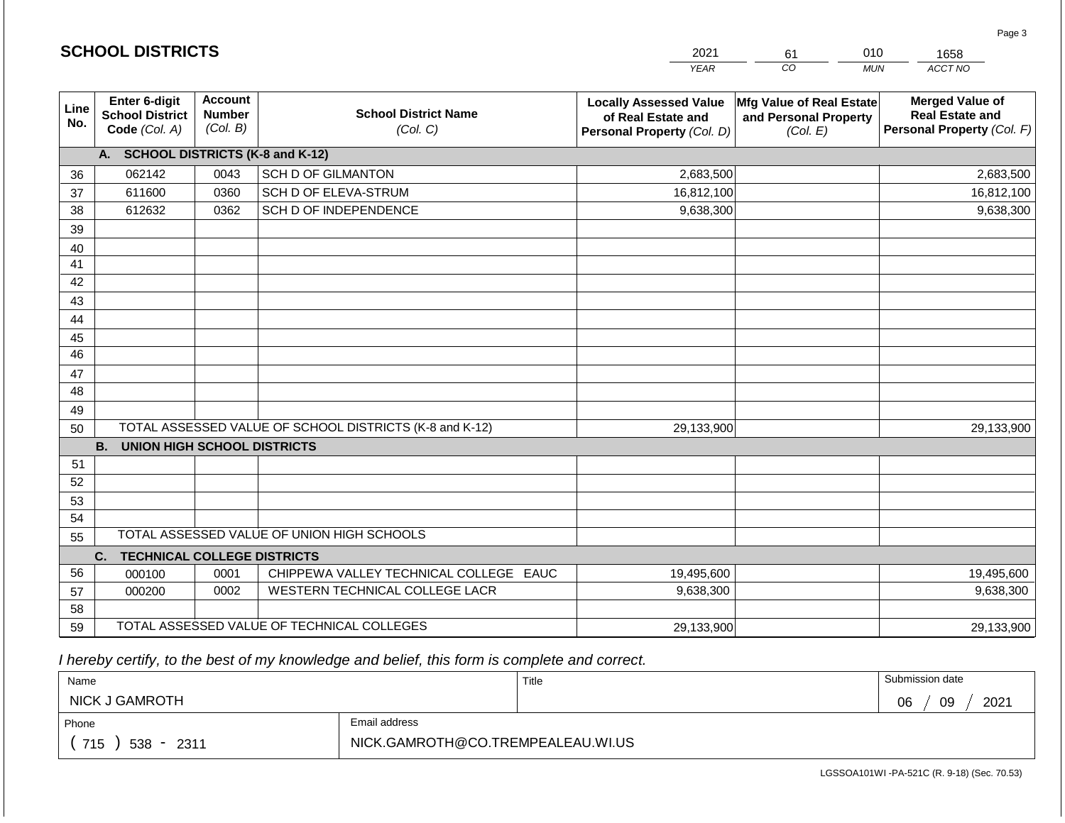|             | <b>SCHOOL DISTRICTS</b>                                  |                                             |                                                         | 2021                                                                              | 61                                                            | 010<br>1658                                                                    |
|-------------|----------------------------------------------------------|---------------------------------------------|---------------------------------------------------------|-----------------------------------------------------------------------------------|---------------------------------------------------------------|--------------------------------------------------------------------------------|
|             |                                                          |                                             |                                                         | <b>YEAR</b>                                                                       | CO                                                            | ACCT NO<br><b>MUN</b>                                                          |
| Line<br>No. | Enter 6-digit<br><b>School District</b><br>Code (Col. A) | <b>Account</b><br><b>Number</b><br>(Col. B) | <b>School District Name</b><br>(Col. C)                 | <b>Locally Assessed Value</b><br>of Real Estate and<br>Personal Property (Col. D) | Mfg Value of Real Estate<br>and Personal Property<br>(Col. E) | <b>Merged Value of</b><br><b>Real Estate and</b><br>Personal Property (Col. F) |
|             | A. SCHOOL DISTRICTS (K-8 and K-12)                       |                                             |                                                         |                                                                                   |                                                               |                                                                                |
| 36          | 062142                                                   | 0043                                        | <b>SCH D OF GILMANTON</b>                               | 2,683,500                                                                         |                                                               | 2,683,500                                                                      |
| 37          | 611600                                                   | 0360                                        | SCH D OF ELEVA-STRUM                                    | 16,812,100                                                                        |                                                               | 16,812,100                                                                     |
| 38          | 612632                                                   | 0362                                        | SCH D OF INDEPENDENCE                                   | 9,638,300                                                                         |                                                               | 9,638,300                                                                      |
| 39          |                                                          |                                             |                                                         |                                                                                   |                                                               |                                                                                |
| 40          |                                                          |                                             |                                                         |                                                                                   |                                                               |                                                                                |
| 41          |                                                          |                                             |                                                         |                                                                                   |                                                               |                                                                                |
| 42          |                                                          |                                             |                                                         |                                                                                   |                                                               |                                                                                |
| 43          |                                                          |                                             |                                                         |                                                                                   |                                                               |                                                                                |
| 44          |                                                          |                                             |                                                         |                                                                                   |                                                               |                                                                                |
| 45<br>46    |                                                          |                                             |                                                         |                                                                                   |                                                               |                                                                                |
|             |                                                          |                                             |                                                         |                                                                                   |                                                               |                                                                                |
| 47<br>48    |                                                          |                                             |                                                         |                                                                                   |                                                               |                                                                                |
| 49          |                                                          |                                             |                                                         |                                                                                   |                                                               |                                                                                |
| 50          |                                                          |                                             | TOTAL ASSESSED VALUE OF SCHOOL DISTRICTS (K-8 and K-12) | 29,133,900                                                                        |                                                               | 29,133,900                                                                     |
|             | <b>B.</b><br><b>UNION HIGH SCHOOL DISTRICTS</b>          |                                             |                                                         |                                                                                   |                                                               |                                                                                |
| 51          |                                                          |                                             |                                                         |                                                                                   |                                                               |                                                                                |
| 52          |                                                          |                                             |                                                         |                                                                                   |                                                               |                                                                                |
| 53          |                                                          |                                             |                                                         |                                                                                   |                                                               |                                                                                |
| 54          |                                                          |                                             |                                                         |                                                                                   |                                                               |                                                                                |
| 55          |                                                          |                                             | TOTAL ASSESSED VALUE OF UNION HIGH SCHOOLS              |                                                                                   |                                                               |                                                                                |
|             | <b>TECHNICAL COLLEGE DISTRICTS</b><br>C.                 |                                             |                                                         |                                                                                   |                                                               |                                                                                |
| 56          | 000100                                                   | 0001                                        | CHIPPEWA VALLEY TECHNICAL COLLEGE EAUC                  | 19,495,600                                                                        |                                                               | 19,495,600                                                                     |
| 57          | 000200                                                   | 0002                                        | WESTERN TECHNICAL COLLEGE LACR                          | 9,638,300                                                                         |                                                               | 9,638,300                                                                      |
| 58          |                                                          |                                             |                                                         |                                                                                   |                                                               |                                                                                |
| 59          |                                                          |                                             | TOTAL ASSESSED VALUE OF TECHNICAL COLLEGES              | 29,133,900                                                                        |                                                               | 29,133,900                                                                     |

| Name                   |                                   | Title | Submission date  |
|------------------------|-----------------------------------|-------|------------------|
| <b>NICK J GAMROTH</b>  |                                   |       | 2021<br>06<br>09 |
| Phone                  | Email address                     |       |                  |
| 715<br>$538 -$<br>2311 | NICK.GAMROTH@CO.TREMPEALEAU.WI.US |       |                  |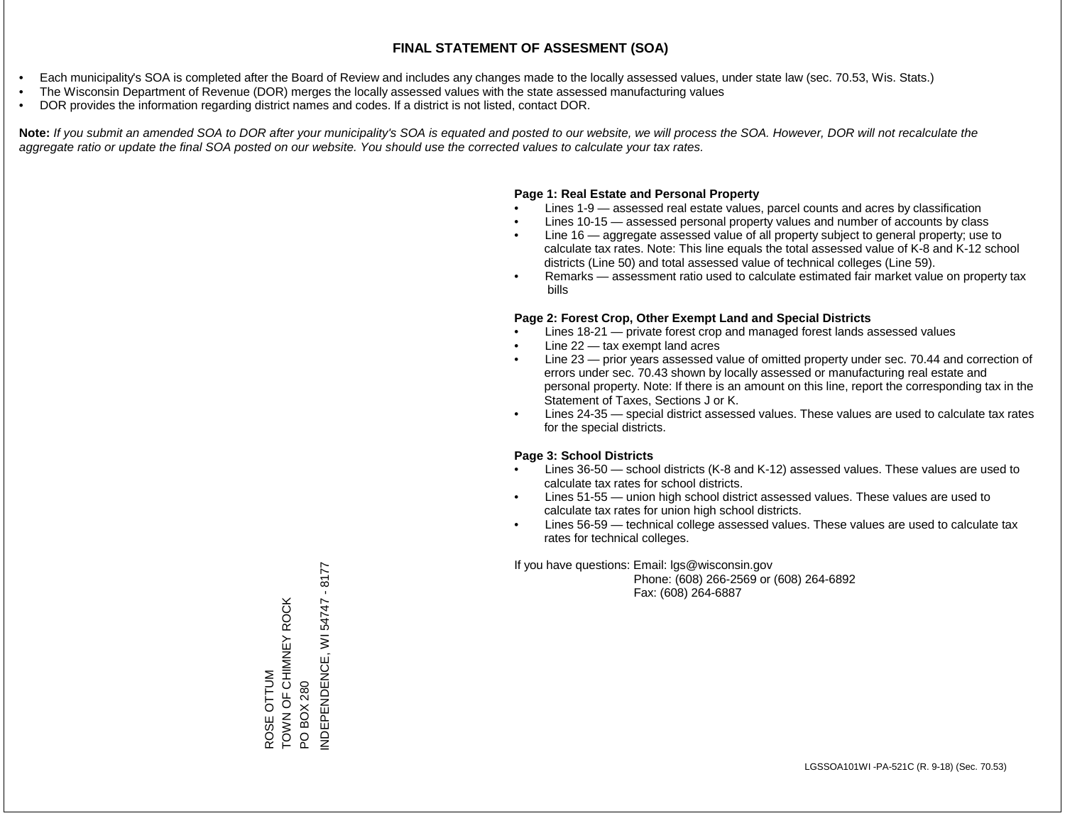- Each municipality's SOA is completed after the Board of Review and includes any changes made to the locally assessed values, under state law (sec. 70.53, Wis. Stats.)
- The Wisconsin Department of Revenue (DOR) merges the locally assessed values with the state assessed manufacturing values
- DOR provides the information regarding district names and codes. If a district is not listed, contact DOR.

Note: If you submit an amended SOA to DOR after your municipality's SOA is equated and posted to our website, we will process the SOA. However, DOR will not recalculate the *aggregate ratio or update the final SOA posted on our website. You should use the corrected values to calculate your tax rates.*

#### **Page 1: Real Estate and Personal Property**

- Lines 1-9 assessed real estate values, parcel counts and acres by classification
- Lines 10-15 assessed personal property values and number of accounts by class
- Line 16 aggregate assessed value of all property subject to general property; use to calculate tax rates. Note: This line equals the total assessed value of K-8 and K-12 school districts (Line 50) and total assessed value of technical colleges (Line 59).
- Remarks assessment ratio used to calculate estimated fair market value on property tax bills

#### **Page 2: Forest Crop, Other Exempt Land and Special Districts**

- Lines 18-21 private forest crop and managed forest lands assessed values
- Line  $22 -$  tax exempt land acres
- Line 23 prior years assessed value of omitted property under sec. 70.44 and correction of errors under sec. 70.43 shown by locally assessed or manufacturing real estate and personal property. Note: If there is an amount on this line, report the corresponding tax in the Statement of Taxes, Sections J or K.
- Lines 24-35 special district assessed values. These values are used to calculate tax rates for the special districts.

#### **Page 3: School Districts**

- Lines 36-50 school districts (K-8 and K-12) assessed values. These values are used to calculate tax rates for school districts.
- Lines 51-55 union high school district assessed values. These values are used to calculate tax rates for union high school districts.
- Lines 56-59 technical college assessed values. These values are used to calculate tax rates for technical colleges.

If you have questions: Email: lgs@wisconsin.gov

 Phone: (608) 266-2569 or (608) 264-6892 Fax: (608) 264-6887

ROSE OTTUM<br>TOWN OF CHIMNEY ROCK TOWN OF CHIMNEY ROCK PO BOX 280<br>NDEPENDENCE, WI 54747 - 8177 INDEPENDENCE, WI 54747 - 8177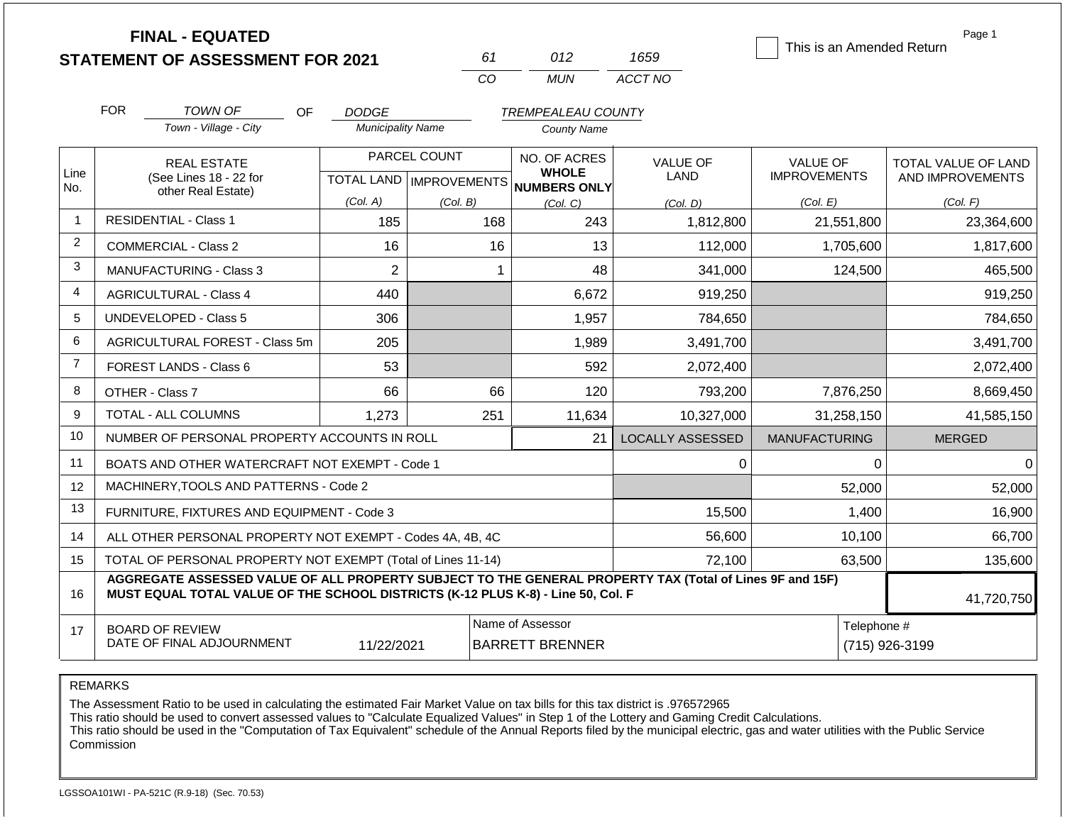**FINAL - EQUATED**

| 61 | (112) | 1659    |  |  |
|----|-------|---------|--|--|
| Γn | MI IN | ACCT NO |  |  |

This is an Amended Return

Page 1

|                | <b>FOR</b>                                                                                                                                                                                   | TOWN OF                                             | OF | <b>DODGE</b>             |                           | <b>TREMPEALEAU COUNTY</b>    |                  |                      |                     |
|----------------|----------------------------------------------------------------------------------------------------------------------------------------------------------------------------------------------|-----------------------------------------------------|----|--------------------------|---------------------------|------------------------------|------------------|----------------------|---------------------|
|                |                                                                                                                                                                                              | Town - Village - City                               |    | <b>Municipality Name</b> |                           | <b>County Name</b>           |                  |                      |                     |
| Line           |                                                                                                                                                                                              | <b>REAL ESTATE</b>                                  |    | PARCEL COUNT             |                           | NO. OF ACRES<br><b>WHOLE</b> | VALUE OF         | <b>VALUE OF</b>      | TOTAL VALUE OF LAND |
| No.            |                                                                                                                                                                                              | (See Lines 18 - 22 for<br>other Real Estate)        |    |                          | TOTAL LAND   IMPROVEMENTS | NUMBERS ONLY                 | <b>LAND</b>      | <b>IMPROVEMENTS</b>  | AND IMPROVEMENTS    |
|                |                                                                                                                                                                                              |                                                     |    | (Col. A)                 | (Col. B)                  | (Col, C)                     | (Col. D)         | (Col. E)             | (Col. F)            |
| $\mathbf{1}$   |                                                                                                                                                                                              | <b>RESIDENTIAL - Class 1</b>                        |    | 185                      | 168                       | 243                          | 1,812,800        | 21,551,800           | 23,364,600          |
| $\overline{2}$ |                                                                                                                                                                                              | <b>COMMERCIAL - Class 2</b>                         |    | 16                       | 16                        | 13                           | 112,000          | 1,705,600            | 1,817,600           |
| 3              |                                                                                                                                                                                              | <b>MANUFACTURING - Class 3</b>                      |    | $\overline{2}$           | 1                         | 48                           | 341,000          | 124,500              | 465,500             |
| $\overline{4}$ |                                                                                                                                                                                              | <b>AGRICULTURAL - Class 4</b>                       |    | 440                      |                           | 6,672                        | 919,250          |                      | 919,250             |
| 5              |                                                                                                                                                                                              | <b>UNDEVELOPED - Class 5</b>                        |    | 306                      |                           | 1,957                        | 784,650          |                      | 784,650             |
| 6              |                                                                                                                                                                                              | AGRICULTURAL FOREST - Class 5m                      |    | 205                      |                           | 1,989                        | 3,491,700        |                      | 3,491,700           |
| $\overline{7}$ |                                                                                                                                                                                              | FOREST LANDS - Class 6                              |    | 53                       |                           | 592                          | 2,072,400        |                      | 2,072,400           |
| 8              |                                                                                                                                                                                              | OTHER - Class 7                                     |    | 66                       | 66                        | 120                          | 793,200          | 7,876,250            | 8,669,450           |
| 9              |                                                                                                                                                                                              | TOTAL - ALL COLUMNS                                 |    | 1,273                    | 251                       | 11,634                       | 10,327,000       | 31,258,150           | 41,585,150          |
| 10             |                                                                                                                                                                                              | NUMBER OF PERSONAL PROPERTY ACCOUNTS IN ROLL        |    |                          |                           | 21                           | LOCALLY ASSESSED | <b>MANUFACTURING</b> | <b>MERGED</b>       |
| 11             |                                                                                                                                                                                              | BOATS AND OTHER WATERCRAFT NOT EXEMPT - Code 1      |    |                          |                           |                              | 0                | 0                    | $\Omega$            |
| 12             |                                                                                                                                                                                              | MACHINERY, TOOLS AND PATTERNS - Code 2              |    |                          |                           |                              |                  | 52,000               | 52,000              |
| 13             |                                                                                                                                                                                              | FURNITURE, FIXTURES AND EQUIPMENT - Code 3          |    |                          |                           |                              | 15,500           | 1,400                | 16,900              |
| 14             | ALL OTHER PERSONAL PROPERTY NOT EXEMPT - Codes 4A, 4B, 4C                                                                                                                                    |                                                     |    |                          |                           |                              | 56,600           | 10,100               | 66,700              |
| 15             | TOTAL OF PERSONAL PROPERTY NOT EXEMPT (Total of Lines 11-14)                                                                                                                                 |                                                     |    |                          |                           |                              |                  | 63,500               | 135,600             |
| 16             | AGGREGATE ASSESSED VALUE OF ALL PROPERTY SUBJECT TO THE GENERAL PROPERTY TAX (Total of Lines 9F and 15F)<br>MUST EQUAL TOTAL VALUE OF THE SCHOOL DISTRICTS (K-12 PLUS K-8) - Line 50, Col. F |                                                     |    |                          |                           |                              |                  |                      | 41,720,750          |
| 17             |                                                                                                                                                                                              | <b>BOARD OF REVIEW</b><br>DATE OF FINAL ADJOURNMENT |    |                          |                           | Name of Assessor             |                  | Telephone #          |                     |
|                | 11/22/2021<br><b>BARRETT BRENNER</b>                                                                                                                                                         |                                                     |    |                          |                           |                              | (715) 926-3199   |                      |                     |

REMARKS

The Assessment Ratio to be used in calculating the estimated Fair Market Value on tax bills for this tax district is .976572965

This ratio should be used to convert assessed values to "Calculate Equalized Values" in Step 1 of the Lottery and Gaming Credit Calculations.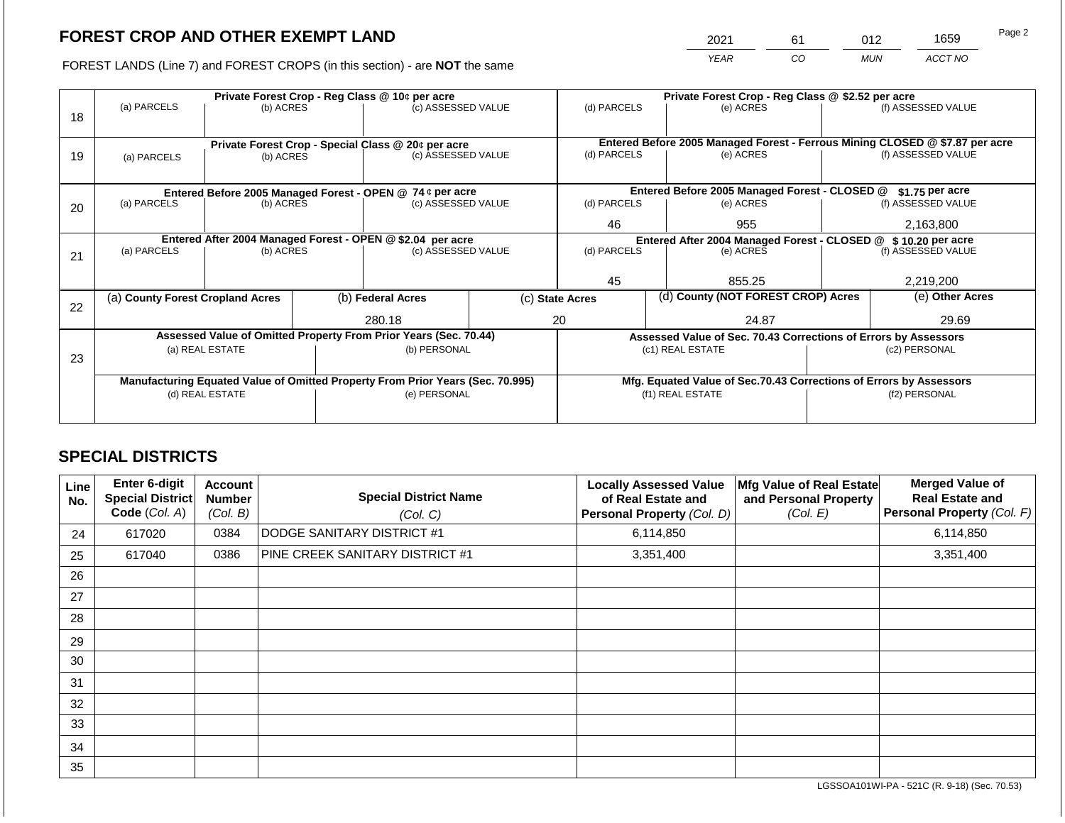2021 61 012 1659

FOREST LANDS (Line 7) and FOREST CROPS (in this section) - are **NOT** the same *YEAR CO MUN ACCT NO*

|    | Private Forest Crop - Reg Class @ 10¢ per acre |                                                    |  |                                                                                |              | Private Forest Crop - Reg Class @ \$2.52 per acre             |                                                                              |                                                                    |               |                    |
|----|------------------------------------------------|----------------------------------------------------|--|--------------------------------------------------------------------------------|--------------|---------------------------------------------------------------|------------------------------------------------------------------------------|--------------------------------------------------------------------|---------------|--------------------|
| 18 | (a) PARCELS                                    | (b) ACRES                                          |  | (c) ASSESSED VALUE                                                             |              | (d) PARCELS                                                   |                                                                              | (e) ACRES                                                          |               | (f) ASSESSED VALUE |
|    |                                                | Private Forest Crop - Special Class @ 20¢ per acre |  |                                                                                |              |                                                               | Entered Before 2005 Managed Forest - Ferrous Mining CLOSED @ \$7.87 per acre |                                                                    |               |                    |
| 19 | (a) PARCELS                                    | (b) ACRES                                          |  | (c) ASSESSED VALUE                                                             |              | (d) PARCELS                                                   |                                                                              | (e) ACRES                                                          |               | (f) ASSESSED VALUE |
|    |                                                |                                                    |  |                                                                                |              |                                                               |                                                                              |                                                                    |               |                    |
|    |                                                |                                                    |  | Entered Before 2005 Managed Forest - OPEN @ 74 ¢ per acre                      |              |                                                               |                                                                              | Entered Before 2005 Managed Forest - CLOSED @                      |               | $$1.75$ per acre   |
| 20 | (a) PARCELS                                    | (b) ACRES                                          |  | (c) ASSESSED VALUE                                                             |              | (d) PARCELS                                                   |                                                                              | (e) ACRES                                                          |               | (f) ASSESSED VALUE |
|    |                                                |                                                    |  |                                                                                |              | 46                                                            |                                                                              | 955                                                                |               | 2,163,800          |
|    |                                                |                                                    |  | Entered After 2004 Managed Forest - OPEN @ \$2.04 per acre                     |              | Entered After 2004 Managed Forest - CLOSED @ \$10.20 per acre |                                                                              |                                                                    |               |                    |
| 21 | (a) PARCELS                                    | (b) ACRES                                          |  | (c) ASSESSED VALUE                                                             |              | (d) PARCELS                                                   |                                                                              | (e) ACRES                                                          |               | (f) ASSESSED VALUE |
|    |                                                |                                                    |  |                                                                                |              |                                                               |                                                                              |                                                                    |               |                    |
|    |                                                |                                                    |  |                                                                                |              | 45                                                            |                                                                              | 855.25                                                             |               | 2,219,200          |
| 22 | (a) County Forest Cropland Acres               |                                                    |  | (b) Federal Acres                                                              |              | (c) State Acres                                               |                                                                              | (d) County (NOT FOREST CROP) Acres                                 |               | (e) Other Acres    |
|    |                                                |                                                    |  | 280.18                                                                         |              | 20<br>24.87                                                   |                                                                              |                                                                    | 29.69         |                    |
|    |                                                |                                                    |  | Assessed Value of Omitted Property From Prior Years (Sec. 70.44)               |              |                                                               |                                                                              | Assessed Value of Sec. 70.43 Corrections of Errors by Assessors    |               |                    |
|    |                                                | (a) REAL ESTATE                                    |  |                                                                                | (b) PERSONAL | (c1) REAL ESTATE                                              |                                                                              |                                                                    | (c2) PERSONAL |                    |
| 23 |                                                |                                                    |  |                                                                                |              |                                                               |                                                                              |                                                                    |               |                    |
|    |                                                |                                                    |  | Manufacturing Equated Value of Omitted Property From Prior Years (Sec. 70.995) |              |                                                               |                                                                              | Mfg. Equated Value of Sec.70.43 Corrections of Errors by Assessors |               |                    |
|    | (d) REAL ESTATE                                |                                                    |  | (e) PERSONAL                                                                   |              | (f1) REAL ESTATE                                              |                                                                              |                                                                    | (f2) PERSONAL |                    |
|    |                                                |                                                    |  |                                                                                |              |                                                               |                                                                              |                                                                    |               |                    |
|    |                                                |                                                    |  |                                                                                |              |                                                               |                                                                              |                                                                    |               |                    |

## **SPECIAL DISTRICTS**

| Line<br>No. | <b>Enter 6-digit</b><br>Special District<br>Code (Col. A) | <b>Account</b><br><b>Number</b><br>(Col. B) | <b>Special District Name</b><br>(Col. C) | <b>Locally Assessed Value</b><br>of Real Estate and<br>Personal Property (Col. D) | Mfg Value of Real Estate<br>and Personal Property<br>(Col. E) | <b>Merged Value of</b><br><b>Real Estate and</b><br>Personal Property (Col. F) |
|-------------|-----------------------------------------------------------|---------------------------------------------|------------------------------------------|-----------------------------------------------------------------------------------|---------------------------------------------------------------|--------------------------------------------------------------------------------|
| 24          | 617020                                                    | 0384                                        | DODGE SANITARY DISTRICT #1               | 6,114,850                                                                         |                                                               | 6,114,850                                                                      |
| 25          | 617040                                                    | 0386                                        | PINE CREEK SANITARY DISTRICT #1          | 3,351,400                                                                         |                                                               | 3,351,400                                                                      |
| 26          |                                                           |                                             |                                          |                                                                                   |                                                               |                                                                                |
| 27          |                                                           |                                             |                                          |                                                                                   |                                                               |                                                                                |
| 28          |                                                           |                                             |                                          |                                                                                   |                                                               |                                                                                |
| 29          |                                                           |                                             |                                          |                                                                                   |                                                               |                                                                                |
| 30          |                                                           |                                             |                                          |                                                                                   |                                                               |                                                                                |
| 31          |                                                           |                                             |                                          |                                                                                   |                                                               |                                                                                |
| 32          |                                                           |                                             |                                          |                                                                                   |                                                               |                                                                                |
| 33          |                                                           |                                             |                                          |                                                                                   |                                                               |                                                                                |
| 34          |                                                           |                                             |                                          |                                                                                   |                                                               |                                                                                |
| 35          |                                                           |                                             |                                          |                                                                                   |                                                               |                                                                                |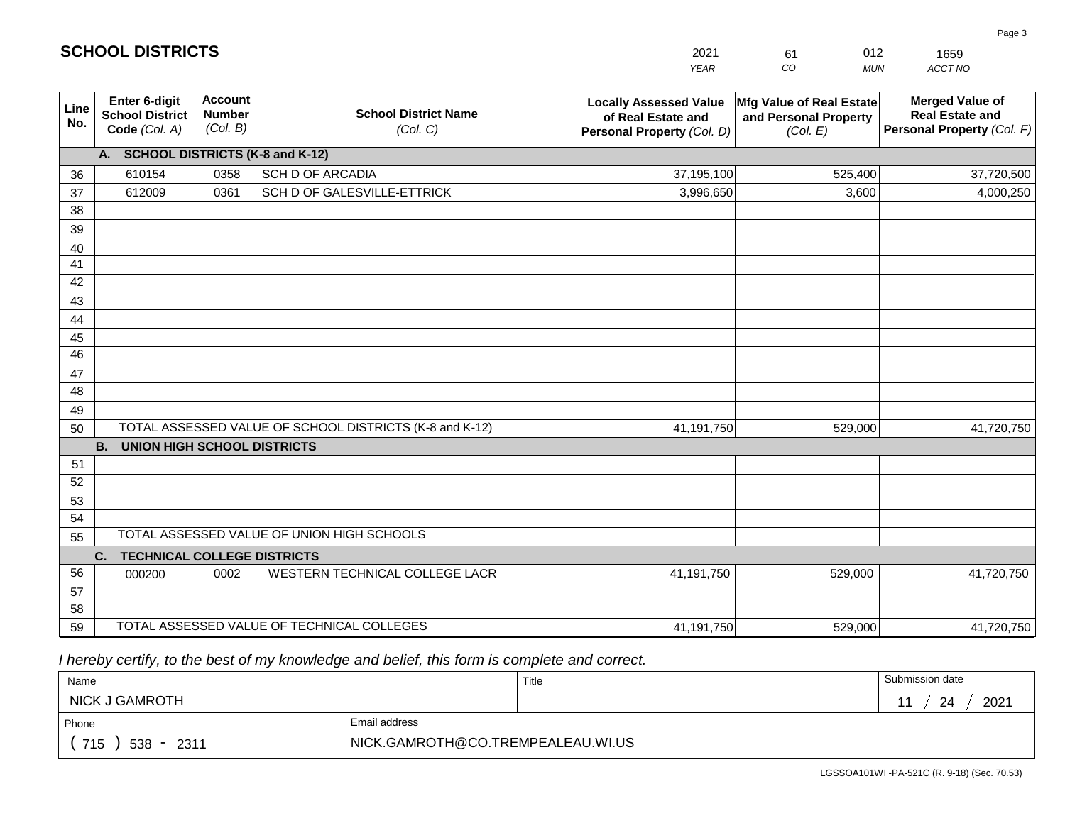|                       | <b>SCHOOL DISTRICTS</b>                                  |                                             |                                                         | 2021                                                                              | 012<br>61                                                     | 1659                                                                           |
|-----------------------|----------------------------------------------------------|---------------------------------------------|---------------------------------------------------------|-----------------------------------------------------------------------------------|---------------------------------------------------------------|--------------------------------------------------------------------------------|
|                       |                                                          |                                             |                                                         | <b>YEAR</b>                                                                       | CO<br><b>MUN</b>                                              | ACCT NO                                                                        |
| Line<br>No.           | Enter 6-digit<br><b>School District</b><br>Code (Col. A) | <b>Account</b><br><b>Number</b><br>(Col. B) | <b>School District Name</b><br>(Col. C)                 | <b>Locally Assessed Value</b><br>of Real Estate and<br>Personal Property (Col. D) | Mfg Value of Real Estate<br>and Personal Property<br>(Col. E) | <b>Merged Value of</b><br><b>Real Estate and</b><br>Personal Property (Col. F) |
|                       | A. SCHOOL DISTRICTS (K-8 and K-12)                       |                                             |                                                         |                                                                                   |                                                               |                                                                                |
| 36                    | 610154                                                   | 0358                                        | SCH D OF ARCADIA                                        | 37,195,100                                                                        | 525,400                                                       | 37,720,500                                                                     |
| 37                    | 612009                                                   | 0361                                        | SCH D OF GALESVILLE-ETTRICK                             | 3,996,650                                                                         | 3,600                                                         | 4,000,250                                                                      |
| 38                    |                                                          |                                             |                                                         |                                                                                   |                                                               |                                                                                |
| 39                    |                                                          |                                             |                                                         |                                                                                   |                                                               |                                                                                |
| 40                    |                                                          |                                             |                                                         |                                                                                   |                                                               |                                                                                |
| 41                    |                                                          |                                             |                                                         |                                                                                   |                                                               |                                                                                |
| 42                    |                                                          |                                             |                                                         |                                                                                   |                                                               |                                                                                |
| 43                    |                                                          |                                             |                                                         |                                                                                   |                                                               |                                                                                |
| 44                    |                                                          |                                             |                                                         |                                                                                   |                                                               |                                                                                |
| 45<br>$\overline{46}$ |                                                          |                                             |                                                         |                                                                                   |                                                               |                                                                                |
| 47                    |                                                          |                                             |                                                         |                                                                                   |                                                               |                                                                                |
| 48                    |                                                          |                                             |                                                         |                                                                                   |                                                               |                                                                                |
| 49                    |                                                          |                                             |                                                         |                                                                                   |                                                               |                                                                                |
| 50                    |                                                          |                                             | TOTAL ASSESSED VALUE OF SCHOOL DISTRICTS (K-8 and K-12) | 41,191,750                                                                        | 529,000                                                       | 41,720,750                                                                     |
|                       | <b>B.</b><br><b>UNION HIGH SCHOOL DISTRICTS</b>          |                                             |                                                         |                                                                                   |                                                               |                                                                                |
| 51                    |                                                          |                                             |                                                         |                                                                                   |                                                               |                                                                                |
| 52                    |                                                          |                                             |                                                         |                                                                                   |                                                               |                                                                                |
| 53                    |                                                          |                                             |                                                         |                                                                                   |                                                               |                                                                                |
| 54                    |                                                          |                                             |                                                         |                                                                                   |                                                               |                                                                                |
| 55                    |                                                          |                                             | TOTAL ASSESSED VALUE OF UNION HIGH SCHOOLS              |                                                                                   |                                                               |                                                                                |
|                       | C.<br><b>TECHNICAL COLLEGE DISTRICTS</b>                 |                                             |                                                         |                                                                                   |                                                               |                                                                                |
| 56                    | 000200                                                   | 0002                                        | WESTERN TECHNICAL COLLEGE LACR                          | 41,191,750                                                                        | 529,000                                                       | 41,720,750                                                                     |
| 57                    |                                                          |                                             |                                                         |                                                                                   |                                                               |                                                                                |
| 58                    |                                                          |                                             |                                                         |                                                                                   |                                                               |                                                                                |
| 59                    |                                                          |                                             | TOTAL ASSESSED VALUE OF TECHNICAL COLLEGES              | 41,191,750                                                                        | 529,000                                                       | 41,720,750                                                                     |

**SCHOOL DISTRICTS**

| Name                |                                   | Title | Submission date  |  |  |
|---------------------|-----------------------------------|-------|------------------|--|--|
| NICK J GAMROTH      |                                   |       | 2021<br>24<br>44 |  |  |
| Phone               | Email address                     |       |                  |  |  |
| 715<br>$538 - 2311$ | NICK.GAMROTH@CO.TREMPEALEAU.WI.US |       |                  |  |  |

LGSSOA101WI -PA-521C (R. 9-18) (Sec. 70.53)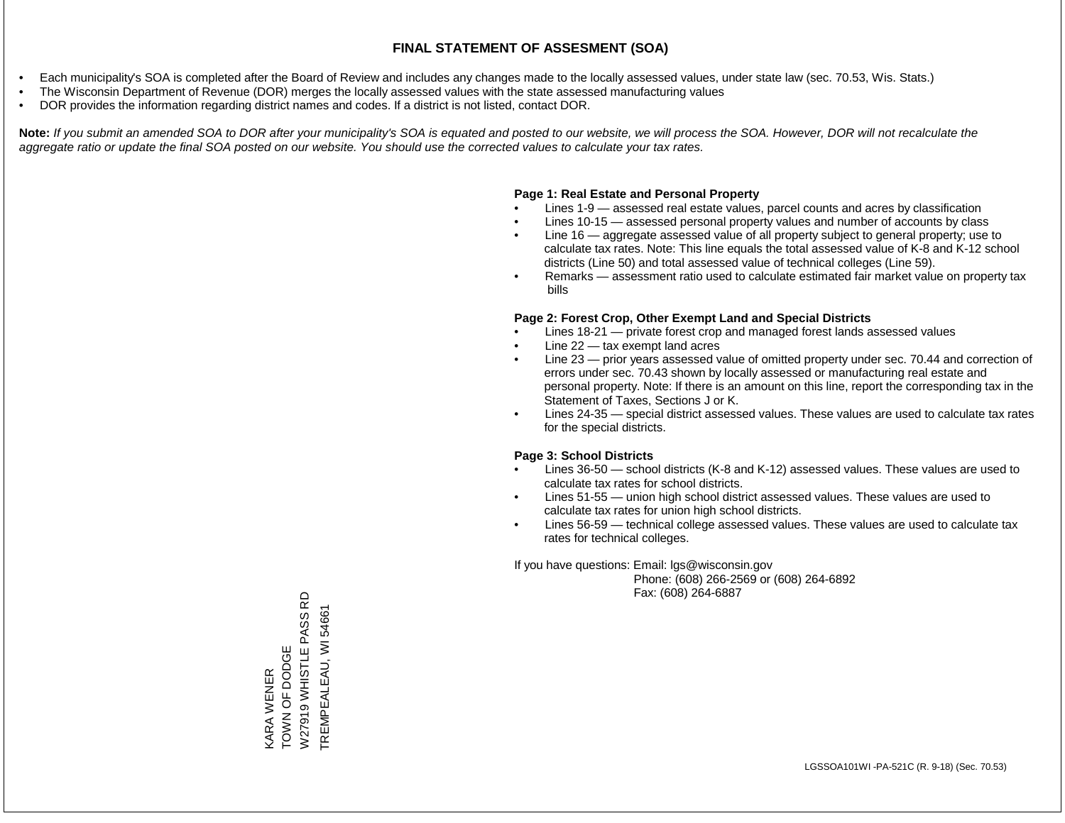- Each municipality's SOA is completed after the Board of Review and includes any changes made to the locally assessed values, under state law (sec. 70.53, Wis. Stats.)
- The Wisconsin Department of Revenue (DOR) merges the locally assessed values with the state assessed manufacturing values
- DOR provides the information regarding district names and codes. If a district is not listed, contact DOR.

Note: If you submit an amended SOA to DOR after your municipality's SOA is equated and posted to our website, we will process the SOA. However, DOR will not recalculate the *aggregate ratio or update the final SOA posted on our website. You should use the corrected values to calculate your tax rates.*

#### **Page 1: Real Estate and Personal Property**

- Lines 1-9 assessed real estate values, parcel counts and acres by classification
- Lines 10-15 assessed personal property values and number of accounts by class
- Line 16 aggregate assessed value of all property subject to general property; use to calculate tax rates. Note: This line equals the total assessed value of K-8 and K-12 school districts (Line 50) and total assessed value of technical colleges (Line 59).
- Remarks assessment ratio used to calculate estimated fair market value on property tax bills

#### **Page 2: Forest Crop, Other Exempt Land and Special Districts**

- Lines 18-21 private forest crop and managed forest lands assessed values
- Line  $22 -$  tax exempt land acres
- Line 23 prior years assessed value of omitted property under sec. 70.44 and correction of errors under sec. 70.43 shown by locally assessed or manufacturing real estate and personal property. Note: If there is an amount on this line, report the corresponding tax in the Statement of Taxes, Sections J or K.
- Lines 24-35 special district assessed values. These values are used to calculate tax rates for the special districts.

#### **Page 3: School Districts**

- Lines 36-50 school districts (K-8 and K-12) assessed values. These values are used to calculate tax rates for school districts.
- Lines 51-55 union high school district assessed values. These values are used to calculate tax rates for union high school districts.
- Lines 56-59 technical college assessed values. These values are used to calculate tax rates for technical colleges.

If you have questions: Email: lgs@wisconsin.gov

 Phone: (608) 266-2569 or (608) 264-6892 Fax: (608) 264-6887

KARA WENER<br>TOWN OF DODGE<br>W27919 WHISTLE PASS RD W27919 WHISTLE PASS RD TREMPEALEAU, WI54661 TREMPEALEAU, WI 54661TOWN OF DODGE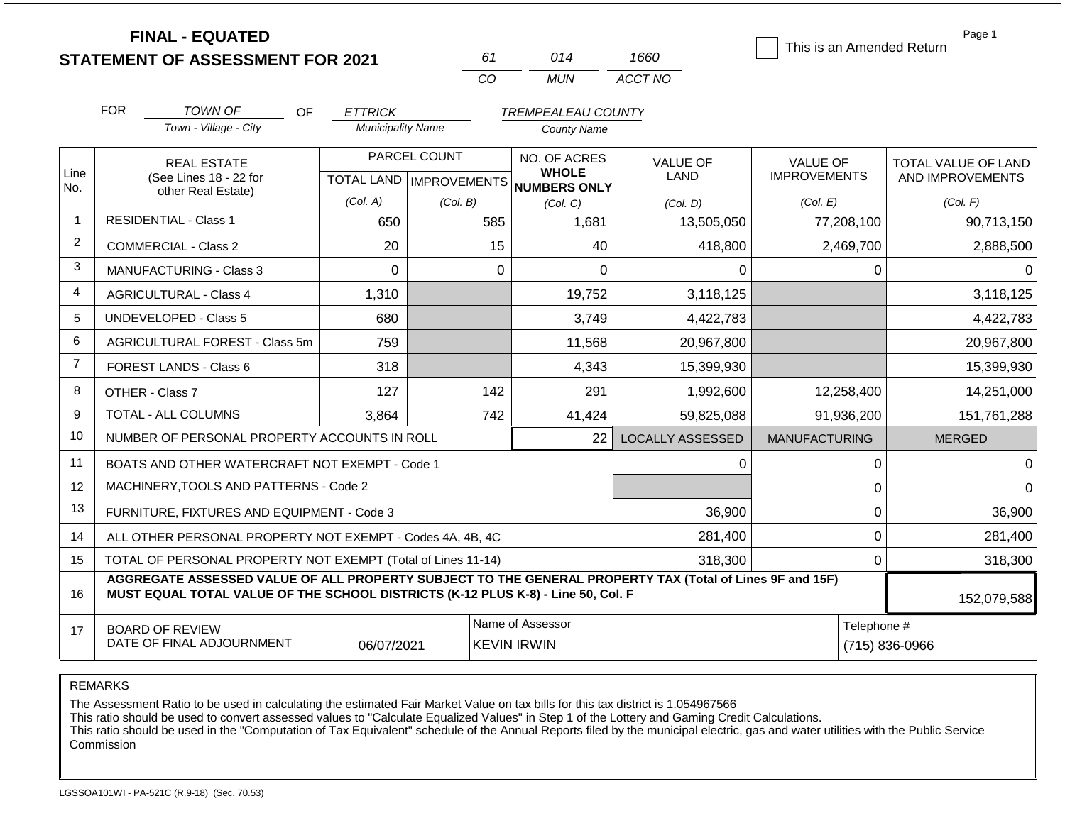**FINAL - EQUATED**

| 61  | 014   | 1660    |
|-----|-------|---------|
| CO. | MI IN | ACCT NO |

This is an Amended Return

Page 1

|                | <b>FOR</b>                                                                                                                                                                                                  | <b>TOWN OF</b><br><b>OF</b>                               | <b>ETTRICK</b>           |              | <b>TREMPEALEAU COUNTY</b>                |                         |                      |                     |
|----------------|-------------------------------------------------------------------------------------------------------------------------------------------------------------------------------------------------------------|-----------------------------------------------------------|--------------------------|--------------|------------------------------------------|-------------------------|----------------------|---------------------|
|                |                                                                                                                                                                                                             | Town - Village - City                                     | <b>Municipality Name</b> |              | <b>County Name</b>                       |                         |                      |                     |
| Line           |                                                                                                                                                                                                             | <b>REAL ESTATE</b>                                        |                          | PARCEL COUNT | NO. OF ACRES<br><b>WHOLE</b>             | <b>VALUE OF</b>         | <b>VALUE OF</b>      | TOTAL VALUE OF LAND |
| No.            |                                                                                                                                                                                                             | (See Lines 18 - 22 for<br>other Real Estate)              |                          |              | TOTAL LAND   IMPROVEMENTS   NUMBERS ONLY | LAND                    | <b>IMPROVEMENTS</b>  | AND IMPROVEMENTS    |
|                |                                                                                                                                                                                                             |                                                           | (Col. A)                 | (Col. B)     | (Col, C)                                 | (Col, D)                | (Col. E)             | (Col. F)            |
| $\overline{1}$ |                                                                                                                                                                                                             | <b>RESIDENTIAL - Class 1</b>                              | 650                      | 585          | 1,681                                    | 13,505,050              | 77,208,100           | 90,713,150          |
| $\overline{2}$ |                                                                                                                                                                                                             | <b>COMMERCIAL - Class 2</b>                               | 20                       | 15           | 40                                       | 418,800                 | 2,469,700            | 2,888,500           |
| 3              |                                                                                                                                                                                                             | MANUFACTURING - Class 3                                   | $\Omega$                 | 0            | $\Omega$                                 | 0                       | 0                    |                     |
| $\overline{4}$ |                                                                                                                                                                                                             | <b>AGRICULTURAL - Class 4</b>                             | 1,310                    |              | 19,752                                   | 3,118,125               |                      | 3,118,125           |
| 5              |                                                                                                                                                                                                             | <b>UNDEVELOPED - Class 5</b>                              | 680                      |              | 3,749                                    | 4,422,783               |                      | 4,422,783           |
| 6              |                                                                                                                                                                                                             | AGRICULTURAL FOREST - Class 5m                            | 759                      |              | 11,568                                   | 20,967,800              |                      | 20,967,800          |
| $\overline{7}$ |                                                                                                                                                                                                             | FOREST LANDS - Class 6                                    | 318                      |              | 4,343                                    | 15,399,930              |                      | 15,399,930          |
| 8              | OTHER - Class 7                                                                                                                                                                                             |                                                           | 127                      | 142          | 291                                      | 1,992,600               | 12,258,400           | 14,251,000          |
| 9              |                                                                                                                                                                                                             | TOTAL - ALL COLUMNS                                       | 3,864                    | 742          | 41,424                                   | 59,825,088              | 91,936,200           | 151,761,288         |
| 10             |                                                                                                                                                                                                             | NUMBER OF PERSONAL PROPERTY ACCOUNTS IN ROLL              |                          |              | 22                                       | <b>LOCALLY ASSESSED</b> | <b>MANUFACTURING</b> | <b>MERGED</b>       |
| 11             |                                                                                                                                                                                                             | BOATS AND OTHER WATERCRAFT NOT EXEMPT - Code 1            |                          |              |                                          | 0                       | 0                    |                     |
| 12             |                                                                                                                                                                                                             | MACHINERY, TOOLS AND PATTERNS - Code 2                    |                          |              |                                          |                         | 0                    | <sup>n</sup>        |
| 13             |                                                                                                                                                                                                             | FURNITURE, FIXTURES AND EQUIPMENT - Code 3                |                          |              | 36,900                                   | 0                       | 36,900               |                     |
| 14             |                                                                                                                                                                                                             | ALL OTHER PERSONAL PROPERTY NOT EXEMPT - Codes 4A, 4B, 4C |                          |              | 281,400                                  | 0                       | 281,400              |                     |
| 15             | TOTAL OF PERSONAL PROPERTY NOT EXEMPT (Total of Lines 11-14)<br>318,300<br>0                                                                                                                                |                                                           |                          |              |                                          |                         |                      | 318,300             |
| 16             | AGGREGATE ASSESSED VALUE OF ALL PROPERTY SUBJECT TO THE GENERAL PROPERTY TAX (Total of Lines 9F and 15F)<br>MUST EQUAL TOTAL VALUE OF THE SCHOOL DISTRICTS (K-12 PLUS K-8) - Line 50, Col. F<br>152,079,588 |                                                           |                          |              |                                          |                         |                      |                     |
| 17             |                                                                                                                                                                                                             | <b>BOARD OF REVIEW</b>                                    |                          |              | Name of Assessor                         |                         | Telephone #          |                     |
|                |                                                                                                                                                                                                             | DATE OF FINAL ADJOURNMENT                                 | 06/07/2021               |              | <b>KEVIN IRWIN</b>                       |                         |                      | (715) 836-0966      |

REMARKS

The Assessment Ratio to be used in calculating the estimated Fair Market Value on tax bills for this tax district is 1.054967566

This ratio should be used to convert assessed values to "Calculate Equalized Values" in Step 1 of the Lottery and Gaming Credit Calculations.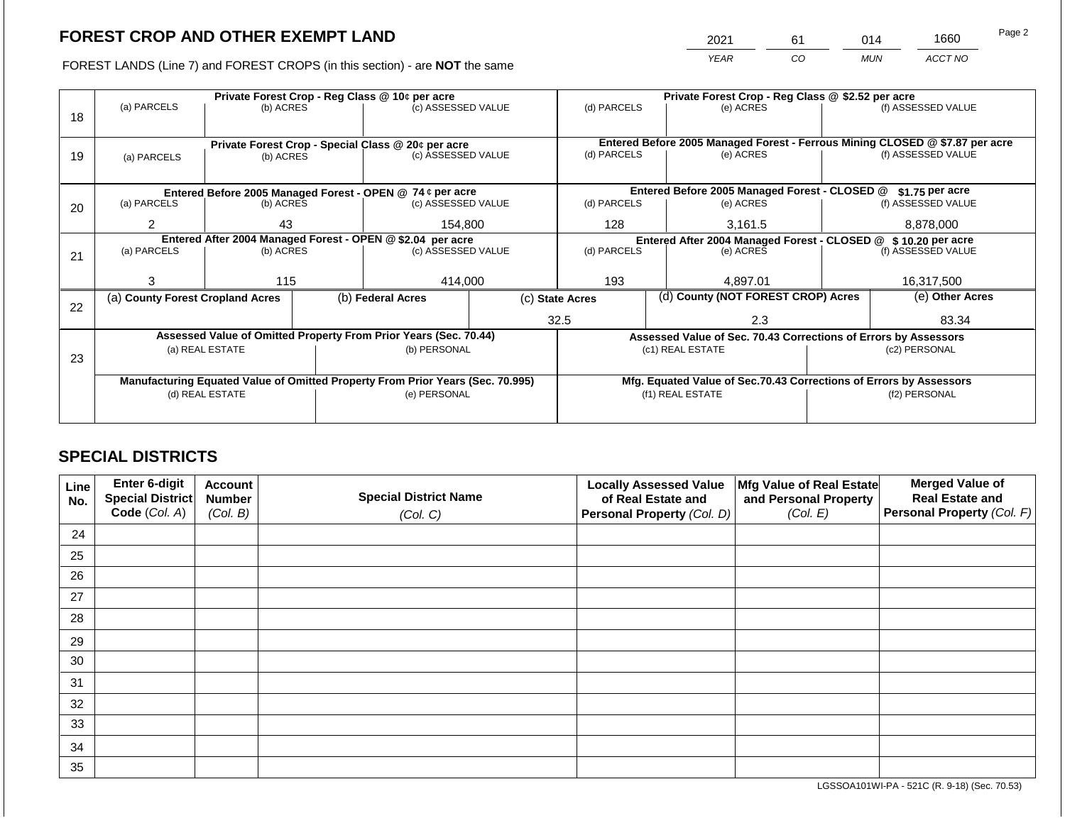2021 61 014 1660

FOREST LANDS (Line 7) and FOREST CROPS (in this section) - are **NOT** the same *YEAR CO MUN ACCT NO*

|    | Private Forest Crop - Reg Class @ 10¢ per acre                                 |                                                            |  |                                                                          |  | Private Forest Crop - Reg Class @ \$2.52 per acre              |  |                                                                                           |                    |                    |
|----|--------------------------------------------------------------------------------|------------------------------------------------------------|--|--------------------------------------------------------------------------|--|----------------------------------------------------------------|--|-------------------------------------------------------------------------------------------|--------------------|--------------------|
|    | (a) PARCELS                                                                    | (b) ACRES                                                  |  | (c) ASSESSED VALUE                                                       |  | (d) PARCELS                                                    |  | (e) ACRES                                                                                 |                    | (f) ASSESSED VALUE |
| 18 |                                                                                |                                                            |  |                                                                          |  |                                                                |  |                                                                                           |                    |                    |
|    |                                                                                |                                                            |  |                                                                          |  |                                                                |  |                                                                                           |                    |                    |
|    |                                                                                |                                                            |  | Private Forest Crop - Special Class @ 20¢ per acre<br>(c) ASSESSED VALUE |  | (d) PARCELS                                                    |  | Entered Before 2005 Managed Forest - Ferrous Mining CLOSED @ \$7.87 per acre<br>(e) ACRES |                    | (f) ASSESSED VALUE |
| 19 | (a) PARCELS                                                                    | (b) ACRES                                                  |  |                                                                          |  |                                                                |  |                                                                                           |                    |                    |
|    |                                                                                |                                                            |  |                                                                          |  |                                                                |  |                                                                                           |                    |                    |
|    |                                                                                |                                                            |  | Entered Before 2005 Managed Forest - OPEN @ 74 ¢ per acre                |  |                                                                |  | Entered Before 2005 Managed Forest - CLOSED @                                             |                    | \$1.75 per acre    |
| 20 | (a) PARCELS                                                                    | (b) ACRES                                                  |  | (c) ASSESSED VALUE                                                       |  | (d) PARCELS                                                    |  | (e) ACRES                                                                                 |                    | (f) ASSESSED VALUE |
|    |                                                                                |                                                            |  |                                                                          |  |                                                                |  |                                                                                           |                    |                    |
|    | $\overline{2}$                                                                 | 43                                                         |  | 154,800                                                                  |  | 128                                                            |  | 3,161.5                                                                                   |                    | 8,878,000          |
|    |                                                                                | Entered After 2004 Managed Forest - OPEN @ \$2.04 per acre |  |                                                                          |  | Entered After 2004 Managed Forest - CLOSED @ \$ 10.20 per acre |  |                                                                                           |                    |                    |
| 21 | (a) PARCELS                                                                    | (b) ACRES                                                  |  | (c) ASSESSED VALUE                                                       |  | (d) PARCELS                                                    |  | (e) ACRES                                                                                 | (f) ASSESSED VALUE |                    |
|    |                                                                                |                                                            |  |                                                                          |  |                                                                |  |                                                                                           |                    |                    |
|    | 3                                                                              | 115                                                        |  | 414,000                                                                  |  | 193                                                            |  | 4.897.01                                                                                  |                    | 16,317,500         |
|    | (a) County Forest Cropland Acres                                               |                                                            |  | (b) Federal Acres                                                        |  | (c) State Acres                                                |  | (d) County (NOT FOREST CROP) Acres                                                        |                    | (e) Other Acres    |
| 22 |                                                                                |                                                            |  |                                                                          |  |                                                                |  |                                                                                           |                    |                    |
|    |                                                                                |                                                            |  |                                                                          |  | 32.5                                                           |  | 2.3                                                                                       |                    | 83.34              |
|    |                                                                                |                                                            |  | Assessed Value of Omitted Property From Prior Years (Sec. 70.44)         |  |                                                                |  | Assessed Value of Sec. 70.43 Corrections of Errors by Assessors                           |                    |                    |
|    |                                                                                | (a) REAL ESTATE                                            |  | (b) PERSONAL                                                             |  |                                                                |  | (c1) REAL ESTATE                                                                          |                    | (c2) PERSONAL      |
| 23 |                                                                                |                                                            |  |                                                                          |  |                                                                |  |                                                                                           |                    |                    |
|    | Manufacturing Equated Value of Omitted Property From Prior Years (Sec. 70.995) |                                                            |  |                                                                          |  |                                                                |  | Mfg. Equated Value of Sec.70.43 Corrections of Errors by Assessors                        |                    |                    |
|    | (d) REAL ESTATE                                                                |                                                            |  | (e) PERSONAL                                                             |  |                                                                |  | (f1) REAL ESTATE                                                                          | (f2) PERSONAL      |                    |
|    |                                                                                |                                                            |  |                                                                          |  |                                                                |  |                                                                                           |                    |                    |
|    |                                                                                |                                                            |  |                                                                          |  |                                                                |  |                                                                                           |                    |                    |

## **SPECIAL DISTRICTS**

| Line<br>No. | Enter 6-digit<br>Special District<br>Code (Col. A) | <b>Account</b><br><b>Number</b><br>(Col. B) | <b>Special District Name</b><br>(Col. C) | <b>Locally Assessed Value</b><br>of Real Estate and<br><b>Personal Property (Col. D)</b> | Mfg Value of Real Estate<br>and Personal Property<br>(Col. E) | <b>Merged Value of</b><br><b>Real Estate and</b><br>Personal Property (Col. F) |
|-------------|----------------------------------------------------|---------------------------------------------|------------------------------------------|------------------------------------------------------------------------------------------|---------------------------------------------------------------|--------------------------------------------------------------------------------|
| 24          |                                                    |                                             |                                          |                                                                                          |                                                               |                                                                                |
| 25          |                                                    |                                             |                                          |                                                                                          |                                                               |                                                                                |
| 26          |                                                    |                                             |                                          |                                                                                          |                                                               |                                                                                |
| 27          |                                                    |                                             |                                          |                                                                                          |                                                               |                                                                                |
| 28          |                                                    |                                             |                                          |                                                                                          |                                                               |                                                                                |
| 29          |                                                    |                                             |                                          |                                                                                          |                                                               |                                                                                |
| 30          |                                                    |                                             |                                          |                                                                                          |                                                               |                                                                                |
| 31          |                                                    |                                             |                                          |                                                                                          |                                                               |                                                                                |
| 32          |                                                    |                                             |                                          |                                                                                          |                                                               |                                                                                |
| 33          |                                                    |                                             |                                          |                                                                                          |                                                               |                                                                                |
| 34          |                                                    |                                             |                                          |                                                                                          |                                                               |                                                                                |
| 35          |                                                    |                                             |                                          |                                                                                          |                                                               |                                                                                |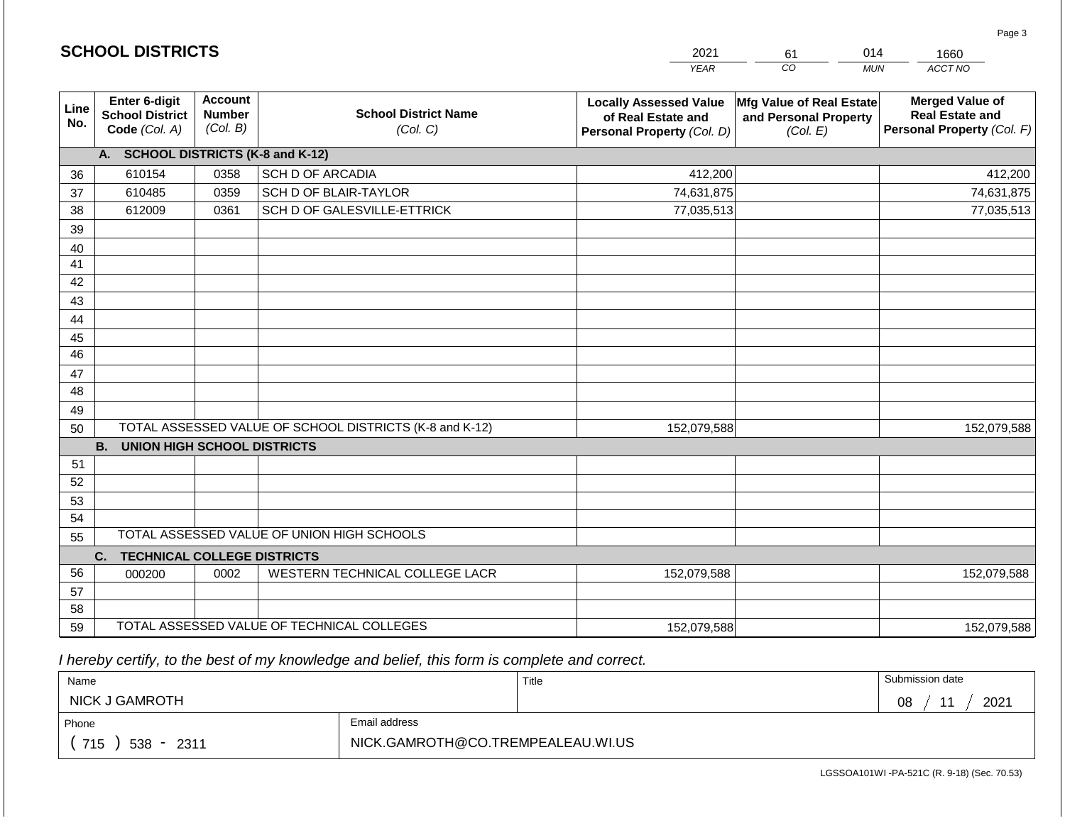|             | <b>SCHOOL DISTRICTS</b>                                  |                                             |                                                         | 2021<br>014<br>61<br>1660                                                         |                                                                      |                                                                                |
|-------------|----------------------------------------------------------|---------------------------------------------|---------------------------------------------------------|-----------------------------------------------------------------------------------|----------------------------------------------------------------------|--------------------------------------------------------------------------------|
|             |                                                          |                                             |                                                         | <b>YEAR</b>                                                                       | CO                                                                   | ACCT NO<br><b>MUN</b>                                                          |
| Line<br>No. | Enter 6-digit<br><b>School District</b><br>Code (Col. A) | <b>Account</b><br><b>Number</b><br>(Col. B) | <b>School District Name</b><br>(Col. C)                 | <b>Locally Assessed Value</b><br>of Real Estate and<br>Personal Property (Col. D) | <b>Mfg Value of Real Estate</b><br>and Personal Property<br>(Col. E) | <b>Merged Value of</b><br><b>Real Estate and</b><br>Personal Property (Col. F) |
|             | A. SCHOOL DISTRICTS (K-8 and K-12)                       |                                             |                                                         |                                                                                   |                                                                      |                                                                                |
| 36          | 610154                                                   | 0358                                        | SCH D OF ARCADIA                                        | 412,200                                                                           |                                                                      | 412,200                                                                        |
| 37          | 610485                                                   | 0359                                        | SCH D OF BLAIR-TAYLOR                                   | 74,631,875                                                                        |                                                                      | 74,631,875                                                                     |
| 38          | 612009                                                   | 0361                                        | SCH D OF GALESVILLE-ETTRICK                             | 77,035,513                                                                        |                                                                      | 77,035,513                                                                     |
| 39          |                                                          |                                             |                                                         |                                                                                   |                                                                      |                                                                                |
| 40          |                                                          |                                             |                                                         |                                                                                   |                                                                      |                                                                                |
| 41          |                                                          |                                             |                                                         |                                                                                   |                                                                      |                                                                                |
| 42          |                                                          |                                             |                                                         |                                                                                   |                                                                      |                                                                                |
| 43          |                                                          |                                             |                                                         |                                                                                   |                                                                      |                                                                                |
| 44          |                                                          |                                             |                                                         |                                                                                   |                                                                      |                                                                                |
| 45          |                                                          |                                             |                                                         |                                                                                   |                                                                      |                                                                                |
| 46          |                                                          |                                             |                                                         |                                                                                   |                                                                      |                                                                                |
| 47<br>48    |                                                          |                                             |                                                         |                                                                                   |                                                                      |                                                                                |
| 49          |                                                          |                                             |                                                         |                                                                                   |                                                                      |                                                                                |
| 50          |                                                          |                                             | TOTAL ASSESSED VALUE OF SCHOOL DISTRICTS (K-8 and K-12) | 152,079,588                                                                       |                                                                      | 152,079,588                                                                    |
|             | <b>B. UNION HIGH SCHOOL DISTRICTS</b>                    |                                             |                                                         |                                                                                   |                                                                      |                                                                                |
| 51          |                                                          |                                             |                                                         |                                                                                   |                                                                      |                                                                                |
| 52          |                                                          |                                             |                                                         |                                                                                   |                                                                      |                                                                                |
| 53          |                                                          |                                             |                                                         |                                                                                   |                                                                      |                                                                                |
| 54          |                                                          |                                             |                                                         |                                                                                   |                                                                      |                                                                                |
| 55          |                                                          |                                             | TOTAL ASSESSED VALUE OF UNION HIGH SCHOOLS              |                                                                                   |                                                                      |                                                                                |
|             | <b>TECHNICAL COLLEGE DISTRICTS</b><br>C.                 |                                             |                                                         |                                                                                   |                                                                      |                                                                                |
| 56          | 000200                                                   | 0002                                        | WESTERN TECHNICAL COLLEGE LACR                          | 152,079,588                                                                       |                                                                      | 152,079,588                                                                    |
| 57          |                                                          |                                             |                                                         |                                                                                   |                                                                      |                                                                                |
| 58          |                                                          |                                             |                                                         |                                                                                   |                                                                      |                                                                                |
| 59          |                                                          |                                             | TOTAL ASSESSED VALUE OF TECHNICAL COLLEGES              | 152,079,588                                                                       |                                                                      | 152,079,588                                                                    |

| Name                  |                                   | Title | Submission date  |  |  |
|-----------------------|-----------------------------------|-------|------------------|--|--|
| <b>NICK J GAMROTH</b> |                                   |       | 2021<br>08<br>44 |  |  |
| Phone                 | Email address                     |       |                  |  |  |
| 715<br>538 -<br>2311  | NICK.GAMROTH@CO.TREMPEALEAU.WI.US |       |                  |  |  |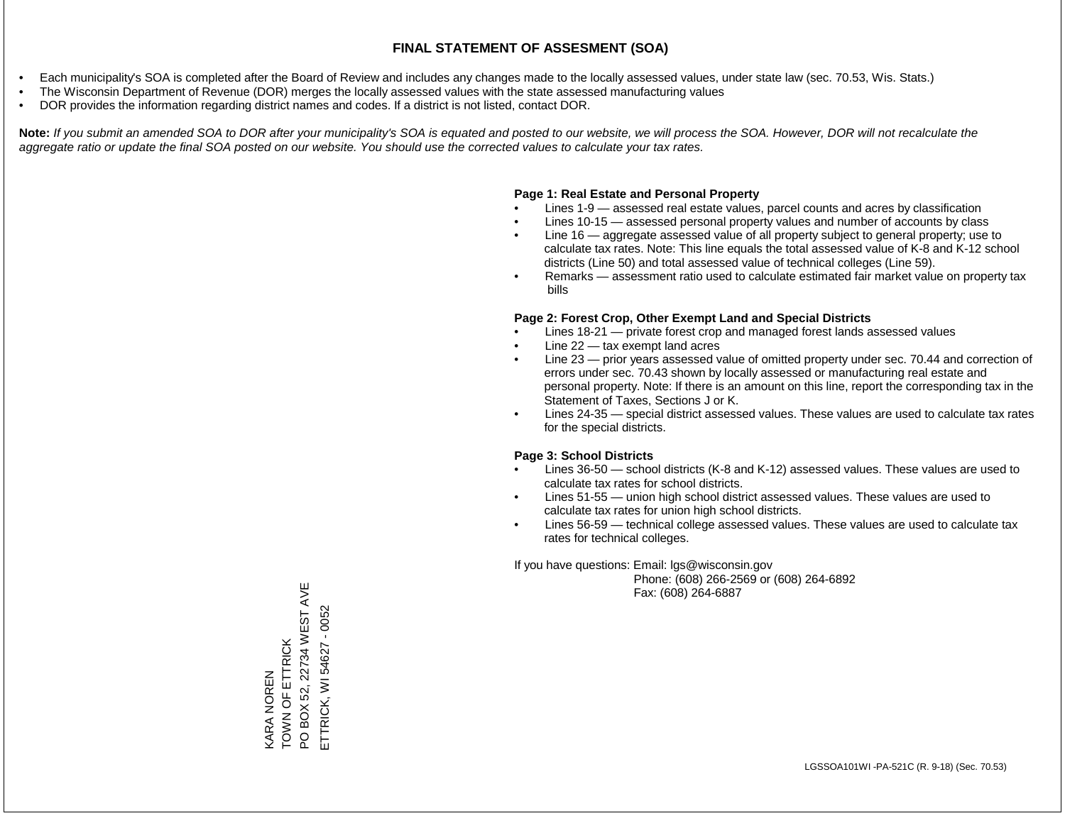- Each municipality's SOA is completed after the Board of Review and includes any changes made to the locally assessed values, under state law (sec. 70.53, Wis. Stats.)
- The Wisconsin Department of Revenue (DOR) merges the locally assessed values with the state assessed manufacturing values
- DOR provides the information regarding district names and codes. If a district is not listed, contact DOR.

Note: If you submit an amended SOA to DOR after your municipality's SOA is equated and posted to our website, we will process the SOA. However, DOR will not recalculate the *aggregate ratio or update the final SOA posted on our website. You should use the corrected values to calculate your tax rates.*

#### **Page 1: Real Estate and Personal Property**

- Lines 1-9 assessed real estate values, parcel counts and acres by classification
- Lines 10-15 assessed personal property values and number of accounts by class
- Line 16 aggregate assessed value of all property subject to general property; use to calculate tax rates. Note: This line equals the total assessed value of K-8 and K-12 school districts (Line 50) and total assessed value of technical colleges (Line 59).
- Remarks assessment ratio used to calculate estimated fair market value on property tax bills

#### **Page 2: Forest Crop, Other Exempt Land and Special Districts**

- Lines 18-21 private forest crop and managed forest lands assessed values
- Line  $22 -$  tax exempt land acres
- Line 23 prior years assessed value of omitted property under sec. 70.44 and correction of errors under sec. 70.43 shown by locally assessed or manufacturing real estate and personal property. Note: If there is an amount on this line, report the corresponding tax in the Statement of Taxes, Sections J or K.
- Lines 24-35 special district assessed values. These values are used to calculate tax rates for the special districts.

#### **Page 3: School Districts**

- Lines 36-50 school districts (K-8 and K-12) assessed values. These values are used to calculate tax rates for school districts.
- Lines 51-55 union high school district assessed values. These values are used to calculate tax rates for union high school districts.
- Lines 56-59 technical college assessed values. These values are used to calculate tax rates for technical colleges.

If you have questions: Email: lgs@wisconsin.gov

 Phone: (608) 266-2569 or (608) 264-6892 Fax: (608) 264-6887

PO BOX 52, 22734 WEST AVE PO BOX 52, 22734 WEST AVE ETTRICK, WI 54627 - 0052 ETTRICK, WI 54627 - 0052TOWN OF ETTRICK KARA NOREN<br>TOWN OF ETTRICK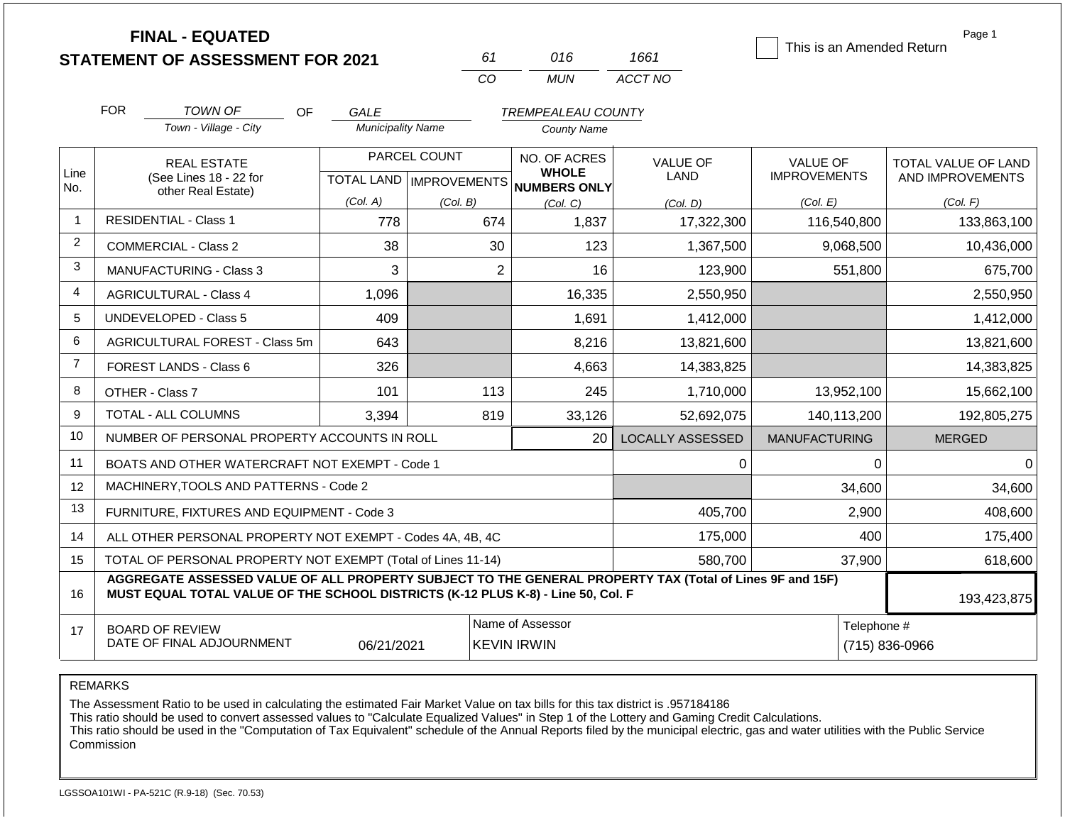**FINAL - EQUATED**

| 61          | 016   | 1661    |
|-------------|-------|---------|
| $($ . $($ ) | MI IN | ACCT NO |

This is an Amended Return

Page 1

|                | <b>FOR</b>                                                              | TOWN OF<br>OF.                                                                                                                                                                               | <b>GALE</b>              |                           | <b>TREMPEALEAU COUNTY</b>           |                         |                      |                     |
|----------------|-------------------------------------------------------------------------|----------------------------------------------------------------------------------------------------------------------------------------------------------------------------------------------|--------------------------|---------------------------|-------------------------------------|-------------------------|----------------------|---------------------|
|                |                                                                         | Town - Village - City                                                                                                                                                                        | <b>Municipality Name</b> |                           | <b>County Name</b>                  |                         |                      |                     |
|                |                                                                         | <b>REAL ESTATE</b>                                                                                                                                                                           |                          | PARCEL COUNT              | NO. OF ACRES                        | <b>VALUE OF</b>         | <b>VALUE OF</b>      | TOTAL VALUE OF LAND |
| Line<br>No.    |                                                                         | (See Lines 18 - 22 for<br>other Real Estate)                                                                                                                                                 |                          | TOTAL LAND   IMPROVEMENTS | <b>WHOLE</b><br><b>NUMBERS ONLY</b> | <b>LAND</b>             | <b>IMPROVEMENTS</b>  | AND IMPROVEMENTS    |
|                |                                                                         |                                                                                                                                                                                              | (Col. A)                 | (Col. B)                  | (Col. C)                            | (Col. D)                | (Col. E)             | (Col. F)            |
| $\mathbf{1}$   |                                                                         | <b>RESIDENTIAL - Class 1</b>                                                                                                                                                                 | 778                      | 674                       | 1,837                               | 17,322,300              | 116,540,800          | 133,863,100         |
| $\overline{c}$ |                                                                         | <b>COMMERCIAL - Class 2</b>                                                                                                                                                                  | 38                       | 30                        | 123                                 | 1,367,500               | 9,068,500            | 10,436,000          |
| $\mathbf{3}$   |                                                                         | MANUFACTURING - Class 3                                                                                                                                                                      | 3                        | $\overline{2}$            | 16                                  | 123,900                 | 551,800              | 675,700             |
| 4              |                                                                         | <b>AGRICULTURAL - Class 4</b>                                                                                                                                                                | 1,096                    |                           | 16,335                              | 2,550,950               |                      | 2,550,950           |
| 5              |                                                                         | <b>UNDEVELOPED - Class 5</b>                                                                                                                                                                 | 409                      |                           | 1,691                               | 1,412,000               |                      | 1,412,000           |
| 6              |                                                                         | AGRICULTURAL FOREST - Class 5m                                                                                                                                                               | 643                      |                           | 8,216                               | 13,821,600              |                      | 13,821,600          |
| $\overline{7}$ |                                                                         | FOREST LANDS - Class 6                                                                                                                                                                       | 326                      |                           | 4,663                               | 14,383,825              |                      | 14,383,825          |
| 8              |                                                                         | OTHER - Class 7                                                                                                                                                                              | 101                      | 113                       | 245                                 | 1,710,000               | 13,952,100           | 15,662,100          |
| 9              |                                                                         | TOTAL - ALL COLUMNS                                                                                                                                                                          | 3,394                    | 819                       | 33,126                              | 52,692,075              | 140,113,200          | 192,805,275         |
| 10             |                                                                         | NUMBER OF PERSONAL PROPERTY ACCOUNTS IN ROLL                                                                                                                                                 |                          |                           | 20                                  | <b>LOCALLY ASSESSED</b> | <b>MANUFACTURING</b> | <b>MERGED</b>       |
| 11             |                                                                         | BOATS AND OTHER WATERCRAFT NOT EXEMPT - Code 1                                                                                                                                               |                          |                           |                                     | 0                       | $\mathbf 0$          | $\Omega$            |
| 12             |                                                                         | MACHINERY, TOOLS AND PATTERNS - Code 2                                                                                                                                                       |                          |                           |                                     |                         | 34,600               | 34,600              |
| 13             |                                                                         | FURNITURE, FIXTURES AND EQUIPMENT - Code 3                                                                                                                                                   |                          |                           |                                     | 405,700                 | 2,900                | 408,600             |
| 14             |                                                                         | ALL OTHER PERSONAL PROPERTY NOT EXEMPT - Codes 4A, 4B, 4C                                                                                                                                    |                          |                           |                                     | 175,000                 | 400                  | 175,400             |
| 15             | TOTAL OF PERSONAL PROPERTY NOT EXEMPT (Total of Lines 11-14)<br>580,700 |                                                                                                                                                                                              |                          |                           |                                     |                         | 37,900               | 618,600             |
| 16             |                                                                         | AGGREGATE ASSESSED VALUE OF ALL PROPERTY SUBJECT TO THE GENERAL PROPERTY TAX (Total of Lines 9F and 15F)<br>MUST EQUAL TOTAL VALUE OF THE SCHOOL DISTRICTS (K-12 PLUS K-8) - Line 50, Col. F |                          |                           |                                     |                         |                      | 193,423,875         |
| 17             |                                                                         | <b>BOARD OF REVIEW</b>                                                                                                                                                                       |                          |                           | Name of Assessor                    | Telephone #             |                      |                     |
|                | DATE OF FINAL ADJOURNMENT<br><b>KEVIN IRWIN</b><br>06/21/2021           |                                                                                                                                                                                              |                          |                           |                                     |                         |                      | (715) 836-0966      |

REMARKS

The Assessment Ratio to be used in calculating the estimated Fair Market Value on tax bills for this tax district is .957184186

This ratio should be used to convert assessed values to "Calculate Equalized Values" in Step 1 of the Lottery and Gaming Credit Calculations.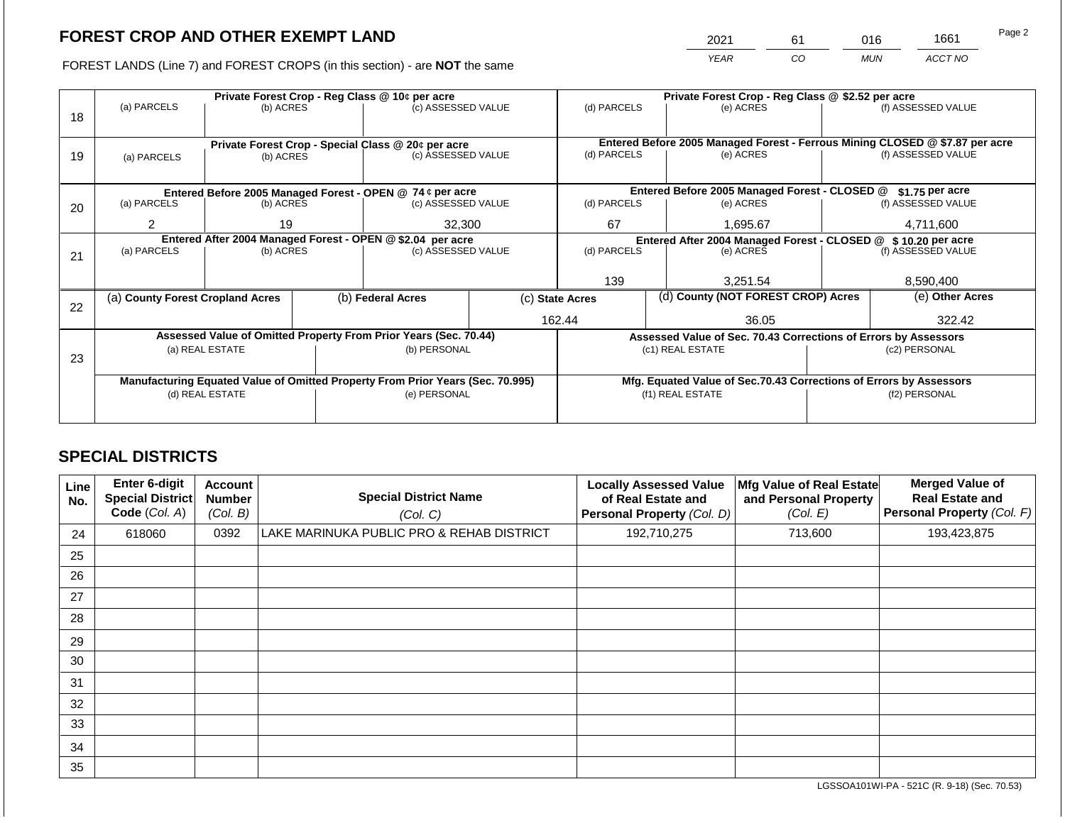2021 61 016 1661

FOREST LANDS (Line 7) and FOREST CROPS (in this section) - are **NOT** the same *YEAR CO MUN ACCT NO*

|    | Private Forest Crop - Reg Class @ 10¢ per acre                                                    |                 |  |                                                                          |                                                                | Private Forest Crop - Reg Class @ \$2.52 per acre |  |                                                                    |                    |                                                                              |
|----|---------------------------------------------------------------------------------------------------|-----------------|--|--------------------------------------------------------------------------|----------------------------------------------------------------|---------------------------------------------------|--|--------------------------------------------------------------------|--------------------|------------------------------------------------------------------------------|
| 18 | (a) PARCELS                                                                                       | (b) ACRES       |  | (c) ASSESSED VALUE                                                       |                                                                | (d) PARCELS                                       |  | (e) ACRES                                                          |                    | (f) ASSESSED VALUE                                                           |
|    |                                                                                                   |                 |  |                                                                          |                                                                |                                                   |  |                                                                    |                    |                                                                              |
|    |                                                                                                   |                 |  |                                                                          |                                                                |                                                   |  |                                                                    |                    | Entered Before 2005 Managed Forest - Ferrous Mining CLOSED @ \$7.87 per acre |
| 19 | (a) PARCELS                                                                                       | (b) ACRES       |  | Private Forest Crop - Special Class @ 20¢ per acre<br>(c) ASSESSED VALUE |                                                                | (d) PARCELS                                       |  | (e) ACRES                                                          |                    | (f) ASSESSED VALUE                                                           |
|    |                                                                                                   |                 |  |                                                                          |                                                                |                                                   |  |                                                                    |                    |                                                                              |
|    |                                                                                                   |                 |  |                                                                          |                                                                |                                                   |  |                                                                    |                    |                                                                              |
|    |                                                                                                   |                 |  | Entered Before 2005 Managed Forest - OPEN @ 74 ¢ per acre                |                                                                |                                                   |  | Entered Before 2005 Managed Forest - CLOSED @                      |                    | $$1.75$ per acre                                                             |
| 20 | (a) PARCELS                                                                                       | (b) ACRES       |  | (c) ASSESSED VALUE                                                       |                                                                | (d) PARCELS                                       |  | (e) ACRES                                                          |                    | (f) ASSESSED VALUE                                                           |
|    | $\overline{2}$                                                                                    | 19              |  | 32,300                                                                   |                                                                | 67                                                |  | 1,695.67                                                           |                    | 4,711,600                                                                    |
|    |                                                                                                   |                 |  |                                                                          |                                                                |                                                   |  |                                                                    |                    |                                                                              |
|    | Entered After 2004 Managed Forest - OPEN @ \$2.04 per acre                                        |                 |  |                                                                          | Entered After 2004 Managed Forest - CLOSED @ \$ 10.20 per acre |                                                   |  |                                                                    |                    |                                                                              |
| 21 | (a) PARCELS                                                                                       | (b) ACRES       |  | (c) ASSESSED VALUE                                                       |                                                                | (d) PARCELS                                       |  | (e) ACRES                                                          | (f) ASSESSED VALUE |                                                                              |
|    |                                                                                                   |                 |  |                                                                          |                                                                |                                                   |  |                                                                    |                    |                                                                              |
|    |                                                                                                   |                 |  |                                                                          |                                                                | 139                                               |  | 3.251.54                                                           |                    | 8,590,400                                                                    |
|    | (a) County Forest Cropland Acres                                                                  |                 |  | (b) Federal Acres                                                        |                                                                | (c) State Acres                                   |  | (d) County (NOT FOREST CROP) Acres                                 |                    | (e) Other Acres                                                              |
| 22 |                                                                                                   |                 |  |                                                                          |                                                                |                                                   |  |                                                                    |                    |                                                                              |
|    |                                                                                                   |                 |  |                                                                          |                                                                | 162.44                                            |  | 36.05                                                              |                    | 322.42                                                                       |
|    |                                                                                                   |                 |  | Assessed Value of Omitted Property From Prior Years (Sec. 70.44)         |                                                                |                                                   |  | Assessed Value of Sec. 70.43 Corrections of Errors by Assessors    |                    |                                                                              |
|    |                                                                                                   | (a) REAL ESTATE |  | (b) PERSONAL                                                             |                                                                |                                                   |  | (c1) REAL ESTATE                                                   |                    | (c2) PERSONAL                                                                |
| 23 |                                                                                                   |                 |  |                                                                          |                                                                |                                                   |  |                                                                    |                    |                                                                              |
|    |                                                                                                   |                 |  |                                                                          |                                                                |                                                   |  | Mfg. Equated Value of Sec.70.43 Corrections of Errors by Assessors |                    |                                                                              |
|    | Manufacturing Equated Value of Omitted Property From Prior Years (Sec. 70.995)<br>(d) REAL ESTATE |                 |  | (e) PERSONAL                                                             |                                                                |                                                   |  | (f1) REAL ESTATE                                                   | (f2) PERSONAL      |                                                                              |
|    |                                                                                                   |                 |  |                                                                          |                                                                |                                                   |  |                                                                    |                    |                                                                              |
|    |                                                                                                   |                 |  |                                                                          |                                                                |                                                   |  |                                                                    |                    |                                                                              |

## **SPECIAL DISTRICTS**

| Line<br>No. | <b>Enter 6-digit</b><br>Special District<br>Code (Col. A) | <b>Account</b><br><b>Number</b><br>(Col. B) | <b>Special District Name</b><br>(Col. C)  | <b>Locally Assessed Value</b><br>of Real Estate and<br>Personal Property (Col. D) | Mfg Value of Real Estate<br>and Personal Property<br>(Col. E) | <b>Merged Value of</b><br><b>Real Estate and</b><br>Personal Property (Col. F) |
|-------------|-----------------------------------------------------------|---------------------------------------------|-------------------------------------------|-----------------------------------------------------------------------------------|---------------------------------------------------------------|--------------------------------------------------------------------------------|
| 24          | 618060                                                    | 0392                                        | LAKE MARINUKA PUBLIC PRO & REHAB DISTRICT | 192,710,275                                                                       | 713,600                                                       | 193,423,875                                                                    |
| 25          |                                                           |                                             |                                           |                                                                                   |                                                               |                                                                                |
| 26          |                                                           |                                             |                                           |                                                                                   |                                                               |                                                                                |
| 27          |                                                           |                                             |                                           |                                                                                   |                                                               |                                                                                |
| 28          |                                                           |                                             |                                           |                                                                                   |                                                               |                                                                                |
| 29          |                                                           |                                             |                                           |                                                                                   |                                                               |                                                                                |
| 30          |                                                           |                                             |                                           |                                                                                   |                                                               |                                                                                |
| 31          |                                                           |                                             |                                           |                                                                                   |                                                               |                                                                                |
| 32          |                                                           |                                             |                                           |                                                                                   |                                                               |                                                                                |
| 33          |                                                           |                                             |                                           |                                                                                   |                                                               |                                                                                |
| 34          |                                                           |                                             |                                           |                                                                                   |                                                               |                                                                                |
| 35          |                                                           |                                             |                                           |                                                                                   |                                                               |                                                                                |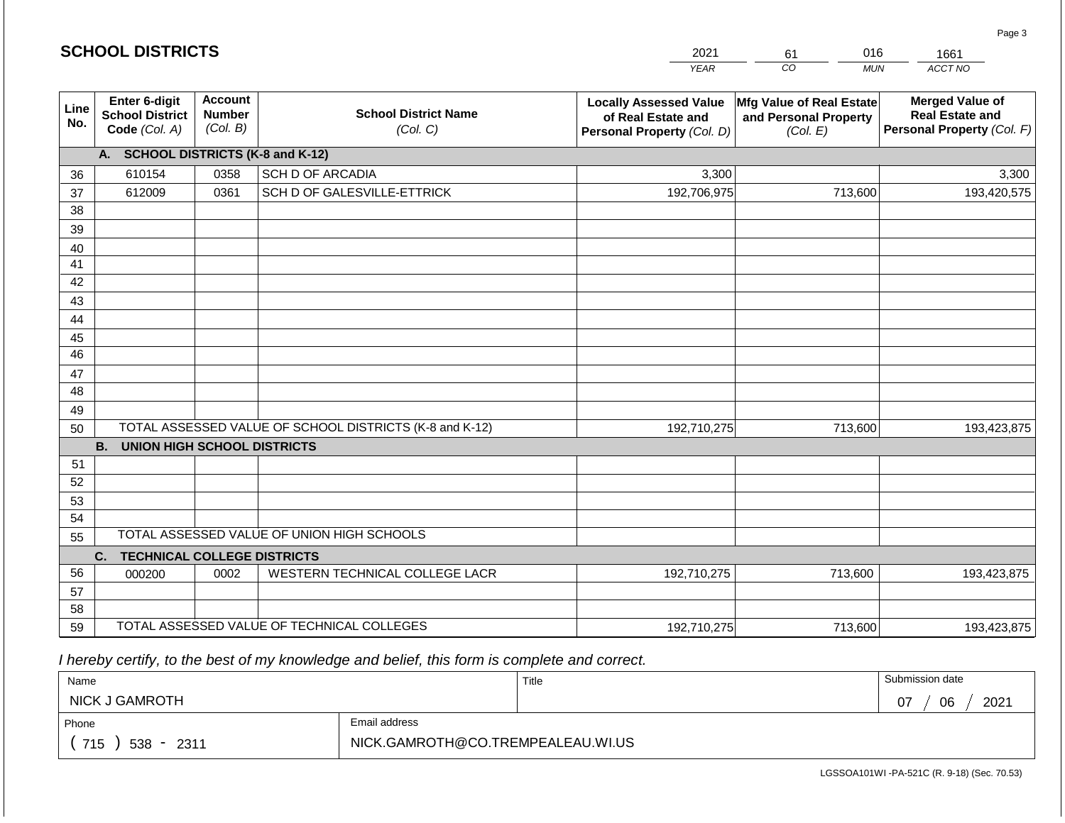|                       | <b>SCHOOL DISTRICTS</b>                                  |                                             |                                                         | 2021                                                                              | 016<br>61<br>1661                                             |                                                                                |  |
|-----------------------|----------------------------------------------------------|---------------------------------------------|---------------------------------------------------------|-----------------------------------------------------------------------------------|---------------------------------------------------------------|--------------------------------------------------------------------------------|--|
|                       |                                                          |                                             |                                                         | <b>YEAR</b>                                                                       | CO<br><b>MUN</b>                                              | ACCT NO                                                                        |  |
| Line<br>No.           | Enter 6-digit<br><b>School District</b><br>Code (Col. A) | <b>Account</b><br><b>Number</b><br>(Col. B) | <b>School District Name</b><br>(Col. C)                 | <b>Locally Assessed Value</b><br>of Real Estate and<br>Personal Property (Col. D) | Mfg Value of Real Estate<br>and Personal Property<br>(Col. E) | <b>Merged Value of</b><br><b>Real Estate and</b><br>Personal Property (Col. F) |  |
|                       | A. SCHOOL DISTRICTS (K-8 and K-12)                       |                                             |                                                         |                                                                                   |                                                               |                                                                                |  |
| 36                    | 610154                                                   | 0358                                        | <b>SCH D OF ARCADIA</b>                                 | 3,300                                                                             |                                                               | 3,300                                                                          |  |
| 37                    | 612009                                                   | 0361                                        | SCH D OF GALESVILLE-ETTRICK                             | 192,706,975                                                                       | 713,600                                                       | 193,420,575                                                                    |  |
| 38                    |                                                          |                                             |                                                         |                                                                                   |                                                               |                                                                                |  |
| 39                    |                                                          |                                             |                                                         |                                                                                   |                                                               |                                                                                |  |
| 40                    |                                                          |                                             |                                                         |                                                                                   |                                                               |                                                                                |  |
| 41                    |                                                          |                                             |                                                         |                                                                                   |                                                               |                                                                                |  |
| 42                    |                                                          |                                             |                                                         |                                                                                   |                                                               |                                                                                |  |
| 43                    |                                                          |                                             |                                                         |                                                                                   |                                                               |                                                                                |  |
| 44                    |                                                          |                                             |                                                         |                                                                                   |                                                               |                                                                                |  |
| 45<br>$\overline{46}$ |                                                          |                                             |                                                         |                                                                                   |                                                               |                                                                                |  |
| 47                    |                                                          |                                             |                                                         |                                                                                   |                                                               |                                                                                |  |
| 48                    |                                                          |                                             |                                                         |                                                                                   |                                                               |                                                                                |  |
| 49                    |                                                          |                                             |                                                         |                                                                                   |                                                               |                                                                                |  |
| 50                    |                                                          |                                             | TOTAL ASSESSED VALUE OF SCHOOL DISTRICTS (K-8 and K-12) | 192,710,275                                                                       | 713,600                                                       | 193,423,875                                                                    |  |
|                       | <b>B.</b><br><b>UNION HIGH SCHOOL DISTRICTS</b>          |                                             |                                                         |                                                                                   |                                                               |                                                                                |  |
| 51                    |                                                          |                                             |                                                         |                                                                                   |                                                               |                                                                                |  |
| 52                    |                                                          |                                             |                                                         |                                                                                   |                                                               |                                                                                |  |
| 53                    |                                                          |                                             |                                                         |                                                                                   |                                                               |                                                                                |  |
| 54                    |                                                          |                                             |                                                         |                                                                                   |                                                               |                                                                                |  |
| 55                    |                                                          |                                             | TOTAL ASSESSED VALUE OF UNION HIGH SCHOOLS              |                                                                                   |                                                               |                                                                                |  |
|                       | C.<br><b>TECHNICAL COLLEGE DISTRICTS</b>                 |                                             |                                                         |                                                                                   |                                                               |                                                                                |  |
| 56                    | 000200                                                   | 0002                                        | WESTERN TECHNICAL COLLEGE LACR                          | 192,710,275                                                                       | 713,600                                                       | 193,423,875                                                                    |  |
| 57                    |                                                          |                                             |                                                         |                                                                                   |                                                               |                                                                                |  |
| 58                    |                                                          |                                             |                                                         |                                                                                   |                                                               |                                                                                |  |
| 59                    |                                                          |                                             | TOTAL ASSESSED VALUE OF TECHNICAL COLLEGES              | 192,710,275                                                                       | 713,600                                                       | 193,423,875                                                                    |  |

**SCHOOL DISTRICTS**

| Name                  |                                   | Title | Submission date  |  |  |  |
|-----------------------|-----------------------------------|-------|------------------|--|--|--|
| <b>NICK J GAMROTH</b> |                                   |       | 2021<br>07<br>06 |  |  |  |
| Phone                 | Email address                     |       |                  |  |  |  |
| 715<br>$538 - 2311$   | NICK.GAMROTH@CO.TREMPEALEAU.WI.US |       |                  |  |  |  |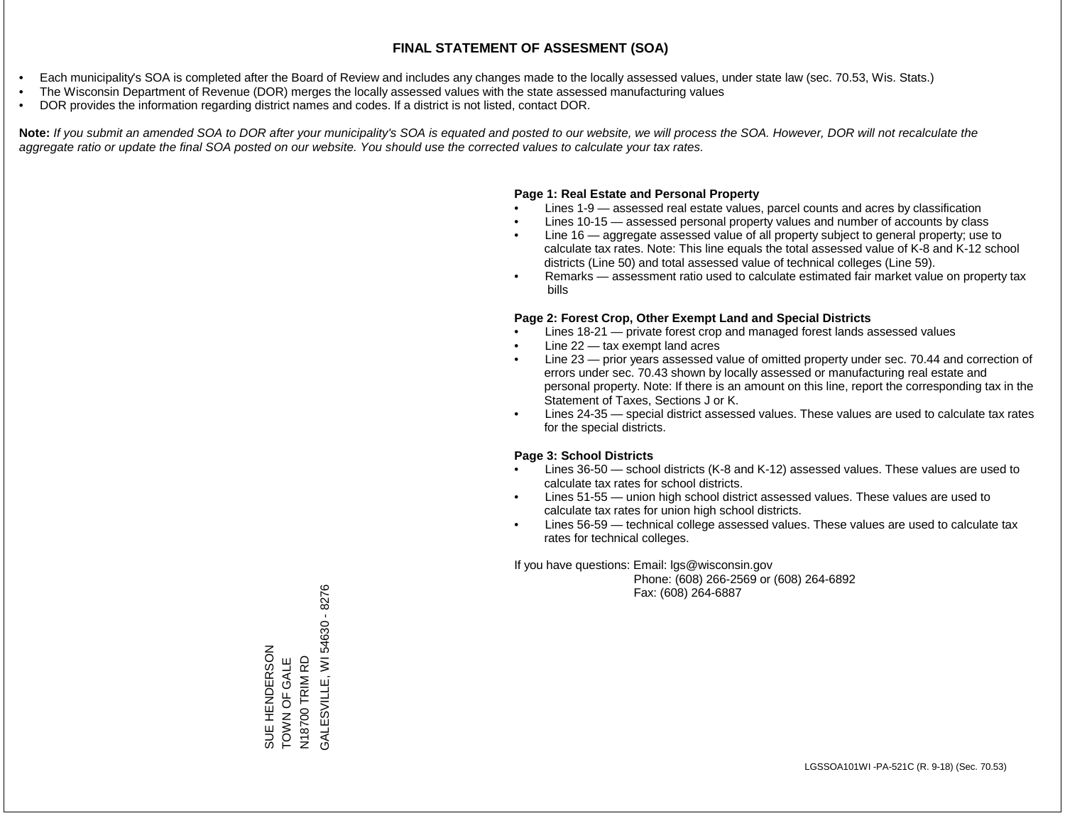- Each municipality's SOA is completed after the Board of Review and includes any changes made to the locally assessed values, under state law (sec. 70.53, Wis. Stats.)
- The Wisconsin Department of Revenue (DOR) merges the locally assessed values with the state assessed manufacturing values
- DOR provides the information regarding district names and codes. If a district is not listed, contact DOR.

Note: If you submit an amended SOA to DOR after your municipality's SOA is equated and posted to our website, we will process the SOA. However, DOR will not recalculate the *aggregate ratio or update the final SOA posted on our website. You should use the corrected values to calculate your tax rates.*

#### **Page 1: Real Estate and Personal Property**

- Lines 1-9 assessed real estate values, parcel counts and acres by classification
- Lines 10-15 assessed personal property values and number of accounts by class
- Line 16 aggregate assessed value of all property subject to general property; use to calculate tax rates. Note: This line equals the total assessed value of K-8 and K-12 school districts (Line 50) and total assessed value of technical colleges (Line 59).
- Remarks assessment ratio used to calculate estimated fair market value on property tax bills

#### **Page 2: Forest Crop, Other Exempt Land and Special Districts**

- Lines 18-21 private forest crop and managed forest lands assessed values
- Line  $22 -$  tax exempt land acres
- Line 23 prior years assessed value of omitted property under sec. 70.44 and correction of errors under sec. 70.43 shown by locally assessed or manufacturing real estate and personal property. Note: If there is an amount on this line, report the corresponding tax in the Statement of Taxes, Sections J or K.
- Lines 24-35 special district assessed values. These values are used to calculate tax rates for the special districts.

#### **Page 3: School Districts**

- Lines 36-50 school districts (K-8 and K-12) assessed values. These values are used to calculate tax rates for school districts.
- Lines 51-55 union high school district assessed values. These values are used to calculate tax rates for union high school districts.
- Lines 56-59 technical college assessed values. These values are used to calculate tax rates for technical colleges.

If you have questions: Email: lgs@wisconsin.gov

 Phone: (608) 266-2569 or (608) 264-6892 Fax: (608) 264-6887

GALESVILLE, WI 54630 - 8276 GALESVILLE, WI 54630 - 8276SUE HENDERSON<br>TOWN OF GALE<br>N18700 TRIM RD SUE HENDERSON TOWN OF GALE N18700 TRIM RD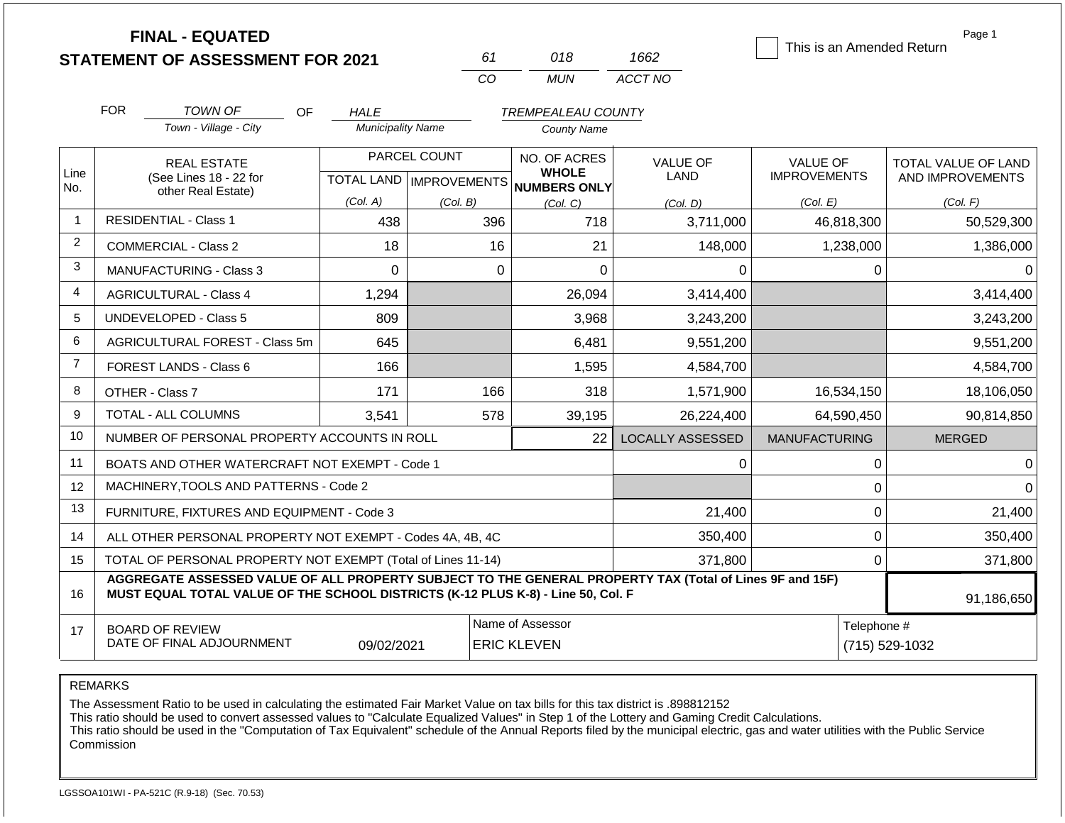**FINAL - EQUATED**

|          | າ1ຂ                  | S62                    |  |
|----------|----------------------|------------------------|--|
| $\cdots$ | <b>INI</b><br>11 A I | NO.<br>ACCT.<br>.<br>. |  |

This is an Amended Return

Page 1

|                |                                                                                                                                                                                                            |                                              |                                  | CO                           | <b>MUN</b>                | ACCT NO                 |                      |                     |  |
|----------------|------------------------------------------------------------------------------------------------------------------------------------------------------------------------------------------------------------|----------------------------------------------|----------------------------------|------------------------------|---------------------------|-------------------------|----------------------|---------------------|--|
|                | <b>FOR</b>                                                                                                                                                                                                 | <b>TOWN OF</b><br><b>OF</b>                  | <b>HALE</b>                      |                              | <b>TREMPEALEAU COUNTY</b> |                         |                      |                     |  |
|                |                                                                                                                                                                                                            | Town - Village - City                        | <b>Municipality Name</b>         |                              | <b>County Name</b>        |                         |                      |                     |  |
|                |                                                                                                                                                                                                            | <b>REAL ESTATE</b>                           |                                  | PARCEL COUNT                 | NO. OF ACRES              | <b>VALUE OF</b>         | VALUE OF             | TOTAL VALUE OF LAND |  |
| Line<br>No.    | (See Lines 18 - 22 for                                                                                                                                                                                     |                                              | <b>TOTAL LAND   IMPROVEMENTS</b> | <b>WHOLE</b><br>NUMBERS ONLY | <b>LAND</b>               | <b>IMPROVEMENTS</b>     | AND IMPROVEMENTS     |                     |  |
|                | other Real Estate)                                                                                                                                                                                         |                                              | (Col. A)                         | (Col. B)                     | (Col, C)                  | (Col. D)                | (Col. E)             | (Col. F)            |  |
| $\mathbf{1}$   |                                                                                                                                                                                                            | <b>RESIDENTIAL - Class 1</b>                 | 438                              | 396                          | 718                       | 3,711,000               | 46,818,300           | 50,529,300          |  |
| $\overline{2}$ |                                                                                                                                                                                                            | <b>COMMERCIAL - Class 2</b>                  | 18                               | 16                           | 21                        | 148,000                 | 1,238,000            | 1,386,000           |  |
| 3              |                                                                                                                                                                                                            | <b>MANUFACTURING - Class 3</b>               | 0                                | 0                            | $\Omega$                  | 0                       | 0                    |                     |  |
| 4              |                                                                                                                                                                                                            | <b>AGRICULTURAL - Class 4</b>                | 1,294                            |                              | 26,094                    | 3,414,400               |                      | 3,414,400           |  |
| 5              |                                                                                                                                                                                                            | <b>UNDEVELOPED - Class 5</b>                 | 809                              |                              | 3,968                     | 3,243,200               |                      | 3,243,200           |  |
| 6              | <b>AGRICULTURAL FOREST - Class 5m</b>                                                                                                                                                                      |                                              | 645                              |                              | 6,481                     | 9,551,200               |                      | 9,551,200           |  |
| $\overline{7}$ | FOREST LANDS - Class 6                                                                                                                                                                                     |                                              | 166                              |                              | 1,595                     | 4,584,700               |                      | 4,584,700           |  |
| 8              |                                                                                                                                                                                                            | OTHER - Class 7                              | 171                              | 166                          | 318                       | 1,571,900               | 16,534,150           | 18,106,050          |  |
| 9              | TOTAL - ALL COLUMNS                                                                                                                                                                                        |                                              | 3,541                            | 578                          | 39,195                    | 26,224,400              | 64,590,450           | 90,814,850          |  |
| 10             |                                                                                                                                                                                                            | NUMBER OF PERSONAL PROPERTY ACCOUNTS IN ROLL |                                  |                              | 22                        | <b>LOCALLY ASSESSED</b> | <b>MANUFACTURING</b> | <b>MERGED</b>       |  |
| 11             | BOATS AND OTHER WATERCRAFT NOT EXEMPT - Code 1<br>0<br>0                                                                                                                                                   |                                              |                                  |                              |                           |                         |                      |                     |  |
| 12             | MACHINERY, TOOLS AND PATTERNS - Code 2<br>0                                                                                                                                                                |                                              |                                  |                              |                           |                         |                      |                     |  |
| 13             | 0<br>FURNITURE, FIXTURES AND EQUIPMENT - Code 3<br>21,400<br>21,400                                                                                                                                        |                                              |                                  |                              |                           |                         |                      |                     |  |
| 14             | 0<br>350,400<br>350,400<br>ALL OTHER PERSONAL PROPERTY NOT EXEMPT - Codes 4A, 4B, 4C                                                                                                                       |                                              |                                  |                              |                           |                         |                      |                     |  |
| 15             | TOTAL OF PERSONAL PROPERTY NOT EXEMPT (Total of Lines 11-14)<br>371,800<br>0<br>371,800                                                                                                                    |                                              |                                  |                              |                           |                         |                      |                     |  |
| 16             | AGGREGATE ASSESSED VALUE OF ALL PROPERTY SUBJECT TO THE GENERAL PROPERTY TAX (Total of Lines 9F and 15F)<br>MUST EQUAL TOTAL VALUE OF THE SCHOOL DISTRICTS (K-12 PLUS K-8) - Line 50, Col. F<br>91,186,650 |                                              |                                  |                              |                           |                         |                      |                     |  |
| 17             |                                                                                                                                                                                                            | <b>BOARD OF REVIEW</b>                       |                                  |                              | Name of Assessor          |                         | Telephone #          |                     |  |
|                |                                                                                                                                                                                                            | DATE OF FINAL ADJOURNMENT                    | 09/02/2021                       |                              | <b>ERIC KLEVEN</b>        |                         |                      | (715) 529-1032      |  |

REMARKS

The Assessment Ratio to be used in calculating the estimated Fair Market Value on tax bills for this tax district is .898812152

This ratio should be used to convert assessed values to "Calculate Equalized Values" in Step 1 of the Lottery and Gaming Credit Calculations.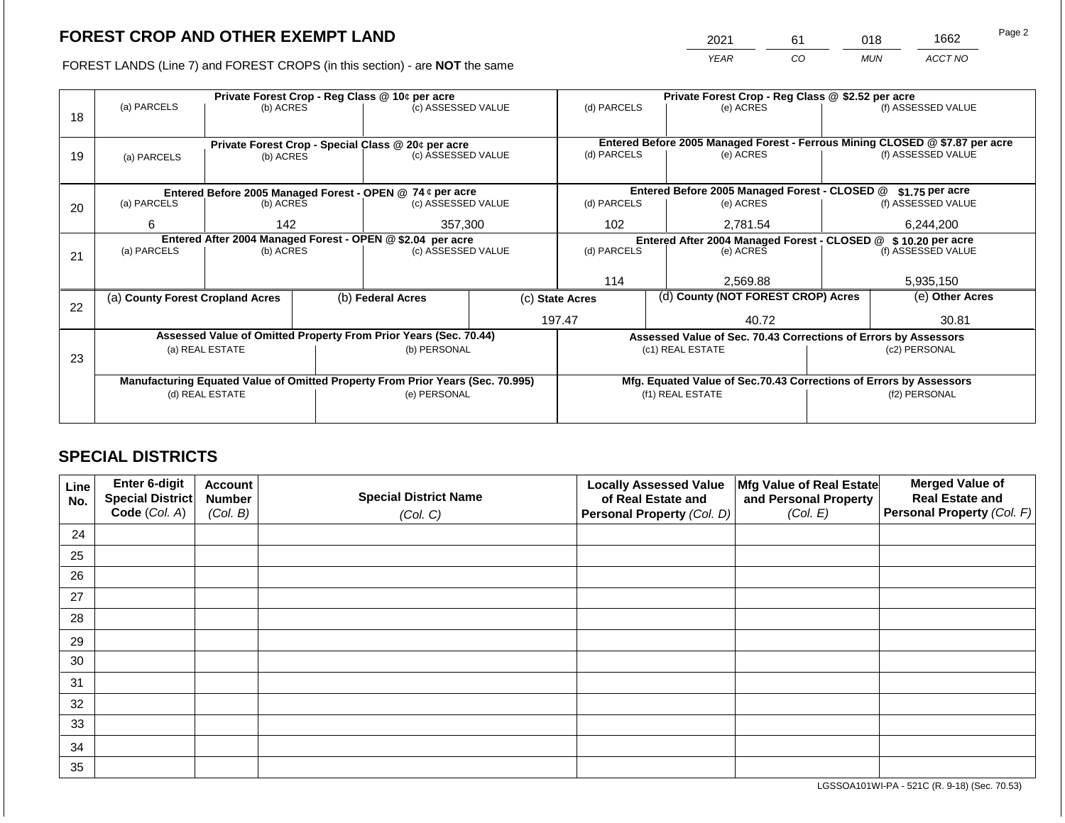2021 61 018 1662

FOREST LANDS (Line 7) and FOREST CROPS (in this section) - are **NOT** the same *YEAR CO MUN ACCT NO*

|    | Private Forest Crop - Reg Class @ 10¢ per acre                                 |           |                    |                                                                          |                    | Private Forest Crop - Reg Class @ \$2.52 per acre                                                        |                          |                                               |                    |                    |
|----|--------------------------------------------------------------------------------|-----------|--------------------|--------------------------------------------------------------------------|--------------------|----------------------------------------------------------------------------------------------------------|--------------------------|-----------------------------------------------|--------------------|--------------------|
|    | (a) PARCELS<br>(b) ACRES                                                       |           | (c) ASSESSED VALUE |                                                                          | (d) PARCELS        |                                                                                                          | (e) ACRES                | (f) ASSESSED VALUE                            |                    |                    |
| 18 |                                                                                |           |                    |                                                                          |                    |                                                                                                          |                          |                                               |                    |                    |
|    |                                                                                |           |                    |                                                                          |                    |                                                                                                          |                          |                                               |                    |                    |
|    |                                                                                |           |                    | Private Forest Crop - Special Class @ 20¢ per acre<br>(c) ASSESSED VALUE |                    | Entered Before 2005 Managed Forest - Ferrous Mining CLOSED @ \$7.87 per acre<br>(d) PARCELS<br>(e) ACRES |                          |                                               | (f) ASSESSED VALUE |                    |
| 19 | (a) PARCELS                                                                    | (b) ACRES |                    |                                                                          |                    |                                                                                                          |                          |                                               |                    |                    |
|    |                                                                                |           |                    |                                                                          |                    |                                                                                                          |                          |                                               |                    |                    |
|    |                                                                                |           |                    | Entered Before 2005 Managed Forest - OPEN @ 74 ¢ per acre                |                    |                                                                                                          |                          | Entered Before 2005 Managed Forest - CLOSED @ |                    | \$1.75 per acre    |
| 20 | (a) PARCELS                                                                    | (b) ACRES |                    | (c) ASSESSED VALUE                                                       |                    | (d) PARCELS                                                                                              |                          | (e) ACRES                                     |                    | (f) ASSESSED VALUE |
|    |                                                                                |           |                    |                                                                          |                    |                                                                                                          |                          |                                               |                    |                    |
|    | 6                                                                              | 142       |                    | 357,300                                                                  |                    | 102 <sub>2</sub><br>2.781.54                                                                             |                          | 6,244,200                                     |                    |                    |
|    | Entered After 2004 Managed Forest - OPEN @ \$2.04 per acre                     |           |                    |                                                                          |                    | Entered After 2004 Managed Forest - CLOSED @ \$10.20 per acre                                            |                          |                                               |                    |                    |
| 21 | (a) PARCELS                                                                    | (b) ACRES |                    |                                                                          | (c) ASSESSED VALUE |                                                                                                          | (d) PARCELS<br>(e) ACRES |                                               | (f) ASSESSED VALUE |                    |
|    |                                                                                |           |                    |                                                                          |                    |                                                                                                          |                          |                                               |                    |                    |
|    |                                                                                |           |                    |                                                                          |                    | 114                                                                                                      |                          | 2,569.88                                      |                    | 5,935,150          |
|    | (a) County Forest Cropland Acres                                               |           |                    | (b) Federal Acres                                                        |                    | (c) State Acres                                                                                          |                          | (d) County (NOT FOREST CROP) Acres            |                    | (e) Other Acres    |
| 22 |                                                                                |           |                    |                                                                          |                    |                                                                                                          |                          |                                               |                    |                    |
|    |                                                                                |           |                    |                                                                          |                    | 197.47                                                                                                   |                          | 40.72                                         | 30.81              |                    |
|    | Assessed Value of Omitted Property From Prior Years (Sec. 70.44)               |           |                    |                                                                          |                    | Assessed Value of Sec. 70.43 Corrections of Errors by Assessors                                          |                          |                                               |                    |                    |
|    | (a) REAL ESTATE                                                                |           |                    | (b) PERSONAL                                                             |                    | (c1) REAL ESTATE                                                                                         |                          |                                               | (c2) PERSONAL      |                    |
| 23 |                                                                                |           |                    |                                                                          |                    |                                                                                                          |                          |                                               |                    |                    |
|    | Manufacturing Equated Value of Omitted Property From Prior Years (Sec. 70.995) |           |                    |                                                                          |                    | Mfg. Equated Value of Sec.70.43 Corrections of Errors by Assessors                                       |                          |                                               |                    |                    |
|    | (d) REAL ESTATE                                                                |           |                    | (e) PERSONAL                                                             |                    | (f1) REAL ESTATE                                                                                         |                          | (f2) PERSONAL                                 |                    |                    |
|    |                                                                                |           |                    |                                                                          |                    |                                                                                                          |                          |                                               |                    |                    |
|    |                                                                                |           |                    |                                                                          |                    |                                                                                                          |                          |                                               |                    |                    |

## **SPECIAL DISTRICTS**

| Line<br>No. | Enter 6-digit<br>Special District | <b>Account</b><br><b>Number</b> | <b>Special District Name</b> | <b>Locally Assessed Value</b><br>of Real Estate and | Mfg Value of Real Estate<br>and Personal Property | <b>Merged Value of</b><br><b>Real Estate and</b> |
|-------------|-----------------------------------|---------------------------------|------------------------------|-----------------------------------------------------|---------------------------------------------------|--------------------------------------------------|
|             | Code (Col. A)                     | (Col. B)                        | (Col. C)                     | Personal Property (Col. D)                          | (Col. E)                                          | Personal Property (Col. F)                       |
| 24          |                                   |                                 |                              |                                                     |                                                   |                                                  |
| 25          |                                   |                                 |                              |                                                     |                                                   |                                                  |
| 26          |                                   |                                 |                              |                                                     |                                                   |                                                  |
| 27          |                                   |                                 |                              |                                                     |                                                   |                                                  |
| 28          |                                   |                                 |                              |                                                     |                                                   |                                                  |
| 29          |                                   |                                 |                              |                                                     |                                                   |                                                  |
| 30          |                                   |                                 |                              |                                                     |                                                   |                                                  |
| 31          |                                   |                                 |                              |                                                     |                                                   |                                                  |
| 32          |                                   |                                 |                              |                                                     |                                                   |                                                  |
| 33          |                                   |                                 |                              |                                                     |                                                   |                                                  |
| 34          |                                   |                                 |                              |                                                     |                                                   |                                                  |
| 35          |                                   |                                 |                              |                                                     |                                                   |                                                  |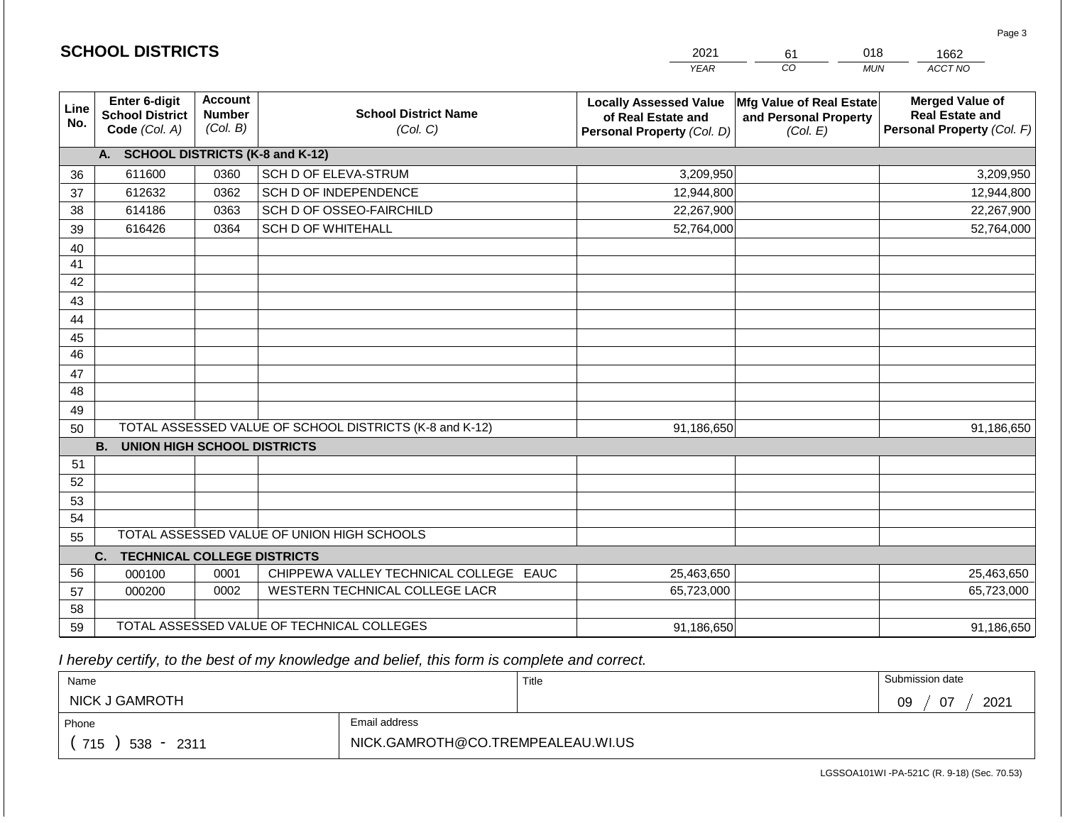|             | <b>SCHOOL DISTRICTS</b>                                  |                                             |                                                         | 2021                                                                              | 61                                                            | 018<br>1662                                                                    |
|-------------|----------------------------------------------------------|---------------------------------------------|---------------------------------------------------------|-----------------------------------------------------------------------------------|---------------------------------------------------------------|--------------------------------------------------------------------------------|
|             |                                                          |                                             |                                                         | <b>YEAR</b>                                                                       | CO                                                            | ACCT NO<br><b>MUN</b>                                                          |
| Line<br>No. | Enter 6-digit<br><b>School District</b><br>Code (Col. A) | <b>Account</b><br><b>Number</b><br>(Col. B) | <b>School District Name</b><br>(Col. C)                 | <b>Locally Assessed Value</b><br>of Real Estate and<br>Personal Property (Col. D) | Mfg Value of Real Estate<br>and Personal Property<br>(Col. E) | <b>Merged Value of</b><br><b>Real Estate and</b><br>Personal Property (Col. F) |
|             | A. SCHOOL DISTRICTS (K-8 and K-12)                       |                                             |                                                         |                                                                                   |                                                               |                                                                                |
| 36          | 611600                                                   | 0360                                        | SCH D OF ELEVA-STRUM                                    | 3,209,950                                                                         |                                                               | 3,209,950                                                                      |
| 37          | 612632                                                   | 0362                                        | SCH D OF INDEPENDENCE                                   | 12,944,800                                                                        |                                                               | 12,944,800                                                                     |
| 38          | 614186                                                   | 0363                                        | SCH D OF OSSEO-FAIRCHILD                                | 22,267,900                                                                        |                                                               | 22,267,900                                                                     |
| 39          | 616426                                                   | 0364                                        | <b>SCH D OF WHITEHALL</b>                               | 52,764,000                                                                        |                                                               | 52,764,000                                                                     |
| 40          |                                                          |                                             |                                                         |                                                                                   |                                                               |                                                                                |
| 41          |                                                          |                                             |                                                         |                                                                                   |                                                               |                                                                                |
| 42          |                                                          |                                             |                                                         |                                                                                   |                                                               |                                                                                |
| 43          |                                                          |                                             |                                                         |                                                                                   |                                                               |                                                                                |
| 44          |                                                          |                                             |                                                         |                                                                                   |                                                               |                                                                                |
| 45          |                                                          |                                             |                                                         |                                                                                   |                                                               |                                                                                |
| 46          |                                                          |                                             |                                                         |                                                                                   |                                                               |                                                                                |
| 47          |                                                          |                                             |                                                         |                                                                                   |                                                               |                                                                                |
| 48          |                                                          |                                             |                                                         |                                                                                   |                                                               |                                                                                |
| 49<br>50    |                                                          |                                             | TOTAL ASSESSED VALUE OF SCHOOL DISTRICTS (K-8 and K-12) | 91,186,650                                                                        |                                                               | 91,186,650                                                                     |
|             | <b>B.</b><br><b>UNION HIGH SCHOOL DISTRICTS</b>          |                                             |                                                         |                                                                                   |                                                               |                                                                                |
| 51          |                                                          |                                             |                                                         |                                                                                   |                                                               |                                                                                |
| 52          |                                                          |                                             |                                                         |                                                                                   |                                                               |                                                                                |
| 53          |                                                          |                                             |                                                         |                                                                                   |                                                               |                                                                                |
| 54          |                                                          |                                             |                                                         |                                                                                   |                                                               |                                                                                |
| 55          |                                                          |                                             | TOTAL ASSESSED VALUE OF UNION HIGH SCHOOLS              |                                                                                   |                                                               |                                                                                |
|             | <b>TECHNICAL COLLEGE DISTRICTS</b><br>C.                 |                                             |                                                         |                                                                                   |                                                               |                                                                                |
| 56          | 000100                                                   | 0001                                        | CHIPPEWA VALLEY TECHNICAL COLLEGE EAUC                  | 25,463,650                                                                        |                                                               | 25,463,650                                                                     |
| 57          | 000200                                                   | 0002                                        | WESTERN TECHNICAL COLLEGE LACR                          | 65,723,000                                                                        |                                                               | 65,723,000                                                                     |
| 58          |                                                          |                                             |                                                         |                                                                                   |                                                               |                                                                                |
| 59          |                                                          |                                             | TOTAL ASSESSED VALUE OF TECHNICAL COLLEGES              | 91,186,650                                                                        |                                                               | 91,186,650                                                                     |

**SCHOOL DISTRICTS**

| Name                   |                                   | Title | Submission date  |  |
|------------------------|-----------------------------------|-------|------------------|--|
| NICK J GAMROTH         |                                   |       | 2021<br>07<br>09 |  |
| Phone                  | Email address                     |       |                  |  |
| 715<br>$538 -$<br>2311 | NICK.GAMROTH@CO.TREMPEALEAU.WI.US |       |                  |  |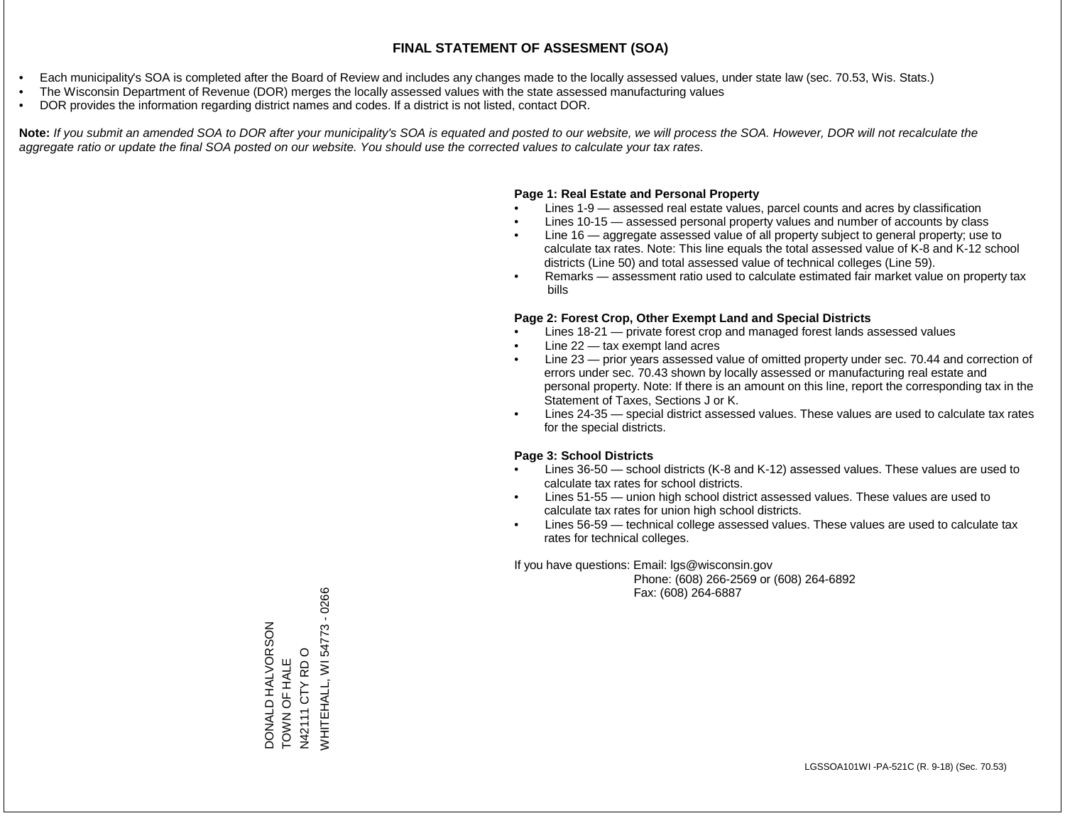- Each municipality's SOA is completed after the Board of Review and includes any changes made to the locally assessed values, under state law (sec. 70.53, Wis. Stats.)
- The Wisconsin Department of Revenue (DOR) merges the locally assessed values with the state assessed manufacturing values
- DOR provides the information regarding district names and codes. If a district is not listed, contact DOR.

Note: If you submit an amended SOA to DOR after your municipality's SOA is equated and posted to our website, we will process the SOA. However, DOR will not recalculate the *aggregate ratio or update the final SOA posted on our website. You should use the corrected values to calculate your tax rates.*

#### **Page 1: Real Estate and Personal Property**

- Lines 1-9 assessed real estate values, parcel counts and acres by classification
- Lines 10-15 assessed personal property values and number of accounts by class
- Line 16 aggregate assessed value of all property subject to general property; use to calculate tax rates. Note: This line equals the total assessed value of K-8 and K-12 school districts (Line 50) and total assessed value of technical colleges (Line 59).
- Remarks assessment ratio used to calculate estimated fair market value on property tax bills

#### **Page 2: Forest Crop, Other Exempt Land and Special Districts**

- Lines 18-21 private forest crop and managed forest lands assessed values
- Line  $22 -$  tax exempt land acres
- Line 23 prior years assessed value of omitted property under sec. 70.44 and correction of errors under sec. 70.43 shown by locally assessed or manufacturing real estate and personal property. Note: If there is an amount on this line, report the corresponding tax in the Statement of Taxes, Sections J or K.
- Lines 24-35 special district assessed values. These values are used to calculate tax rates for the special districts.

### **Page 3: School Districts**

- Lines 36-50 school districts (K-8 and K-12) assessed values. These values are used to calculate tax rates for school districts.
- Lines 51-55 union high school district assessed values. These values are used to calculate tax rates for union high school districts.
- Lines 56-59 technical college assessed values. These values are used to calculate tax rates for technical colleges.

If you have questions: Email: lgs@wisconsin.gov

 Phone: (608) 266-2569 or (608) 264-6892 Fax: (608) 264-6887

/VHITEHALL, WI 54773 - 0266 WHITEHALL, WI 54773 - 0266DONALD HALVORSON<br>TOWN OF HALE DONALD HALVORSON  $\circ$ N42111 CTY RD O TOWN OF HALE N42111 CTY RD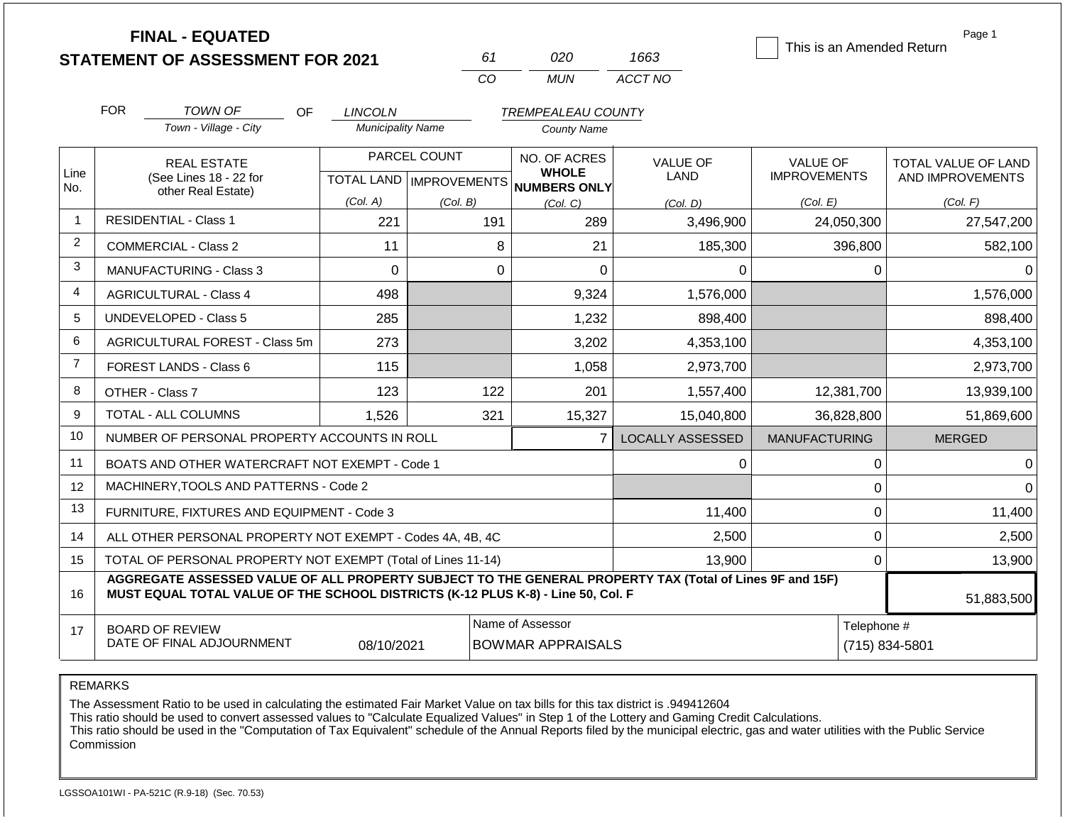|                |                               | <b>FINAL - EQUATED</b>                                                                                                                                                                       |                          |                           |                              |                         |                           | Page 1              |
|----------------|-------------------------------|----------------------------------------------------------------------------------------------------------------------------------------------------------------------------------------------|--------------------------|---------------------------|------------------------------|-------------------------|---------------------------|---------------------|
|                |                               | <b>STATEMENT OF ASSESSMENT FOR 2021</b>                                                                                                                                                      |                          | 61                        | 020                          | 1663                    | This is an Amended Return |                     |
|                |                               |                                                                                                                                                                                              |                          | CO                        | <b>MUN</b>                   | ACCT NO                 |                           |                     |
|                | <b>FOR</b>                    | TOWN OF<br>OF                                                                                                                                                                                | <b>LINCOLN</b>           |                           | <b>TREMPEALEAU COUNTY</b>    |                         |                           |                     |
|                |                               | Town - Village - City                                                                                                                                                                        | <b>Municipality Name</b> |                           | <b>County Name</b>           |                         |                           |                     |
|                |                               | <b>REAL ESTATE</b>                                                                                                                                                                           |                          | PARCEL COUNT              | NO. OF ACRES                 | <b>VALUE OF</b>         | <b>VALUE OF</b>           | TOTAL VALUE OF LAND |
| Line<br>No.    |                               | (See Lines 18 - 22 for<br>other Real Estate)                                                                                                                                                 |                          | TOTAL LAND   IMPROVEMENTS | <b>WHOLE</b><br>NUMBERS ONLY | <b>LAND</b>             | <b>IMPROVEMENTS</b>       | AND IMPROVEMENTS    |
|                |                               |                                                                                                                                                                                              | (Col. A)                 | (Col. B)                  | (Col, C)                     | (Col. D)                | (Col. E)                  | (Col. F)            |
| $\overline{1}$ |                               | <b>RESIDENTIAL - Class 1</b><br>221<br>191<br>289<br>3,496,900                                                                                                                               |                          | 24,050,300                | 27,547,200                   |                         |                           |                     |
| 2              | COMMERCIAL - Class 2          |                                                                                                                                                                                              | 11                       | 8                         | 21                           | 185,300                 | 396,800                   | 582,100             |
| 3              | MANUFACTURING - Class 3       |                                                                                                                                                                                              | $\Omega$                 | $\mathbf 0$               | $\overline{0}$               | 0                       | 0                         | 0                   |
| 4              | <b>AGRICULTURAL - Class 4</b> |                                                                                                                                                                                              | 498                      |                           | 9,324                        | 1,576,000               |                           | 1,576,000           |
| 5              |                               | <b>UNDEVELOPED - Class 5</b>                                                                                                                                                                 | 285<br>1,232             |                           | 898,400                      |                         | 898,400                   |                     |
| 6              |                               | <b>AGRICULTURAL FOREST - Class 5m</b>                                                                                                                                                        | 273                      |                           | 3,202                        | 4,353,100               |                           | 4,353,100           |
| $\overline{7}$ |                               | <b>FOREST LANDS - Class 6</b>                                                                                                                                                                | 115                      |                           | 1,058                        | 2,973,700               |                           | 2,973,700           |
| 8              |                               | OTHER - Class 7                                                                                                                                                                              | 123                      | 122                       | 201                          | 1,557,400               | 12,381,700                | 13,939,100          |
| 9              |                               | TOTAL - ALL COLUMNS                                                                                                                                                                          | 1,526                    | 321                       | 15,327                       | 15,040,800              | 36,828,800                | 51,869,600          |
| 10             |                               | NUMBER OF PERSONAL PROPERTY ACCOUNTS IN ROLL                                                                                                                                                 |                          |                           | $\overline{7}$               | <b>LOCALLY ASSESSED</b> | <b>MANUFACTURING</b>      | <b>MERGED</b>       |
| 11             |                               | BOATS AND OTHER WATERCRAFT NOT EXEMPT - Code 1                                                                                                                                               |                          |                           |                              | 0                       | 0                         | $\Omega$            |
| 12             |                               | MACHINERY, TOOLS AND PATTERNS - Code 2                                                                                                                                                       |                          |                           |                              |                         | 0                         | $\Omega$            |
| 13             |                               | FURNITURE, FIXTURES AND EQUIPMENT - Code 3                                                                                                                                                   |                          |                           |                              | 11,400                  | $\mathbf 0$               | 11,400              |
| 14             |                               | ALL OTHER PERSONAL PROPERTY NOT EXEMPT - Codes 4A, 4B, 4C                                                                                                                                    |                          |                           |                              | 2,500                   | 0                         | 2,500               |
| 15             |                               | TOTAL OF PERSONAL PROPERTY NOT EXEMPT (Total of Lines 11-14)                                                                                                                                 |                          |                           | 13,900                       | 0                       | 13,900                    |                     |
| 16             |                               | AGGREGATE ASSESSED VALUE OF ALL PROPERTY SUBJECT TO THE GENERAL PROPERTY TAX (Total of Lines 9F and 15F)<br>MUST EQUAL TOTAL VALUE OF THE SCHOOL DISTRICTS (K-12 PLUS K-8) - Line 50, Col. F |                          |                           |                              |                         |                           | 51,883,500          |
| 17             |                               | <b>BOARD OF REVIEW</b>                                                                                                                                                                       |                          |                           | Name of Assessor             |                         | Telephone #               |                     |
|                |                               | DATE OF FINAL ADJOURNMENT                                                                                                                                                                    | 08/10/2021               |                           | <b>BOWMAR APPRAISALS</b>     |                         | (715) 834-5801            |                     |

REMARKS

The Assessment Ratio to be used in calculating the estimated Fair Market Value on tax bills for this tax district is .949412604

This ratio should be used to convert assessed values to "Calculate Equalized Values" in Step 1 of the Lottery and Gaming Credit Calculations.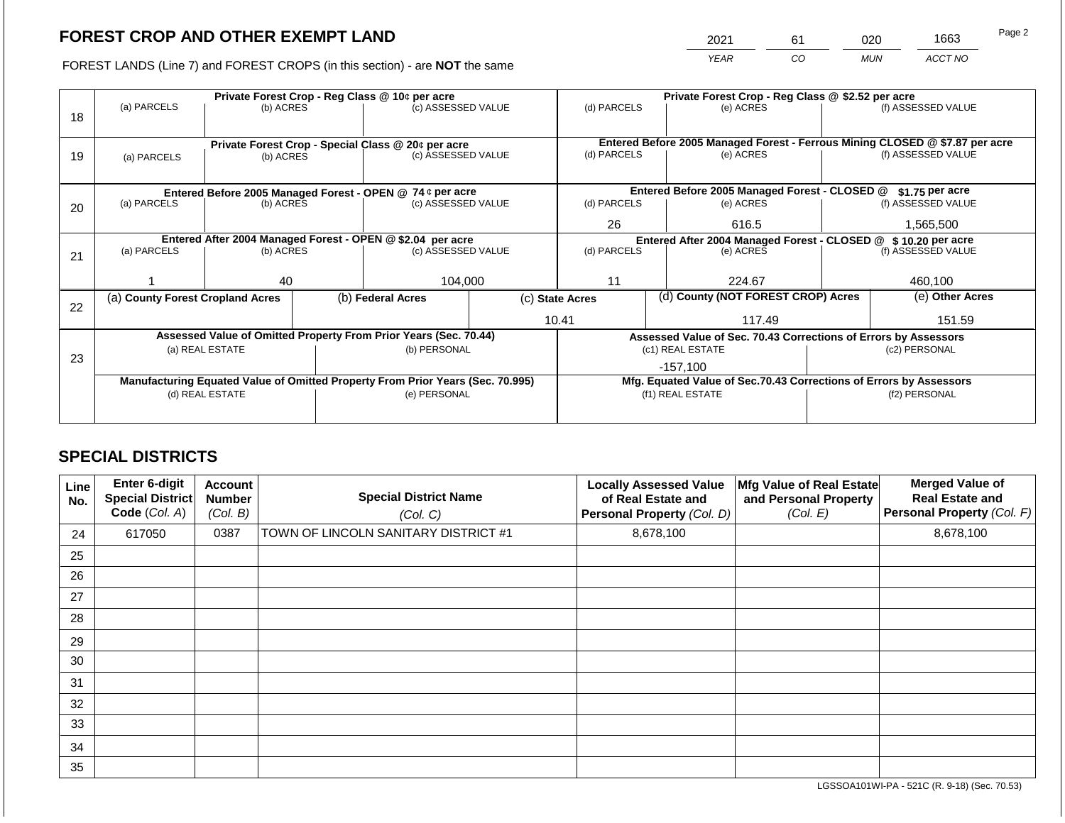2021 61 020 1663

FOREST LANDS (Line 7) and FOREST CROPS (in this section) - are **NOT** the same *YEAR CO MUN ACCT NO*

|    | Private Forest Crop - Reg Class @ 10¢ per acre             |                 |             |                                                                                |                                                               | Private Forest Crop - Reg Class @ \$2.52 per acre     |  |                                                                                           |                 |                    |
|----|------------------------------------------------------------|-----------------|-------------|--------------------------------------------------------------------------------|---------------------------------------------------------------|-------------------------------------------------------|--|-------------------------------------------------------------------------------------------|-----------------|--------------------|
|    | (a) PARCELS                                                | (b) ACRES       |             | (c) ASSESSED VALUE                                                             |                                                               | (d) PARCELS                                           |  | (e) ACRES                                                                                 |                 | (f) ASSESSED VALUE |
| 18 |                                                            |                 |             |                                                                                |                                                               |                                                       |  |                                                                                           |                 |                    |
|    |                                                            |                 |             |                                                                                |                                                               |                                                       |  |                                                                                           |                 |                    |
|    |                                                            |                 |             | Private Forest Crop - Special Class @ 20¢ per acre                             |                                                               | (d) PARCELS                                           |  | Entered Before 2005 Managed Forest - Ferrous Mining CLOSED @ \$7.87 per acre<br>(e) ACRES |                 | (f) ASSESSED VALUE |
| 19 | (a) PARCELS                                                | (b) ACRES       |             | (c) ASSESSED VALUE                                                             |                                                               |                                                       |  |                                                                                           |                 |                    |
|    |                                                            |                 |             |                                                                                |                                                               |                                                       |  |                                                                                           |                 |                    |
|    |                                                            |                 |             | Entered Before 2005 Managed Forest - OPEN @ 74 ¢ per acre                      |                                                               | Entered Before 2005 Managed Forest - CLOSED @         |  |                                                                                           |                 | \$1.75 per acre    |
| 20 | (a) PARCELS                                                | (b) ACRES       |             | (c) ASSESSED VALUE                                                             |                                                               | (d) PARCELS                                           |  | (e) ACRES                                                                                 |                 | (f) ASSESSED VALUE |
|    |                                                            |                 |             |                                                                                |                                                               |                                                       |  |                                                                                           |                 |                    |
|    |                                                            |                 | 26<br>616.5 |                                                                                | 1,565,500                                                     |                                                       |  |                                                                                           |                 |                    |
|    | Entered After 2004 Managed Forest - OPEN @ \$2.04 per acre |                 |             |                                                                                | Entered After 2004 Managed Forest - CLOSED @ \$10.20 per acre |                                                       |  |                                                                                           |                 |                    |
| 21 | (a) PARCELS                                                | (b) ACRES       |             | (c) ASSESSED VALUE                                                             |                                                               | (d) PARCELS                                           |  | (e) ACRES                                                                                 |                 | (f) ASSESSED VALUE |
|    |                                                            |                 |             |                                                                                |                                                               |                                                       |  |                                                                                           |                 |                    |
|    |                                                            | 40              |             | 104,000                                                                        |                                                               | 11                                                    |  | 224.67                                                                                    |                 | 460,100            |
|    | (a) County Forest Cropland Acres                           |                 |             | (b) Federal Acres                                                              |                                                               | (d) County (NOT FOREST CROP) Acres<br>(c) State Acres |  |                                                                                           | (e) Other Acres |                    |
| 22 |                                                            |                 |             |                                                                                |                                                               |                                                       |  |                                                                                           |                 |                    |
|    |                                                            |                 |             |                                                                                |                                                               | 10.41                                                 |  | 117.49                                                                                    |                 | 151.59             |
|    |                                                            |                 |             | Assessed Value of Omitted Property From Prior Years (Sec. 70.44)               |                                                               |                                                       |  | Assessed Value of Sec. 70.43 Corrections of Errors by Assessors                           |                 |                    |
|    |                                                            | (a) REAL ESTATE |             | (b) PERSONAL                                                                   |                                                               |                                                       |  | (c1) REAL ESTATE                                                                          |                 | (c2) PERSONAL      |
| 23 |                                                            |                 |             |                                                                                |                                                               |                                                       |  | -157.100                                                                                  |                 |                    |
|    |                                                            |                 |             | Manufacturing Equated Value of Omitted Property From Prior Years (Sec. 70.995) |                                                               |                                                       |  | Mfg. Equated Value of Sec.70.43 Corrections of Errors by Assessors                        |                 |                    |
|    |                                                            | (d) REAL ESTATE |             | (e) PERSONAL                                                                   |                                                               |                                                       |  | (f1) REAL ESTATE                                                                          | (f2) PERSONAL   |                    |
|    |                                                            |                 |             |                                                                                |                                                               |                                                       |  |                                                                                           |                 |                    |
|    |                                                            |                 |             |                                                                                |                                                               |                                                       |  |                                                                                           |                 |                    |

# **SPECIAL DISTRICTS**

| Line<br>No. | <b>Enter 6-digit</b><br>Special District<br>Code (Col. A) | <b>Account</b><br><b>Number</b><br>(Col. B) | <b>Special District Name</b><br>(Col. C) | <b>Locally Assessed Value</b><br>of Real Estate and<br>Personal Property (Col. D) | Mfg Value of Real Estate<br>and Personal Property<br>(Col. E) | <b>Merged Value of</b><br><b>Real Estate and</b><br>Personal Property (Col. F) |
|-------------|-----------------------------------------------------------|---------------------------------------------|------------------------------------------|-----------------------------------------------------------------------------------|---------------------------------------------------------------|--------------------------------------------------------------------------------|
| 24          | 617050                                                    | 0387                                        | TOWN OF LINCOLN SANITARY DISTRICT #1     | 8,678,100                                                                         |                                                               | 8,678,100                                                                      |
| 25          |                                                           |                                             |                                          |                                                                                   |                                                               |                                                                                |
| 26          |                                                           |                                             |                                          |                                                                                   |                                                               |                                                                                |
| 27          |                                                           |                                             |                                          |                                                                                   |                                                               |                                                                                |
| 28          |                                                           |                                             |                                          |                                                                                   |                                                               |                                                                                |
| 29          |                                                           |                                             |                                          |                                                                                   |                                                               |                                                                                |
| 30          |                                                           |                                             |                                          |                                                                                   |                                                               |                                                                                |
| 31          |                                                           |                                             |                                          |                                                                                   |                                                               |                                                                                |
| 32          |                                                           |                                             |                                          |                                                                                   |                                                               |                                                                                |
| 33          |                                                           |                                             |                                          |                                                                                   |                                                               |                                                                                |
| 34          |                                                           |                                             |                                          |                                                                                   |                                                               |                                                                                |
| 35          |                                                           |                                             |                                          |                                                                                   |                                                               |                                                                                |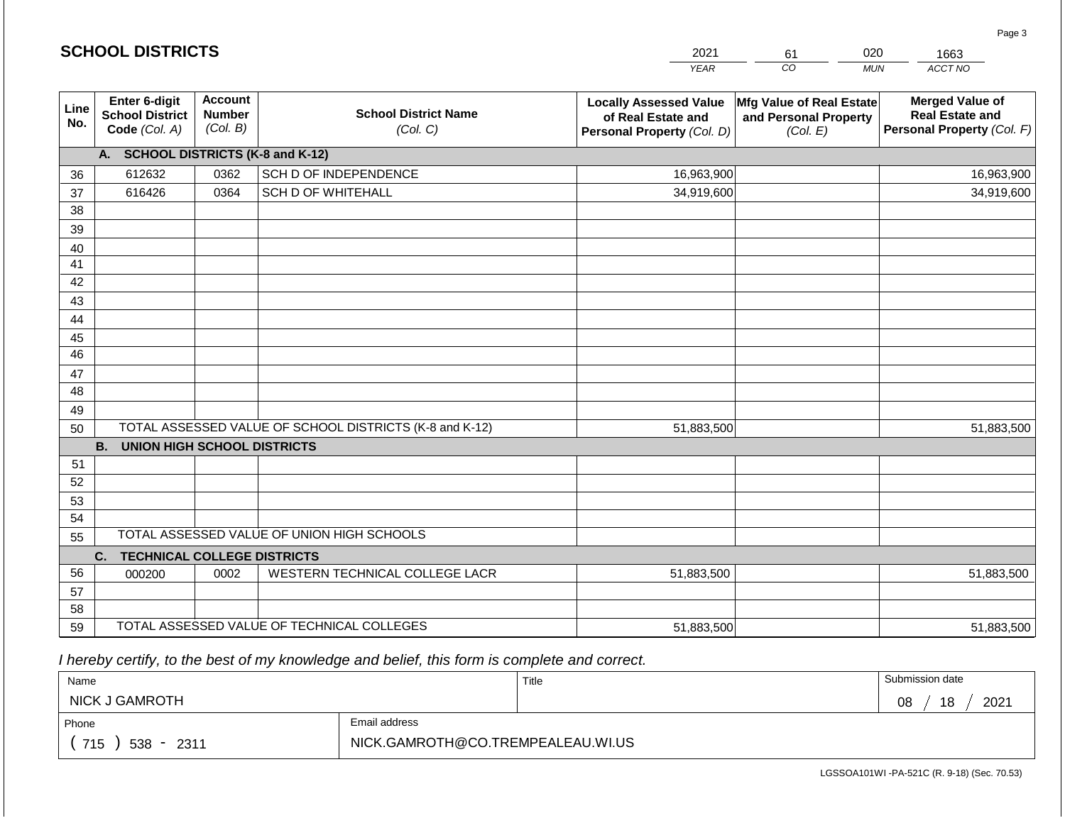|             | <b>SCHOOL DISTRICTS</b>                                  |                                             |                                                         | 2021                                                                              | 61                                                            | 020<br>1663                                                                    |
|-------------|----------------------------------------------------------|---------------------------------------------|---------------------------------------------------------|-----------------------------------------------------------------------------------|---------------------------------------------------------------|--------------------------------------------------------------------------------|
|             |                                                          |                                             |                                                         | <b>YEAR</b>                                                                       | CO                                                            | ACCT NO<br><b>MUN</b>                                                          |
| Line<br>No. | Enter 6-digit<br><b>School District</b><br>Code (Col. A) | <b>Account</b><br><b>Number</b><br>(Col. B) | <b>School District Name</b><br>(Col. C)                 | <b>Locally Assessed Value</b><br>of Real Estate and<br>Personal Property (Col. D) | Mfg Value of Real Estate<br>and Personal Property<br>(Col. E) | <b>Merged Value of</b><br><b>Real Estate and</b><br>Personal Property (Col. F) |
|             | A. SCHOOL DISTRICTS (K-8 and K-12)                       |                                             |                                                         |                                                                                   |                                                               |                                                                                |
| 36          | 612632                                                   | 0362                                        | SCH D OF INDEPENDENCE                                   | 16,963,900                                                                        |                                                               | 16,963,900                                                                     |
| 37          | 616426                                                   | 0364                                        | <b>SCH D OF WHITEHALL</b>                               | 34,919,600                                                                        |                                                               | 34,919,600                                                                     |
| 38          |                                                          |                                             |                                                         |                                                                                   |                                                               |                                                                                |
| 39          |                                                          |                                             |                                                         |                                                                                   |                                                               |                                                                                |
| 40          |                                                          |                                             |                                                         |                                                                                   |                                                               |                                                                                |
| 41          |                                                          |                                             |                                                         |                                                                                   |                                                               |                                                                                |
| 42          |                                                          |                                             |                                                         |                                                                                   |                                                               |                                                                                |
| 43          |                                                          |                                             |                                                         |                                                                                   |                                                               |                                                                                |
| 44<br>45    |                                                          |                                             |                                                         |                                                                                   |                                                               |                                                                                |
| 46          |                                                          |                                             |                                                         |                                                                                   |                                                               |                                                                                |
| 47          |                                                          |                                             |                                                         |                                                                                   |                                                               |                                                                                |
| 48          |                                                          |                                             |                                                         |                                                                                   |                                                               |                                                                                |
| 49          |                                                          |                                             |                                                         |                                                                                   |                                                               |                                                                                |
| 50          |                                                          |                                             | TOTAL ASSESSED VALUE OF SCHOOL DISTRICTS (K-8 and K-12) | 51,883,500                                                                        |                                                               | 51,883,500                                                                     |
|             | <b>B.</b><br><b>UNION HIGH SCHOOL DISTRICTS</b>          |                                             |                                                         |                                                                                   |                                                               |                                                                                |
| 51          |                                                          |                                             |                                                         |                                                                                   |                                                               |                                                                                |
| 52          |                                                          |                                             |                                                         |                                                                                   |                                                               |                                                                                |
| 53          |                                                          |                                             |                                                         |                                                                                   |                                                               |                                                                                |
| 54          |                                                          |                                             |                                                         |                                                                                   |                                                               |                                                                                |
| 55          |                                                          |                                             | TOTAL ASSESSED VALUE OF UNION HIGH SCHOOLS              |                                                                                   |                                                               |                                                                                |
|             | C.<br><b>TECHNICAL COLLEGE DISTRICTS</b>                 |                                             |                                                         |                                                                                   |                                                               |                                                                                |
| 56          | 000200                                                   | 0002                                        | WESTERN TECHNICAL COLLEGE LACR                          | 51,883,500                                                                        |                                                               | 51,883,500                                                                     |
| 57          |                                                          |                                             |                                                         |                                                                                   |                                                               |                                                                                |
| 58<br>59    |                                                          |                                             | TOTAL ASSESSED VALUE OF TECHNICAL COLLEGES              |                                                                                   |                                                               |                                                                                |
|             |                                                          |                                             |                                                         | 51,883,500                                                                        |                                                               | 51,883,500                                                                     |

| Name                    |                                   | Title | Submission date  |
|-------------------------|-----------------------------------|-------|------------------|
| NICK J GAMROTH          |                                   |       | 2021<br>18<br>08 |
| Phone                   | Email address                     |       |                  |
| 715<br>$538 -$<br>-2311 | NICK.GAMROTH@CO.TREMPEALEAU.WI.US |       |                  |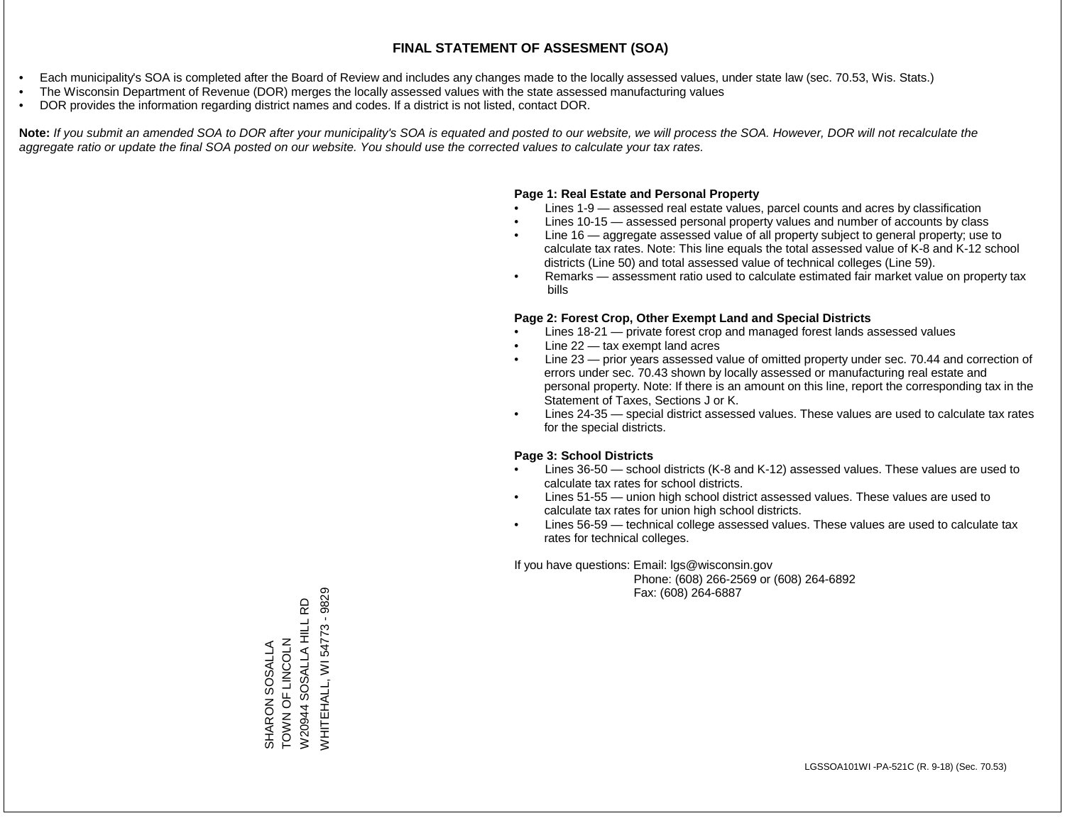- Each municipality's SOA is completed after the Board of Review and includes any changes made to the locally assessed values, under state law (sec. 70.53, Wis. Stats.)
- The Wisconsin Department of Revenue (DOR) merges the locally assessed values with the state assessed manufacturing values
- DOR provides the information regarding district names and codes. If a district is not listed, contact DOR.

Note: If you submit an amended SOA to DOR after your municipality's SOA is equated and posted to our website, we will process the SOA. However, DOR will not recalculate the *aggregate ratio or update the final SOA posted on our website. You should use the corrected values to calculate your tax rates.*

### **Page 1: Real Estate and Personal Property**

- Lines 1-9 assessed real estate values, parcel counts and acres by classification
- Lines 10-15 assessed personal property values and number of accounts by class
- Line 16 aggregate assessed value of all property subject to general property; use to calculate tax rates. Note: This line equals the total assessed value of K-8 and K-12 school districts (Line 50) and total assessed value of technical colleges (Line 59).
- Remarks assessment ratio used to calculate estimated fair market value on property tax bills

#### **Page 2: Forest Crop, Other Exempt Land and Special Districts**

- Lines 18-21 private forest crop and managed forest lands assessed values
- Line  $22 -$  tax exempt land acres
- Line 23 prior years assessed value of omitted property under sec. 70.44 and correction of errors under sec. 70.43 shown by locally assessed or manufacturing real estate and personal property. Note: If there is an amount on this line, report the corresponding tax in the Statement of Taxes, Sections J or K.
- Lines 24-35 special district assessed values. These values are used to calculate tax rates for the special districts.

#### **Page 3: School Districts**

- Lines 36-50 school districts (K-8 and K-12) assessed values. These values are used to calculate tax rates for school districts.
- Lines 51-55 union high school district assessed values. These values are used to calculate tax rates for union high school districts.
- Lines 56-59 technical college assessed values. These values are used to calculate tax rates for technical colleges.

If you have questions: Email: lgs@wisconsin.gov

 Phone: (608) 266-2569 or (608) 264-6892 Fax: (608) 264-6887

**WHITEHALL, WI54773 - 9829** WHITEHALL, WI 54773 - 9829W20944 SOSALLA HILL RD W20944 SOSALLA HILL RD ZJOOZIJ LO Z NOL SHARON SOSALLA<br>TOWN OF LINCOLN SHARON SOSALLA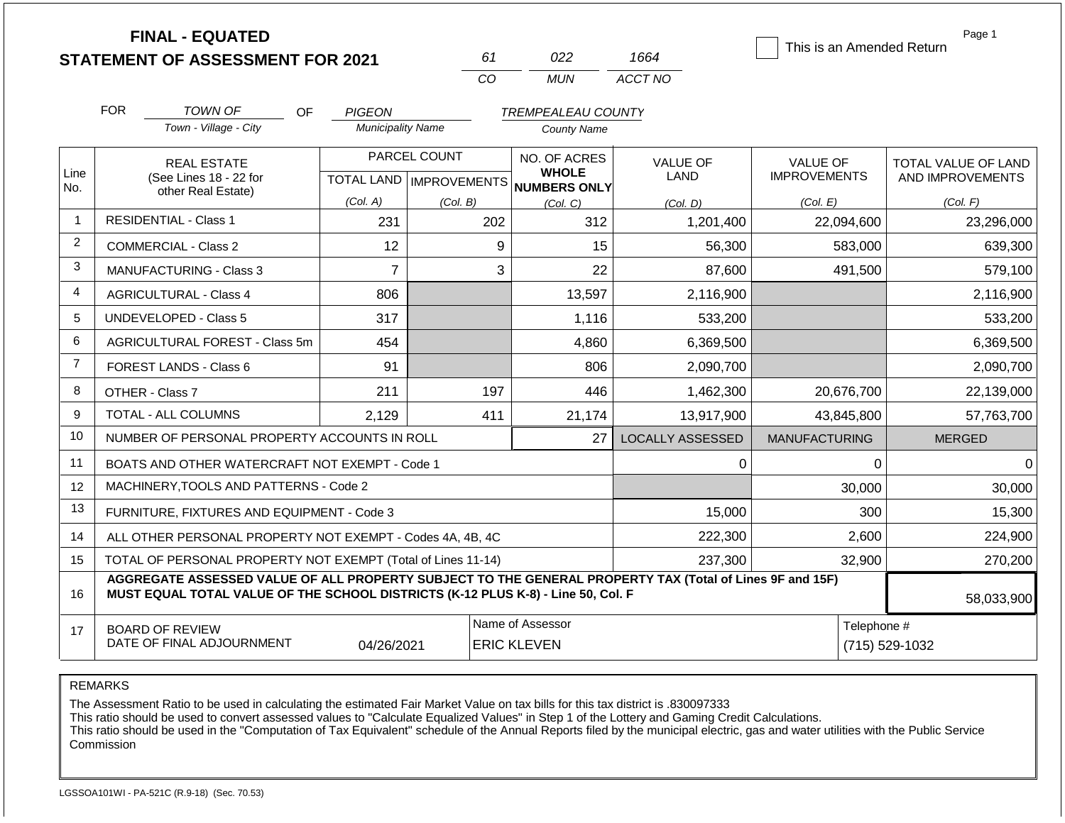|                | <b>FINAL - EQUATED</b>                                                                                                                                                                       |                          |                           |                                     |                         | This is an Amended Return | Page 1              |
|----------------|----------------------------------------------------------------------------------------------------------------------------------------------------------------------------------------------|--------------------------|---------------------------|-------------------------------------|-------------------------|---------------------------|---------------------|
|                | <b>STATEMENT OF ASSESSMENT FOR 2021</b>                                                                                                                                                      |                          | 61                        | 022                                 | 1664                    |                           |                     |
|                |                                                                                                                                                                                              |                          | CO                        | <b>MUN</b>                          | ACCT NO                 |                           |                     |
|                | <b>FOR</b><br><b>TOWN OF</b><br>OF                                                                                                                                                           | <b>PIGEON</b>            |                           | <b>TREMPEALEAU COUNTY</b>           |                         |                           |                     |
|                | Town - Village - City                                                                                                                                                                        | <b>Municipality Name</b> |                           | <b>County Name</b>                  |                         |                           |                     |
|                | <b>REAL ESTATE</b>                                                                                                                                                                           |                          | PARCEL COUNT              | NO. OF ACRES                        | <b>VALUE OF</b>         | <b>VALUE OF</b>           | TOTAL VALUE OF LAND |
| Line<br>No.    | (See Lines 18 - 22 for<br>other Real Estate)                                                                                                                                                 |                          | TOTAL LAND   IMPROVEMENTS | <b>WHOLE</b><br><b>NUMBERS ONLY</b> | <b>LAND</b>             | <b>IMPROVEMENTS</b>       | AND IMPROVEMENTS    |
|                |                                                                                                                                                                                              | (Col. A)                 | (Col. B)                  | (Col, C)                            | (Col, D)                | (Col. E)                  | (Col. F)            |
|                | <b>RESIDENTIAL - Class 1</b>                                                                                                                                                                 | 231                      | 202                       | 312                                 | 1,201,400               | 22,094,600                | 23,296,000          |
| 2              | <b>COMMERCIAL - Class 2</b>                                                                                                                                                                  | 12                       | 9                         | 15                                  | 56,300                  | 583,000                   | 639,300             |
| 3              | <b>MANUFACTURING - Class 3</b>                                                                                                                                                               | $\overline{7}$           | 3                         | 22                                  | 87,600                  | 491,500                   | 579,100             |
| 4              | <b>AGRICULTURAL - Class 4</b>                                                                                                                                                                | 806                      |                           | 13,597                              | 2,116,900               |                           | 2,116,900           |
| 5              | <b>UNDEVELOPED - Class 5</b>                                                                                                                                                                 | 317                      |                           | 1,116                               | 533,200                 |                           | 533,200             |
| 6              | AGRICULTURAL FOREST - Class 5m                                                                                                                                                               | 454                      |                           | 4,860                               | 6,369,500               |                           | 6,369,500           |
| $\overline{7}$ | FOREST LANDS - Class 6                                                                                                                                                                       | 91                       |                           | 806                                 | 2,090,700               |                           | 2,090,700           |
| 8              | OTHER - Class 7                                                                                                                                                                              | 211                      | 197                       | 446                                 | 1,462,300               | 20,676,700                | 22,139,000          |
| 9              | TOTAL - ALL COLUMNS                                                                                                                                                                          | 2,129                    | 411                       | 21,174                              | 13,917,900              | 43,845,800                | 57,763,700          |
| 10             | NUMBER OF PERSONAL PROPERTY ACCOUNTS IN ROLL                                                                                                                                                 |                          |                           | 27                                  | <b>LOCALLY ASSESSED</b> | <b>MANUFACTURING</b>      | <b>MERGED</b>       |
| 11             | BOATS AND OTHER WATERCRAFT NOT EXEMPT - Code 1                                                                                                                                               |                          |                           |                                     | 0                       | 0                         | 0                   |
| 12             | MACHINERY, TOOLS AND PATTERNS - Code 2                                                                                                                                                       |                          |                           |                                     |                         | 30,000                    | 30,000              |
| 13             | FURNITURE, FIXTURES AND EQUIPMENT - Code 3                                                                                                                                                   |                          |                           |                                     | 15,000                  | 300                       | 15,300              |
| 14             | ALL OTHER PERSONAL PROPERTY NOT EXEMPT - Codes 4A, 4B, 4C                                                                                                                                    |                          |                           |                                     | 222,300                 | 2,600                     | 224,900             |
| 15             | TOTAL OF PERSONAL PROPERTY NOT EXEMPT (Total of Lines 11-14)                                                                                                                                 |                          |                           |                                     | 237,300                 | 32,900                    | 270,200             |
| 16             | AGGREGATE ASSESSED VALUE OF ALL PROPERTY SUBJECT TO THE GENERAL PROPERTY TAX (Total of Lines 9F and 15F)<br>MUST EQUAL TOTAL VALUE OF THE SCHOOL DISTRICTS (K-12 PLUS K-8) - Line 50, Col. F | 58,033,900               |                           |                                     |                         |                           |                     |

|                           |            |                    |             | <u>JUIUJUJUU</u> |
|---------------------------|------------|--------------------|-------------|------------------|
| <b>BOARD OF REVIEW</b>    |            | Name of Assessor   | Telephone # |                  |
| DATE OF FINAL ADJOURNMENT | 04/26/2021 | <b>ERIC KLEVEN</b> |             | (715) 529-1032   |

REMARKS

The Assessment Ratio to be used in calculating the estimated Fair Market Value on tax bills for this tax district is .830097333

This ratio should be used to convert assessed values to "Calculate Equalized Values" in Step 1 of the Lottery and Gaming Credit Calculations.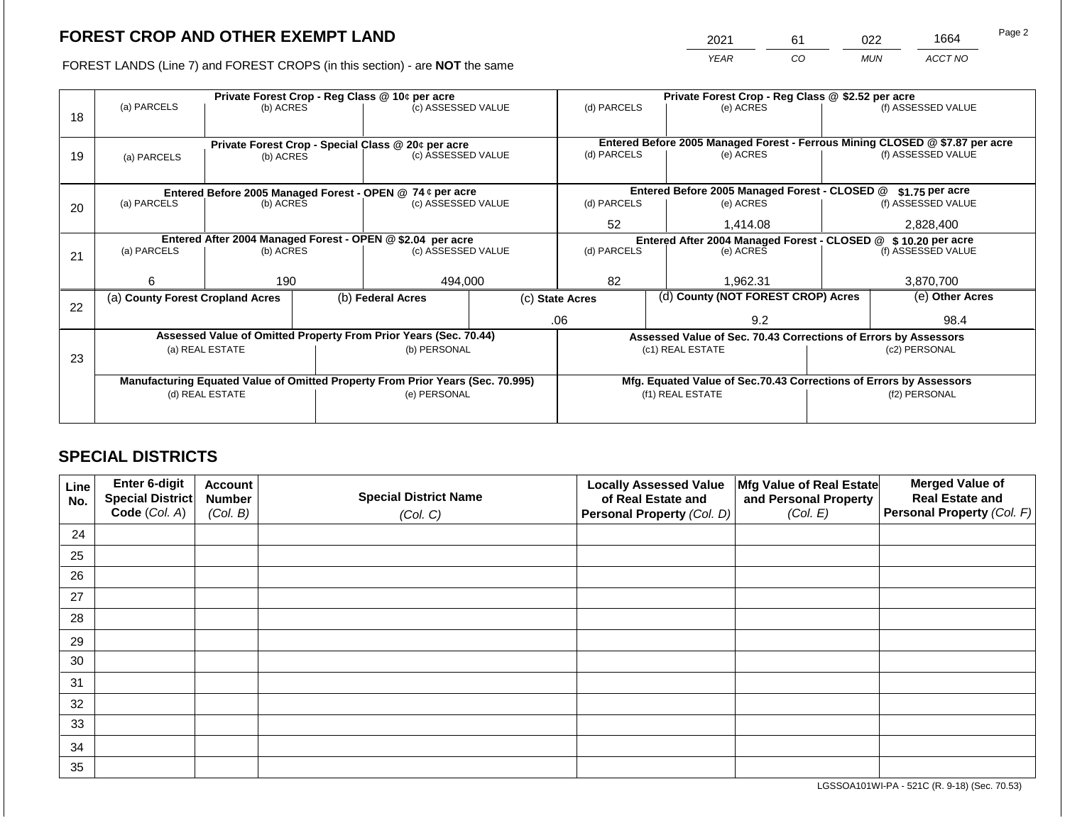2021 61 022 1664

FOREST LANDS (Line 7) and FOREST CROPS (in this section) - are **NOT** the same *YEAR CO MUN ACCT NO*

|                                                            | Private Forest Crop - Reg Class @ 10¢ per acre            |                                 |  |                                                                                |                                                                | Private Forest Crop - Reg Class @ \$2.52 per acre                            |  |                                                                    |               |                    |
|------------------------------------------------------------|-----------------------------------------------------------|---------------------------------|--|--------------------------------------------------------------------------------|----------------------------------------------------------------|------------------------------------------------------------------------------|--|--------------------------------------------------------------------|---------------|--------------------|
| 18                                                         | (a) PARCELS                                               | (b) ACRES                       |  | (c) ASSESSED VALUE                                                             |                                                                | (d) PARCELS                                                                  |  | (e) ACRES                                                          |               | (f) ASSESSED VALUE |
|                                                            |                                                           |                                 |  |                                                                                |                                                                |                                                                              |  |                                                                    |               |                    |
|                                                            |                                                           |                                 |  | Private Forest Crop - Special Class @ 20¢ per acre                             |                                                                | Entered Before 2005 Managed Forest - Ferrous Mining CLOSED @ \$7.87 per acre |  |                                                                    |               |                    |
| 19                                                         | (a) PARCELS                                               | (b) ACRES                       |  | (c) ASSESSED VALUE                                                             |                                                                | (d) PARCELS                                                                  |  | (e) ACRES                                                          |               | (f) ASSESSED VALUE |
|                                                            |                                                           |                                 |  |                                                                                |                                                                |                                                                              |  |                                                                    |               |                    |
|                                                            | Entered Before 2005 Managed Forest - OPEN @ 74 ¢ per acre |                                 |  |                                                                                |                                                                | Entered Before 2005 Managed Forest - CLOSED @<br>$$1.75$ per acre            |  |                                                                    |               |                    |
| 20                                                         | (a) PARCELS                                               | (b) ACRES<br>(c) ASSESSED VALUE |  | (d) PARCELS                                                                    |                                                                | (e) ACRES                                                                    |  | (f) ASSESSED VALUE                                                 |               |                    |
|                                                            |                                                           |                                 |  |                                                                                |                                                                | 52                                                                           |  | 1,414.08                                                           |               | 2,828,400          |
| Entered After 2004 Managed Forest - OPEN @ \$2.04 per acre |                                                           |                                 |  |                                                                                | Entered After 2004 Managed Forest - CLOSED @ \$ 10.20 per acre |                                                                              |  |                                                                    |               |                    |
| 21                                                         | (a) PARCELS                                               | (b) ACRES                       |  | (c) ASSESSED VALUE                                                             |                                                                | (d) PARCELS                                                                  |  | (e) ACRES                                                          |               | (f) ASSESSED VALUE |
|                                                            |                                                           |                                 |  |                                                                                |                                                                |                                                                              |  |                                                                    |               |                    |
|                                                            | 6                                                         | 190                             |  | 494,000                                                                        |                                                                | 82                                                                           |  | 1,962.31                                                           |               | 3,870,700          |
| 22                                                         | (a) County Forest Cropland Acres                          |                                 |  | (b) Federal Acres                                                              | (c) State Acres                                                |                                                                              |  | (d) County (NOT FOREST CROP) Acres                                 |               | (e) Other Acres    |
|                                                            |                                                           |                                 |  |                                                                                |                                                                | .06                                                                          |  | 9.2                                                                |               | 98.4               |
|                                                            |                                                           |                                 |  | Assessed Value of Omitted Property From Prior Years (Sec. 70.44)               |                                                                |                                                                              |  | Assessed Value of Sec. 70.43 Corrections of Errors by Assessors    |               |                    |
|                                                            |                                                           | (a) REAL ESTATE                 |  | (b) PERSONAL                                                                   |                                                                |                                                                              |  | (c1) REAL ESTATE                                                   |               | (c2) PERSONAL      |
| 23                                                         |                                                           |                                 |  |                                                                                |                                                                |                                                                              |  |                                                                    |               |                    |
|                                                            |                                                           |                                 |  | Manufacturing Equated Value of Omitted Property From Prior Years (Sec. 70.995) |                                                                |                                                                              |  | Mfg. Equated Value of Sec.70.43 Corrections of Errors by Assessors |               |                    |
|                                                            |                                                           | (d) REAL ESTATE                 |  | (e) PERSONAL                                                                   |                                                                | (f1) REAL ESTATE                                                             |  |                                                                    | (f2) PERSONAL |                    |
|                                                            |                                                           |                                 |  |                                                                                |                                                                |                                                                              |  |                                                                    |               |                    |
|                                                            |                                                           |                                 |  |                                                                                |                                                                |                                                                              |  |                                                                    |               |                    |

# **SPECIAL DISTRICTS**

| Line<br>No. | <b>Enter 6-digit</b><br>Special District | <b>Account</b><br><b>Number</b> | <b>Special District Name</b> | <b>Locally Assessed Value</b><br>of Real Estate and | Mfg Value of Real Estate<br>and Personal Property | <b>Merged Value of</b><br><b>Real Estate and</b> |
|-------------|------------------------------------------|---------------------------------|------------------------------|-----------------------------------------------------|---------------------------------------------------|--------------------------------------------------|
|             | Code (Col. A)                            | (Col. B)                        | (Col. C)                     | Personal Property (Col. D)                          | (Col. E)                                          | Personal Property (Col. F)                       |
| 24          |                                          |                                 |                              |                                                     |                                                   |                                                  |
| 25          |                                          |                                 |                              |                                                     |                                                   |                                                  |
| 26          |                                          |                                 |                              |                                                     |                                                   |                                                  |
| 27          |                                          |                                 |                              |                                                     |                                                   |                                                  |
| 28          |                                          |                                 |                              |                                                     |                                                   |                                                  |
| 29          |                                          |                                 |                              |                                                     |                                                   |                                                  |
| 30          |                                          |                                 |                              |                                                     |                                                   |                                                  |
| 31          |                                          |                                 |                              |                                                     |                                                   |                                                  |
| 32          |                                          |                                 |                              |                                                     |                                                   |                                                  |
| 33          |                                          |                                 |                              |                                                     |                                                   |                                                  |
| 34          |                                          |                                 |                              |                                                     |                                                   |                                                  |
| 35          |                                          |                                 |                              |                                                     |                                                   |                                                  |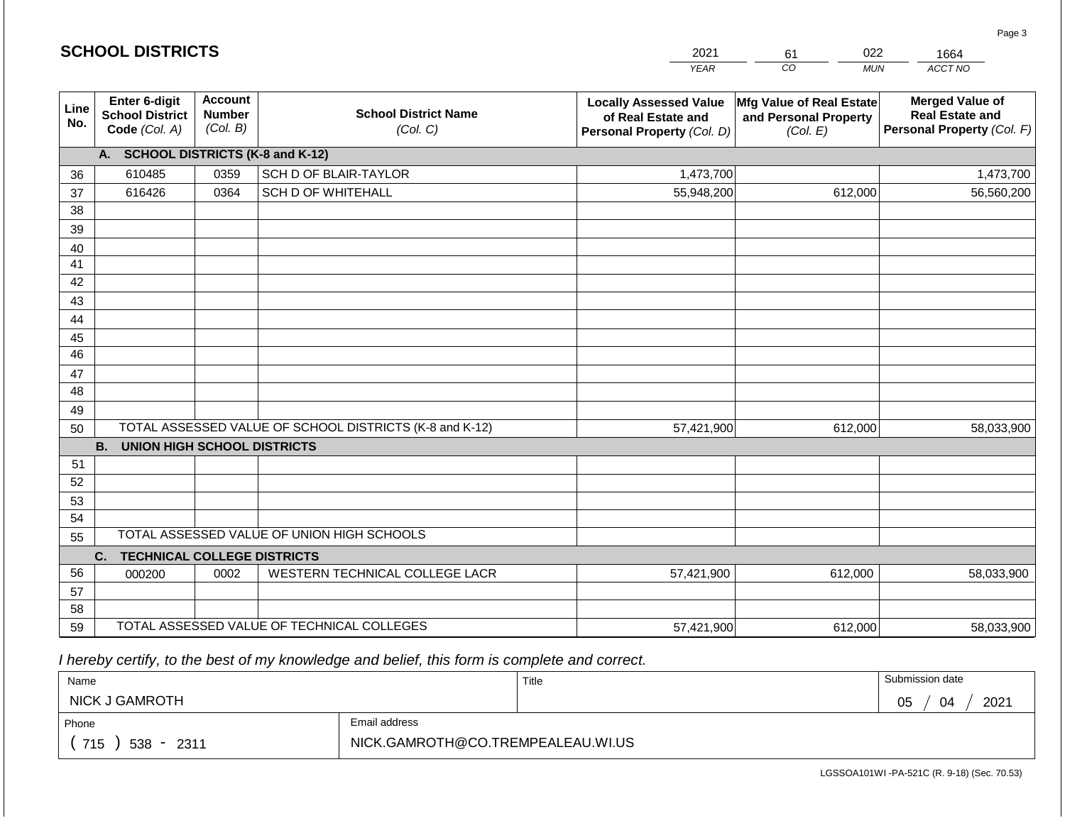|                       | <b>SCHOOL DISTRICTS</b><br>2021<br>022<br>61<br>1664     |                                                                                        |                                                         |                                                                                                                                        |                  |                                                                                |  |
|-----------------------|----------------------------------------------------------|----------------------------------------------------------------------------------------|---------------------------------------------------------|----------------------------------------------------------------------------------------------------------------------------------------|------------------|--------------------------------------------------------------------------------|--|
|                       |                                                          |                                                                                        |                                                         | <b>YEAR</b>                                                                                                                            | CO<br><b>MUN</b> | ACCT NO                                                                        |  |
| Line<br>No.           | Enter 6-digit<br><b>School District</b><br>Code (Col. A) | <b>Account</b><br><b>School District Name</b><br><b>Number</b><br>(Col. B)<br>(Col. C) |                                                         | Mfg Value of Real Estate<br><b>Locally Assessed Value</b><br>of Real Estate and<br>and Personal Property<br>Personal Property (Col. D) |                  | <b>Merged Value of</b><br><b>Real Estate and</b><br>Personal Property (Col. F) |  |
|                       | A. SCHOOL DISTRICTS (K-8 and K-12)                       |                                                                                        |                                                         |                                                                                                                                        |                  |                                                                                |  |
| 36                    | 610485                                                   | 0359                                                                                   | SCH D OF BLAIR-TAYLOR                                   | 1,473,700                                                                                                                              |                  | 1,473,700                                                                      |  |
| 37                    | 616426                                                   | 0364                                                                                   | <b>SCH D OF WHITEHALL</b>                               | 55,948,200                                                                                                                             | 612,000          | 56,560,200                                                                     |  |
| 38                    |                                                          |                                                                                        |                                                         |                                                                                                                                        |                  |                                                                                |  |
| 39                    |                                                          |                                                                                        |                                                         |                                                                                                                                        |                  |                                                                                |  |
| 40                    |                                                          |                                                                                        |                                                         |                                                                                                                                        |                  |                                                                                |  |
| 41                    |                                                          |                                                                                        |                                                         |                                                                                                                                        |                  |                                                                                |  |
| 42                    |                                                          |                                                                                        |                                                         |                                                                                                                                        |                  |                                                                                |  |
| 43                    |                                                          |                                                                                        |                                                         |                                                                                                                                        |                  |                                                                                |  |
| 44                    |                                                          |                                                                                        |                                                         |                                                                                                                                        |                  |                                                                                |  |
| 45<br>$\overline{46}$ |                                                          |                                                                                        |                                                         |                                                                                                                                        |                  |                                                                                |  |
| 47                    |                                                          |                                                                                        |                                                         |                                                                                                                                        |                  |                                                                                |  |
| 48                    |                                                          |                                                                                        |                                                         |                                                                                                                                        |                  |                                                                                |  |
| 49                    |                                                          |                                                                                        |                                                         |                                                                                                                                        |                  |                                                                                |  |
| 50                    |                                                          |                                                                                        | TOTAL ASSESSED VALUE OF SCHOOL DISTRICTS (K-8 and K-12) | 57,421,900                                                                                                                             | 612,000          | 58,033,900                                                                     |  |
|                       | <b>B.</b><br><b>UNION HIGH SCHOOL DISTRICTS</b>          |                                                                                        |                                                         |                                                                                                                                        |                  |                                                                                |  |
| 51                    |                                                          |                                                                                        |                                                         |                                                                                                                                        |                  |                                                                                |  |
| 52                    |                                                          |                                                                                        |                                                         |                                                                                                                                        |                  |                                                                                |  |
| 53                    |                                                          |                                                                                        |                                                         |                                                                                                                                        |                  |                                                                                |  |
| 54                    |                                                          |                                                                                        |                                                         |                                                                                                                                        |                  |                                                                                |  |
| 55                    |                                                          |                                                                                        | TOTAL ASSESSED VALUE OF UNION HIGH SCHOOLS              |                                                                                                                                        |                  |                                                                                |  |
|                       | C.<br><b>TECHNICAL COLLEGE DISTRICTS</b>                 |                                                                                        |                                                         |                                                                                                                                        |                  |                                                                                |  |
| 56                    | 000200                                                   | 0002                                                                                   | WESTERN TECHNICAL COLLEGE LACR                          | 57,421,900                                                                                                                             | 612,000          | 58,033,900                                                                     |  |
| 57                    |                                                          |                                                                                        |                                                         |                                                                                                                                        |                  |                                                                                |  |
| 58                    |                                                          |                                                                                        |                                                         |                                                                                                                                        |                  |                                                                                |  |
| 59                    |                                                          |                                                                                        | TOTAL ASSESSED VALUE OF TECHNICAL COLLEGES              | 57,421,900                                                                                                                             | 612,000          | 58,033,900                                                                     |  |

**SCHOOL DISTRICTS**

| Name                  |                                   | Title | Submission date  |  |
|-----------------------|-----------------------------------|-------|------------------|--|
| <b>NICK J GAMROTH</b> |                                   |       | 2021<br>05<br>04 |  |
| Phone                 | Email address                     |       |                  |  |
| 715<br>538 -<br>2311  | NICK.GAMROTH@CO.TREMPEALEAU.WI.US |       |                  |  |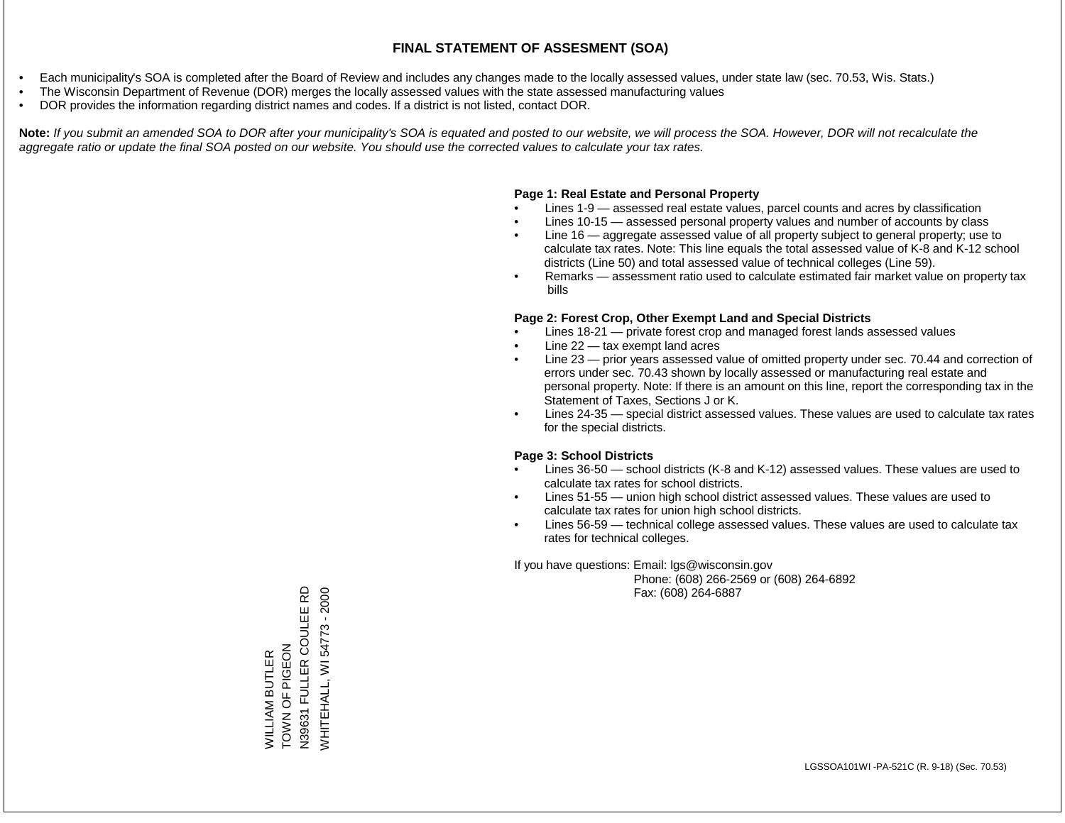- Each municipality's SOA is completed after the Board of Review and includes any changes made to the locally assessed values, under state law (sec. 70.53, Wis. Stats.)
- The Wisconsin Department of Revenue (DOR) merges the locally assessed values with the state assessed manufacturing values
- DOR provides the information regarding district names and codes. If a district is not listed, contact DOR.

Note: If you submit an amended SOA to DOR after your municipality's SOA is equated and posted to our website, we will process the SOA. However, DOR will not recalculate the *aggregate ratio or update the final SOA posted on our website. You should use the corrected values to calculate your tax rates.*

### **Page 1: Real Estate and Personal Property**

- Lines 1-9 assessed real estate values, parcel counts and acres by classification
- Lines 10-15 assessed personal property values and number of accounts by class
- Line 16 aggregate assessed value of all property subject to general property; use to calculate tax rates. Note: This line equals the total assessed value of K-8 and K-12 school districts (Line 50) and total assessed value of technical colleges (Line 59).
- Remarks assessment ratio used to calculate estimated fair market value on property tax bills

#### **Page 2: Forest Crop, Other Exempt Land and Special Districts**

- Lines 18-21 private forest crop and managed forest lands assessed values
- Line  $22 -$  tax exempt land acres
- Line 23 prior years assessed value of omitted property under sec. 70.44 and correction of errors under sec. 70.43 shown by locally assessed or manufacturing real estate and personal property. Note: If there is an amount on this line, report the corresponding tax in the Statement of Taxes, Sections J or K.
- Lines 24-35 special district assessed values. These values are used to calculate tax rates for the special districts.

#### **Page 3: School Districts**

- Lines 36-50 school districts (K-8 and K-12) assessed values. These values are used to calculate tax rates for school districts.
- Lines 51-55 union high school district assessed values. These values are used to calculate tax rates for union high school districts.
- Lines 56-59 technical college assessed values. These values are used to calculate tax rates for technical colleges.

If you have questions: Email: lgs@wisconsin.gov

 Phone: (608) 266-2569 or (608) 264-6892 Fax: (608) 264-6887

**Q** N39631 FULLER COULEE RD **WHITEHALL, WI 54773 - 2000** WHITEHALL, WI 54773 - 2000N39631 FULLER COULEE ZO U O Z NO NO WILLIAM BUTLER<br>TOWN OF PIGEON WILLIAM BUTLER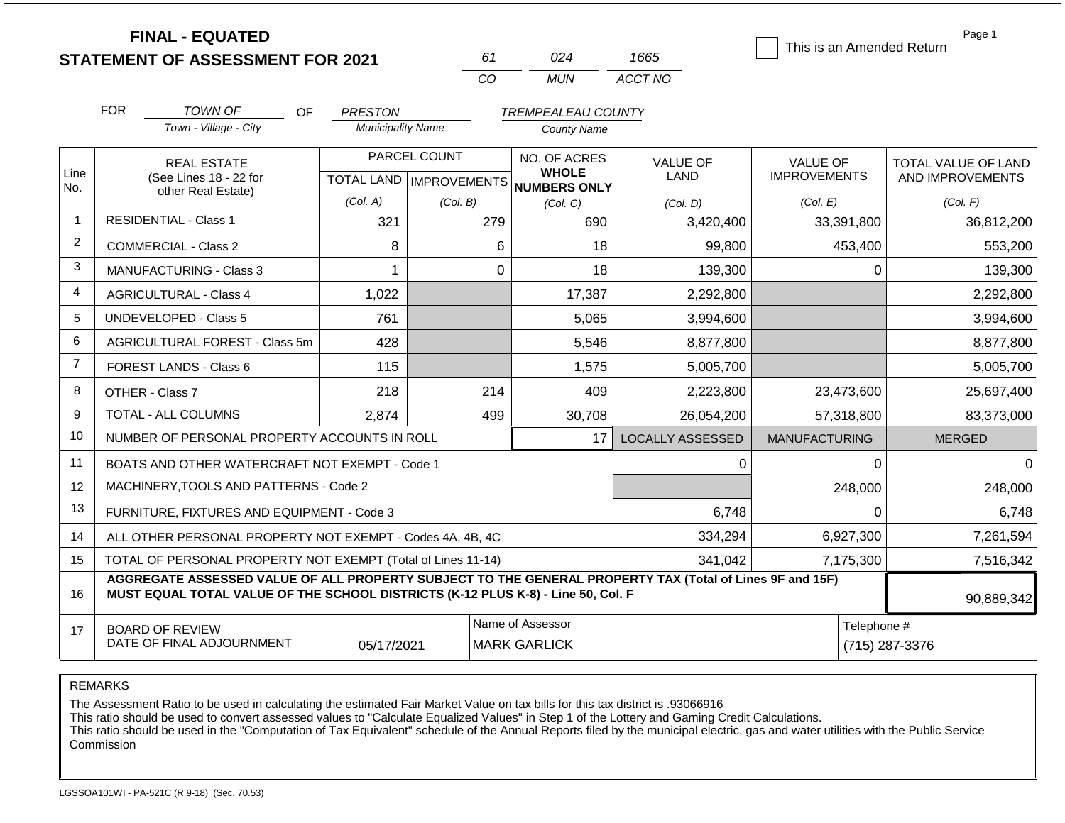**FINAL - EQUATED**

| 61 | በ24   | 1665    |
|----|-------|---------|
| m  | MI IN | ACCT NO |

This is an Amended Return

Page 1

|                | <b>FOR</b> | TOWN OF                                                                                                                                                                                      | OF<br><b>PRESTON</b>     |                           | <b>TREMPEALEAU COUNTY</b>               |                         |                                        |                                                |
|----------------|------------|----------------------------------------------------------------------------------------------------------------------------------------------------------------------------------------------|--------------------------|---------------------------|-----------------------------------------|-------------------------|----------------------------------------|------------------------------------------------|
|                |            | Town - Village - City                                                                                                                                                                        | <b>Municipality Name</b> |                           | County Name                             |                         |                                        |                                                |
| Line           |            | <b>REAL ESTATE</b>                                                                                                                                                                           |                          | PARCEL COUNT              | NO. OF ACRES<br><b>WHOLE</b>            | <b>VALUE OF</b><br>LAND | <b>VALUE OF</b><br><b>IMPROVEMENTS</b> | <b>TOTAL VALUE OF LAND</b><br>AND IMPROVEMENTS |
| No.            |            | (See Lines 18 - 22 for<br>other Real Estate)                                                                                                                                                 |                          | TOTAL LAND   IMPROVEMENTS | <b>NUMBERS ONLY</b>                     |                         |                                        |                                                |
|                |            |                                                                                                                                                                                              | (Col. A)                 | (Col. B)                  | (Col, C)                                | (Col, D)                | (Col. E)                               | (Col. F)                                       |
|                |            | <b>RESIDENTIAL - Class 1</b>                                                                                                                                                                 | 321                      | 279                       | 690                                     | 3,420,400               | 33,391,800                             | 36,812,200                                     |
| $\overline{2}$ |            | <b>COMMERCIAL - Class 2</b>                                                                                                                                                                  | 8                        | 6                         | 18                                      | 99,800                  | 453,400                                | 553,200                                        |
| 3              |            | <b>MANUFACTURING - Class 3</b>                                                                                                                                                               |                          | 0                         | 18                                      | 139,300                 | 0                                      | 139,300                                        |
| 4              |            | <b>AGRICULTURAL - Class 4</b>                                                                                                                                                                | 1,022                    |                           | 17,387                                  | 2,292,800               |                                        | 2,292,800                                      |
| 5              |            | UNDEVELOPED - Class 5                                                                                                                                                                        | 761                      |                           | 5,065                                   | 3,994,600               |                                        | 3,994,600                                      |
| 6              |            | AGRICULTURAL FOREST - Class 5m                                                                                                                                                               | 428                      |                           | 5,546                                   | 8,877,800               |                                        | 8,877,800                                      |
| $\overline{7}$ |            | FOREST LANDS - Class 6                                                                                                                                                                       | 115                      |                           | 1,575                                   | 5,005,700               |                                        | 5,005,700                                      |
| 8              |            | OTHER - Class 7                                                                                                                                                                              | 218                      | 214                       | 409                                     | 2,223,800               | 23,473,600                             | 25,697,400                                     |
| 9              |            | TOTAL - ALL COLUMNS                                                                                                                                                                          | 2,874                    | 499                       | 30,708                                  | 26,054,200              | 57,318,800                             | 83,373,000                                     |
| 10             |            | NUMBER OF PERSONAL PROPERTY ACCOUNTS IN ROLL                                                                                                                                                 |                          |                           | 17                                      | <b>LOCALLY ASSESSED</b> | <b>MANUFACTURING</b>                   | <b>MERGED</b>                                  |
| 11             |            | BOATS AND OTHER WATERCRAFT NOT EXEMPT - Code 1                                                                                                                                               |                          |                           |                                         | 0                       | 0                                      | 0                                              |
| 12             |            | MACHINERY, TOOLS AND PATTERNS - Code 2                                                                                                                                                       |                          |                           |                                         |                         | 248,000                                | 248,000                                        |
| 13             |            | FURNITURE, FIXTURES AND EQUIPMENT - Code 3                                                                                                                                                   |                          |                           |                                         | 6,748                   | 0                                      | 6,748                                          |
| 14             |            | ALL OTHER PERSONAL PROPERTY NOT EXEMPT - Codes 4A, 4B, 4C                                                                                                                                    |                          |                           |                                         | 334,294                 | 6,927,300                              | 7,261,594                                      |
| 15             |            | TOTAL OF PERSONAL PROPERTY NOT EXEMPT (Total of Lines 11-14)                                                                                                                                 |                          |                           |                                         | 341,042                 | 7,175,300                              | 7,516,342                                      |
| 16             |            | AGGREGATE ASSESSED VALUE OF ALL PROPERTY SUBJECT TO THE GENERAL PROPERTY TAX (Total of Lines 9F and 15F)<br>MUST EQUAL TOTAL VALUE OF THE SCHOOL DISTRICTS (K-12 PLUS K-8) - Line 50, Col. F |                          |                           |                                         |                         |                                        | 90,889,342                                     |
| 17             |            | <b>BOARD OF REVIEW</b><br>DATE OF FINAL ADJOURNMENT                                                                                                                                          | 05/17/2021               |                           | Name of Assessor<br><b>MARK GARLICK</b> |                         | Telephone #<br>(715) 287-3376          |                                                |

REMARKS

The Assessment Ratio to be used in calculating the estimated Fair Market Value on tax bills for this tax district is .93066916

This ratio should be used to convert assessed values to "Calculate Equalized Values" in Step 1 of the Lottery and Gaming Credit Calculations.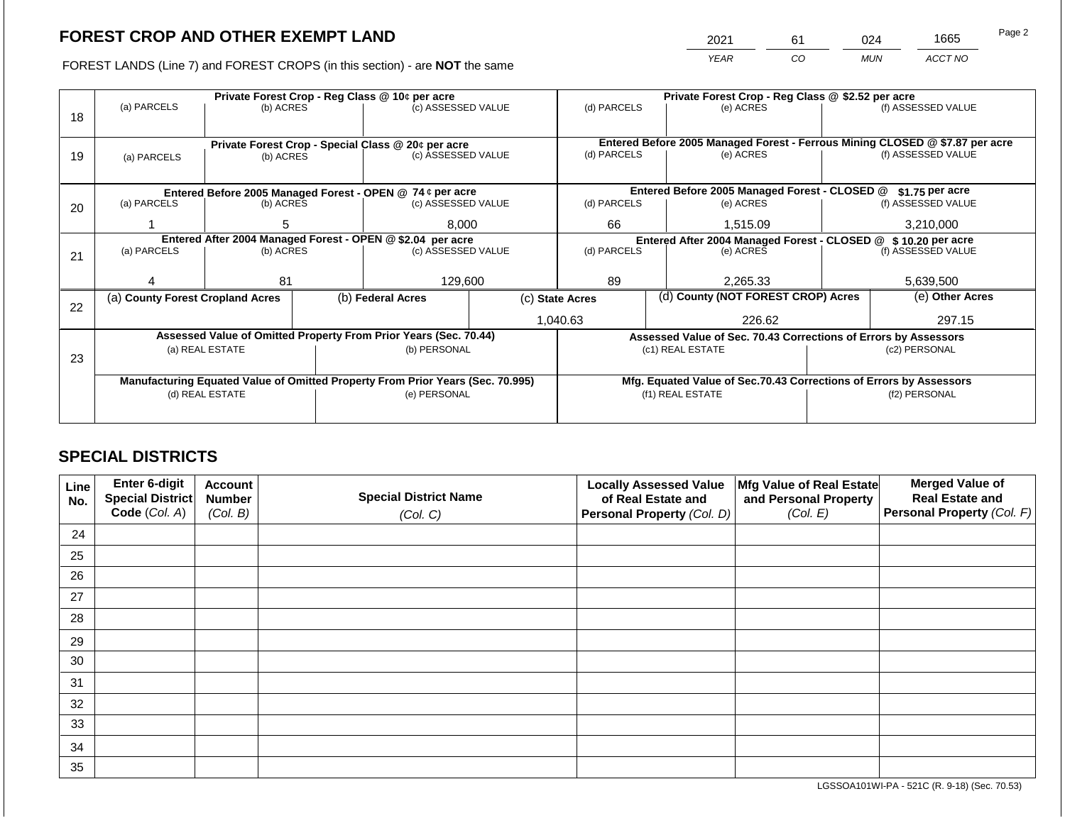2021 61 024 1665

FOREST LANDS (Line 7) and FOREST CROPS (in this section) - are **NOT** the same *YEAR CO MUN ACCT NO*

|    |                                                                                                              |                 | Private Forest Crop - Reg Class @ 10¢ per acre |                                                                                | Private Forest Crop - Reg Class @ \$2.52 per acre |                                                                             |  |                                                                              |                    |                    |
|----|--------------------------------------------------------------------------------------------------------------|-----------------|------------------------------------------------|--------------------------------------------------------------------------------|---------------------------------------------------|-----------------------------------------------------------------------------|--|------------------------------------------------------------------------------|--------------------|--------------------|
| 18 | (a) PARCELS                                                                                                  | (b) ACRES       |                                                | (c) ASSESSED VALUE                                                             |                                                   | (d) PARCELS                                                                 |  | (e) ACRES                                                                    |                    | (f) ASSESSED VALUE |
|    |                                                                                                              |                 |                                                |                                                                                |                                                   |                                                                             |  |                                                                              |                    |                    |
|    |                                                                                                              |                 |                                                |                                                                                |                                                   |                                                                             |  | Entered Before 2005 Managed Forest - Ferrous Mining CLOSED @ \$7.87 per acre |                    |                    |
| 19 | (a) PARCELS                                                                                                  | (b) ACRES       |                                                | Private Forest Crop - Special Class @ 20¢ per acre<br>(c) ASSESSED VALUE       |                                                   | (d) PARCELS<br>(e) ACRES                                                    |  |                                                                              | (f) ASSESSED VALUE |                    |
|    |                                                                                                              |                 |                                                |                                                                                |                                                   |                                                                             |  |                                                                              |                    |                    |
|    |                                                                                                              |                 |                                                |                                                                                |                                                   |                                                                             |  |                                                                              |                    |                    |
|    |                                                                                                              |                 |                                                | Entered Before 2005 Managed Forest - OPEN @ 74 ¢ per acre                      |                                                   |                                                                             |  | Entered Before 2005 Managed Forest - CLOSED @                                |                    | \$1.75 per acre    |
| 20 | (a) PARCELS<br>(c) ASSESSED VALUE<br>(b) ACRES                                                               |                 |                                                | (d) PARCELS                                                                    |                                                   | (e) ACRES                                                                   |  | (f) ASSESSED VALUE                                                           |                    |                    |
|    |                                                                                                              | 8,000<br>5.     |                                                | 66                                                                             |                                                   | 1,515.09                                                                    |  | 3,210,000                                                                    |                    |                    |
|    |                                                                                                              |                 |                                                |                                                                                |                                                   |                                                                             |  |                                                                              |                    |                    |
|    | Entered After 2004 Managed Forest - OPEN @ \$2.04 per acre<br>(a) PARCELS<br>(c) ASSESSED VALUE<br>(b) ACRES |                 |                                                | (d) PARCELS                                                                    |                                                   | Entered After 2004 Managed Forest - CLOSED @ \$ 10.20 per acre<br>(e) ACRES |  | (f) ASSESSED VALUE                                                           |                    |                    |
| 21 |                                                                                                              |                 |                                                |                                                                                |                                                   |                                                                             |  |                                                                              |                    |                    |
|    |                                                                                                              |                 |                                                |                                                                                |                                                   |                                                                             |  |                                                                              |                    |                    |
|    |                                                                                                              | 81              |                                                | 129,600                                                                        |                                                   | 89                                                                          |  | 2,265.33                                                                     |                    | 5,639,500          |
|    | (a) County Forest Cropland Acres                                                                             |                 |                                                | (b) Federal Acres<br>(c) State Acres                                           |                                                   | (d) County (NOT FOREST CROP) Acres                                          |  |                                                                              |                    | (e) Other Acres    |
| 22 |                                                                                                              |                 |                                                |                                                                                |                                                   |                                                                             |  |                                                                              |                    |                    |
|    |                                                                                                              |                 |                                                |                                                                                |                                                   | 1,040.63                                                                    |  | 226.62                                                                       |                    | 297.15             |
|    |                                                                                                              |                 |                                                | Assessed Value of Omitted Property From Prior Years (Sec. 70.44)               |                                                   |                                                                             |  | Assessed Value of Sec. 70.43 Corrections of Errors by Assessors              |                    |                    |
|    |                                                                                                              | (a) REAL ESTATE |                                                | (b) PERSONAL                                                                   |                                                   |                                                                             |  | (c1) REAL ESTATE                                                             |                    | (c2) PERSONAL      |
| 23 |                                                                                                              |                 |                                                |                                                                                |                                                   |                                                                             |  |                                                                              |                    |                    |
|    |                                                                                                              |                 |                                                | Manufacturing Equated Value of Omitted Property From Prior Years (Sec. 70.995) |                                                   |                                                                             |  | Mfg. Equated Value of Sec.70.43 Corrections of Errors by Assessors           |                    |                    |
|    |                                                                                                              | (d) REAL ESTATE |                                                | (e) PERSONAL                                                                   |                                                   | (f1) REAL ESTATE                                                            |  |                                                                              | (f2) PERSONAL      |                    |
|    |                                                                                                              |                 |                                                |                                                                                |                                                   |                                                                             |  |                                                                              |                    |                    |
|    |                                                                                                              |                 |                                                |                                                                                |                                                   |                                                                             |  |                                                                              |                    |                    |

# **SPECIAL DISTRICTS**

| Line<br>No. | Enter 6-digit<br>Special District<br>Code (Col. A) | <b>Account</b><br><b>Number</b><br>(Col. B) | <b>Special District Name</b><br>(Col. C) | <b>Locally Assessed Value</b><br>of Real Estate and<br><b>Personal Property (Col. D)</b> | Mfg Value of Real Estate<br>and Personal Property<br>(Col. E) | <b>Merged Value of</b><br><b>Real Estate and</b><br>Personal Property (Col. F) |
|-------------|----------------------------------------------------|---------------------------------------------|------------------------------------------|------------------------------------------------------------------------------------------|---------------------------------------------------------------|--------------------------------------------------------------------------------|
| 24          |                                                    |                                             |                                          |                                                                                          |                                                               |                                                                                |
| 25          |                                                    |                                             |                                          |                                                                                          |                                                               |                                                                                |
| 26          |                                                    |                                             |                                          |                                                                                          |                                                               |                                                                                |
| 27          |                                                    |                                             |                                          |                                                                                          |                                                               |                                                                                |
| 28          |                                                    |                                             |                                          |                                                                                          |                                                               |                                                                                |
| 29          |                                                    |                                             |                                          |                                                                                          |                                                               |                                                                                |
| 30          |                                                    |                                             |                                          |                                                                                          |                                                               |                                                                                |
| 31          |                                                    |                                             |                                          |                                                                                          |                                                               |                                                                                |
| 32          |                                                    |                                             |                                          |                                                                                          |                                                               |                                                                                |
| 33          |                                                    |                                             |                                          |                                                                                          |                                                               |                                                                                |
| 34          |                                                    |                                             |                                          |                                                                                          |                                                               |                                                                                |
| 35          |                                                    |                                             |                                          |                                                                                          |                                                               |                                                                                |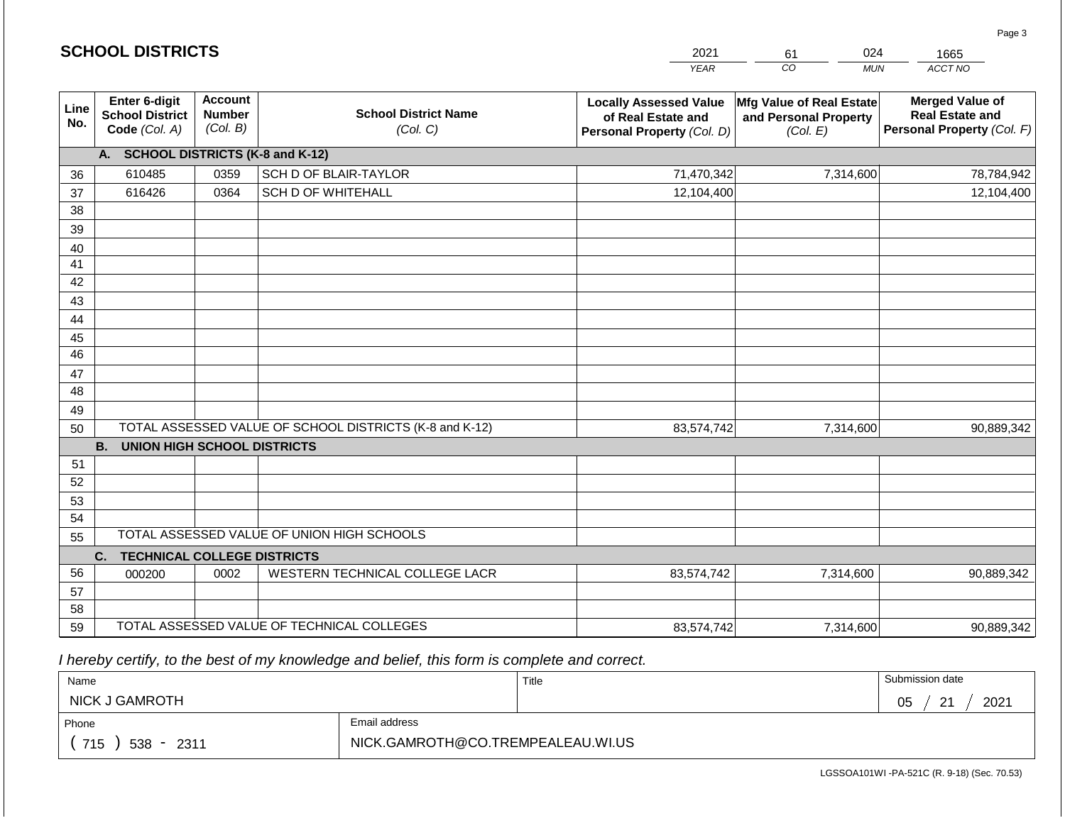| <b>SCHOOL DISTRICTS</b> | 2021                                                     | 024<br>61                                   | 1665                                                    |                                                                                   |                                                               |                                                                                |
|-------------------------|----------------------------------------------------------|---------------------------------------------|---------------------------------------------------------|-----------------------------------------------------------------------------------|---------------------------------------------------------------|--------------------------------------------------------------------------------|
|                         |                                                          |                                             |                                                         | <b>YEAR</b>                                                                       | CO<br><b>MUN</b>                                              | ACCT NO                                                                        |
| Line<br>No.             | Enter 6-digit<br><b>School District</b><br>Code (Col. A) | <b>Account</b><br><b>Number</b><br>(Col. B) | <b>School District Name</b><br>(Col. C)                 | <b>Locally Assessed Value</b><br>of Real Estate and<br>Personal Property (Col. D) | Mfg Value of Real Estate<br>and Personal Property<br>(Col. E) | <b>Merged Value of</b><br><b>Real Estate and</b><br>Personal Property (Col. F) |
|                         | A. SCHOOL DISTRICTS (K-8 and K-12)                       |                                             |                                                         |                                                                                   |                                                               |                                                                                |
| 36                      | 610485                                                   | 0359                                        | SCH D OF BLAIR-TAYLOR                                   | 71,470,342                                                                        | 7,314,600                                                     | 78,784,942                                                                     |
| 37                      | 616426                                                   | 0364                                        | <b>SCH D OF WHITEHALL</b>                               | 12,104,400                                                                        |                                                               | 12,104,400                                                                     |
| 38                      |                                                          |                                             |                                                         |                                                                                   |                                                               |                                                                                |
| 39                      |                                                          |                                             |                                                         |                                                                                   |                                                               |                                                                                |
| 40<br>41                |                                                          |                                             |                                                         |                                                                                   |                                                               |                                                                                |
| 42                      |                                                          |                                             |                                                         |                                                                                   |                                                               |                                                                                |
| 43                      |                                                          |                                             |                                                         |                                                                                   |                                                               |                                                                                |
| 44                      |                                                          |                                             |                                                         |                                                                                   |                                                               |                                                                                |
| 45                      |                                                          |                                             |                                                         |                                                                                   |                                                               |                                                                                |
| 46                      |                                                          |                                             |                                                         |                                                                                   |                                                               |                                                                                |
| 47                      |                                                          |                                             |                                                         |                                                                                   |                                                               |                                                                                |
| 48                      |                                                          |                                             |                                                         |                                                                                   |                                                               |                                                                                |
| 49<br>50                |                                                          |                                             | TOTAL ASSESSED VALUE OF SCHOOL DISTRICTS (K-8 and K-12) | 83,574,742                                                                        | 7,314,600                                                     | 90,889,342                                                                     |
|                         | <b>B.</b><br><b>UNION HIGH SCHOOL DISTRICTS</b>          |                                             |                                                         |                                                                                   |                                                               |                                                                                |
| 51                      |                                                          |                                             |                                                         |                                                                                   |                                                               |                                                                                |
| 52                      |                                                          |                                             |                                                         |                                                                                   |                                                               |                                                                                |
| 53                      |                                                          |                                             |                                                         |                                                                                   |                                                               |                                                                                |
| 54                      |                                                          |                                             |                                                         |                                                                                   |                                                               |                                                                                |
| 55                      |                                                          |                                             | TOTAL ASSESSED VALUE OF UNION HIGH SCHOOLS              |                                                                                   |                                                               |                                                                                |
| 56                      | <b>TECHNICAL COLLEGE DISTRICTS</b><br>C.                 | 0002                                        |                                                         |                                                                                   |                                                               |                                                                                |
| 57                      | 000200                                                   |                                             | WESTERN TECHNICAL COLLEGE LACR                          | 83,574,742                                                                        | 7,314,600                                                     | 90,889,342                                                                     |
| 58                      |                                                          |                                             |                                                         |                                                                                   |                                                               |                                                                                |
| 59                      |                                                          |                                             | TOTAL ASSESSED VALUE OF TECHNICAL COLLEGES              | 83,574,742                                                                        | 7,314,600                                                     | 90,889,342                                                                     |

**SCHOOL DISTRICTS**

| Name                  |                                   | Title | Submission date   |
|-----------------------|-----------------------------------|-------|-------------------|
| <b>NICK J GAMROTH</b> |                                   |       | 2021<br>05<br>ົດ4 |
| Phone                 | Email address                     |       |                   |
| 715<br>538 -<br>2311  | NICK.GAMROTH@CO.TREMPEALEAU.WI.US |       |                   |

Page 3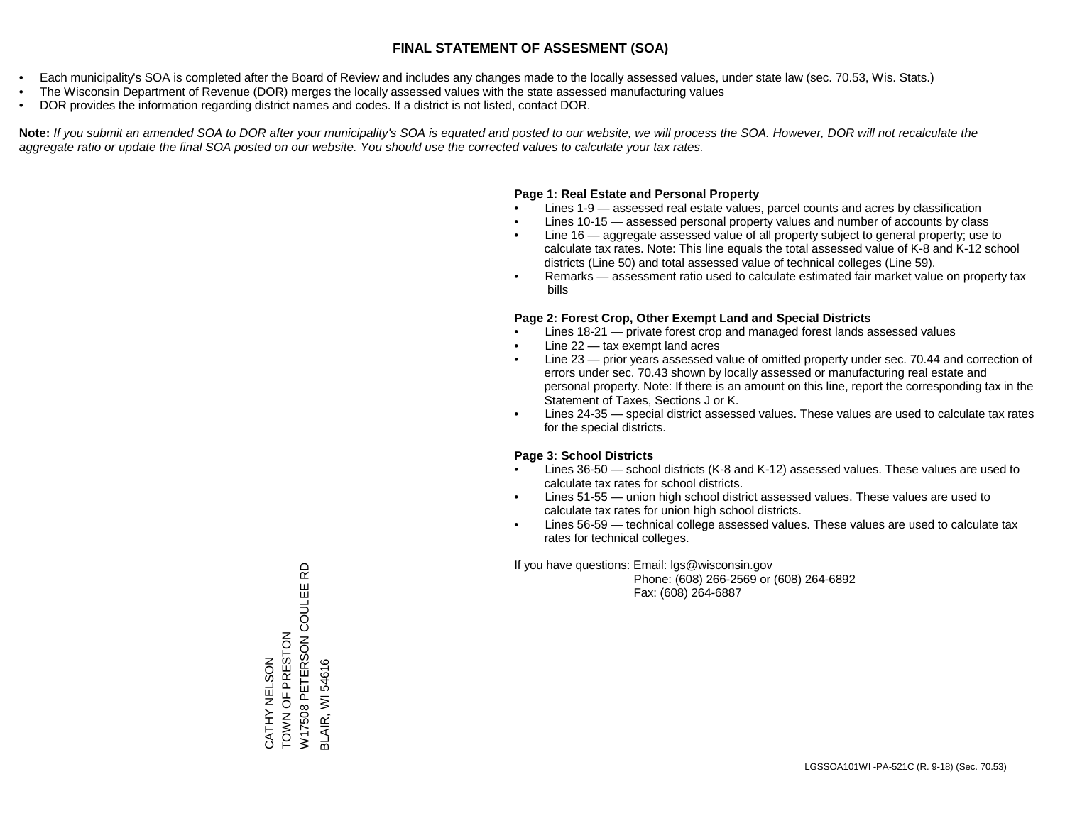- Each municipality's SOA is completed after the Board of Review and includes any changes made to the locally assessed values, under state law (sec. 70.53, Wis. Stats.)
- The Wisconsin Department of Revenue (DOR) merges the locally assessed values with the state assessed manufacturing values
- DOR provides the information regarding district names and codes. If a district is not listed, contact DOR.

Note: If you submit an amended SOA to DOR after your municipality's SOA is equated and posted to our website, we will process the SOA. However, DOR will not recalculate the *aggregate ratio or update the final SOA posted on our website. You should use the corrected values to calculate your tax rates.*

# **Page 1: Real Estate and Personal Property**

- Lines 1-9 assessed real estate values, parcel counts and acres by classification
- Lines 10-15 assessed personal property values and number of accounts by class
- Line 16 aggregate assessed value of all property subject to general property; use to calculate tax rates. Note: This line equals the total assessed value of K-8 and K-12 school districts (Line 50) and total assessed value of technical colleges (Line 59).
- Remarks assessment ratio used to calculate estimated fair market value on property tax bills

# **Page 2: Forest Crop, Other Exempt Land and Special Districts**

- Lines 18-21 private forest crop and managed forest lands assessed values
- Line  $22 -$  tax exempt land acres
- Line 23 prior years assessed value of omitted property under sec. 70.44 and correction of errors under sec. 70.43 shown by locally assessed or manufacturing real estate and personal property. Note: If there is an amount on this line, report the corresponding tax in the Statement of Taxes, Sections J or K.
- Lines 24-35 special district assessed values. These values are used to calculate tax rates for the special districts.

# **Page 3: School Districts**

- Lines 36-50 school districts (K-8 and K-12) assessed values. These values are used to calculate tax rates for school districts.
- Lines 51-55 union high school district assessed values. These values are used to calculate tax rates for union high school districts.
- Lines 56-59 technical college assessed values. These values are used to calculate tax rates for technical colleges.

If you have questions: Email: lgs@wisconsin.gov

 Phone: (608) 266-2569 or (608) 264-6892 Fax: (608) 264-6887

윤 W17508 PETERSON COULEE RD W17508 PETERSON COULEE CATHY NELSON<br>TOWN OF PRESTON TOWN OF PRESTON **BLAIR, WI 54616** CATHY NELSON BLAIR, WI 54616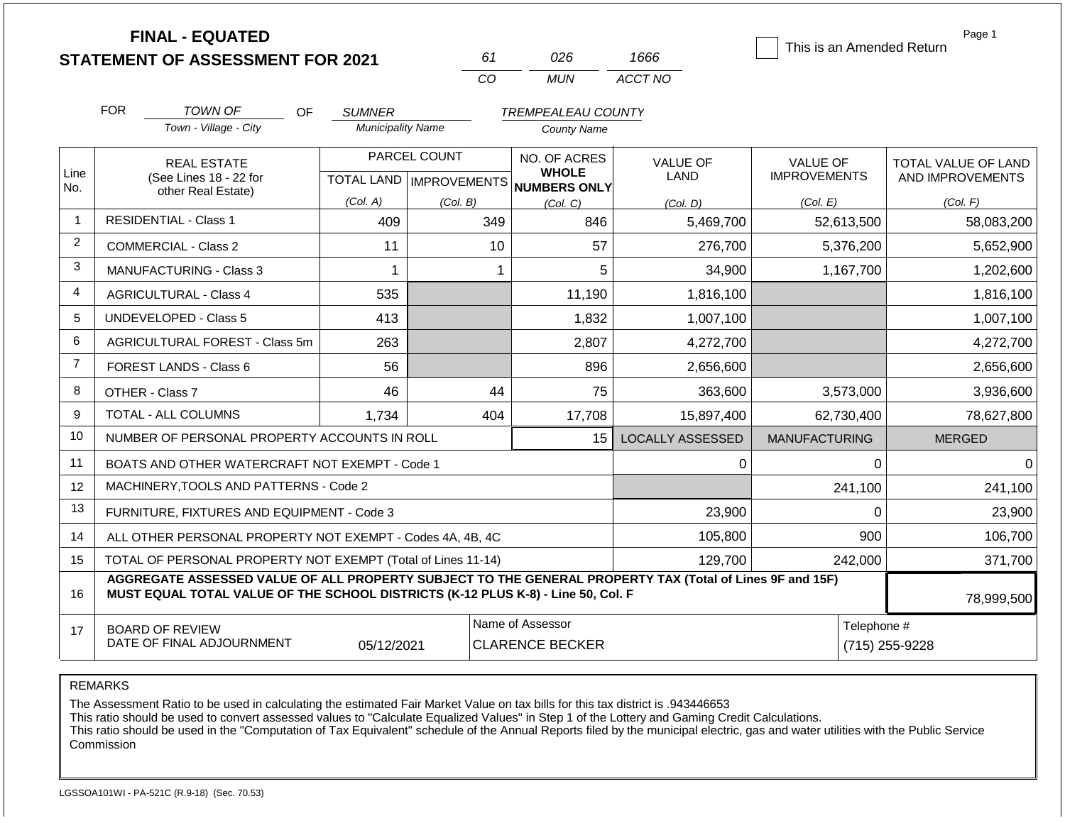|                | <b>FINAL - EQUATED</b>                                                                                                                                                                       |                          |                           |                                            |                         |                           | Page 1              |
|----------------|----------------------------------------------------------------------------------------------------------------------------------------------------------------------------------------------|--------------------------|---------------------------|--------------------------------------------|-------------------------|---------------------------|---------------------|
|                | <b>STATEMENT OF ASSESSMENT FOR 2021</b>                                                                                                                                                      |                          | 61                        | 026                                        | 1666                    | This is an Amended Return |                     |
|                |                                                                                                                                                                                              |                          | CO                        | <b>MUN</b>                                 | ACCT NO                 |                           |                     |
|                | <b>FOR</b><br>TOWN OF<br>OF                                                                                                                                                                  | <b>SUMNER</b>            |                           | <b>TREMPEALEAU COUNTY</b>                  |                         |                           |                     |
|                | Town - Village - City                                                                                                                                                                        | <b>Municipality Name</b> |                           | <b>County Name</b>                         |                         |                           |                     |
|                | <b>REAL ESTATE</b>                                                                                                                                                                           |                          | PARCEL COUNT              | NO. OF ACRES                               | <b>VALUE OF</b>         | <b>VALUE OF</b>           | TOTAL VALUE OF LAND |
| Line<br>No.    | (See Lines 18 - 22 for                                                                                                                                                                       |                          | TOTAL LAND   IMPROVEMENTS | <b>WHOLE</b><br>NUMBERS ONLY               | <b>LAND</b>             | <b>IMPROVEMENTS</b>       | AND IMPROVEMENTS    |
|                | other Real Estate)                                                                                                                                                                           | (Col. A)                 | (Col. B)                  | (Col, C)                                   | (Col, D)                | (Col. E)                  | (Col. F)            |
| -1             | <b>RESIDENTIAL - Class 1</b>                                                                                                                                                                 | 409                      | 349                       | 846                                        | 5,469,700               | 52,613,500                | 58,083,200          |
| 2              | <b>COMMERCIAL - Class 2</b>                                                                                                                                                                  | 11                       | 10                        | 57                                         | 276,700                 | 5,376,200                 | 5,652,900           |
| 3              | <b>MANUFACTURING - Class 3</b>                                                                                                                                                               | 1                        |                           | 5<br>1                                     | 34,900                  | 1,167,700                 | 1,202,600           |
| $\overline{4}$ | <b>AGRICULTURAL - Class 4</b>                                                                                                                                                                | 535                      |                           | 11,190                                     | 1,816,100               |                           | 1,816,100           |
| 5              | <b>UNDEVELOPED - Class 5</b>                                                                                                                                                                 | 413                      |                           | 1,832                                      | 1,007,100               |                           | 1,007,100           |
| 6              | AGRICULTURAL FOREST - Class 5m                                                                                                                                                               | 263                      |                           | 2,807                                      | 4,272,700               |                           | 4,272,700           |
| $\overline{7}$ | FOREST LANDS - Class 6                                                                                                                                                                       | 56                       |                           | 896                                        | 2,656,600               |                           | 2,656,600           |
| 8              | OTHER - Class 7                                                                                                                                                                              | 46                       | 44                        | 75                                         | 363,600                 | 3,573,000                 | 3,936,600           |
| 9              | TOTAL - ALL COLUMNS                                                                                                                                                                          | 1,734                    | 404                       | 17,708                                     | 15,897,400              | 62,730,400                | 78,627,800          |
| 10             | NUMBER OF PERSONAL PROPERTY ACCOUNTS IN ROLL                                                                                                                                                 |                          |                           | 15                                         | <b>LOCALLY ASSESSED</b> | <b>MANUFACTURING</b>      | <b>MERGED</b>       |
| 11             | BOATS AND OTHER WATERCRAFT NOT EXEMPT - Code 1                                                                                                                                               |                          |                           |                                            | 0                       | 0                         | $\Omega$            |
| 12             | MACHINERY, TOOLS AND PATTERNS - Code 2                                                                                                                                                       |                          |                           |                                            |                         | 241,100                   | 241,100             |
| 13             | FURNITURE, FIXTURES AND EQUIPMENT - Code 3                                                                                                                                                   |                          |                           |                                            | 23,900                  | 0                         | 23,900              |
| 14             | ALL OTHER PERSONAL PROPERTY NOT EXEMPT - Codes 4A, 4B, 4C                                                                                                                                    |                          |                           |                                            | 105,800                 | 900                       | 106,700             |
| 15             | TOTAL OF PERSONAL PROPERTY NOT EXEMPT (Total of Lines 11-14)                                                                                                                                 |                          |                           |                                            | 129,700                 | 242,000                   | 371,700             |
| 16             | AGGREGATE ASSESSED VALUE OF ALL PROPERTY SUBJECT TO THE GENERAL PROPERTY TAX (Total of Lines 9F and 15F)<br>MUST EQUAL TOTAL VALUE OF THE SCHOOL DISTRICTS (K-12 PLUS K-8) - Line 50, Col. F |                          |                           |                                            |                         |                           |                     |
|                |                                                                                                                                                                                              |                          |                           |                                            |                         |                           | 78,999,500          |
| 17             | <b>BOARD OF REVIEW</b><br>DATE OF FINAL ADJOURNMENT                                                                                                                                          | 05/12/2021               |                           | Name of Assessor<br><b>CLARENCE BECKER</b> |                         | Telephone #               | (715) 255-9228      |

REMARKS

The Assessment Ratio to be used in calculating the estimated Fair Market Value on tax bills for this tax district is .943446653

This ratio should be used to convert assessed values to "Calculate Equalized Values" in Step 1 of the Lottery and Gaming Credit Calculations.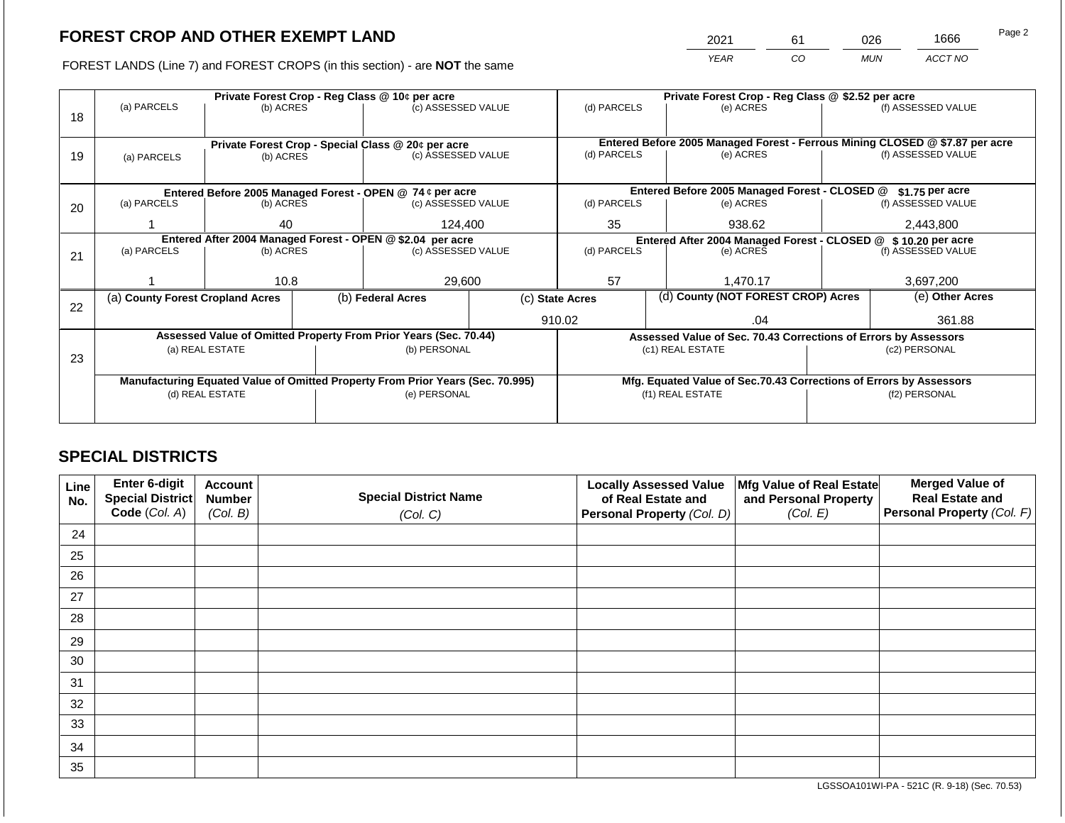2021 61 026 1666

FOREST LANDS (Line 7) and FOREST CROPS (in this section) - are **NOT** the same *YEAR CO MUN ACCT NO*

|    |                                                            |                 |  | Private Forest Crop - Reg Class @ 10¢ per acre                                 |                                                                | Private Forest Crop - Reg Class @ \$2.52 per acre                            |                                    |                                                                    |                    |                    |
|----|------------------------------------------------------------|-----------------|--|--------------------------------------------------------------------------------|----------------------------------------------------------------|------------------------------------------------------------------------------|------------------------------------|--------------------------------------------------------------------|--------------------|--------------------|
|    | (a) PARCELS                                                | (b) ACRES       |  | (c) ASSESSED VALUE                                                             |                                                                | (d) PARCELS                                                                  |                                    | (e) ACRES                                                          |                    | (f) ASSESSED VALUE |
| 18 |                                                            |                 |  |                                                                                |                                                                |                                                                              |                                    |                                                                    |                    |                    |
|    |                                                            |                 |  |                                                                                |                                                                |                                                                              |                                    |                                                                    |                    |                    |
|    |                                                            |                 |  | Private Forest Crop - Special Class @ 20¢ per acre                             |                                                                | Entered Before 2005 Managed Forest - Ferrous Mining CLOSED @ \$7.87 per acre |                                    |                                                                    |                    |                    |
| 19 | (a) PARCELS                                                | (b) ACRES       |  | (c) ASSESSED VALUE                                                             |                                                                | (d) PARCELS                                                                  |                                    | (e) ACRES                                                          |                    | (f) ASSESSED VALUE |
|    |                                                            |                 |  |                                                                                |                                                                |                                                                              |                                    |                                                                    |                    |                    |
|    |                                                            |                 |  | Entered Before 2005 Managed Forest - OPEN @ 74 ¢ per acre                      |                                                                | Entered Before 2005 Managed Forest - CLOSED @                                |                                    |                                                                    |                    | \$1.75 per acre    |
| 20 | (a) PARCELS<br>(b) ACRES                                   |                 |  | (c) ASSESSED VALUE                                                             |                                                                | (d) PARCELS                                                                  |                                    | (e) ACRES                                                          |                    | (f) ASSESSED VALUE |
|    |                                                            |                 |  |                                                                                |                                                                |                                                                              |                                    |                                                                    |                    |                    |
|    |                                                            | 40              |  | 124,400                                                                        |                                                                | 35<br>938.62                                                                 |                                    | 2,443,800                                                          |                    |                    |
|    | Entered After 2004 Managed Forest - OPEN @ \$2.04 per acre |                 |  |                                                                                | Entered After 2004 Managed Forest - CLOSED @ \$ 10.20 per acre |                                                                              |                                    |                                                                    |                    |                    |
| 21 | (a) PARCELS                                                | (b) ACRES       |  | (c) ASSESSED VALUE                                                             |                                                                | (d) PARCELS<br>(e) ACRES                                                     |                                    |                                                                    | (f) ASSESSED VALUE |                    |
|    |                                                            |                 |  |                                                                                |                                                                |                                                                              |                                    |                                                                    |                    |                    |
|    |                                                            | 10.8            |  | 29,600                                                                         |                                                                | 57                                                                           |                                    | 1,470.17                                                           |                    | 3,697,200          |
|    | (a) County Forest Cropland Acres                           |                 |  | (b) Federal Acres                                                              | (c) State Acres                                                |                                                                              | (d) County (NOT FOREST CROP) Acres |                                                                    |                    | (e) Other Acres    |
| 22 |                                                            |                 |  |                                                                                |                                                                |                                                                              |                                    |                                                                    |                    |                    |
|    |                                                            |                 |  |                                                                                |                                                                | 910.02                                                                       |                                    | .04                                                                |                    | 361.88             |
|    |                                                            |                 |  | Assessed Value of Omitted Property From Prior Years (Sec. 70.44)               |                                                                |                                                                              |                                    | Assessed Value of Sec. 70.43 Corrections of Errors by Assessors    |                    |                    |
|    |                                                            | (a) REAL ESTATE |  | (b) PERSONAL                                                                   |                                                                |                                                                              |                                    | (c1) REAL ESTATE                                                   |                    | (c2) PERSONAL      |
| 23 |                                                            |                 |  |                                                                                |                                                                |                                                                              |                                    |                                                                    |                    |                    |
|    |                                                            |                 |  | Manufacturing Equated Value of Omitted Property From Prior Years (Sec. 70.995) |                                                                |                                                                              |                                    | Mfg. Equated Value of Sec.70.43 Corrections of Errors by Assessors |                    |                    |
|    |                                                            | (d) REAL ESTATE |  | (e) PERSONAL                                                                   |                                                                |                                                                              |                                    | (f1) REAL ESTATE                                                   | (f2) PERSONAL      |                    |
|    |                                                            |                 |  |                                                                                |                                                                |                                                                              |                                    |                                                                    |                    |                    |
|    |                                                            |                 |  |                                                                                |                                                                |                                                                              |                                    |                                                                    |                    |                    |

# **SPECIAL DISTRICTS**

| Line<br>No. | <b>Enter 6-digit</b><br>Special District | <b>Account</b><br><b>Number</b> | <b>Special District Name</b> | <b>Locally Assessed Value</b><br>of Real Estate and | Mfg Value of Real Estate<br>and Personal Property | <b>Merged Value of</b><br><b>Real Estate and</b> |
|-------------|------------------------------------------|---------------------------------|------------------------------|-----------------------------------------------------|---------------------------------------------------|--------------------------------------------------|
|             | Code (Col. A)                            | (Col. B)                        | (Col. C)                     | Personal Property (Col. D)                          | (Col. E)                                          | Personal Property (Col. F)                       |
| 24          |                                          |                                 |                              |                                                     |                                                   |                                                  |
| 25          |                                          |                                 |                              |                                                     |                                                   |                                                  |
| 26          |                                          |                                 |                              |                                                     |                                                   |                                                  |
| 27          |                                          |                                 |                              |                                                     |                                                   |                                                  |
| 28          |                                          |                                 |                              |                                                     |                                                   |                                                  |
| 29          |                                          |                                 |                              |                                                     |                                                   |                                                  |
| 30          |                                          |                                 |                              |                                                     |                                                   |                                                  |
| 31          |                                          |                                 |                              |                                                     |                                                   |                                                  |
| 32          |                                          |                                 |                              |                                                     |                                                   |                                                  |
| 33          |                                          |                                 |                              |                                                     |                                                   |                                                  |
| 34          |                                          |                                 |                              |                                                     |                                                   |                                                  |
| 35          |                                          |                                 |                              |                                                     |                                                   |                                                  |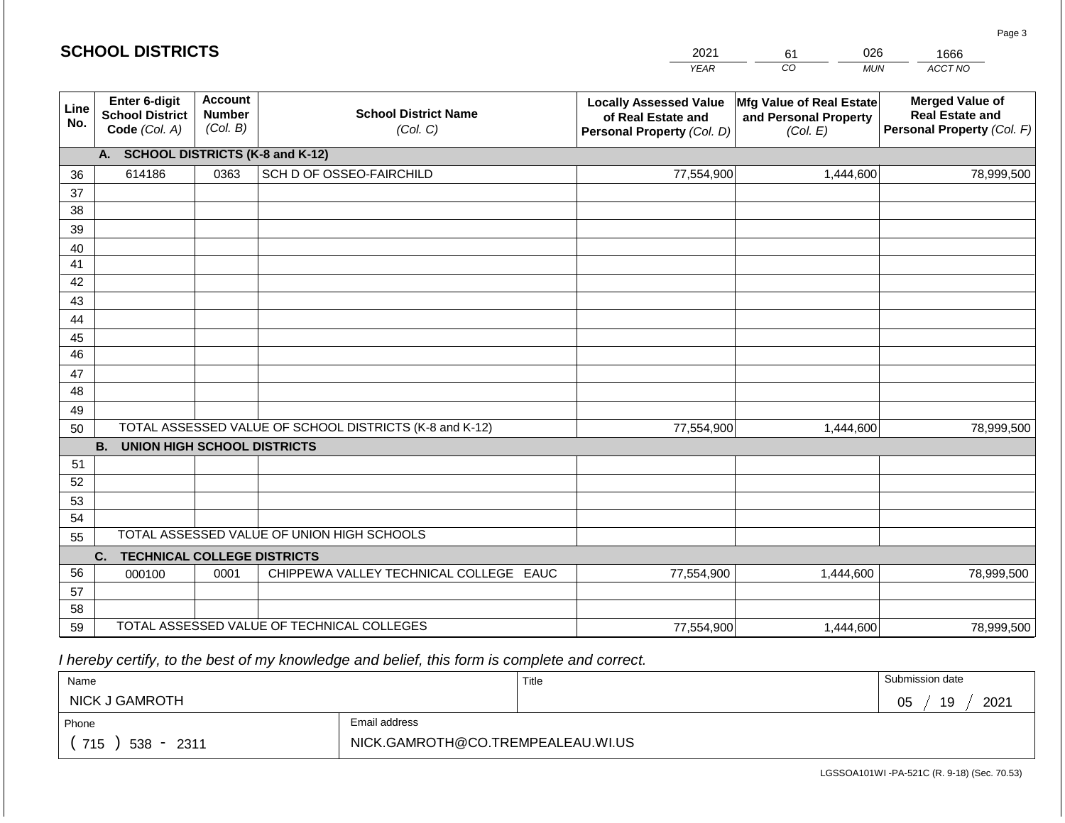#### *YEAR*  2021  $\overline{co}$ 61 *MUN ACCT NO*  1666 **Line No. Enter 6-digit School District Code** *(Col. A)* **Account Number** *(Col. B)* **School District Name** *(Col. C)* **Locally Assessed Value of Real Estate and Personal Property** *(Col. D)* **Mfg Value of Real Estate and Personal Property** *(Col. E)* **Merged Value of Real Estate and Personal Property** *(Col. F)* **A. SCHOOL DISTRICTS (K-8 and K-12)** 36 37 38 39 40 41 42 43 44 45 46 47 48 49 50 TOTAL ASSESSED VALUE OF SCHOOL DISTRICTS (K-8 and K-12) **B. UNION HIGH SCHOOL DISTRICTS** 51 52 53 54 55 **C. TECHNICAL COLLEGE DISTRICTS** 56 57 58 59 TOTAL ASSESSED VALUE OF TECHNICAL COLLEGES TOTAL ASSESSED VALUE OF UNION HIGH SCHOOLS 614186 0363 SCH D OF OSSEO-FAIRCHILD 77,554,900 77,554,900 000100 | 0001 | CHIPPEWA VALLEY TECHNICAL COLLEGE EAUC 77,554,900 1,444,600 78,999,500 1,444,600 78,999,500 1,444,600 78,999,500 77,554,900 1,444,600 78,999,500

 *I hereby certify, to the best of my knowledge and belief, this form is complete and correct.*

| Name                   |                                   | Title | Submission date  |
|------------------------|-----------------------------------|-------|------------------|
| NICK J GAMROTH         |                                   |       | 19<br>2021<br>05 |
| Phone                  | Email address                     |       |                  |
| 715<br>$538 -$<br>2311 | NICK.GAMROTH@CO.TREMPEALEAU.WI.US |       |                  |

LGSSOA101WI -PA-521C (R. 9-18) (Sec. 70.53)

Page 3

| <b>SCHOOL DISTRICTS</b> |  |  |  |  |  |  |  |  |
|-------------------------|--|--|--|--|--|--|--|--|
|-------------------------|--|--|--|--|--|--|--|--|

026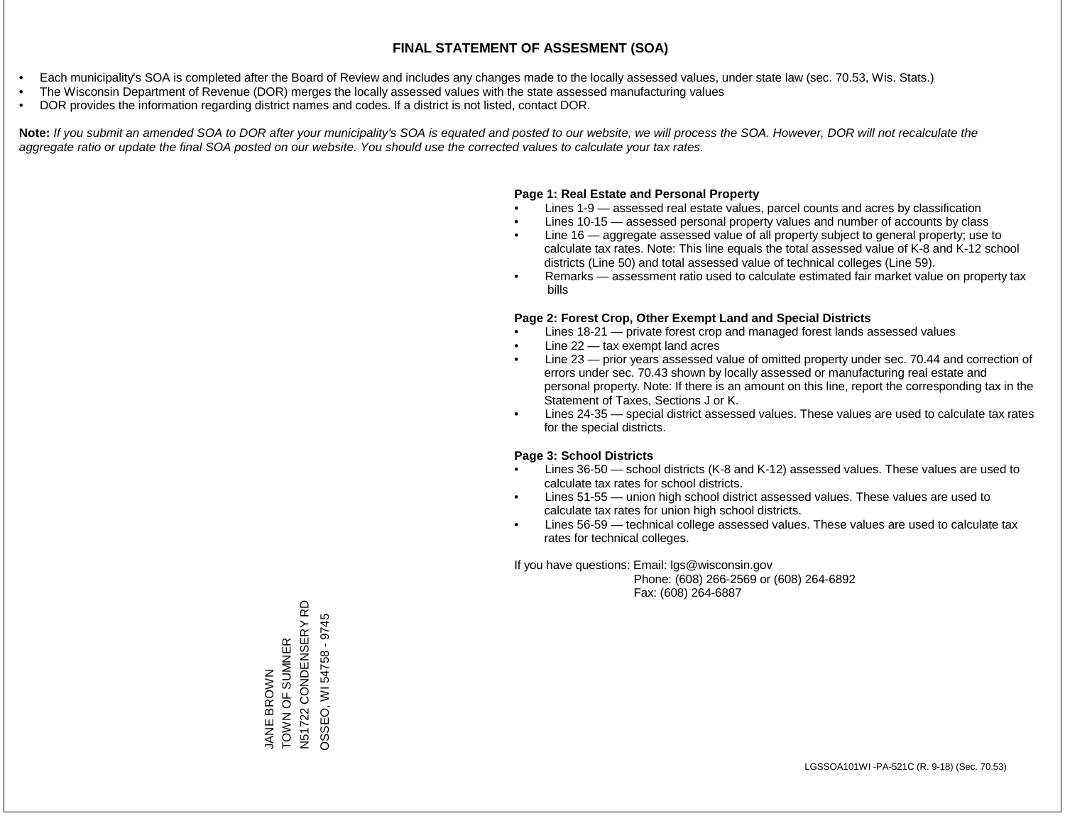- Each municipality's SOA is completed after the Board of Review and includes any changes made to the locally assessed values, under state law (sec. 70.53, Wis. Stats.)
- The Wisconsin Department of Revenue (DOR) merges the locally assessed values with the state assessed manufacturing values
- DOR provides the information regarding district names and codes. If a district is not listed, contact DOR.

Note: If you submit an amended SOA to DOR after your municipality's SOA is equated and posted to our website, we will process the SOA. However, DOR will not recalculate the *aggregate ratio or update the final SOA posted on our website. You should use the corrected values to calculate your tax rates.*

# **Page 1: Real Estate and Personal Property**

- Lines 1-9 assessed real estate values, parcel counts and acres by classification
- Lines 10-15 assessed personal property values and number of accounts by class
- Line 16 aggregate assessed value of all property subject to general property; use to calculate tax rates. Note: This line equals the total assessed value of K-8 and K-12 school districts (Line 50) and total assessed value of technical colleges (Line 59).
- Remarks assessment ratio used to calculate estimated fair market value on property tax bills

# **Page 2: Forest Crop, Other Exempt Land and Special Districts**

- Lines 18-21 private forest crop and managed forest lands assessed values
- Line  $22 -$  tax exempt land acres
- Line 23 prior years assessed value of omitted property under sec. 70.44 and correction of errors under sec. 70.43 shown by locally assessed or manufacturing real estate and personal property. Note: If there is an amount on this line, report the corresponding tax in the Statement of Taxes, Sections J or K.
- Lines 24-35 special district assessed values. These values are used to calculate tax rates for the special districts.

# **Page 3: School Districts**

- Lines 36-50 school districts (K-8 and K-12) assessed values. These values are used to calculate tax rates for school districts.
- Lines 51-55 union high school district assessed values. These values are used to calculate tax rates for union high school districts.
- Lines 56-59 technical college assessed values. These values are used to calculate tax rates for technical colleges.

If you have questions: Email: lgs@wisconsin.gov

 Phone: (608) 266-2569 or (608) 264-6892 Fax: (608) 264-6887

N51722 CONDENSERY RD N51722 CONDENSERY RD OSSEO, WI 54758 - 9745 OSSEO, WI 54758 - 9745TOWN OF SUMPR JANE BROWN<br>TOWN OF SUMNER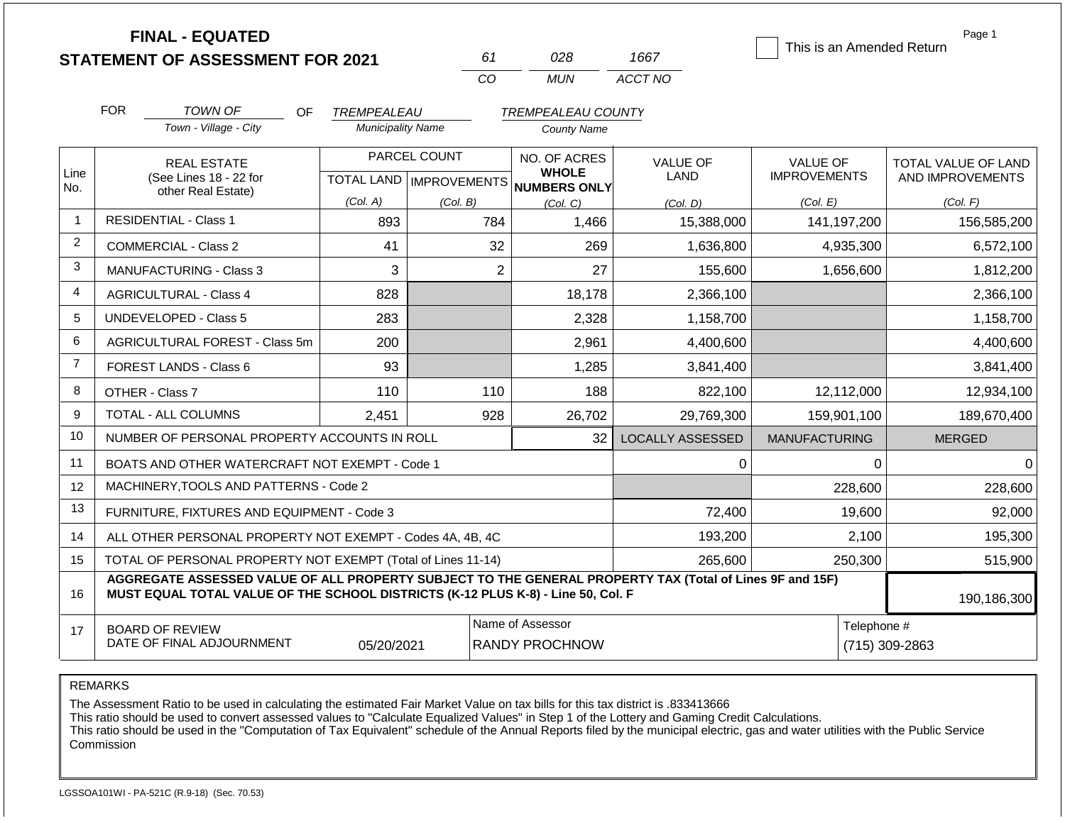|                | <b>FINAL - EQUATED</b><br><b>STATEMENT OF ASSESSMENT FOR 2021</b>                                                                                                                            |                                         | 61                                        | 028                                             | 1667                           | This is an Amended Return              | Page 1                                  |  |
|----------------|----------------------------------------------------------------------------------------------------------------------------------------------------------------------------------------------|-----------------------------------------|-------------------------------------------|-------------------------------------------------|--------------------------------|----------------------------------------|-----------------------------------------|--|
|                |                                                                                                                                                                                              |                                         | CO                                        | <b>MUN</b>                                      | ACCT NO                        |                                        |                                         |  |
|                | <b>FOR</b><br><b>TOWN OF</b><br>OF<br>Town - Village - City                                                                                                                                  | TREMPEALEAU<br><b>Municipality Name</b> |                                           | <b>TREMPEALEAU COUNTY</b><br><b>County Name</b> |                                |                                        |                                         |  |
| Line<br>No.    | <b>REAL ESTATE</b><br>(See Lines 18 - 22 for<br>other Real Estate)                                                                                                                           |                                         | PARCEL COUNT<br>TOTAL LAND   IMPROVEMENTS | NO. OF ACRES<br><b>WHOLE</b><br>NUMBERS ONLY    | <b>VALUE OF</b><br><b>LAND</b> | <b>VALUE OF</b><br><b>IMPROVEMENTS</b> | TOTAL VALUE OF LAND<br>AND IMPROVEMENTS |  |
| $\mathbf 1$    | <b>RESIDENTIAL - Class 1</b>                                                                                                                                                                 | (Col. A)                                | (Col. B)                                  | (Col, C)                                        | (Col. D)                       | (Col. E)                               | (Col. F)                                |  |
| $\overline{c}$ |                                                                                                                                                                                              | 893                                     | 784                                       | 1,466                                           | 15,388,000                     | 141,197,200                            | 156,585,200                             |  |
|                | <b>COMMERCIAL - Class 2</b>                                                                                                                                                                  | 41                                      | 32                                        | 269                                             | 1,636,800                      | 4,935,300                              | 6,572,100                               |  |
| 3              | <b>MANUFACTURING - Class 3</b>                                                                                                                                                               | 3                                       | $\overline{2}$                            | 27                                              | 155,600                        | 1,656,600                              | 1,812,200                               |  |
| 4              | <b>AGRICULTURAL - Class 4</b>                                                                                                                                                                | 828                                     |                                           | 18,178                                          | 2,366,100                      |                                        | 2,366,100                               |  |
| 5              | <b>UNDEVELOPED - Class 5</b>                                                                                                                                                                 | 283                                     |                                           | 2,328                                           | 1,158,700                      |                                        | 1,158,700                               |  |
| 6              | AGRICULTURAL FOREST - Class 5m                                                                                                                                                               | 200                                     |                                           | 2,961                                           | 4,400,600                      |                                        | 4,400,600                               |  |
| $\overline{7}$ | <b>FOREST LANDS - Class 6</b>                                                                                                                                                                | 93                                      |                                           | 1,285                                           | 3,841,400                      |                                        | 3,841,400                               |  |
| 8              | OTHER - Class 7                                                                                                                                                                              | 110                                     | 110                                       | 188                                             | 822,100                        | 12,112,000                             | 12,934,100                              |  |
| 9              | <b>TOTAL - ALL COLUMNS</b>                                                                                                                                                                   | 2,451                                   | 928                                       | 26,702                                          | 29,769,300                     | 159,901,100                            | 189,670,400                             |  |
| 10             | NUMBER OF PERSONAL PROPERTY ACCOUNTS IN ROLL                                                                                                                                                 |                                         |                                           | 32                                              | <b>LOCALLY ASSESSED</b>        | <b>MANUFACTURING</b>                   | <b>MERGED</b>                           |  |
| 11             | BOATS AND OTHER WATERCRAFT NOT EXEMPT - Code 1                                                                                                                                               |                                         |                                           |                                                 | 0                              | $\mathbf 0$                            | $\Omega$                                |  |
| 12             | MACHINERY, TOOLS AND PATTERNS - Code 2                                                                                                                                                       |                                         |                                           |                                                 |                                | 228,600                                | 228,600                                 |  |
| 13             | FURNITURE, FIXTURES AND EQUIPMENT - Code 3                                                                                                                                                   |                                         |                                           |                                                 | 72,400                         | 19,600                                 | 92,000                                  |  |
| 14             | ALL OTHER PERSONAL PROPERTY NOT EXEMPT - Codes 4A, 4B, 4C                                                                                                                                    |                                         |                                           |                                                 | 193,200                        | 2,100                                  | 195,300                                 |  |
| 15             | TOTAL OF PERSONAL PROPERTY NOT EXEMPT (Total of Lines 11-14)                                                                                                                                 |                                         |                                           |                                                 | 265,600                        | 250,300                                | 515,900                                 |  |
| 16             | AGGREGATE ASSESSED VALUE OF ALL PROPERTY SUBJECT TO THE GENERAL PROPERTY TAX (Total of Lines 9F and 15F)<br>MUST EQUAL TOTAL VALUE OF THE SCHOOL DISTRICTS (K-12 PLUS K-8) - Line 50, Col. F |                                         |                                           |                                                 |                                |                                        | 190,186,300                             |  |
| 17             | <b>BOARD OF REVIEW</b>                                                                                                                                                                       |                                         |                                           | Name of Assessor                                |                                |                                        | Telephone #                             |  |
|                | DATE OF FINAL ADJOURNMENT                                                                                                                                                                    | 05/20/2021                              |                                           | <b>RANDY PROCHNOW</b>                           |                                |                                        | (715) 309-2863                          |  |

REMARKS

The Assessment Ratio to be used in calculating the estimated Fair Market Value on tax bills for this tax district is .833413666

This ratio should be used to convert assessed values to "Calculate Equalized Values" in Step 1 of the Lottery and Gaming Credit Calculations.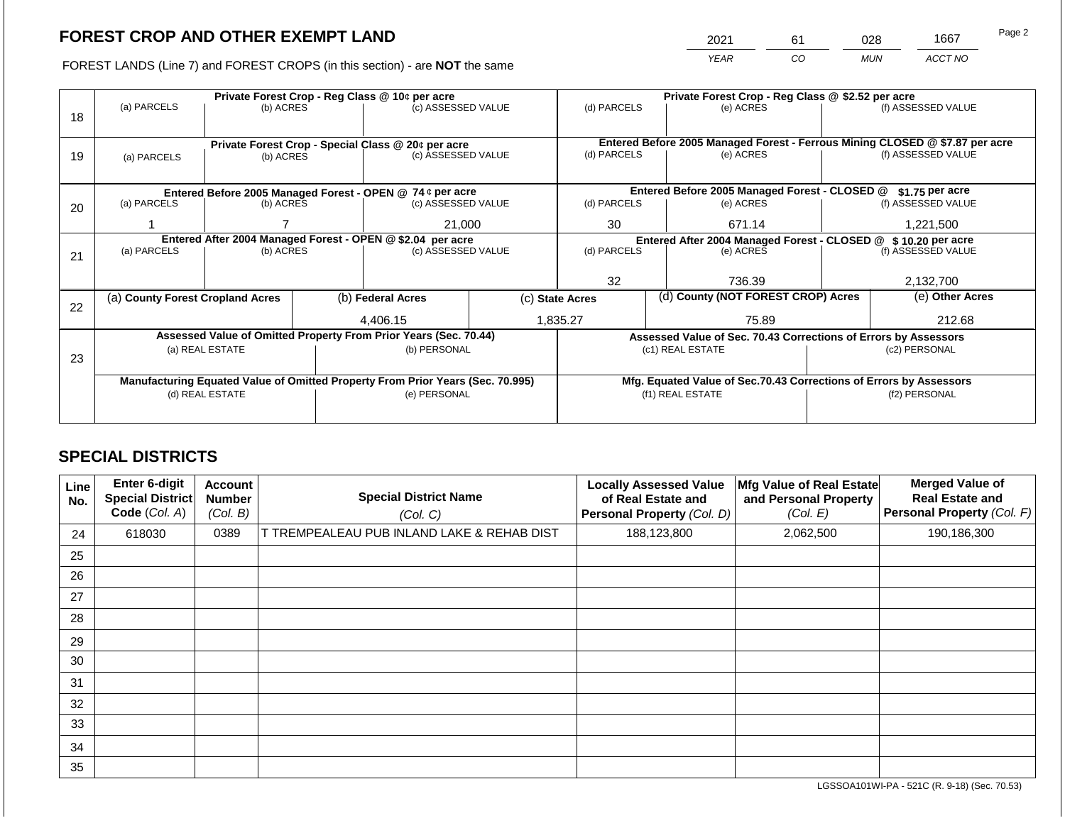2021 61 028 1667

FOREST LANDS (Line 7) and FOREST CROPS (in this section) - are **NOT** the same *YEAR CO MUN ACCT NO*

|    | Private Forest Crop - Reg Class @ 10¢ per acre             |                 |  |                                                                                |  | Private Forest Crop - Reg Class @ \$2.52 per acre               |  |                                                                    |               |                                                                                                    |
|----|------------------------------------------------------------|-----------------|--|--------------------------------------------------------------------------------|--|-----------------------------------------------------------------|--|--------------------------------------------------------------------|---------------|----------------------------------------------------------------------------------------------------|
|    | (a) PARCELS                                                | (b) ACRES       |  | (c) ASSESSED VALUE                                                             |  | (d) PARCELS                                                     |  | (e) ACRES                                                          |               | (f) ASSESSED VALUE                                                                                 |
| 18 |                                                            |                 |  |                                                                                |  |                                                                 |  |                                                                    |               |                                                                                                    |
|    |                                                            |                 |  |                                                                                |  |                                                                 |  |                                                                    |               |                                                                                                    |
|    | Private Forest Crop - Special Class @ 20¢ per acre         |                 |  | (c) ASSESSED VALUE                                                             |  | (d) PARCELS                                                     |  | (e) ACRES                                                          |               | Entered Before 2005 Managed Forest - Ferrous Mining CLOSED @ \$7.87 per acre<br>(f) ASSESSED VALUE |
| 19 | (a) PARCELS                                                | (b) ACRES       |  |                                                                                |  |                                                                 |  |                                                                    |               |                                                                                                    |
|    |                                                            |                 |  |                                                                                |  |                                                                 |  |                                                                    |               |                                                                                                    |
|    |                                                            |                 |  | Entered Before 2005 Managed Forest - OPEN @ 74 ¢ per acre                      |  |                                                                 |  | Entered Before 2005 Managed Forest - CLOSED @                      |               | $$1.75$ per acre                                                                                   |
| 20 | (a) PARCELS                                                | (b) ACRES       |  | (c) ASSESSED VALUE                                                             |  | (d) PARCELS                                                     |  | (e) ACRES                                                          |               | (f) ASSESSED VALUE                                                                                 |
|    |                                                            |                 |  |                                                                                |  |                                                                 |  |                                                                    |               |                                                                                                    |
|    |                                                            |                 |  | 21,000                                                                         |  | 30<br>671.14                                                    |  | 1,221,500                                                          |               |                                                                                                    |
|    | Entered After 2004 Managed Forest - OPEN @ \$2.04 per acre |                 |  |                                                                                |  | Entered After 2004 Managed Forest - CLOSED @ \$ 10.20 per acre  |  |                                                                    |               |                                                                                                    |
| 21 | (a) PARCELS                                                | (b) ACRES       |  | (c) ASSESSED VALUE                                                             |  | (d) PARCELS                                                     |  | (e) ACRES                                                          |               | (f) ASSESSED VALUE                                                                                 |
|    |                                                            |                 |  |                                                                                |  |                                                                 |  |                                                                    |               |                                                                                                    |
|    |                                                            |                 |  |                                                                                |  | 32                                                              |  | 736.39                                                             |               | 2,132,700                                                                                          |
|    | (a) County Forest Cropland Acres                           |                 |  | (b) Federal Acres                                                              |  | (d) County (NOT FOREST CROP) Acres<br>(c) State Acres           |  |                                                                    |               | (e) Other Acres                                                                                    |
| 22 |                                                            |                 |  |                                                                                |  |                                                                 |  |                                                                    |               |                                                                                                    |
|    |                                                            |                 |  | 4.406.15                                                                       |  | 1,835.27                                                        |  | 75.89                                                              |               | 212.68                                                                                             |
|    |                                                            |                 |  | Assessed Value of Omitted Property From Prior Years (Sec. 70.44)               |  | Assessed Value of Sec. 70.43 Corrections of Errors by Assessors |  |                                                                    |               |                                                                                                    |
|    |                                                            | (a) REAL ESTATE |  | (b) PERSONAL                                                                   |  |                                                                 |  | (c1) REAL ESTATE                                                   |               | (c2) PERSONAL                                                                                      |
| 23 |                                                            |                 |  |                                                                                |  |                                                                 |  |                                                                    |               |                                                                                                    |
|    |                                                            |                 |  | Manufacturing Equated Value of Omitted Property From Prior Years (Sec. 70.995) |  |                                                                 |  | Mfg. Equated Value of Sec.70.43 Corrections of Errors by Assessors |               |                                                                                                    |
|    |                                                            | (d) REAL ESTATE |  | (e) PERSONAL                                                                   |  |                                                                 |  | (f1) REAL ESTATE                                                   | (f2) PERSONAL |                                                                                                    |
|    |                                                            |                 |  |                                                                                |  |                                                                 |  |                                                                    |               |                                                                                                    |
|    |                                                            |                 |  |                                                                                |  |                                                                 |  |                                                                    |               |                                                                                                    |

# **SPECIAL DISTRICTS**

| Line<br>No. | <b>Enter 6-digit</b><br>Special District<br>Code (Col. A) | <b>Account</b><br><b>Number</b><br>(Col. B) | <b>Special District Name</b><br>(Col. C)   | <b>Locally Assessed Value</b><br>of Real Estate and<br>Personal Property (Col. D) | Mfg Value of Real Estate<br>and Personal Property<br>(Col. E) | <b>Merged Value of</b><br><b>Real Estate and</b><br>Personal Property (Col. F) |
|-------------|-----------------------------------------------------------|---------------------------------------------|--------------------------------------------|-----------------------------------------------------------------------------------|---------------------------------------------------------------|--------------------------------------------------------------------------------|
| 24          | 618030                                                    | 0389                                        | T TREMPEALEAU PUB INLAND LAKE & REHAB DIST | 188,123,800                                                                       | 2,062,500                                                     | 190,186,300                                                                    |
| 25          |                                                           |                                             |                                            |                                                                                   |                                                               |                                                                                |
| 26          |                                                           |                                             |                                            |                                                                                   |                                                               |                                                                                |
| 27          |                                                           |                                             |                                            |                                                                                   |                                                               |                                                                                |
| 28          |                                                           |                                             |                                            |                                                                                   |                                                               |                                                                                |
| 29          |                                                           |                                             |                                            |                                                                                   |                                                               |                                                                                |
| 30          |                                                           |                                             |                                            |                                                                                   |                                                               |                                                                                |
| 31          |                                                           |                                             |                                            |                                                                                   |                                                               |                                                                                |
| 32          |                                                           |                                             |                                            |                                                                                   |                                                               |                                                                                |
| 33          |                                                           |                                             |                                            |                                                                                   |                                                               |                                                                                |
| 34          |                                                           |                                             |                                            |                                                                                   |                                                               |                                                                                |
| 35          |                                                           |                                             |                                            |                                                                                   |                                                               |                                                                                |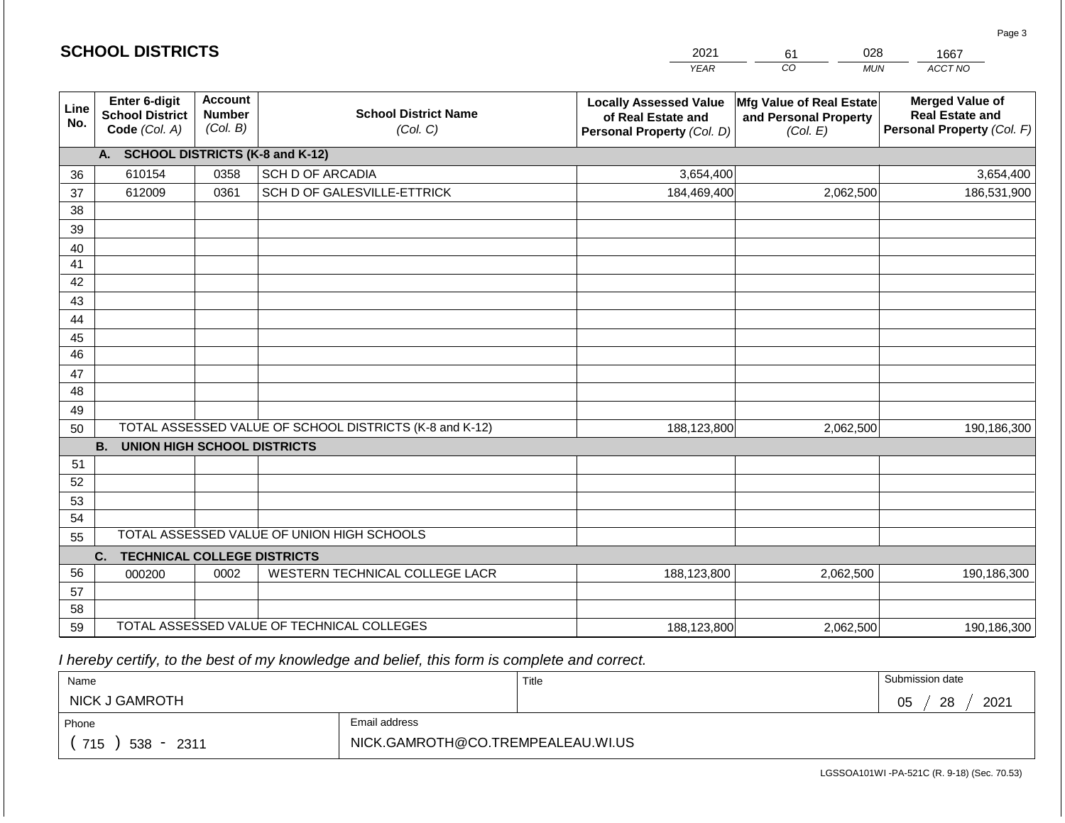|                       | <b>SCHOOL DISTRICTS</b>                                  |                                             |                                                         | 2021                                                                              | 028<br>61                                                     | 1667                                                                           |
|-----------------------|----------------------------------------------------------|---------------------------------------------|---------------------------------------------------------|-----------------------------------------------------------------------------------|---------------------------------------------------------------|--------------------------------------------------------------------------------|
|                       |                                                          |                                             |                                                         | <b>YEAR</b>                                                                       | CO<br><b>MUN</b>                                              | ACCT NO                                                                        |
| Line<br>No.           | Enter 6-digit<br><b>School District</b><br>Code (Col. A) | <b>Account</b><br><b>Number</b><br>(Col. B) | <b>School District Name</b><br>(Col. C)                 | <b>Locally Assessed Value</b><br>of Real Estate and<br>Personal Property (Col. D) | Mfg Value of Real Estate<br>and Personal Property<br>(Col. E) | <b>Merged Value of</b><br><b>Real Estate and</b><br>Personal Property (Col. F) |
|                       | A. SCHOOL DISTRICTS (K-8 and K-12)                       |                                             |                                                         |                                                                                   |                                                               |                                                                                |
| 36                    | 610154                                                   | 0358                                        | <b>SCH D OF ARCADIA</b>                                 | 3,654,400                                                                         |                                                               | 3,654,400                                                                      |
| 37                    | 612009                                                   | 0361                                        | SCH D OF GALESVILLE-ETTRICK                             | 184,469,400                                                                       | 2,062,500                                                     | 186,531,900                                                                    |
| 38                    |                                                          |                                             |                                                         |                                                                                   |                                                               |                                                                                |
| 39                    |                                                          |                                             |                                                         |                                                                                   |                                                               |                                                                                |
| 40                    |                                                          |                                             |                                                         |                                                                                   |                                                               |                                                                                |
| 41                    |                                                          |                                             |                                                         |                                                                                   |                                                               |                                                                                |
| 42                    |                                                          |                                             |                                                         |                                                                                   |                                                               |                                                                                |
| 43                    |                                                          |                                             |                                                         |                                                                                   |                                                               |                                                                                |
| 44                    |                                                          |                                             |                                                         |                                                                                   |                                                               |                                                                                |
| 45<br>$\overline{46}$ |                                                          |                                             |                                                         |                                                                                   |                                                               |                                                                                |
| 47                    |                                                          |                                             |                                                         |                                                                                   |                                                               |                                                                                |
| 48                    |                                                          |                                             |                                                         |                                                                                   |                                                               |                                                                                |
| 49                    |                                                          |                                             |                                                         |                                                                                   |                                                               |                                                                                |
| 50                    |                                                          |                                             | TOTAL ASSESSED VALUE OF SCHOOL DISTRICTS (K-8 and K-12) | 188,123,800                                                                       | 2,062,500                                                     | 190,186,300                                                                    |
|                       | <b>B.</b><br><b>UNION HIGH SCHOOL DISTRICTS</b>          |                                             |                                                         |                                                                                   |                                                               |                                                                                |
| 51                    |                                                          |                                             |                                                         |                                                                                   |                                                               |                                                                                |
| 52                    |                                                          |                                             |                                                         |                                                                                   |                                                               |                                                                                |
| 53                    |                                                          |                                             |                                                         |                                                                                   |                                                               |                                                                                |
| 54                    |                                                          |                                             |                                                         |                                                                                   |                                                               |                                                                                |
| 55                    |                                                          |                                             | TOTAL ASSESSED VALUE OF UNION HIGH SCHOOLS              |                                                                                   |                                                               |                                                                                |
|                       | C.<br><b>TECHNICAL COLLEGE DISTRICTS</b>                 |                                             |                                                         |                                                                                   |                                                               |                                                                                |
| 56                    | 000200                                                   | 0002                                        | WESTERN TECHNICAL COLLEGE LACR                          | 188,123,800                                                                       | 2,062,500                                                     | 190,186,300                                                                    |
| 57                    |                                                          |                                             |                                                         |                                                                                   |                                                               |                                                                                |
| 58                    |                                                          |                                             |                                                         |                                                                                   |                                                               |                                                                                |
| 59                    |                                                          |                                             | TOTAL ASSESSED VALUE OF TECHNICAL COLLEGES              | 188,123,800                                                                       | 2,062,500                                                     | 190,186,300                                                                    |

**SCHOOL DISTRICTS**

| Name                |                                   | Title | Submission date       |
|---------------------|-----------------------------------|-------|-----------------------|
| NICK J GAMROTH      |                                   |       | 2021<br>28<br>∩ҕ<br>◡ |
| Phone               | Email address                     |       |                       |
| 715<br>$538 - 2311$ | NICK.GAMROTH@CO.TREMPEALEAU.WI.US |       |                       |

Page 3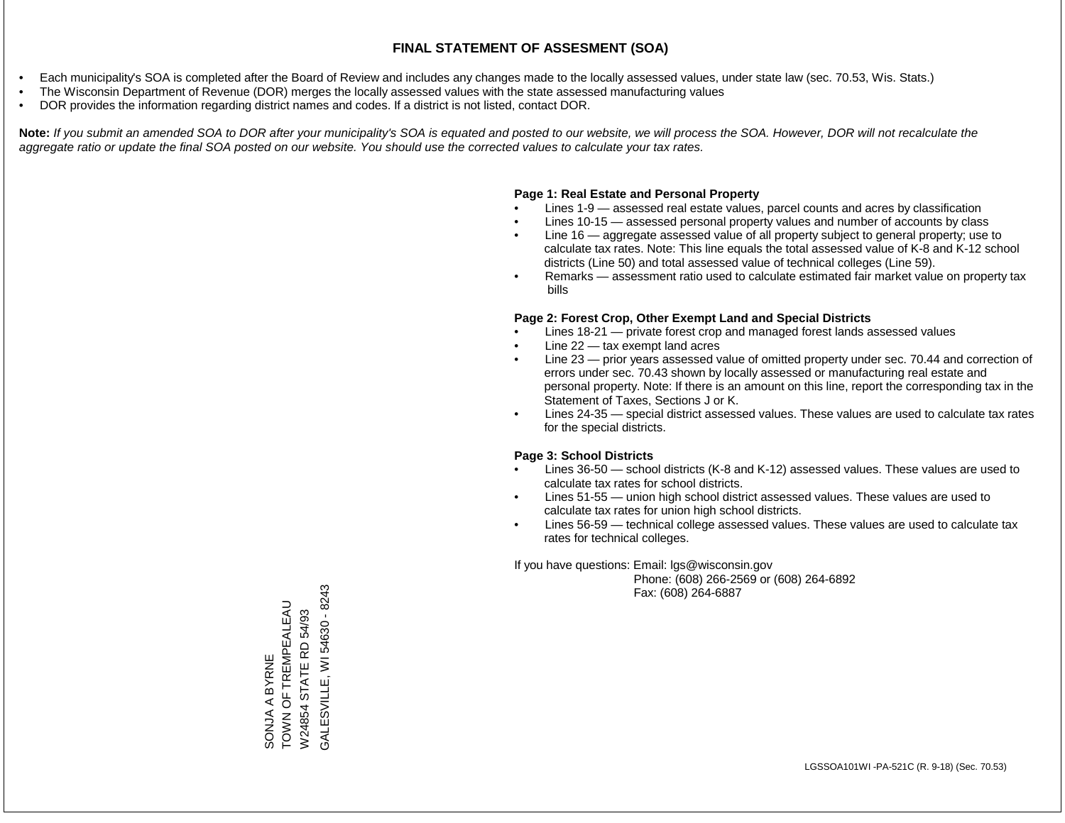- Each municipality's SOA is completed after the Board of Review and includes any changes made to the locally assessed values, under state law (sec. 70.53, Wis. Stats.)
- The Wisconsin Department of Revenue (DOR) merges the locally assessed values with the state assessed manufacturing values
- DOR provides the information regarding district names and codes. If a district is not listed, contact DOR.

Note: If you submit an amended SOA to DOR after your municipality's SOA is equated and posted to our website, we will process the SOA. However, DOR will not recalculate the *aggregate ratio or update the final SOA posted on our website. You should use the corrected values to calculate your tax rates.*

### **Page 1: Real Estate and Personal Property**

- Lines 1-9 assessed real estate values, parcel counts and acres by classification
- Lines 10-15 assessed personal property values and number of accounts by class
- Line 16 aggregate assessed value of all property subject to general property; use to calculate tax rates. Note: This line equals the total assessed value of K-8 and K-12 school districts (Line 50) and total assessed value of technical colleges (Line 59).
- Remarks assessment ratio used to calculate estimated fair market value on property tax bills

#### **Page 2: Forest Crop, Other Exempt Land and Special Districts**

- Lines 18-21 private forest crop and managed forest lands assessed values
- Line  $22 -$  tax exempt land acres
- Line 23 prior years assessed value of omitted property under sec. 70.44 and correction of errors under sec. 70.43 shown by locally assessed or manufacturing real estate and personal property. Note: If there is an amount on this line, report the corresponding tax in the Statement of Taxes, Sections J or K.
- Lines 24-35 special district assessed values. These values are used to calculate tax rates for the special districts.

#### **Page 3: School Districts**

- Lines 36-50 school districts (K-8 and K-12) assessed values. These values are used to calculate tax rates for school districts.
- Lines 51-55 union high school district assessed values. These values are used to calculate tax rates for union high school districts.
- Lines 56-59 technical college assessed values. These values are used to calculate tax rates for technical colleges.

If you have questions: Email: lgs@wisconsin.gov

 Phone: (608) 266-2569 or (608) 264-6892 Fax: (608) 264-6887

GALESVILLE, WI 54630 - 8243 GALESVILLE, WI 54630 - 8243TOWN OF TREMPEALEAU SONJA A BYRNE<br>TOWN OF TREMPEALEAU W24854 STATE RD 54/93 W24854 STATE RD 54/93 SONJA A BYRNE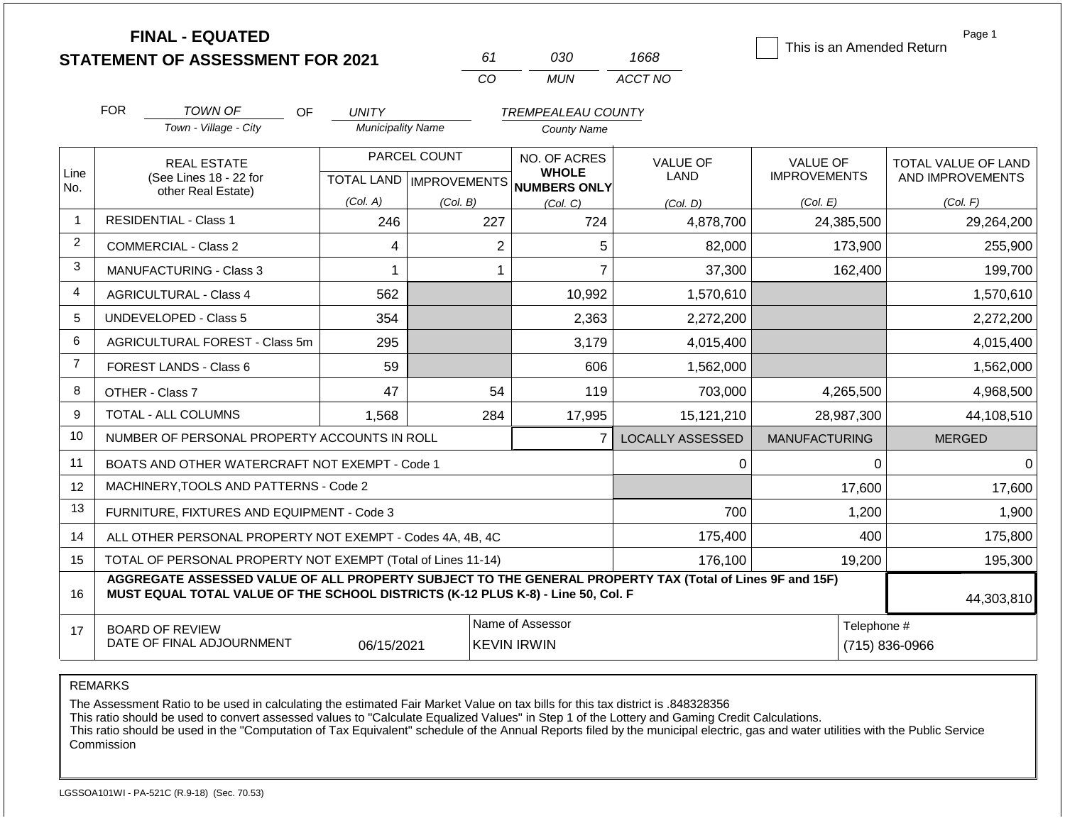**FINAL - EQUATED**

| 61       | റദറ   | 1668    |
|----------|-------|---------|
| $\cdots$ | MI IN | ACCT NO |

This is an Amended Return

Page 1

|                | <b>FOR</b>                                                              | <b>TOWN OF</b>                                                                                                                                                                               | OF<br><b>UNITY</b>       |                                           | <b>TREMPEALEAU COUNTY</b>              |                                |                                        |                                                |
|----------------|-------------------------------------------------------------------------|----------------------------------------------------------------------------------------------------------------------------------------------------------------------------------------------|--------------------------|-------------------------------------------|----------------------------------------|--------------------------------|----------------------------------------|------------------------------------------------|
|                |                                                                         | Town - Village - City                                                                                                                                                                        | <b>Municipality Name</b> |                                           | <b>County Name</b>                     |                                |                                        |                                                |
| Line           |                                                                         | <b>REAL ESTATE</b><br>(See Lines 18 - 22 for                                                                                                                                                 |                          | PARCEL COUNT<br>TOTAL LAND   IMPROVEMENTS | NO. OF ACRES<br><b>WHOLE</b>           | <b>VALUE OF</b><br><b>LAND</b> | <b>VALUE OF</b><br><b>IMPROVEMENTS</b> | <b>TOTAL VALUE OF LAND</b><br>AND IMPROVEMENTS |
| No.            |                                                                         | other Real Estate)                                                                                                                                                                           | (Col. A)                 | (Col. B)                                  | NUMBERS ONLY<br>(Col. C)               | (Col. D)                       | (Col. E)                               | (Col. F)                                       |
|                |                                                                         | <b>RESIDENTIAL - Class 1</b>                                                                                                                                                                 | 246                      | 227                                       | 724                                    | 4,878,700                      | 24,385,500                             | 29,264,200                                     |
| $\overline{2}$ |                                                                         | <b>COMMERCIAL - Class 2</b>                                                                                                                                                                  | 4                        | $\overline{c}$                            | 5                                      | 82,000                         | 173,900                                | 255,900                                        |
| $\mathbf{3}$   |                                                                         | <b>MANUFACTURING - Class 3</b>                                                                                                                                                               |                          | 1                                         | $\overline{7}$                         | 37,300                         | 162,400                                | 199,700                                        |
| 4              |                                                                         | <b>AGRICULTURAL - Class 4</b>                                                                                                                                                                | 562                      |                                           | 10,992                                 | 1,570,610                      |                                        | 1,570,610                                      |
| 5              |                                                                         | UNDEVELOPED - Class 5                                                                                                                                                                        | 354                      |                                           | 2,363                                  | 2,272,200                      |                                        | 2,272,200                                      |
| $\,6$          |                                                                         | AGRICULTURAL FOREST - Class 5m                                                                                                                                                               | 295                      |                                           | 3,179                                  | 4,015,400                      |                                        | 4,015,400                                      |
| $\overline{7}$ |                                                                         | FOREST LANDS - Class 6                                                                                                                                                                       | 59                       |                                           | 606                                    | 1,562,000                      |                                        | 1,562,000                                      |
| 8              |                                                                         | OTHER - Class 7                                                                                                                                                                              | 47                       | 54                                        | 119                                    | 703,000                        | 4,265,500                              | 4,968,500                                      |
| 9              |                                                                         | TOTAL - ALL COLUMNS                                                                                                                                                                          | 1,568                    | 284                                       | 17,995                                 | 15,121,210                     | 28,987,300                             | 44,108,510                                     |
| 10             |                                                                         | NUMBER OF PERSONAL PROPERTY ACCOUNTS IN ROLL                                                                                                                                                 |                          |                                           | $\overline{7}$                         | <b>LOCALLY ASSESSED</b>        | <b>MANUFACTURING</b>                   | <b>MERGED</b>                                  |
| 11             |                                                                         | BOATS AND OTHER WATERCRAFT NOT EXEMPT - Code 1                                                                                                                                               |                          |                                           |                                        | 0                              | 0                                      | $\Omega$                                       |
| 12             |                                                                         | MACHINERY, TOOLS AND PATTERNS - Code 2                                                                                                                                                       |                          |                                           |                                        |                                | 17,600                                 | 17,600                                         |
| 13             |                                                                         | FURNITURE, FIXTURES AND EQUIPMENT - Code 3                                                                                                                                                   |                          |                                           |                                        | 700                            | 1,200                                  | 1,900                                          |
| 14             |                                                                         | ALL OTHER PERSONAL PROPERTY NOT EXEMPT - Codes 4A, 4B, 4C                                                                                                                                    |                          |                                           |                                        | 175,400                        | 400                                    | 175,800                                        |
| 15             | TOTAL OF PERSONAL PROPERTY NOT EXEMPT (Total of Lines 11-14)<br>176,100 |                                                                                                                                                                                              |                          |                                           |                                        |                                |                                        | 195,300                                        |
| 16             |                                                                         | AGGREGATE ASSESSED VALUE OF ALL PROPERTY SUBJECT TO THE GENERAL PROPERTY TAX (Total of Lines 9F and 15F)<br>MUST EQUAL TOTAL VALUE OF THE SCHOOL DISTRICTS (K-12 PLUS K-8) - Line 50, Col. F |                          |                                           |                                        |                                |                                        | 44,303,810                                     |
| 17             |                                                                         | <b>BOARD OF REVIEW</b><br>DATE OF FINAL ADJOURNMENT                                                                                                                                          | 06/15/2021               |                                           | Name of Assessor<br><b>KEVIN IRWIN</b> |                                | Telephone #                            | $(715) 836 - 0966$                             |

REMARKS

The Assessment Ratio to be used in calculating the estimated Fair Market Value on tax bills for this tax district is .848328356

This ratio should be used to convert assessed values to "Calculate Equalized Values" in Step 1 of the Lottery and Gaming Credit Calculations.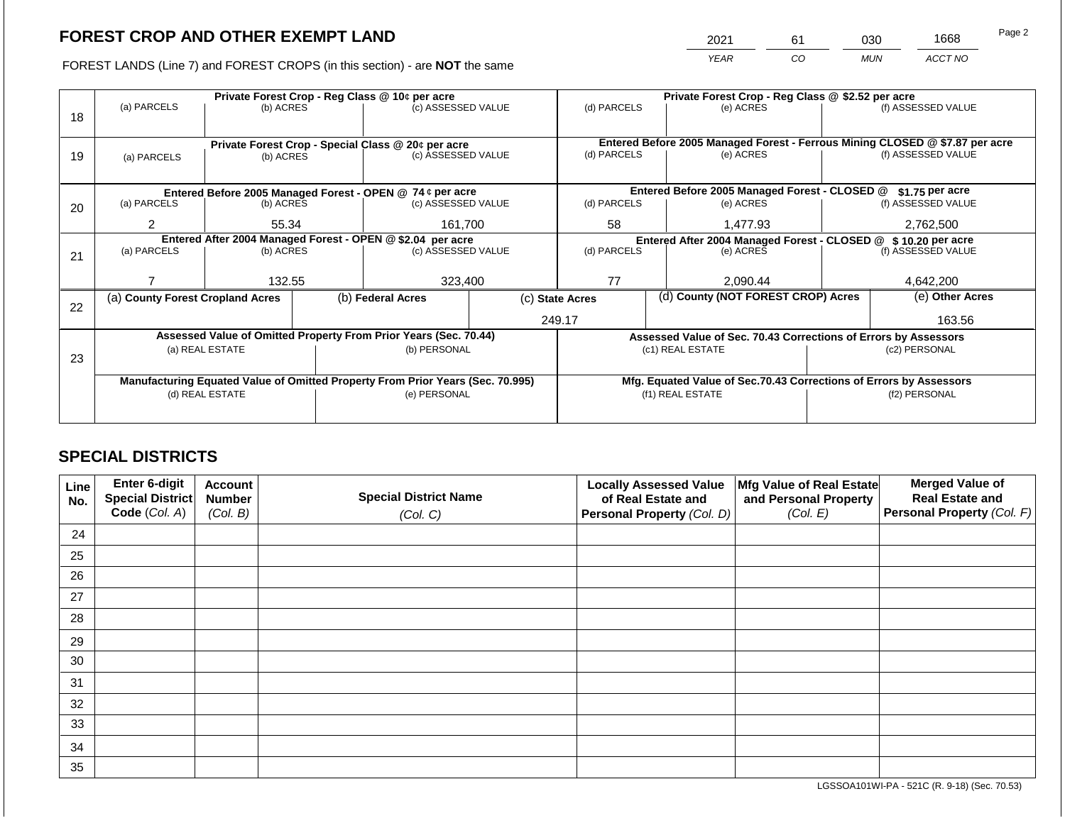2021 61 030 1668

FOREST LANDS (Line 7) and FOREST CROPS (in this section) - are **NOT** the same *YEAR CO MUN ACCT NO*

|    | Private Forest Crop - Reg Class @ 10¢ per acre             |                                    |  |                                                                                |  | Private Forest Crop - Reg Class @ \$2.52 per acre             |  |                                                                                           |  |                    |  |
|----|------------------------------------------------------------|------------------------------------|--|--------------------------------------------------------------------------------|--|---------------------------------------------------------------|--|-------------------------------------------------------------------------------------------|--|--------------------|--|
|    | (a) PARCELS                                                | (b) ACRES                          |  | (c) ASSESSED VALUE                                                             |  | (d) PARCELS                                                   |  | (e) ACRES                                                                                 |  | (f) ASSESSED VALUE |  |
| 18 |                                                            |                                    |  |                                                                                |  |                                                               |  |                                                                                           |  |                    |  |
|    |                                                            |                                    |  |                                                                                |  |                                                               |  |                                                                                           |  |                    |  |
|    |                                                            |                                    |  | Private Forest Crop - Special Class @ 20¢ per acre<br>(c) ASSESSED VALUE       |  | (d) PARCELS                                                   |  | Entered Before 2005 Managed Forest - Ferrous Mining CLOSED @ \$7.87 per acre<br>(e) ACRES |  | (f) ASSESSED VALUE |  |
| 19 | (a) PARCELS                                                | (b) ACRES                          |  |                                                                                |  |                                                               |  |                                                                                           |  |                    |  |
|    |                                                            |                                    |  |                                                                                |  |                                                               |  |                                                                                           |  |                    |  |
|    |                                                            |                                    |  | Entered Before 2005 Managed Forest - OPEN @ 74 ¢ per acre                      |  |                                                               |  | Entered Before 2005 Managed Forest - CLOSED @                                             |  | \$1.75 per acre    |  |
| 20 | (a) PARCELS                                                | (b) ACRES                          |  | (c) ASSESSED VALUE                                                             |  | (d) PARCELS                                                   |  | (e) ACRES                                                                                 |  | (f) ASSESSED VALUE |  |
|    |                                                            |                                    |  |                                                                                |  |                                                               |  |                                                                                           |  |                    |  |
|    |                                                            | $\overline{2}$<br>161,700<br>55.34 |  | 58                                                                             |  | 1,477.93                                                      |  | 2,762,500                                                                                 |  |                    |  |
|    | Entered After 2004 Managed Forest - OPEN @ \$2.04 per acre |                                    |  |                                                                                |  | Entered After 2004 Managed Forest - CLOSED @ \$10.20 per acre |  |                                                                                           |  |                    |  |
| 21 | (a) PARCELS                                                | (b) ACRES                          |  | (c) ASSESSED VALUE                                                             |  | (d) PARCELS                                                   |  | (e) ACRES                                                                                 |  | (f) ASSESSED VALUE |  |
|    |                                                            |                                    |  |                                                                                |  |                                                               |  |                                                                                           |  |                    |  |
|    |                                                            | 132.55                             |  | 323,400                                                                        |  | 77                                                            |  | 2,090.44                                                                                  |  | 4,642,200          |  |
|    | (a) County Forest Cropland Acres                           |                                    |  | (b) Federal Acres                                                              |  | (c) State Acres                                               |  | (d) County (NOT FOREST CROP) Acres                                                        |  | (e) Other Acres    |  |
| 22 |                                                            |                                    |  |                                                                                |  |                                                               |  |                                                                                           |  |                    |  |
|    |                                                            |                                    |  |                                                                                |  | 249.17                                                        |  |                                                                                           |  | 163.56             |  |
|    |                                                            |                                    |  | Assessed Value of Omitted Property From Prior Years (Sec. 70.44)               |  |                                                               |  | Assessed Value of Sec. 70.43 Corrections of Errors by Assessors                           |  |                    |  |
|    |                                                            | (a) REAL ESTATE                    |  | (b) PERSONAL                                                                   |  |                                                               |  | (c1) REAL ESTATE                                                                          |  | (c2) PERSONAL      |  |
| 23 |                                                            |                                    |  |                                                                                |  |                                                               |  |                                                                                           |  |                    |  |
|    |                                                            |                                    |  | Manufacturing Equated Value of Omitted Property From Prior Years (Sec. 70.995) |  |                                                               |  | Mfg. Equated Value of Sec.70.43 Corrections of Errors by Assessors                        |  |                    |  |
|    | (d) REAL ESTATE                                            |                                    |  | (e) PERSONAL                                                                   |  |                                                               |  | (f1) REAL ESTATE                                                                          |  | (f2) PERSONAL      |  |
|    |                                                            |                                    |  |                                                                                |  |                                                               |  |                                                                                           |  |                    |  |
|    |                                                            |                                    |  |                                                                                |  |                                                               |  |                                                                                           |  |                    |  |

# **SPECIAL DISTRICTS**

| Line<br>No. | <b>Enter 6-digit</b><br>Special District | <b>Account</b><br><b>Number</b> | <b>Special District Name</b> | <b>Locally Assessed Value</b><br>of Real Estate and | Mfg Value of Real Estate<br>and Personal Property | <b>Merged Value of</b><br><b>Real Estate and</b> |
|-------------|------------------------------------------|---------------------------------|------------------------------|-----------------------------------------------------|---------------------------------------------------|--------------------------------------------------|
|             | Code (Col. A)                            | (Col. B)                        | (Col. C)                     | Personal Property (Col. D)                          | (Col. E)                                          | <b>Personal Property (Col. F)</b>                |
| 24          |                                          |                                 |                              |                                                     |                                                   |                                                  |
| 25          |                                          |                                 |                              |                                                     |                                                   |                                                  |
| 26          |                                          |                                 |                              |                                                     |                                                   |                                                  |
| 27          |                                          |                                 |                              |                                                     |                                                   |                                                  |
| 28          |                                          |                                 |                              |                                                     |                                                   |                                                  |
| 29          |                                          |                                 |                              |                                                     |                                                   |                                                  |
| 30          |                                          |                                 |                              |                                                     |                                                   |                                                  |
| 31          |                                          |                                 |                              |                                                     |                                                   |                                                  |
| 32          |                                          |                                 |                              |                                                     |                                                   |                                                  |
| 33          |                                          |                                 |                              |                                                     |                                                   |                                                  |
| 34          |                                          |                                 |                              |                                                     |                                                   |                                                  |
| 35          |                                          |                                 |                              |                                                     |                                                   |                                                  |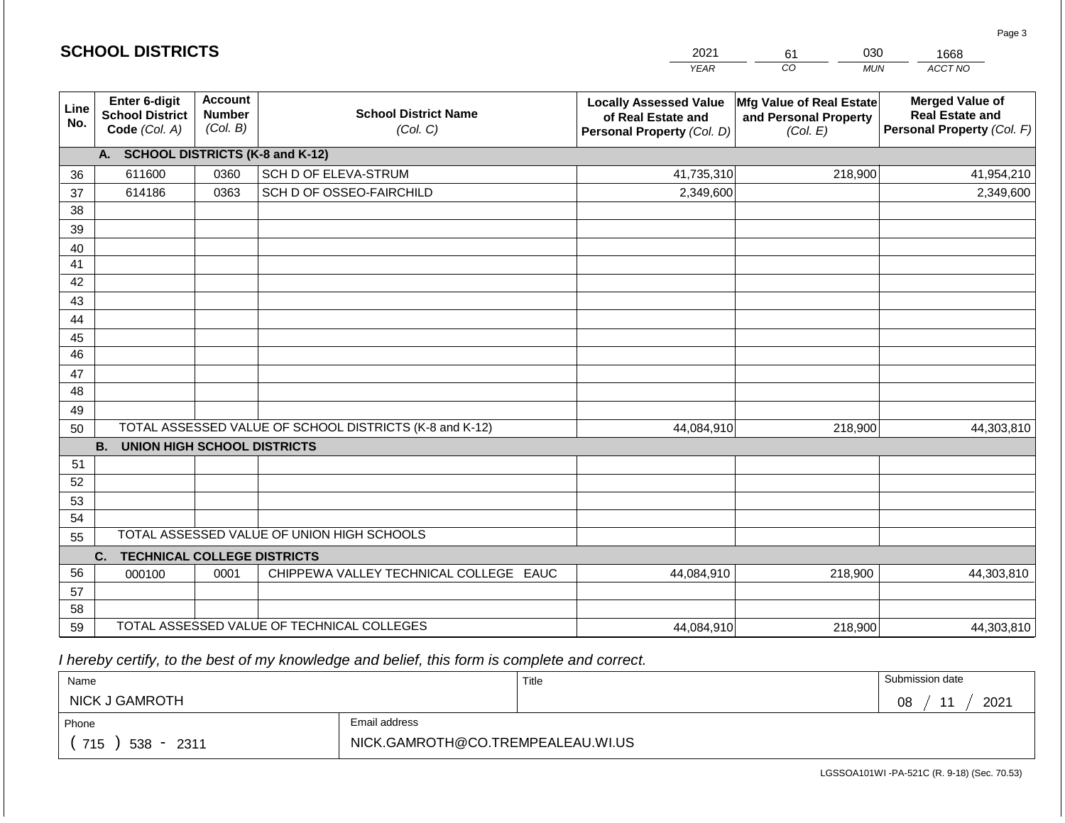|             | <b>SCHOOL DISTRICTS</b>                                  |                                             |                                                         | 2021                                                                              | 030<br>61                                                     | 1668                                                                           |
|-------------|----------------------------------------------------------|---------------------------------------------|---------------------------------------------------------|-----------------------------------------------------------------------------------|---------------------------------------------------------------|--------------------------------------------------------------------------------|
|             |                                                          |                                             |                                                         | <b>YEAR</b>                                                                       | CO<br><b>MUN</b>                                              | ACCT NO                                                                        |
| Line<br>No. | Enter 6-digit<br><b>School District</b><br>Code (Col. A) | <b>Account</b><br><b>Number</b><br>(Col. B) | <b>School District Name</b><br>(Col. C)                 | <b>Locally Assessed Value</b><br>of Real Estate and<br>Personal Property (Col. D) | Mfg Value of Real Estate<br>and Personal Property<br>(Col. E) | <b>Merged Value of</b><br><b>Real Estate and</b><br>Personal Property (Col. F) |
|             | A. SCHOOL DISTRICTS (K-8 and K-12)                       |                                             |                                                         |                                                                                   |                                                               |                                                                                |
| 36          | 611600                                                   | 0360                                        | SCH D OF ELEVA-STRUM                                    | 41,735,310                                                                        | 218,900                                                       | 41,954,210                                                                     |
| 37          | 614186                                                   | 0363                                        | SCH D OF OSSEO-FAIRCHILD                                | 2,349,600                                                                         |                                                               | 2,349,600                                                                      |
| 38          |                                                          |                                             |                                                         |                                                                                   |                                                               |                                                                                |
| 39          |                                                          |                                             |                                                         |                                                                                   |                                                               |                                                                                |
| 40          |                                                          |                                             |                                                         |                                                                                   |                                                               |                                                                                |
| 41<br>42    |                                                          |                                             |                                                         |                                                                                   |                                                               |                                                                                |
|             |                                                          |                                             |                                                         |                                                                                   |                                                               |                                                                                |
| 43<br>44    |                                                          |                                             |                                                         |                                                                                   |                                                               |                                                                                |
| 45          |                                                          |                                             |                                                         |                                                                                   |                                                               |                                                                                |
| 46          |                                                          |                                             |                                                         |                                                                                   |                                                               |                                                                                |
| 47          |                                                          |                                             |                                                         |                                                                                   |                                                               |                                                                                |
| 48          |                                                          |                                             |                                                         |                                                                                   |                                                               |                                                                                |
| 49          |                                                          |                                             |                                                         |                                                                                   |                                                               |                                                                                |
| 50          |                                                          |                                             | TOTAL ASSESSED VALUE OF SCHOOL DISTRICTS (K-8 and K-12) | 44,084,910                                                                        | 218,900                                                       | 44,303,810                                                                     |
|             | <b>B.</b><br><b>UNION HIGH SCHOOL DISTRICTS</b>          |                                             |                                                         |                                                                                   |                                                               |                                                                                |
| 51          |                                                          |                                             |                                                         |                                                                                   |                                                               |                                                                                |
| 52          |                                                          |                                             |                                                         |                                                                                   |                                                               |                                                                                |
| 53          |                                                          |                                             |                                                         |                                                                                   |                                                               |                                                                                |
| 54          |                                                          |                                             | TOTAL ASSESSED VALUE OF UNION HIGH SCHOOLS              |                                                                                   |                                                               |                                                                                |
| 55          |                                                          |                                             |                                                         |                                                                                   |                                                               |                                                                                |
|             | C.<br><b>TECHNICAL COLLEGE DISTRICTS</b>                 |                                             |                                                         |                                                                                   |                                                               |                                                                                |
| 56          | 000100                                                   | 0001                                        | CHIPPEWA VALLEY TECHNICAL COLLEGE EAUC                  | 44,084,910                                                                        | 218,900                                                       | 44,303,810                                                                     |
| 57<br>58    |                                                          |                                             |                                                         |                                                                                   |                                                               |                                                                                |
| 59          |                                                          |                                             | TOTAL ASSESSED VALUE OF TECHNICAL COLLEGES              | 44,084,910                                                                        | 218,900                                                       | 44,303,810                                                                     |

| Name                   |                                   | Title | Submission date   |
|------------------------|-----------------------------------|-------|-------------------|
| NICK J GAMROTH         |                                   |       | 2021<br>4 A<br>08 |
| Phone                  | Email address                     |       |                   |
| 715<br>$538 -$<br>2311 | NICK.GAMROTH@CO.TREMPEALEAU.WI.US |       |                   |

Page 3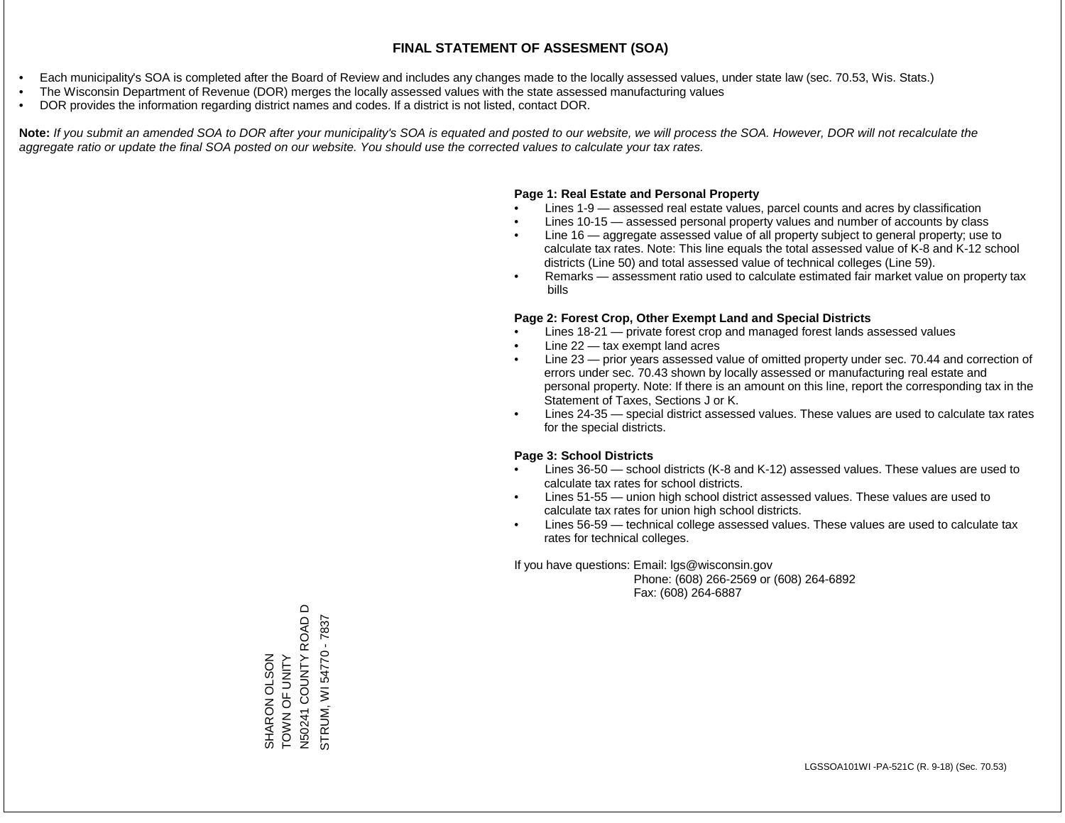- Each municipality's SOA is completed after the Board of Review and includes any changes made to the locally assessed values, under state law (sec. 70.53, Wis. Stats.)
- The Wisconsin Department of Revenue (DOR) merges the locally assessed values with the state assessed manufacturing values
- DOR provides the information regarding district names and codes. If a district is not listed, contact DOR.

Note: If you submit an amended SOA to DOR after your municipality's SOA is equated and posted to our website, we will process the SOA. However, DOR will not recalculate the *aggregate ratio or update the final SOA posted on our website. You should use the corrected values to calculate your tax rates.*

#### **Page 1: Real Estate and Personal Property**

- Lines 1-9 assessed real estate values, parcel counts and acres by classification
- Lines 10-15 assessed personal property values and number of accounts by class
- Line 16 aggregate assessed value of all property subject to general property; use to calculate tax rates. Note: This line equals the total assessed value of K-8 and K-12 school districts (Line 50) and total assessed value of technical colleges (Line 59).
- Remarks assessment ratio used to calculate estimated fair market value on property tax bills

#### **Page 2: Forest Crop, Other Exempt Land and Special Districts**

- Lines 18-21 private forest crop and managed forest lands assessed values
- Line  $22 -$  tax exempt land acres
- Line 23 prior years assessed value of omitted property under sec. 70.44 and correction of errors under sec. 70.43 shown by locally assessed or manufacturing real estate and personal property. Note: If there is an amount on this line, report the corresponding tax in the Statement of Taxes, Sections J or K.
- Lines 24-35 special district assessed values. These values are used to calculate tax rates for the special districts.

#### **Page 3: School Districts**

- Lines 36-50 school districts (K-8 and K-12) assessed values. These values are used to calculate tax rates for school districts.
- Lines 51-55 union high school district assessed values. These values are used to calculate tax rates for union high school districts.
- Lines 56-59 technical college assessed values. These values are used to calculate tax rates for technical colleges.

If you have questions: Email: lgs@wisconsin.gov

 Phone: (608) 266-2569 or (608) 264-6892 Fax: (608) 264-6887

SHARON OLSON<br>TOWN OF UNITY<br>N50241 COUNTY ROAD D N50241 COUNTY ROAD D STRUM, WI 54770 - 7837 STRUM, WI 54770 - 7837TOWN OF UNITY SHARON OLSON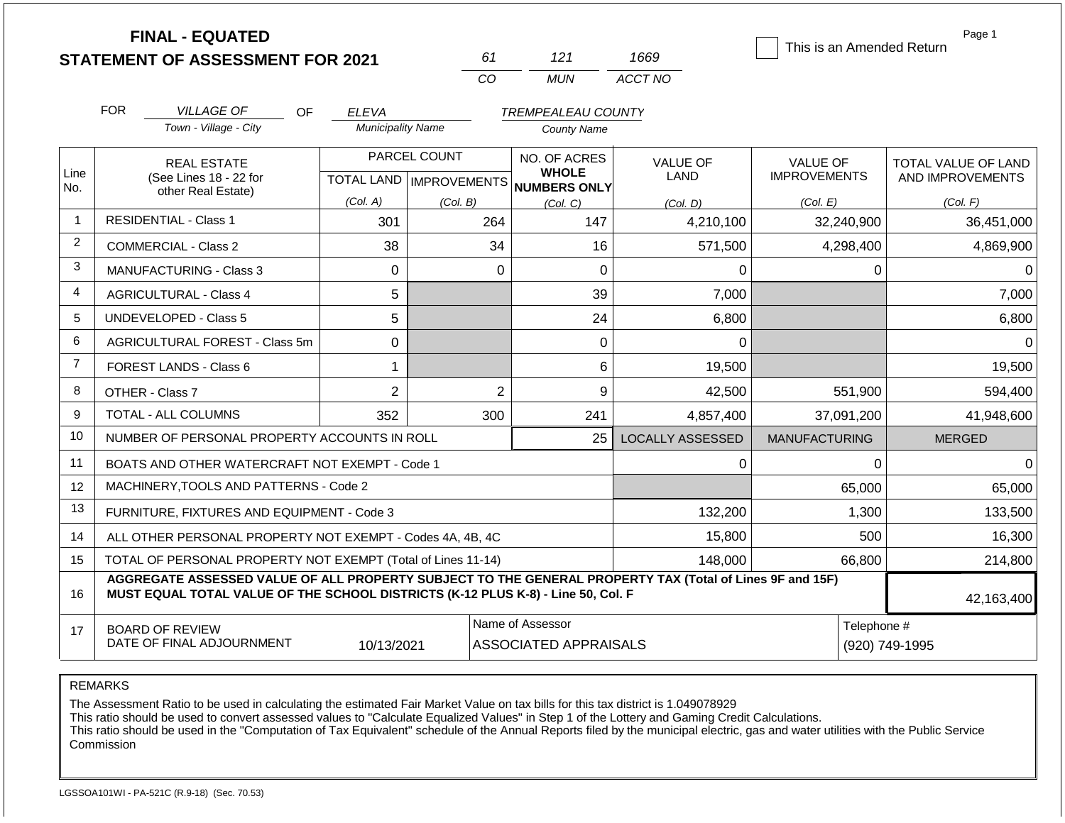|                | <b>FINAL - EQUATED</b>                                                                                                                                                                       |                          |                                                  |                                                     |                               |                           | Page 1              |
|----------------|----------------------------------------------------------------------------------------------------------------------------------------------------------------------------------------------|--------------------------|--------------------------------------------------|-----------------------------------------------------|-------------------------------|---------------------------|---------------------|
|                | <b>STATEMENT OF ASSESSMENT FOR 2021</b>                                                                                                                                                      |                          | 61                                               | 121                                                 | 1669                          | This is an Amended Return |                     |
|                |                                                                                                                                                                                              |                          | CO                                               | <b>MUN</b>                                          | ACCT NO                       |                           |                     |
|                | <b>FOR</b><br><b>VILLAGE OF</b><br>OF                                                                                                                                                        | <b>ELEVA</b>             |                                                  | <b>TREMPEALEAU COUNTY</b>                           |                               |                           |                     |
|                | Town - Village - City                                                                                                                                                                        | <b>Municipality Name</b> |                                                  | <b>County Name</b>                                  |                               |                           |                     |
|                | <b>REAL ESTATE</b>                                                                                                                                                                           |                          | PARCEL COUNT                                     | NO. OF ACRES                                        | <b>VALUE OF</b>               | <b>VALUE OF</b>           | TOTAL VALUE OF LAND |
| Line<br>No.    | (See Lines 18 - 22 for                                                                                                                                                                       |                          |                                                  | <b>WHOLE</b><br>TOTAL LAND MPROVEMENTS NUMBERS ONLY | <b>LAND</b>                   | <b>IMPROVEMENTS</b>       | AND IMPROVEMENTS    |
|                | other Real Estate)                                                                                                                                                                           | (Col. A)                 | (Col. B)                                         | (Col, C)                                            | (Col. D)                      | (Col. E)                  | (Col. F)            |
| $\overline{1}$ | <b>RESIDENTIAL - Class 1</b>                                                                                                                                                                 | 301                      | 264                                              | 147                                                 | 4,210,100                     | 32,240,900                | 36,451,000          |
| $\overline{2}$ | <b>COMMERCIAL - Class 2</b>                                                                                                                                                                  | 38                       | 34                                               | 16                                                  | 571,500                       | 4,298,400                 | 4,869,900           |
| 3              | <b>MANUFACTURING - Class 3</b>                                                                                                                                                               | $\Omega$                 | $\Omega$                                         | $\Omega$                                            | 0                             | 0                         | $\Omega$            |
| 4              | <b>AGRICULTURAL - Class 4</b>                                                                                                                                                                | 5                        |                                                  | 39                                                  | 7,000                         |                           | 7,000               |
| 5              | UNDEVELOPED - Class 5                                                                                                                                                                        | 5                        |                                                  | 24                                                  | 6,800                         |                           | 6,800               |
| 6              | AGRICULTURAL FOREST - Class 5m                                                                                                                                                               | $\overline{0}$           |                                                  | 0                                                   | 0                             |                           | $\Omega$            |
| $\overline{7}$ | <b>FOREST LANDS - Class 6</b>                                                                                                                                                                | 1                        |                                                  | 6                                                   | 19,500                        |                           | 19,500              |
| 8              | OTHER - Class 7                                                                                                                                                                              | $\overline{2}$           | $\overline{2}$                                   | 9                                                   | 42,500                        | 551,900                   | 594,400             |
| 9              | <b>TOTAL - ALL COLUMNS</b>                                                                                                                                                                   | 352                      | 300                                              | 241                                                 | 4,857,400                     | 37,091,200                | 41,948,600          |
| 10             | NUMBER OF PERSONAL PROPERTY ACCOUNTS IN ROLL                                                                                                                                                 |                          |                                                  | 25                                                  | <b>LOCALLY ASSESSED</b>       | <b>MANUFACTURING</b>      | <b>MERGED</b>       |
| 11             | BOATS AND OTHER WATERCRAFT NOT EXEMPT - Code 1                                                                                                                                               |                          |                                                  |                                                     | 0                             | 0                         | <sup>0</sup>        |
| 12             | MACHINERY, TOOLS AND PATTERNS - Code 2                                                                                                                                                       |                          |                                                  |                                                     |                               | 65,000                    | 65,000              |
| 13             | FURNITURE, FIXTURES AND EQUIPMENT - Code 3                                                                                                                                                   |                          |                                                  |                                                     | 132,200                       | 1,300                     | 133,500             |
| 14             | ALL OTHER PERSONAL PROPERTY NOT EXEMPT - Codes 4A, 4B, 4C                                                                                                                                    |                          |                                                  |                                                     | 15,800                        | 500                       | 16,300              |
| 15             | TOTAL OF PERSONAL PROPERTY NOT EXEMPT (Total of Lines 11-14)                                                                                                                                 |                          |                                                  |                                                     | 148,000                       | 66,800                    | 214,800             |
| 16             | AGGREGATE ASSESSED VALUE OF ALL PROPERTY SUBJECT TO THE GENERAL PROPERTY TAX (Total of Lines 9F and 15F)<br>MUST EQUAL TOTAL VALUE OF THE SCHOOL DISTRICTS (K-12 PLUS K-8) - Line 50, Col. F |                          |                                                  |                                                     |                               |                           | 42,163,400          |
| 17             | <b>BOARD OF REVIEW</b><br>DATE OF FINAL ADJOURNMENT                                                                                                                                          | 10/13/2021               | Name of Assessor<br><b>ASSOCIATED APPRAISALS</b> |                                                     | Telephone #<br>(920) 749-1995 |                           |                     |

REMARKS

The Assessment Ratio to be used in calculating the estimated Fair Market Value on tax bills for this tax district is 1.049078929

This ratio should be used to convert assessed values to "Calculate Equalized Values" in Step 1 of the Lottery and Gaming Credit Calculations.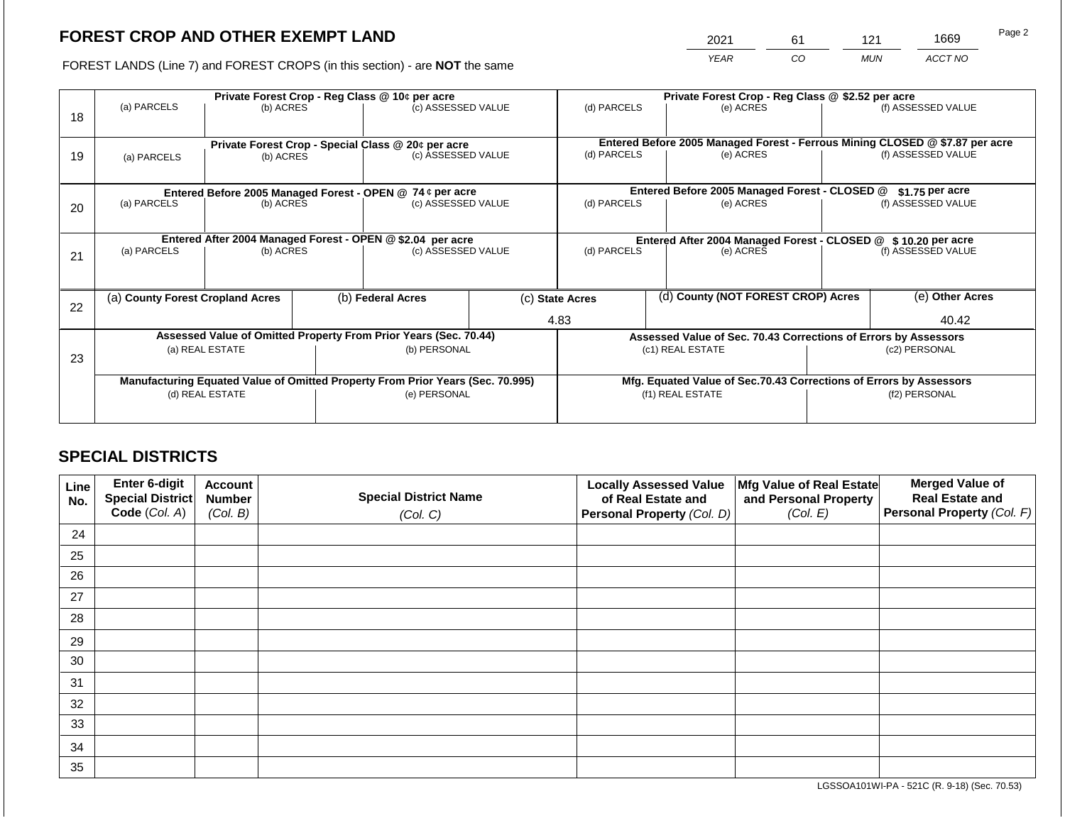2021 61 121 1669

FOREST LANDS (Line 7) and FOREST CROPS (in this section) - are **NOT** the same *YEAR CO MUN ACCT NO*

|    |                                                                                |                 |  | Private Forest Crop - Reg Class @ 10¢ per acre                   |                                                                    | Private Forest Crop - Reg Class @ \$2.52 per acre                            |                  |                                    |               |                    |  |
|----|--------------------------------------------------------------------------------|-----------------|--|------------------------------------------------------------------|--------------------------------------------------------------------|------------------------------------------------------------------------------|------------------|------------------------------------|---------------|--------------------|--|
| 18 | (a) PARCELS                                                                    | (b) ACRES       |  | (c) ASSESSED VALUE                                               |                                                                    | (d) PARCELS                                                                  |                  | (e) ACRES                          |               | (f) ASSESSED VALUE |  |
|    |                                                                                |                 |  |                                                                  |                                                                    |                                                                              |                  |                                    |               |                    |  |
|    |                                                                                |                 |  | Private Forest Crop - Special Class @ 20¢ per acre               |                                                                    | Entered Before 2005 Managed Forest - Ferrous Mining CLOSED @ \$7.87 per acre |                  |                                    |               | (f) ASSESSED VALUE |  |
| 19 | (b) ACRES<br>(a) PARCELS                                                       |                 |  | (c) ASSESSED VALUE                                               |                                                                    | (d) PARCELS                                                                  |                  | (e) ACRES                          |               |                    |  |
|    |                                                                                |                 |  |                                                                  |                                                                    |                                                                              |                  |                                    |               |                    |  |
|    | Entered Before 2005 Managed Forest - OPEN @ 74 ¢ per acre                      |                 |  |                                                                  | Entered Before 2005 Managed Forest - CLOSED @                      |                                                                              | $$1.75$ per acre |                                    |               |                    |  |
| 20 | (a) PARCELS<br>(b) ACRES                                                       |                 |  | (c) ASSESSED VALUE                                               |                                                                    | (d) PARCELS                                                                  |                  | (e) ACRES                          |               | (f) ASSESSED VALUE |  |
|    |                                                                                |                 |  |                                                                  |                                                                    |                                                                              |                  |                                    |               |                    |  |
|    | Entered After 2004 Managed Forest - OPEN @ \$2.04 per acre                     |                 |  |                                                                  | Entered After 2004 Managed Forest - CLOSED @ \$10.20 per acre      |                                                                              |                  |                                    |               |                    |  |
| 21 | (a) PARCELS                                                                    | (b) ACRES       |  | (c) ASSESSED VALUE                                               |                                                                    | (d) PARCELS                                                                  |                  | (e) ACRES                          |               | (f) ASSESSED VALUE |  |
|    |                                                                                |                 |  |                                                                  |                                                                    |                                                                              |                  |                                    |               |                    |  |
|    |                                                                                |                 |  |                                                                  |                                                                    |                                                                              |                  |                                    |               |                    |  |
| 22 | (a) County Forest Cropland Acres                                               |                 |  | (b) Federal Acres                                                |                                                                    | (c) State Acres                                                              |                  | (d) County (NOT FOREST CROP) Acres |               | (e) Other Acres    |  |
|    |                                                                                |                 |  |                                                                  |                                                                    | 4.83                                                                         |                  |                                    | 40.42         |                    |  |
|    |                                                                                |                 |  | Assessed Value of Omitted Property From Prior Years (Sec. 70.44) |                                                                    | Assessed Value of Sec. 70.43 Corrections of Errors by Assessors              |                  |                                    |               |                    |  |
| 23 |                                                                                | (a) REAL ESTATE |  | (b) PERSONAL                                                     |                                                                    |                                                                              |                  | (c1) REAL ESTATE                   |               | (c2) PERSONAL      |  |
|    |                                                                                |                 |  |                                                                  |                                                                    |                                                                              |                  |                                    |               |                    |  |
|    | Manufacturing Equated Value of Omitted Property From Prior Years (Sec. 70.995) |                 |  |                                                                  | Mfg. Equated Value of Sec.70.43 Corrections of Errors by Assessors |                                                                              |                  |                                    |               |                    |  |
|    |                                                                                | (d) REAL ESTATE |  | (e) PERSONAL                                                     |                                                                    | (f1) REAL ESTATE                                                             |                  |                                    | (f2) PERSONAL |                    |  |
|    |                                                                                |                 |  |                                                                  |                                                                    |                                                                              |                  |                                    |               |                    |  |
|    |                                                                                |                 |  |                                                                  |                                                                    |                                                                              |                  |                                    |               |                    |  |

# **SPECIAL DISTRICTS**

| Line<br>No. | Enter 6-digit<br>Special District<br>Code (Col. A) | <b>Account</b><br><b>Number</b><br>(Col. B) | <b>Special District Name</b><br>(Col. C) | <b>Locally Assessed Value</b><br>of Real Estate and<br><b>Personal Property (Col. D)</b> | Mfg Value of Real Estate<br>and Personal Property<br>(Col. E) | <b>Merged Value of</b><br><b>Real Estate and</b><br>Personal Property (Col. F) |
|-------------|----------------------------------------------------|---------------------------------------------|------------------------------------------|------------------------------------------------------------------------------------------|---------------------------------------------------------------|--------------------------------------------------------------------------------|
| 24          |                                                    |                                             |                                          |                                                                                          |                                                               |                                                                                |
| 25          |                                                    |                                             |                                          |                                                                                          |                                                               |                                                                                |
| 26          |                                                    |                                             |                                          |                                                                                          |                                                               |                                                                                |
| 27          |                                                    |                                             |                                          |                                                                                          |                                                               |                                                                                |
| 28          |                                                    |                                             |                                          |                                                                                          |                                                               |                                                                                |
| 29          |                                                    |                                             |                                          |                                                                                          |                                                               |                                                                                |
| 30          |                                                    |                                             |                                          |                                                                                          |                                                               |                                                                                |
| 31          |                                                    |                                             |                                          |                                                                                          |                                                               |                                                                                |
| 32          |                                                    |                                             |                                          |                                                                                          |                                                               |                                                                                |
| 33          |                                                    |                                             |                                          |                                                                                          |                                                               |                                                                                |
| 34          |                                                    |                                             |                                          |                                                                                          |                                                               |                                                                                |
| 35          |                                                    |                                             |                                          |                                                                                          |                                                               |                                                                                |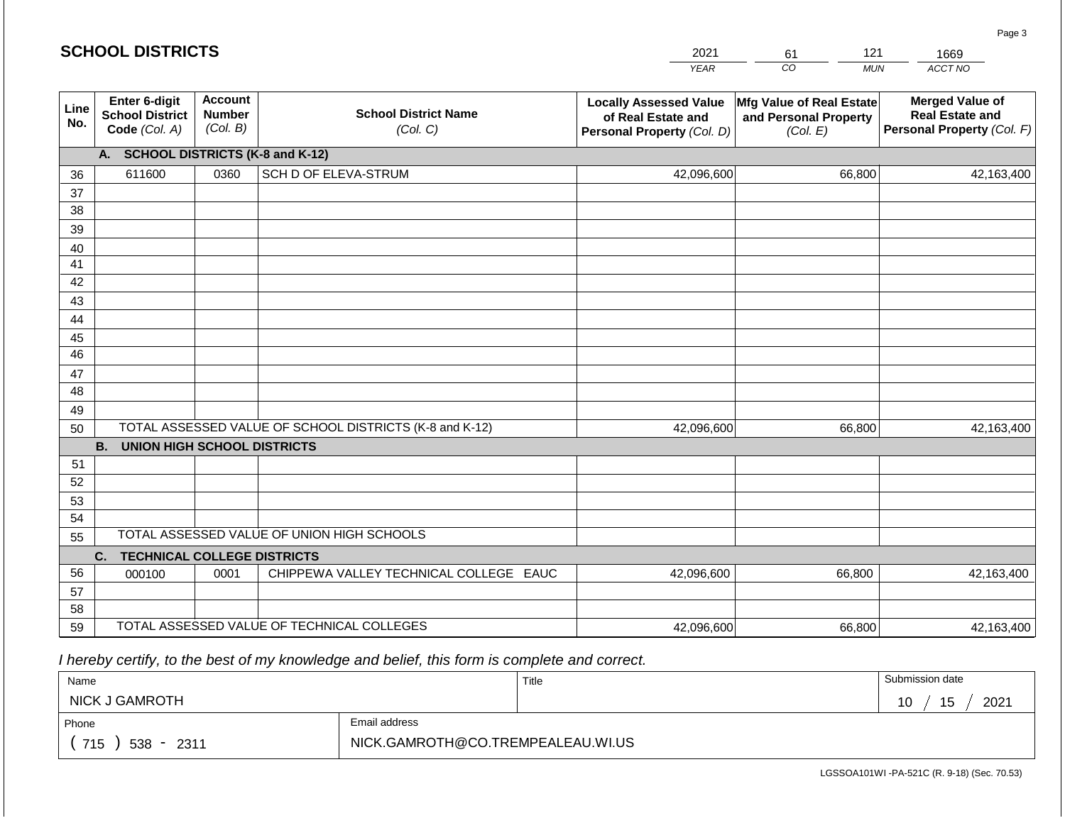|             | <b>SCHOOL DISTRICTS</b>                                  |                                             |                                                         | 2021                                                                              | 121<br>61                                                     | 1669                                                                           |
|-------------|----------------------------------------------------------|---------------------------------------------|---------------------------------------------------------|-----------------------------------------------------------------------------------|---------------------------------------------------------------|--------------------------------------------------------------------------------|
|             |                                                          |                                             |                                                         | <b>YEAR</b>                                                                       | CO<br><b>MUN</b>                                              | ACCT NO                                                                        |
| Line<br>No. | Enter 6-digit<br><b>School District</b><br>Code (Col. A) | <b>Account</b><br><b>Number</b><br>(Col. B) | <b>School District Name</b><br>(Col. C)                 | <b>Locally Assessed Value</b><br>of Real Estate and<br>Personal Property (Col. D) | Mfg Value of Real Estate<br>and Personal Property<br>(Col. E) | <b>Merged Value of</b><br><b>Real Estate and</b><br>Personal Property (Col. F) |
|             | <b>SCHOOL DISTRICTS (K-8 and K-12)</b><br>А.             |                                             |                                                         |                                                                                   |                                                               |                                                                                |
| 36          | 611600                                                   | 0360                                        | SCH D OF ELEVA-STRUM                                    | 42,096,600                                                                        | 66,800                                                        | 42,163,400                                                                     |
| 37          |                                                          |                                             |                                                         |                                                                                   |                                                               |                                                                                |
| 38          |                                                          |                                             |                                                         |                                                                                   |                                                               |                                                                                |
| 39          |                                                          |                                             |                                                         |                                                                                   |                                                               |                                                                                |
| 40          |                                                          |                                             |                                                         |                                                                                   |                                                               |                                                                                |
| 41          |                                                          |                                             |                                                         |                                                                                   |                                                               |                                                                                |
| 42          |                                                          |                                             |                                                         |                                                                                   |                                                               |                                                                                |
| 43<br>44    |                                                          |                                             |                                                         |                                                                                   |                                                               |                                                                                |
| 45          |                                                          |                                             |                                                         |                                                                                   |                                                               |                                                                                |
| 46          |                                                          |                                             |                                                         |                                                                                   |                                                               |                                                                                |
| 47          |                                                          |                                             |                                                         |                                                                                   |                                                               |                                                                                |
| 48          |                                                          |                                             |                                                         |                                                                                   |                                                               |                                                                                |
| 49          |                                                          |                                             |                                                         |                                                                                   |                                                               |                                                                                |
| 50          |                                                          |                                             | TOTAL ASSESSED VALUE OF SCHOOL DISTRICTS (K-8 and K-12) | 42,096,600                                                                        | 66,800                                                        | 42,163,400                                                                     |
|             | <b>B.</b><br><b>UNION HIGH SCHOOL DISTRICTS</b>          |                                             |                                                         |                                                                                   |                                                               |                                                                                |
| 51          |                                                          |                                             |                                                         |                                                                                   |                                                               |                                                                                |
| 52          |                                                          |                                             |                                                         |                                                                                   |                                                               |                                                                                |
| 53          |                                                          |                                             |                                                         |                                                                                   |                                                               |                                                                                |
| 54          |                                                          |                                             | TOTAL ASSESSED VALUE OF UNION HIGH SCHOOLS              |                                                                                   |                                                               |                                                                                |
| 55          |                                                          |                                             |                                                         |                                                                                   |                                                               |                                                                                |
|             | <b>TECHNICAL COLLEGE DISTRICTS</b><br>C.                 |                                             |                                                         |                                                                                   |                                                               |                                                                                |
| 56          | 000100                                                   | 0001                                        | CHIPPEWA VALLEY TECHNICAL COLLEGE EAUC                  | 42,096,600                                                                        | 66,800                                                        | 42,163,400                                                                     |
| 57<br>58    |                                                          |                                             |                                                         |                                                                                   |                                                               |                                                                                |
| 59          |                                                          |                                             | TOTAL ASSESSED VALUE OF TECHNICAL COLLEGES              | 42,096,600                                                                        | 66,800                                                        | 42,163,400                                                                     |

| Name                 |                                   | Title | Submission date |
|----------------------|-----------------------------------|-------|-----------------|
| NICK J GAMROTH       |                                   |       | 2021<br>ັບ      |
| Phone                | Email address                     |       |                 |
| 715<br>538 -<br>2311 | NICK.GAMROTH@CO.TREMPEALEAU.WI.US |       |                 |

LGSSOA101WI -PA-521C (R. 9-18) (Sec. 70.53)

Page 3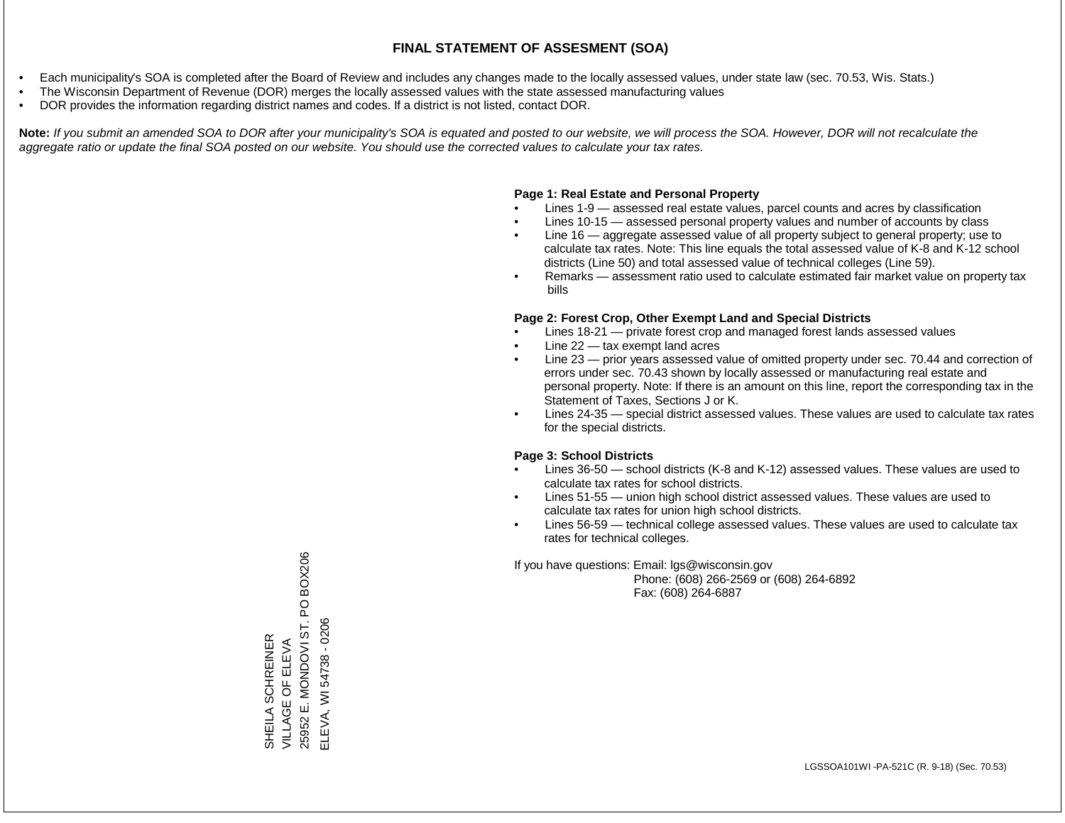- Each municipality's SOA is completed after the Board of Review and includes any changes made to the locally assessed values, under state law (sec. 70.53, Wis. Stats.)
- The Wisconsin Department of Revenue (DOR) merges the locally assessed values with the state assessed manufacturing values
- DOR provides the information regarding district names and codes. If a district is not listed, contact DOR.

Note: If you submit an amended SOA to DOR after your municipality's SOA is equated and posted to our website, we will process the SOA. However, DOR will not recalculate the *aggregate ratio or update the final SOA posted on our website. You should use the corrected values to calculate your tax rates.*

# **Page 1: Real Estate and Personal Property**

- Lines 1-9 assessed real estate values, parcel counts and acres by classification
- Lines 10-15 assessed personal property values and number of accounts by class
- Line 16 aggregate assessed value of all property subject to general property; use to calculate tax rates. Note: This line equals the total assessed value of K-8 and K-12 school districts (Line 50) and total assessed value of technical colleges (Line 59).
- Remarks assessment ratio used to calculate estimated fair market value on property tax bills

# **Page 2: Forest Crop, Other Exempt Land and Special Districts**

- Lines 18-21 private forest crop and managed forest lands assessed values
- Line  $22 -$  tax exempt land acres
- Line 23 prior years assessed value of omitted property under sec. 70.44 and correction of errors under sec. 70.43 shown by locally assessed or manufacturing real estate and personal property. Note: If there is an amount on this line, report the corresponding tax in the Statement of Taxes, Sections J or K.
- Lines 24-35 special district assessed values. These values are used to calculate tax rates for the special districts.

# **Page 3: School Districts**

- Lines 36-50 school districts (K-8 and K-12) assessed values. These values are used to calculate tax rates for school districts.
- Lines 51-55 union high school district assessed values. These values are used to calculate tax rates for union high school districts.
- Lines 56-59 technical college assessed values. These values are used to calculate tax rates for technical colleges.

If you have questions: Email: lgs@wisconsin.gov

 Phone: (608) 266-2569 or (608) 264-6892 Fax: (608) 264-6887

PO BOX206 25952 E. MONDOVI ST. PO BOX206 25952 E. MONDOVI ST. ELEVA, WI 54738 - 0206 ELEVA, WI 54738 - 0206SHEILA SCHREINER<br>VILLAGE OF ELEVA SHEILA SCHREINER VILLAGE OF ELEVA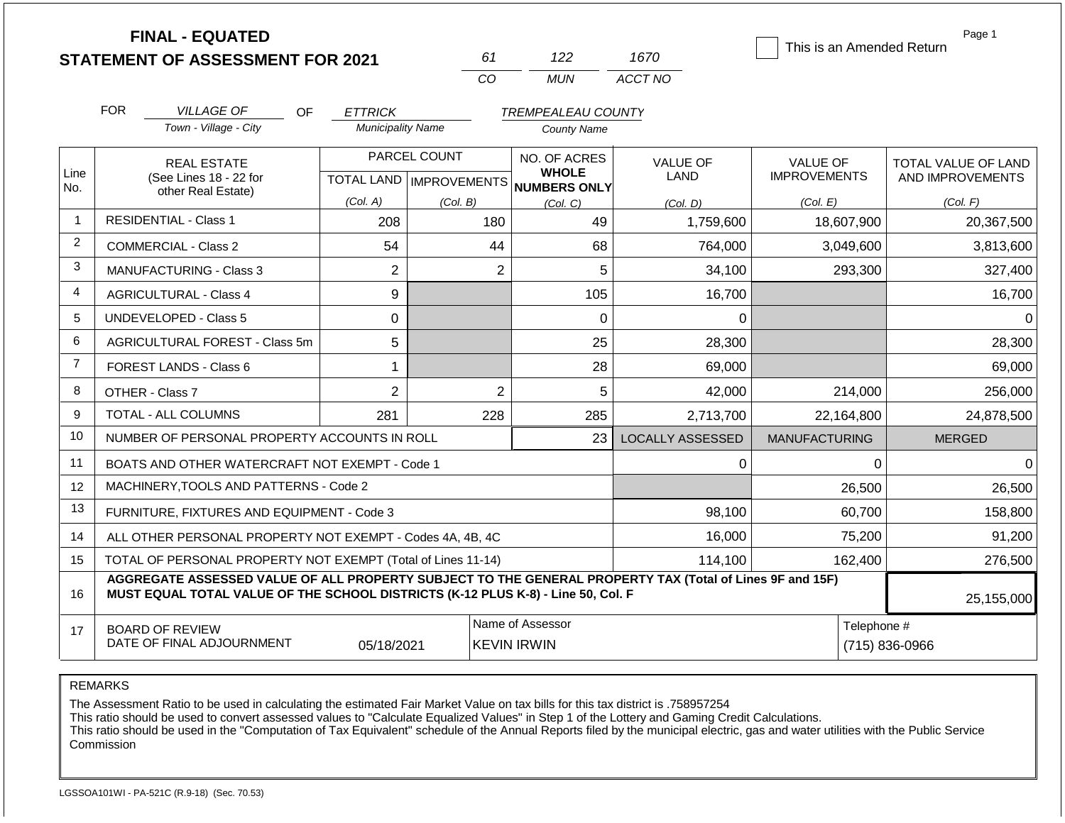|                |            | <b>FINAL - EQUATED</b><br><b>STATEMENT OF ASSESSMENT FOR 2021</b>  |                                            | 61<br>CO                                                | 122<br><b>MUN</b>                                               | 1670<br>ACCT NO                     | Page 1<br>This is an Amended Return                |                                                     |  |
|----------------|------------|--------------------------------------------------------------------|--------------------------------------------|---------------------------------------------------------|-----------------------------------------------------------------|-------------------------------------|----------------------------------------------------|-----------------------------------------------------|--|
|                | <b>FOR</b> | <b>VILLAGE OF</b><br><b>OF</b><br>Town - Village - City            | <b>ETTRICK</b><br><b>Municipality Name</b> |                                                         | <b>TREMPEALEAU COUNTY</b><br><b>County Name</b>                 |                                     |                                                    |                                                     |  |
| Line<br>No.    |            | <b>REAL ESTATE</b><br>(See Lines 18 - 22 for<br>other Real Estate) | (Col. A)                                   | PARCEL COUNT<br>TOTAL LAND   IMPROVEMENTS  <br>(Col, B) | NO. OF ACRES<br><b>WHOLE</b><br><b>NUMBERS ONLY</b><br>(Col, C) | <b>VALUE OF</b><br>LAND<br>(Col. D) | <b>VALUE OF</b><br><b>IMPROVEMENTS</b><br>(Col. E) | TOTAL VALUE OF LAND<br>AND IMPROVEMENTS<br>(Col. F) |  |
| $\mathbf{1}$   |            | <b>RESIDENTIAL - Class 1</b>                                       | 208                                        | 180                                                     | 49                                                              | 1,759,600                           | 18,607,900                                         | 20,367,500                                          |  |
| $\overline{2}$ |            | <b>COMMERCIAL - Class 2</b>                                        | 54                                         | 44                                                      | 68                                                              | 764,000                             | 3,049,600                                          | 3,813,600                                           |  |
| $\mathbf{3}$   |            | <b>MANUFACTURING - Class 3</b>                                     | $\overline{c}$                             | $\overline{c}$                                          | 5                                                               | 34,100                              | 293,300                                            | 327,400                                             |  |
| $\overline{4}$ |            | <b>AGRICULTURAL - Class 4</b>                                      | 9                                          |                                                         | 105                                                             | 16,700                              |                                                    | 16,700                                              |  |
| 5              |            | <b>UNDEVELOPED - Class 5</b>                                       | 0                                          |                                                         | $\Omega$                                                        | $\Omega$                            |                                                    | $\Omega$                                            |  |
| 6              |            | <b>AGRICULTURAL FOREST - Class 5m</b>                              | 5                                          |                                                         | 25                                                              | 28,300                              |                                                    | 28,300                                              |  |
| $\overline{7}$ |            | FOREST LANDS - Class 6                                             | 1                                          |                                                         | 28                                                              | 69,000                              |                                                    | 69,000                                              |  |
| 8              |            | OTHER - Class 7                                                    | $\overline{2}$                             | $\overline{2}$                                          | 5                                                               | 42,000                              | 214,000                                            | 256,000                                             |  |
| 9              |            | TOTAL - ALL COLUMNS                                                | 281                                        | 228                                                     | 285                                                             | 2,713,700                           | 22,164,800                                         | 24,878,500                                          |  |
| 10             |            | NUMBER OF PERSONAL PROPERTY ACCOUNTS IN ROLL                       |                                            |                                                         | 23                                                              | <b>LOCALLY ASSESSED</b>             | <b>MANUFACTURING</b>                               | <b>MERGED</b>                                       |  |
| 11             |            | BOATS AND OTHER WATERCRAFT NOT EXEMPT - Code 1                     |                                            |                                                         |                                                                 | 0                                   | $\Omega$                                           | $\mathbf 0$                                         |  |
| 12             |            | MACHINERY, TOOLS AND PATTERNS - Code 2                             |                                            |                                                         |                                                                 |                                     | 26,500                                             | 26,500                                              |  |
| 13             |            | FURNITURE, FIXTURES AND EQUIPMENT - Code 3                         |                                            |                                                         |                                                                 | 98,100                              | 60,700                                             | 158,800                                             |  |
| 14             |            | ALL OTHER PERSONAL PROPERTY NOT EXEMPT - Codes 4A, 4B, 4C          |                                            |                                                         |                                                                 | 16,000                              | 75,200                                             | 91,200                                              |  |
| 15             |            | TOTAL OF PERSONAL PROPERTY NOT EXEMPT (Total of Lines 11-14)       |                                            |                                                         |                                                                 | 114,100                             | 162,400                                            | 276,500                                             |  |

REMARKS DATE OF FINAL ADJOURNMENT 05/18/2021 KEVIN IRWIN (715) 836-0966

The Assessment Ratio to be used in calculating the estimated Fair Market Value on tax bills for this tax district is .758957254

**MUST EQUAL TOTAL VALUE OF THE SCHOOL DISTRICTS (K-12 PLUS K-8) - Line 50, Col. F**

This ratio should be used to convert assessed values to "Calculate Equalized Values" in Step 1 of the Lottery and Gaming Credit Calculations.

**AGGREGATE ASSESSED VALUE OF ALL PROPERTY SUBJECT TO THE GENERAL PROPERTY TAX (Total of Lines 9F and 15F)**

 This ratio should be used in the "Computation of Tax Equivalent" schedule of the Annual Reports filed by the municipal electric, gas and water utilities with the Public Service Commission

Name of Assessor **Name of Assessor** Telephone #

25,155,000

BOARD OF REVIEW

16

17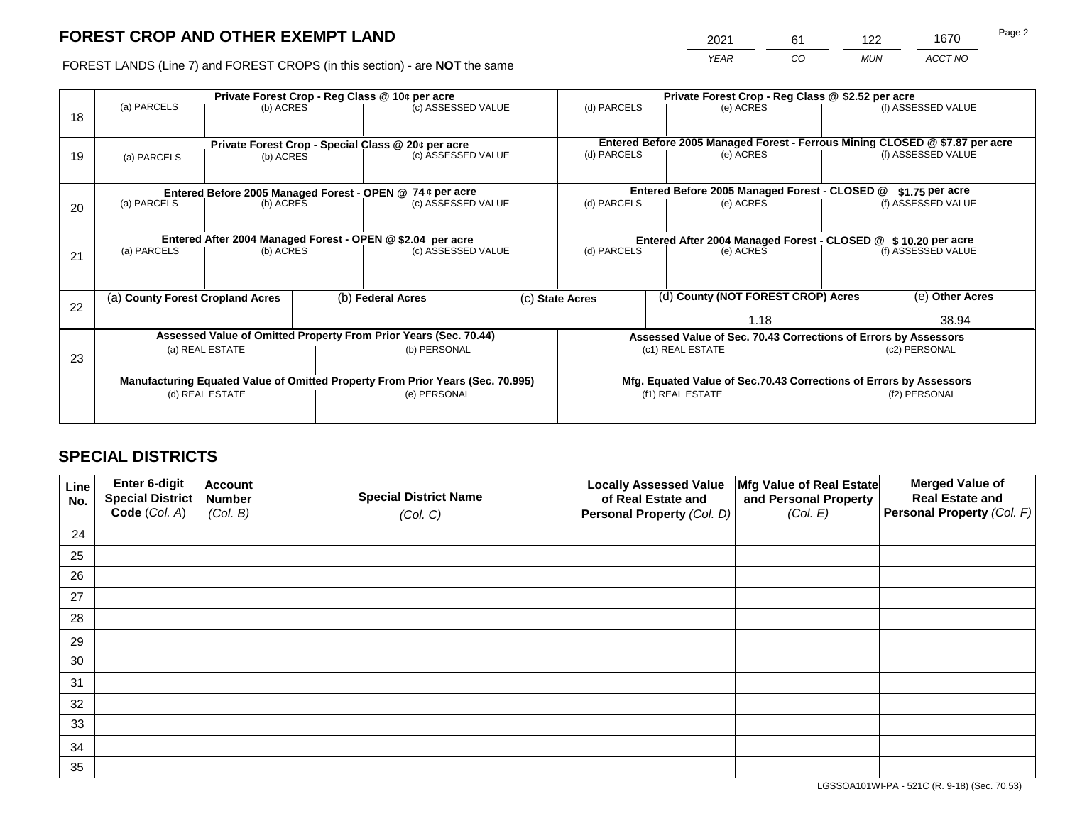2021 61 122 1670

FOREST LANDS (Line 7) and FOREST CROPS (in this section) - are **NOT** the same *YEAR CO MUN ACCT NO*

|    |                                                                                |                 |  | Private Forest Crop - Reg Class @ 10¢ per acre                   |                                                                    | Private Forest Crop - Reg Class @ \$2.52 per acre |  |                                                                              |               |                    |  |
|----|--------------------------------------------------------------------------------|-----------------|--|------------------------------------------------------------------|--------------------------------------------------------------------|---------------------------------------------------|--|------------------------------------------------------------------------------|---------------|--------------------|--|
| 18 | (a) PARCELS                                                                    | (b) ACRES       |  | (c) ASSESSED VALUE                                               |                                                                    | (d) PARCELS                                       |  | (e) ACRES                                                                    |               | (f) ASSESSED VALUE |  |
|    |                                                                                |                 |  | Private Forest Crop - Special Class @ 20¢ per acre               |                                                                    |                                                   |  | Entered Before 2005 Managed Forest - Ferrous Mining CLOSED @ \$7.87 per acre |               |                    |  |
| 19 | (a) PARCELS                                                                    | (b) ACRES       |  | (c) ASSESSED VALUE                                               |                                                                    | (d) PARCELS                                       |  | (e) ACRES                                                                    |               | (f) ASSESSED VALUE |  |
|    |                                                                                |                 |  |                                                                  |                                                                    |                                                   |  |                                                                              |               |                    |  |
|    |                                                                                |                 |  | Entered Before 2005 Managed Forest - OPEN @ 74 ¢ per acre        |                                                                    |                                                   |  | Entered Before 2005 Managed Forest - CLOSED @                                |               | $$1.75$ per acre   |  |
| 20 | (a) PARCELS<br>(b) ACRES                                                       |                 |  | (c) ASSESSED VALUE                                               |                                                                    | (d) PARCELS                                       |  | (e) ACRES                                                                    |               | (f) ASSESSED VALUE |  |
|    |                                                                                |                 |  |                                                                  |                                                                    |                                                   |  |                                                                              |               |                    |  |
|    | Entered After 2004 Managed Forest - OPEN @ \$2.04 per acre                     |                 |  |                                                                  |                                                                    |                                                   |  | Entered After 2004 Managed Forest - CLOSED @ \$10.20 per acre                |               |                    |  |
| 21 | (a) PARCELS                                                                    | (b) ACRES       |  | (c) ASSESSED VALUE                                               |                                                                    | (d) PARCELS                                       |  | (e) ACRES                                                                    |               | (f) ASSESSED VALUE |  |
|    |                                                                                |                 |  |                                                                  |                                                                    |                                                   |  |                                                                              |               |                    |  |
| 22 | (a) County Forest Cropland Acres                                               |                 |  | (b) Federal Acres                                                |                                                                    | (c) State Acres                                   |  | (d) County (NOT FOREST CROP) Acres                                           |               | (e) Other Acres    |  |
|    |                                                                                |                 |  |                                                                  |                                                                    |                                                   |  | 1.18                                                                         | 38.94         |                    |  |
|    |                                                                                |                 |  | Assessed Value of Omitted Property From Prior Years (Sec. 70.44) |                                                                    |                                                   |  | Assessed Value of Sec. 70.43 Corrections of Errors by Assessors              |               |                    |  |
| 23 |                                                                                | (a) REAL ESTATE |  | (b) PERSONAL                                                     |                                                                    |                                                   |  | (c1) REAL ESTATE                                                             | (c2) PERSONAL |                    |  |
|    |                                                                                |                 |  |                                                                  |                                                                    |                                                   |  |                                                                              |               |                    |  |
|    | Manufacturing Equated Value of Omitted Property From Prior Years (Sec. 70.995) |                 |  |                                                                  | Mfg. Equated Value of Sec.70.43 Corrections of Errors by Assessors |                                                   |  |                                                                              |               |                    |  |
|    |                                                                                | (d) REAL ESTATE |  | (e) PERSONAL                                                     |                                                                    | (f1) REAL ESTATE                                  |  |                                                                              | (f2) PERSONAL |                    |  |
|    |                                                                                |                 |  |                                                                  |                                                                    |                                                   |  |                                                                              |               |                    |  |

# **SPECIAL DISTRICTS**

| Line<br>No. | Enter 6-digit<br>Special District | <b>Account</b><br><b>Number</b> | <b>Special District Name</b> | <b>Locally Assessed Value</b><br>of Real Estate and | Mfg Value of Real Estate<br>and Personal Property | <b>Merged Value of</b><br><b>Real Estate and</b> |
|-------------|-----------------------------------|---------------------------------|------------------------------|-----------------------------------------------------|---------------------------------------------------|--------------------------------------------------|
|             | Code (Col. A)                     | (Col. B)                        | (Col. C)                     | Personal Property (Col. D)                          | (Col. E)                                          | Personal Property (Col. F)                       |
| 24          |                                   |                                 |                              |                                                     |                                                   |                                                  |
| 25          |                                   |                                 |                              |                                                     |                                                   |                                                  |
| 26          |                                   |                                 |                              |                                                     |                                                   |                                                  |
| 27          |                                   |                                 |                              |                                                     |                                                   |                                                  |
| 28          |                                   |                                 |                              |                                                     |                                                   |                                                  |
| 29          |                                   |                                 |                              |                                                     |                                                   |                                                  |
| 30          |                                   |                                 |                              |                                                     |                                                   |                                                  |
| 31          |                                   |                                 |                              |                                                     |                                                   |                                                  |
| 32          |                                   |                                 |                              |                                                     |                                                   |                                                  |
| 33          |                                   |                                 |                              |                                                     |                                                   |                                                  |
| 34          |                                   |                                 |                              |                                                     |                                                   |                                                  |
| 35          |                                   |                                 |                              |                                                     |                                                   |                                                  |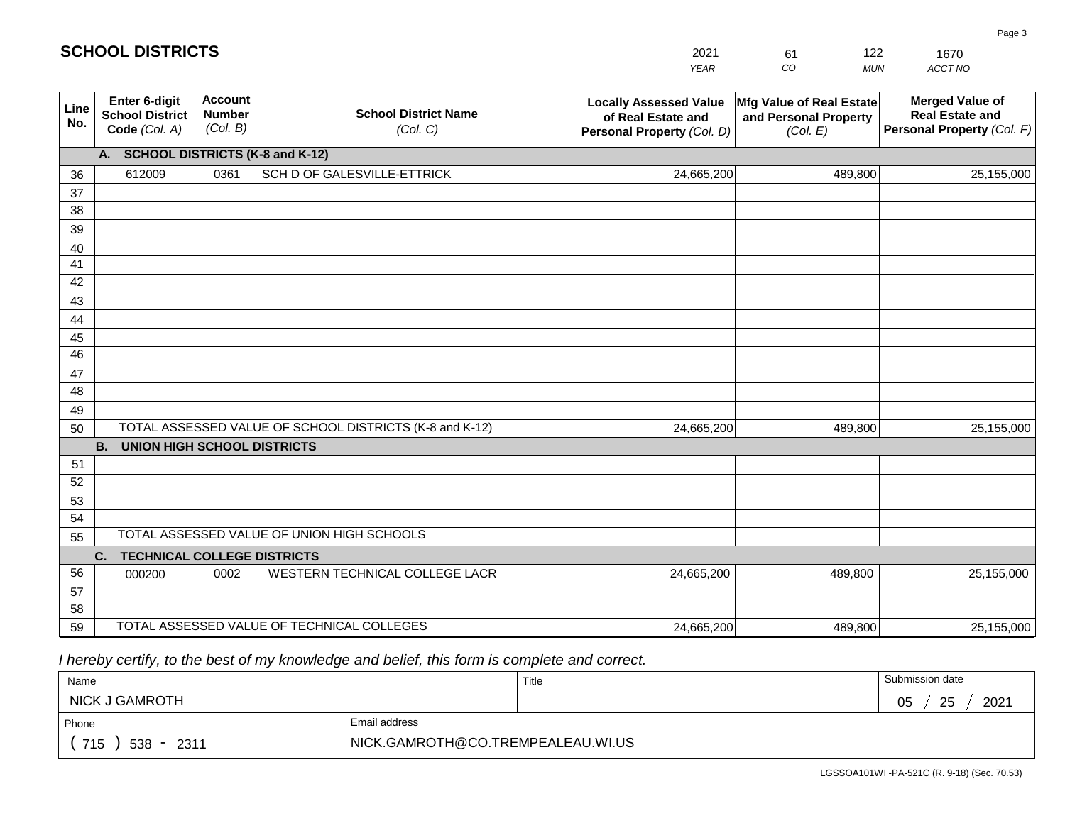|                 | <b>SCHOOL DISTRICTS</b>                                         |                                             |                                                         | 2021                                                                              | 122<br>61                                                     | 1670                                                                           |
|-----------------|-----------------------------------------------------------------|---------------------------------------------|---------------------------------------------------------|-----------------------------------------------------------------------------------|---------------------------------------------------------------|--------------------------------------------------------------------------------|
|                 |                                                                 |                                             |                                                         | <b>YEAR</b>                                                                       | $\overline{co}$<br><b>MUN</b>                                 | ACCT NO                                                                        |
| Line<br>No.     | <b>Enter 6-digit</b><br><b>School District</b><br>Code (Col. A) | <b>Account</b><br><b>Number</b><br>(Col. B) | <b>School District Name</b><br>(Col. C)                 | <b>Locally Assessed Value</b><br>of Real Estate and<br>Personal Property (Col. D) | Mfg Value of Real Estate<br>and Personal Property<br>(Col. E) | <b>Merged Value of</b><br><b>Real Estate and</b><br>Personal Property (Col. F) |
|                 | A. SCHOOL DISTRICTS (K-8 and K-12)                              |                                             |                                                         |                                                                                   |                                                               |                                                                                |
| 36              | 612009                                                          | 0361                                        | SCH D OF GALESVILLE-ETTRICK                             | 24,665,200                                                                        | 489,800                                                       | 25,155,000                                                                     |
| 37              |                                                                 |                                             |                                                         |                                                                                   |                                                               |                                                                                |
| 38              |                                                                 |                                             |                                                         |                                                                                   |                                                               |                                                                                |
| 39              |                                                                 |                                             |                                                         |                                                                                   |                                                               |                                                                                |
| 40              |                                                                 |                                             |                                                         |                                                                                   |                                                               |                                                                                |
| 41              |                                                                 |                                             |                                                         |                                                                                   |                                                               |                                                                                |
| 42              |                                                                 |                                             |                                                         |                                                                                   |                                                               |                                                                                |
| 43              |                                                                 |                                             |                                                         |                                                                                   |                                                               |                                                                                |
| 44              |                                                                 |                                             |                                                         |                                                                                   |                                                               |                                                                                |
| 45              |                                                                 |                                             |                                                         |                                                                                   |                                                               |                                                                                |
| $\overline{46}$ |                                                                 |                                             |                                                         |                                                                                   |                                                               |                                                                                |
| 47              |                                                                 |                                             |                                                         |                                                                                   |                                                               |                                                                                |
| 48              |                                                                 |                                             |                                                         |                                                                                   |                                                               |                                                                                |
| 49              |                                                                 |                                             |                                                         |                                                                                   |                                                               |                                                                                |
| 50              | <b>UNION HIGH SCHOOL DISTRICTS</b><br><b>B.</b>                 |                                             | TOTAL ASSESSED VALUE OF SCHOOL DISTRICTS (K-8 and K-12) | 24,665,200                                                                        | 489,800                                                       | 25,155,000                                                                     |
| 51              |                                                                 |                                             |                                                         |                                                                                   |                                                               |                                                                                |
| 52              |                                                                 |                                             |                                                         |                                                                                   |                                                               |                                                                                |
| 53              |                                                                 |                                             |                                                         |                                                                                   |                                                               |                                                                                |
| 54              |                                                                 |                                             |                                                         |                                                                                   |                                                               |                                                                                |
| 55              |                                                                 |                                             | TOTAL ASSESSED VALUE OF UNION HIGH SCHOOLS              |                                                                                   |                                                               |                                                                                |
|                 | C.<br><b>TECHNICAL COLLEGE DISTRICTS</b>                        |                                             |                                                         |                                                                                   |                                                               |                                                                                |
| 56              | 000200                                                          | 0002                                        | WESTERN TECHNICAL COLLEGE LACR                          | 24,665,200                                                                        | 489,800                                                       | 25,155,000                                                                     |
| 57              |                                                                 |                                             |                                                         |                                                                                   |                                                               |                                                                                |
| 58              |                                                                 |                                             |                                                         |                                                                                   |                                                               |                                                                                |

59 TOTAL ASSESSED VALUE OF TECHNICAL COLLEGES

| Name                |                                   | Title | Submission date  |
|---------------------|-----------------------------------|-------|------------------|
| NICK J GAMROTH      |                                   |       | 2021<br>25<br>05 |
| Phone               | Email address                     |       |                  |
| 715<br>$538 - 2311$ | NICK.GAMROTH@CO.TREMPEALEAU.WI.US |       |                  |

24,665,200

LGSSOA101WI -PA-521C (R. 9-18) (Sec. 70.53)

489,800 25,155,000

Page 3

| <b>SCHOOL DISTRICTS</b> |  |  |  |  |  |
|-------------------------|--|--|--|--|--|
|-------------------------|--|--|--|--|--|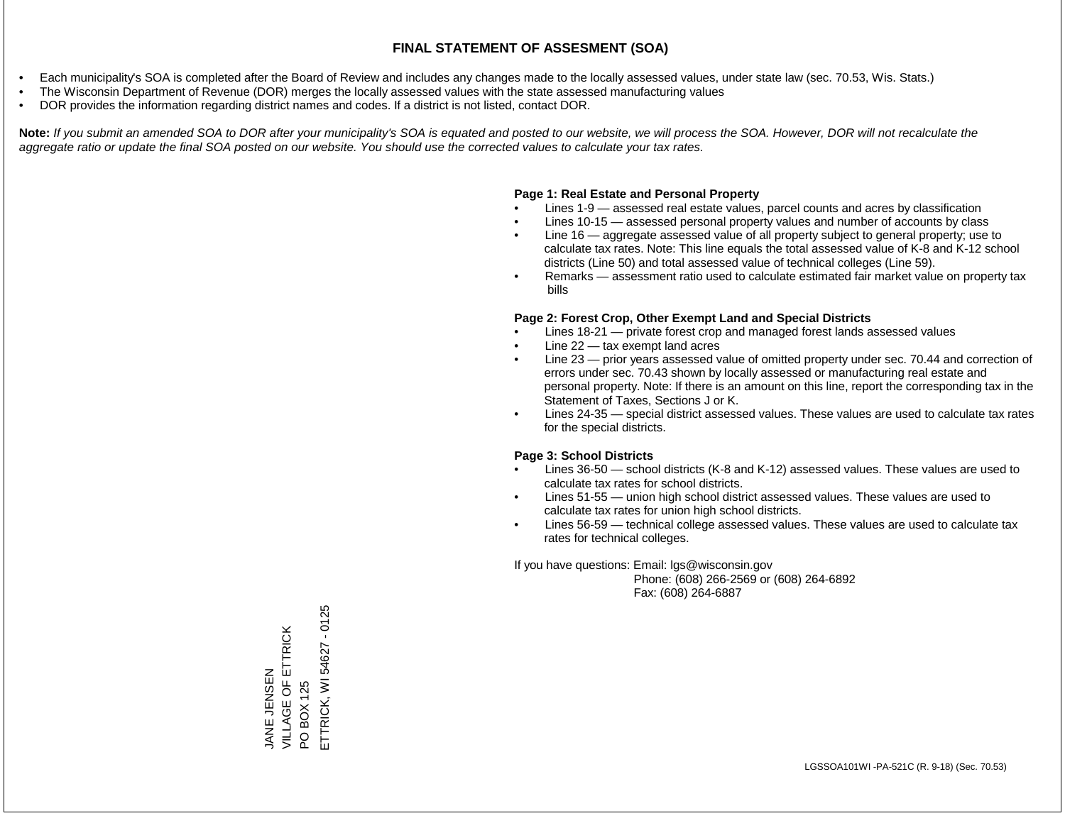- Each municipality's SOA is completed after the Board of Review and includes any changes made to the locally assessed values, under state law (sec. 70.53, Wis. Stats.)
- The Wisconsin Department of Revenue (DOR) merges the locally assessed values with the state assessed manufacturing values
- DOR provides the information regarding district names and codes. If a district is not listed, contact DOR.

Note: If you submit an amended SOA to DOR after your municipality's SOA is equated and posted to our website, we will process the SOA. However, DOR will not recalculate the *aggregate ratio or update the final SOA posted on our website. You should use the corrected values to calculate your tax rates.*

# **Page 1: Real Estate and Personal Property**

- Lines 1-9 assessed real estate values, parcel counts and acres by classification
- Lines 10-15 assessed personal property values and number of accounts by class
- Line 16 aggregate assessed value of all property subject to general property; use to calculate tax rates. Note: This line equals the total assessed value of K-8 and K-12 school districts (Line 50) and total assessed value of technical colleges (Line 59).
- Remarks assessment ratio used to calculate estimated fair market value on property tax bills

# **Page 2: Forest Crop, Other Exempt Land and Special Districts**

- Lines 18-21 private forest crop and managed forest lands assessed values
- Line  $22 -$  tax exempt land acres
- Line 23 prior years assessed value of omitted property under sec. 70.44 and correction of errors under sec. 70.43 shown by locally assessed or manufacturing real estate and personal property. Note: If there is an amount on this line, report the corresponding tax in the Statement of Taxes, Sections J or K.
- Lines 24-35 special district assessed values. These values are used to calculate tax rates for the special districts.

# **Page 3: School Districts**

- Lines 36-50 school districts (K-8 and K-12) assessed values. These values are used to calculate tax rates for school districts.
- Lines 51-55 union high school district assessed values. These values are used to calculate tax rates for union high school districts.
- Lines 56-59 technical college assessed values. These values are used to calculate tax rates for technical colleges.

If you have questions: Email: lgs@wisconsin.gov

 Phone: (608) 266-2569 or (608) 264-6892 Fax: (608) 264-6887

JANE JENSEN<br>VILLAGE OF ETTRICK VILLAGE OF ETTRICK PO BOX 125<br>ETTRICK, WI 54627 - 0125 ETTRICK, WI 54627 - 0125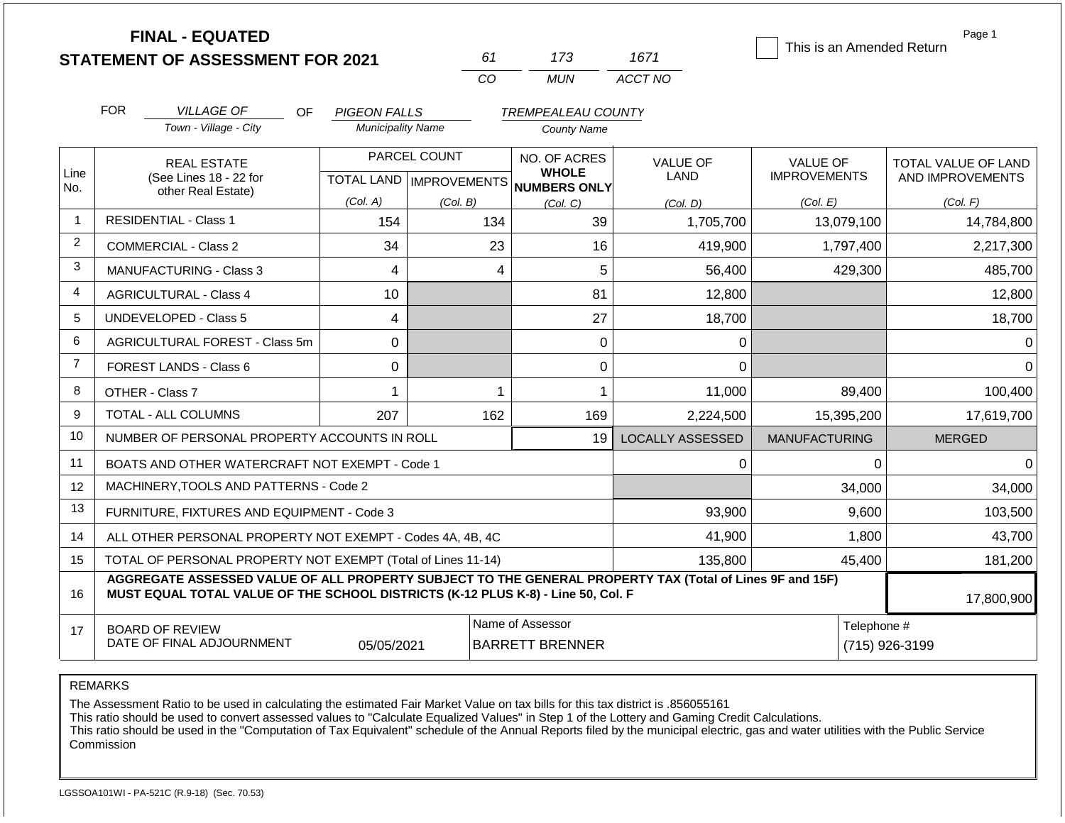|                | <b>FINAL - EQUATED</b>                                                                                                                                                                       |                          |                           |                              |                         | Page 1<br>This is an Amended Return |                     |  |  |
|----------------|----------------------------------------------------------------------------------------------------------------------------------------------------------------------------------------------|--------------------------|---------------------------|------------------------------|-------------------------|-------------------------------------|---------------------|--|--|
|                | <b>STATEMENT OF ASSESSMENT FOR 2021</b>                                                                                                                                                      |                          | 61                        | 173                          | 1671                    |                                     |                     |  |  |
|                |                                                                                                                                                                                              |                          | CO                        | <b>MUN</b>                   | ACCT NO                 |                                     |                     |  |  |
|                | <b>FOR</b><br><b>VILLAGE OF</b><br>OF.                                                                                                                                                       | <b>PIGEON FALLS</b>      |                           | <b>TREMPEALEAU COUNTY</b>    |                         |                                     |                     |  |  |
|                | Town - Village - City                                                                                                                                                                        | <b>Municipality Name</b> |                           | <b>County Name</b>           |                         |                                     |                     |  |  |
|                | <b>REAL ESTATE</b>                                                                                                                                                                           |                          | PARCEL COUNT              | NO. OF ACRES                 | <b>VALUE OF</b>         | <b>VALUE OF</b>                     | TOTAL VALUE OF LAND |  |  |
| Line<br>No.    | (See Lines 18 - 22 for                                                                                                                                                                       |                          | TOTAL LAND   IMPROVEMENTS | <b>WHOLE</b><br>NUMBERS ONLY | LAND                    | <b>IMPROVEMENTS</b>                 | AND IMPROVEMENTS    |  |  |
|                | other Real Estate)                                                                                                                                                                           | (Col. A)                 | (Col. B)                  | (Col. C)                     | (Col. D)                | (Col. E)                            | (Col. F)            |  |  |
|                | <b>RESIDENTIAL - Class 1</b>                                                                                                                                                                 | 154                      | 134                       | 39                           | 1,705,700               | 13,079,100                          | 14,784,800          |  |  |
| $\overline{2}$ | <b>COMMERCIAL - Class 2</b>                                                                                                                                                                  | 34                       | 23                        | 16                           | 419,900                 | 1,797,400                           | 2,217,300           |  |  |
| 3              | <b>MANUFACTURING - Class 3</b>                                                                                                                                                               | 4                        | 4                         | 5                            | 56,400                  | 429,300                             | 485,700             |  |  |
| 4              | <b>AGRICULTURAL - Class 4</b>                                                                                                                                                                | 10                       |                           | 81                           | 12,800                  |                                     | 12,800              |  |  |
| 5              | <b>UNDEVELOPED - Class 5</b>                                                                                                                                                                 | $\overline{4}$           |                           | 27                           | 18,700                  |                                     | 18,700              |  |  |
| 6              | AGRICULTURAL FOREST - Class 5m                                                                                                                                                               | $\Omega$                 |                           | $\mathbf 0$                  | 0                       |                                     | 0                   |  |  |
| $\overline{7}$ | <b>FOREST LANDS - Class 6</b>                                                                                                                                                                | $\mathbf 0$              |                           | 0                            | $\Omega$                |                                     | $\Omega$            |  |  |
| 8              | OTHER - Class 7                                                                                                                                                                              | $\mathbf 1$              | 1                         | 1                            | 11,000                  | 89,400                              | 100,400             |  |  |
| 9              | TOTAL - ALL COLUMNS                                                                                                                                                                          | 207                      | 162                       | 169                          | 2,224,500               | 15,395,200                          | 17,619,700          |  |  |
| 10             | NUMBER OF PERSONAL PROPERTY ACCOUNTS IN ROLL                                                                                                                                                 |                          |                           | 19                           | <b>LOCALLY ASSESSED</b> | <b>MANUFACTURING</b>                | <b>MERGED</b>       |  |  |
| 11             | BOATS AND OTHER WATERCRAFT NOT EXEMPT - Code 1                                                                                                                                               |                          |                           |                              | 0                       | $\Omega$                            | $\Omega$            |  |  |
| 12             | MACHINERY, TOOLS AND PATTERNS - Code 2                                                                                                                                                       |                          |                           |                              |                         | 34,000                              | 34,000              |  |  |
| 13             | FURNITURE, FIXTURES AND EQUIPMENT - Code 3                                                                                                                                                   |                          |                           |                              | 93,900                  | 9,600                               | 103,500             |  |  |
| 14             | ALL OTHER PERSONAL PROPERTY NOT EXEMPT - Codes 4A, 4B, 4C                                                                                                                                    |                          |                           |                              | 41,900                  | 1,800                               | 43,700              |  |  |
| 15             | TOTAL OF PERSONAL PROPERTY NOT EXEMPT (Total of Lines 11-14)                                                                                                                                 |                          |                           |                              | 135,800                 | 45,400                              | 181,200             |  |  |
| 16             | AGGREGATE ASSESSED VALUE OF ALL PROPERTY SUBJECT TO THE GENERAL PROPERTY TAX (Total of Lines 9F and 15F)<br>MUST EQUAL TOTAL VALUE OF THE SCHOOL DISTRICTS (K-12 PLUS K-8) - Line 50, Col. F |                          |                           |                              |                         |                                     | 17,800,900          |  |  |
| 17             | <b>BOARD OF REVIEW</b>                                                                                                                                                                       |                          |                           | Name of Assessor             |                         | Telephone #                         |                     |  |  |
|                | DATE OF FINAL ADJOURNMENT                                                                                                                                                                    | 05/05/2021               |                           | <b>BARRETT BRENNER</b>       |                         |                                     | (715) 926-3199      |  |  |

REMARKS

The Assessment Ratio to be used in calculating the estimated Fair Market Value on tax bills for this tax district is .856055161

This ratio should be used to convert assessed values to "Calculate Equalized Values" in Step 1 of the Lottery and Gaming Credit Calculations.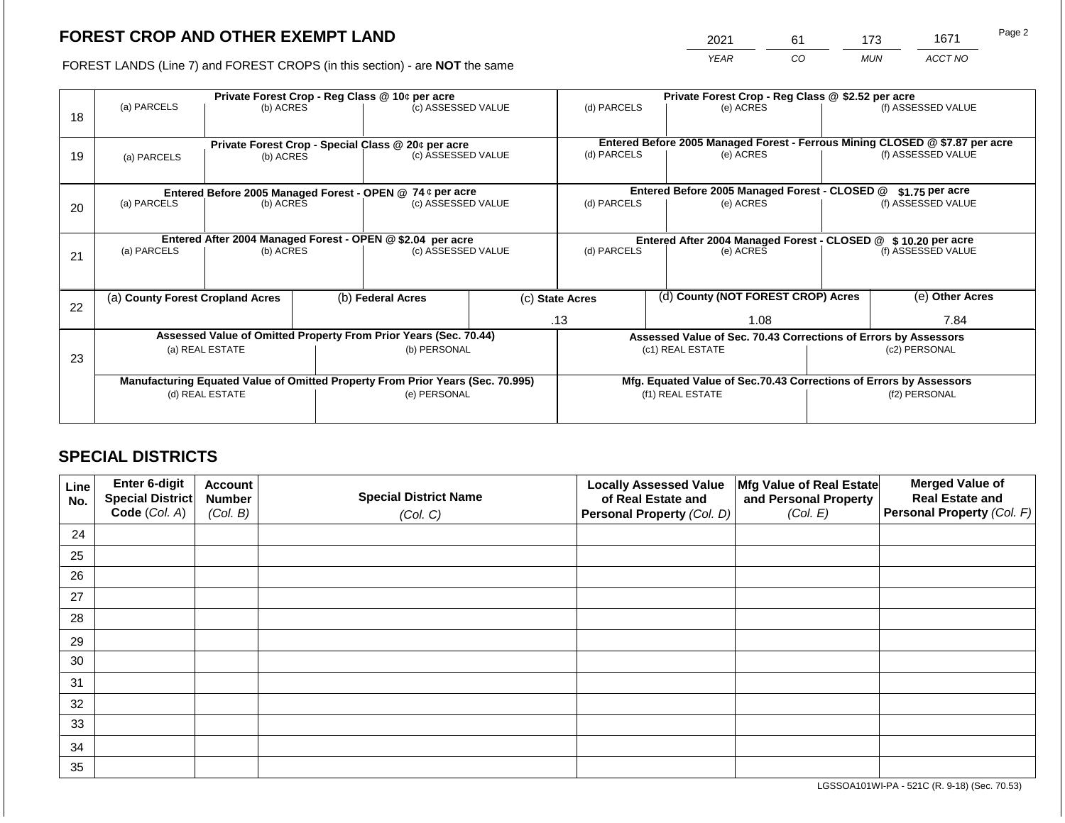2021 61 173 1671

FOREST LANDS (Line 7) and FOREST CROPS (in this section) - are **NOT** the same *YEAR CO MUN ACCT NO*

|    |                                                                                | Private Forest Crop - Reg Class @ 10¢ per acre                                                |                                                               |                                                                          |                          | Private Forest Crop - Reg Class @ \$2.52 per acre                            |  |                                                                    |                    |                    |  |
|----|--------------------------------------------------------------------------------|-----------------------------------------------------------------------------------------------|---------------------------------------------------------------|--------------------------------------------------------------------------|--------------------------|------------------------------------------------------------------------------|--|--------------------------------------------------------------------|--------------------|--------------------|--|
| 18 | (a) PARCELS                                                                    | (b) ACRES                                                                                     |                                                               | (c) ASSESSED VALUE                                                       |                          | (d) PARCELS                                                                  |  | (e) ACRES                                                          |                    | (f) ASSESSED VALUE |  |
|    |                                                                                |                                                                                               |                                                               |                                                                          |                          | Entered Before 2005 Managed Forest - Ferrous Mining CLOSED @ \$7.87 per acre |  |                                                                    |                    |                    |  |
| 19 | (a) PARCELS                                                                    | (b) ACRES                                                                                     |                                                               | Private Forest Crop - Special Class @ 20¢ per acre<br>(c) ASSESSED VALUE |                          | (d) PARCELS                                                                  |  | (e) ACRES                                                          |                    | (f) ASSESSED VALUE |  |
|    |                                                                                |                                                                                               |                                                               |                                                                          |                          |                                                                              |  |                                                                    |                    |                    |  |
|    |                                                                                | Entered Before 2005 Managed Forest - OPEN @ 74 ¢ per acre                                     |                                                               |                                                                          |                          |                                                                              |  | Entered Before 2005 Managed Forest - CLOSED @                      |                    | \$1.75 per acre    |  |
| 20 | (a) PARCELS                                                                    | (b) ACRES                                                                                     |                                                               | (c) ASSESSED VALUE                                                       |                          | (d) PARCELS                                                                  |  | (e) ACRES                                                          |                    | (f) ASSESSED VALUE |  |
|    |                                                                                |                                                                                               |                                                               |                                                                          |                          |                                                                              |  |                                                                    |                    |                    |  |
|    |                                                                                |                                                                                               | Entered After 2004 Managed Forest - CLOSED @ \$10.20 per acre |                                                                          |                          |                                                                              |  |                                                                    |                    |                    |  |
| 21 | (a) PARCELS                                                                    | Entered After 2004 Managed Forest - OPEN @ \$2.04 per acre<br>(c) ASSESSED VALUE<br>(b) ACRES |                                                               |                                                                          | (d) PARCELS<br>(e) ACRES |                                                                              |  |                                                                    | (f) ASSESSED VALUE |                    |  |
|    |                                                                                |                                                                                               |                                                               |                                                                          |                          |                                                                              |  |                                                                    |                    |                    |  |
|    | (a) County Forest Cropland Acres                                               |                                                                                               |                                                               | (b) Federal Acres                                                        |                          | (c) State Acres                                                              |  | (d) County (NOT FOREST CROP) Acres                                 |                    | (e) Other Acres    |  |
| 22 |                                                                                |                                                                                               |                                                               |                                                                          |                          | .13                                                                          |  | 1.08                                                               |                    | 7.84               |  |
|    |                                                                                |                                                                                               |                                                               |                                                                          |                          |                                                                              |  |                                                                    |                    |                    |  |
|    |                                                                                | Assessed Value of Omitted Property From Prior Years (Sec. 70.44)                              |                                                               |                                                                          |                          |                                                                              |  | Assessed Value of Sec. 70.43 Corrections of Errors by Assessors    |                    |                    |  |
| 23 |                                                                                | (a) REAL ESTATE                                                                               |                                                               | (b) PERSONAL                                                             |                          |                                                                              |  | (c1) REAL ESTATE                                                   | (c2) PERSONAL      |                    |  |
|    |                                                                                |                                                                                               |                                                               |                                                                          |                          |                                                                              |  |                                                                    |                    |                    |  |
|    | Manufacturing Equated Value of Omitted Property From Prior Years (Sec. 70.995) |                                                                                               |                                                               |                                                                          |                          |                                                                              |  | Mfg. Equated Value of Sec.70.43 Corrections of Errors by Assessors |                    |                    |  |
|    |                                                                                | (d) REAL ESTATE                                                                               |                                                               | (e) PERSONAL                                                             |                          |                                                                              |  | (f1) REAL ESTATE                                                   | (f2) PERSONAL      |                    |  |
|    |                                                                                |                                                                                               |                                                               |                                                                          |                          |                                                                              |  |                                                                    |                    |                    |  |

# **SPECIAL DISTRICTS**

| Line<br>No. | Enter 6-digit<br>Special District<br>Code (Col. A) | <b>Account</b><br><b>Number</b><br>(Col. B) | <b>Special District Name</b><br>(Col. C) | <b>Locally Assessed Value</b><br>of Real Estate and<br><b>Personal Property (Col. D)</b> | Mfg Value of Real Estate<br>and Personal Property<br>(Col. E) | <b>Merged Value of</b><br><b>Real Estate and</b><br>Personal Property (Col. F) |
|-------------|----------------------------------------------------|---------------------------------------------|------------------------------------------|------------------------------------------------------------------------------------------|---------------------------------------------------------------|--------------------------------------------------------------------------------|
| 24          |                                                    |                                             |                                          |                                                                                          |                                                               |                                                                                |
| 25          |                                                    |                                             |                                          |                                                                                          |                                                               |                                                                                |
| 26          |                                                    |                                             |                                          |                                                                                          |                                                               |                                                                                |
| 27          |                                                    |                                             |                                          |                                                                                          |                                                               |                                                                                |
| 28          |                                                    |                                             |                                          |                                                                                          |                                                               |                                                                                |
| 29          |                                                    |                                             |                                          |                                                                                          |                                                               |                                                                                |
| 30          |                                                    |                                             |                                          |                                                                                          |                                                               |                                                                                |
| 31          |                                                    |                                             |                                          |                                                                                          |                                                               |                                                                                |
| 32          |                                                    |                                             |                                          |                                                                                          |                                                               |                                                                                |
| 33          |                                                    |                                             |                                          |                                                                                          |                                                               |                                                                                |
| 34          |                                                    |                                             |                                          |                                                                                          |                                                               |                                                                                |
| 35          |                                                    |                                             |                                          |                                                                                          |                                                               |                                                                                |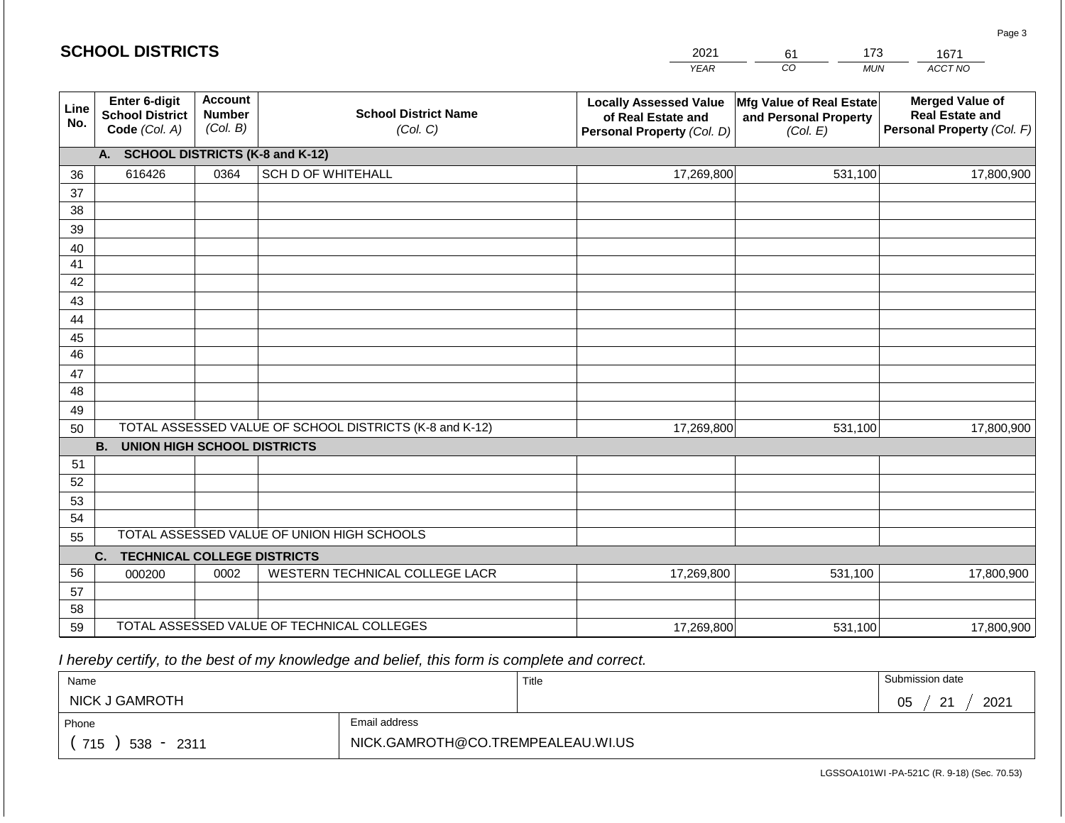|             | <b>SCHOOL DISTRICTS</b>                                  |                                                         |                                         | 2021                                                                              | 173<br>61                                                     | 1671                                                                           |  |  |
|-------------|----------------------------------------------------------|---------------------------------------------------------|-----------------------------------------|-----------------------------------------------------------------------------------|---------------------------------------------------------------|--------------------------------------------------------------------------------|--|--|
|             |                                                          |                                                         |                                         | <b>YEAR</b>                                                                       | CO<br><b>MUN</b>                                              | ACCT NO                                                                        |  |  |
| Line<br>No. | Enter 6-digit<br><b>School District</b><br>Code (Col. A) | <b>Account</b><br><b>Number</b><br>(Col. B)             | <b>School District Name</b><br>(Col. C) | <b>Locally Assessed Value</b><br>of Real Estate and<br>Personal Property (Col. D) | Mfg Value of Real Estate<br>and Personal Property<br>(Col. E) | <b>Merged Value of</b><br><b>Real Estate and</b><br>Personal Property (Col. F) |  |  |
|             | <b>SCHOOL DISTRICTS (K-8 and K-12)</b><br>A.             |                                                         |                                         |                                                                                   |                                                               |                                                                                |  |  |
| 36          | 616426                                                   | 0364                                                    | <b>SCH D OF WHITEHALL</b>               | 17,269,800                                                                        | 531,100                                                       | 17,800,900                                                                     |  |  |
| 37          |                                                          |                                                         |                                         |                                                                                   |                                                               |                                                                                |  |  |
| 38          |                                                          |                                                         |                                         |                                                                                   |                                                               |                                                                                |  |  |
| 39          |                                                          |                                                         |                                         |                                                                                   |                                                               |                                                                                |  |  |
| 40          |                                                          |                                                         |                                         |                                                                                   |                                                               |                                                                                |  |  |
| 41          |                                                          |                                                         |                                         |                                                                                   |                                                               |                                                                                |  |  |
| 42          |                                                          |                                                         |                                         |                                                                                   |                                                               |                                                                                |  |  |
| 43          |                                                          |                                                         |                                         |                                                                                   |                                                               |                                                                                |  |  |
| 44<br>45    |                                                          |                                                         |                                         |                                                                                   |                                                               |                                                                                |  |  |
| 46          |                                                          |                                                         |                                         |                                                                                   |                                                               |                                                                                |  |  |
| 47          |                                                          |                                                         |                                         |                                                                                   |                                                               |                                                                                |  |  |
| 48          |                                                          |                                                         |                                         |                                                                                   |                                                               |                                                                                |  |  |
| 49          |                                                          |                                                         |                                         |                                                                                   |                                                               |                                                                                |  |  |
| 50          |                                                          | TOTAL ASSESSED VALUE OF SCHOOL DISTRICTS (K-8 and K-12) |                                         | 17,269,800                                                                        | 531,100                                                       | 17,800,900                                                                     |  |  |
|             | <b>B.</b><br><b>UNION HIGH SCHOOL DISTRICTS</b>          |                                                         |                                         |                                                                                   |                                                               |                                                                                |  |  |
| 51          |                                                          |                                                         |                                         |                                                                                   |                                                               |                                                                                |  |  |
| 52          |                                                          |                                                         |                                         |                                                                                   |                                                               |                                                                                |  |  |
| 53          |                                                          |                                                         |                                         |                                                                                   |                                                               |                                                                                |  |  |
| 54          |                                                          |                                                         |                                         |                                                                                   |                                                               |                                                                                |  |  |
|             | TOTAL ASSESSED VALUE OF UNION HIGH SCHOOLS<br>55         |                                                         |                                         |                                                                                   |                                                               |                                                                                |  |  |
|             | <b>TECHNICAL COLLEGE DISTRICTS</b><br>C.                 |                                                         |                                         |                                                                                   |                                                               |                                                                                |  |  |
| 56          | 000200                                                   | 0002                                                    | WESTERN TECHNICAL COLLEGE LACR          | 17,269,800                                                                        | 531,100                                                       | 17,800,900                                                                     |  |  |
| 57          |                                                          |                                                         |                                         |                                                                                   |                                                               |                                                                                |  |  |
| 58          |                                                          |                                                         |                                         |                                                                                   |                                                               |                                                                                |  |  |
| 59          | TOTAL ASSESSED VALUE OF TECHNICAL COLLEGES               |                                                         |                                         | 17,269,800                                                                        | 531,100                                                       | 17,800,900                                                                     |  |  |

| Name                   |                                   | Title | Submission date                     |  |  |
|------------------------|-----------------------------------|-------|-------------------------------------|--|--|
| NICK J GAMROTH         |                                   |       | 2021<br>∩ҕ<br>ົດ 4<br>◡<br><u>_</u> |  |  |
| Email address<br>Phone |                                   |       |                                     |  |  |
| 715<br>$538 - 2311$    | NICK.GAMROTH@CO.TREMPEALEAU.WI.US |       |                                     |  |  |

LGSSOA101WI -PA-521C (R. 9-18) (Sec. 70.53)

Page 3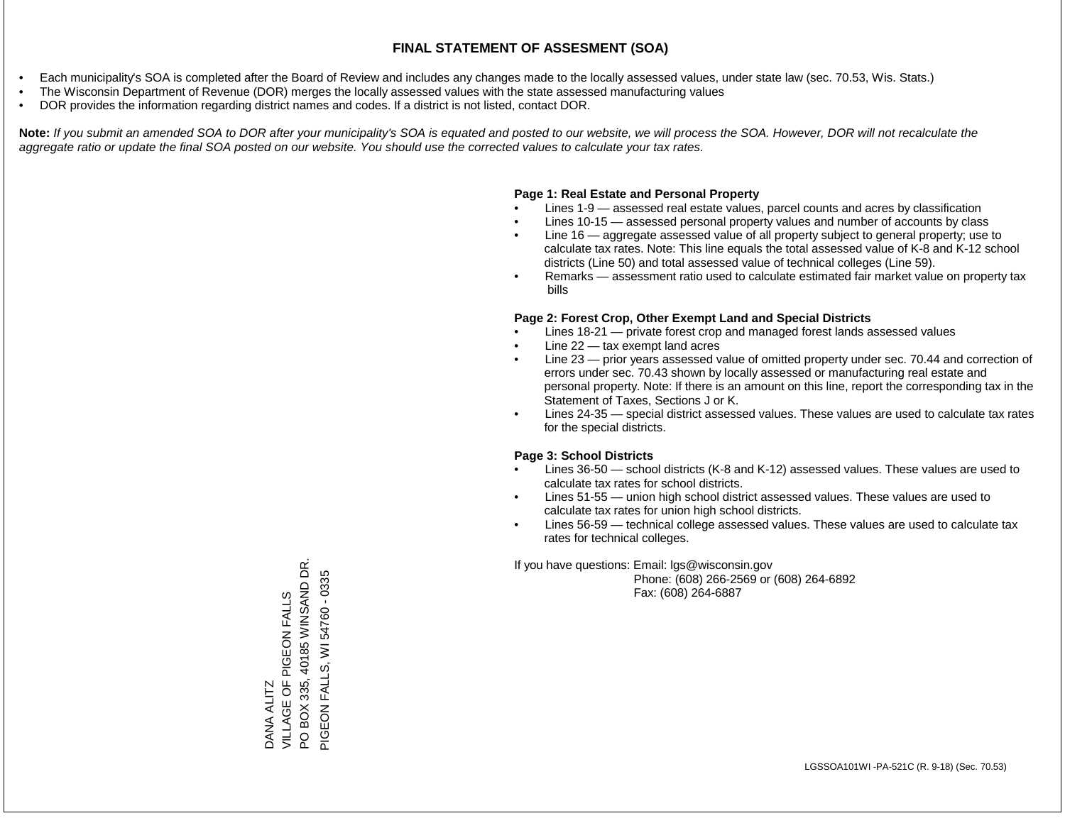- Each municipality's SOA is completed after the Board of Review and includes any changes made to the locally assessed values, under state law (sec. 70.53, Wis. Stats.)
- The Wisconsin Department of Revenue (DOR) merges the locally assessed values with the state assessed manufacturing values
- DOR provides the information regarding district names and codes. If a district is not listed, contact DOR.

Note: If you submit an amended SOA to DOR after your municipality's SOA is equated and posted to our website, we will process the SOA. However, DOR will not recalculate the *aggregate ratio or update the final SOA posted on our website. You should use the corrected values to calculate your tax rates.*

# **Page 1: Real Estate and Personal Property**

- Lines 1-9 assessed real estate values, parcel counts and acres by classification
- Lines 10-15 assessed personal property values and number of accounts by class
- Line 16 aggregate assessed value of all property subject to general property; use to calculate tax rates. Note: This line equals the total assessed value of K-8 and K-12 school districts (Line 50) and total assessed value of technical colleges (Line 59).
- Remarks assessment ratio used to calculate estimated fair market value on property tax bills

# **Page 2: Forest Crop, Other Exempt Land and Special Districts**

- Lines 18-21 private forest crop and managed forest lands assessed values
- Line  $22 -$  tax exempt land acres
- Line 23 prior years assessed value of omitted property under sec. 70.44 and correction of errors under sec. 70.43 shown by locally assessed or manufacturing real estate and personal property. Note: If there is an amount on this line, report the corresponding tax in the Statement of Taxes, Sections J or K.
- Lines 24-35 special district assessed values. These values are used to calculate tax rates for the special districts.

# **Page 3: School Districts**

- Lines 36-50 school districts (K-8 and K-12) assessed values. These values are used to calculate tax rates for school districts.
- Lines 51-55 union high school district assessed values. These values are used to calculate tax rates for union high school districts.
- Lines 56-59 technical college assessed values. These values are used to calculate tax rates for technical colleges.

If you have questions: Email: lgs@wisconsin.gov

 Phone: (608) 266-2569 or (608) 264-6892 Fax: (608) 264-6887

BOX 335, 40185 WINSAND DR. PO BOX 335, 40185 WINSAND DR. PIGEON FALLS, WI 54760 - 0335 PIGEON FALLS, WI 54760 - 0335DANA ALITZ<br>VILLAGE OF PIGEON FALLS VILLAGE OF PIGEON FALLS  $\Omega$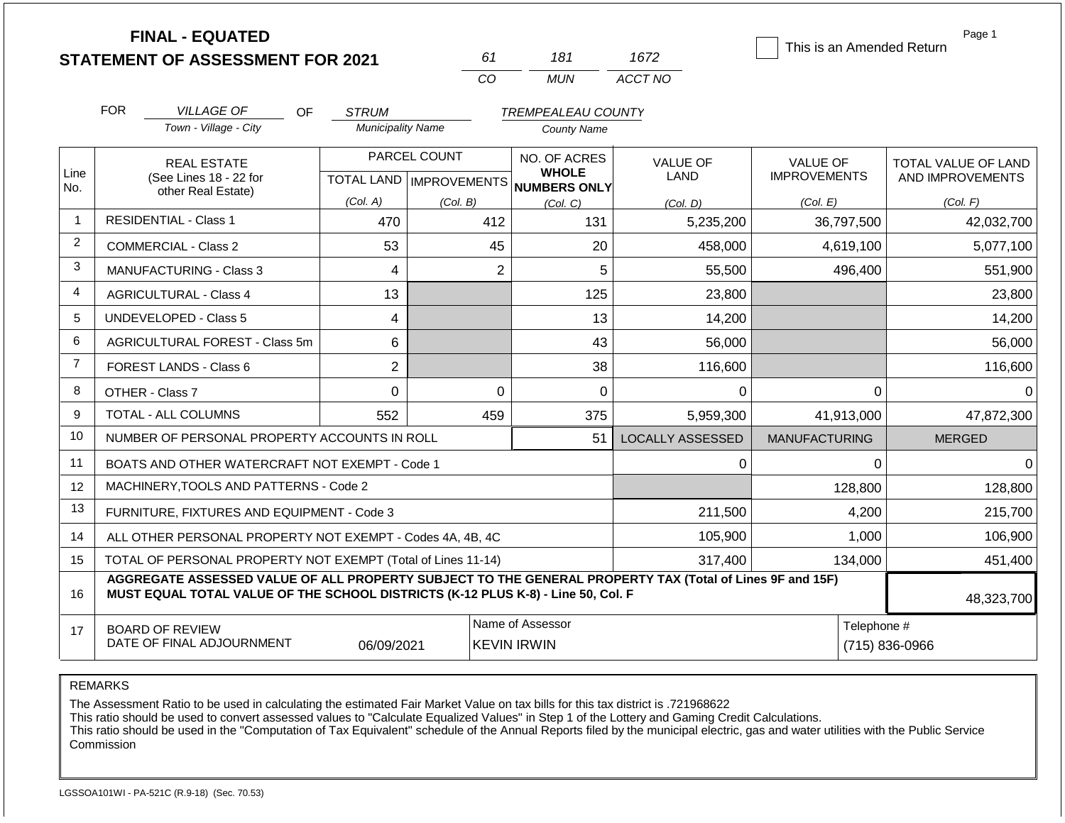**FINAL - EQUATED**

| 61       | 181 | 1672    |
|----------|-----|---------|
| $\alpha$ | MUN | ACCT NO |

This is an Amended Return

Page 1

|                | <b>FOR</b>                                                                                                                                                                                                 | <b>VILLAGE OF</b>                                   | <b>OF</b> | <b>STRUM</b>                              |                | <b>TREMPEALEAU COUNTY</b>              |                                |                                        |                                         |
|----------------|------------------------------------------------------------------------------------------------------------------------------------------------------------------------------------------------------------|-----------------------------------------------------|-----------|-------------------------------------------|----------------|----------------------------------------|--------------------------------|----------------------------------------|-----------------------------------------|
|                |                                                                                                                                                                                                            | Town - Village - City                               |           | <b>Municipality Name</b>                  |                | <b>County Name</b>                     |                                |                                        |                                         |
| Line           |                                                                                                                                                                                                            | <b>REAL ESTATE</b><br>(See Lines 18 - 22 for        |           | PARCEL COUNT<br>TOTAL LAND   IMPROVEMENTS |                | NO. OF ACRES<br><b>WHOLE</b>           | <b>VALUE OF</b><br><b>LAND</b> | <b>VALUE OF</b><br><b>IMPROVEMENTS</b> | TOTAL VALUE OF LAND<br>AND IMPROVEMENTS |
| No.            |                                                                                                                                                                                                            | other Real Estate)                                  |           | (Col. A)                                  | (Col. B)       | NUMBERS ONLY<br>(Col, C)               | (Col. D)                       | (Col. E)                               | (Col. F)                                |
| $\mathbf 1$    |                                                                                                                                                                                                            | <b>RESIDENTIAL - Class 1</b>                        |           | 470                                       | 412            | 131                                    | 5,235,200                      | 36,797,500                             | 42,032,700                              |
| $\overline{2}$ |                                                                                                                                                                                                            | <b>COMMERCIAL - Class 2</b>                         |           | 53                                        | 45             | 20                                     | 458,000                        | 4,619,100                              | 5,077,100                               |
| 3              |                                                                                                                                                                                                            | <b>MANUFACTURING - Class 3</b>                      |           | 4                                         | $\overline{2}$ | 5                                      | 55,500                         | 496,400                                | 551,900                                 |
| 4              |                                                                                                                                                                                                            | <b>AGRICULTURAL - Class 4</b>                       |           | 13                                        |                | 125                                    | 23,800                         |                                        | 23,800                                  |
| 5              |                                                                                                                                                                                                            | <b>UNDEVELOPED - Class 5</b>                        |           | 4                                         |                | 13                                     | 14,200                         |                                        | 14,200                                  |
| 6              |                                                                                                                                                                                                            | AGRICULTURAL FOREST - Class 5m                      |           | 6                                         |                | 43                                     | 56,000                         |                                        | 56,000                                  |
| $\overline{7}$ |                                                                                                                                                                                                            | FOREST LANDS - Class 6                              |           | $\overline{c}$                            |                | 38                                     | 116,600                        |                                        | 116,600                                 |
| 8              |                                                                                                                                                                                                            | OTHER - Class 7                                     |           | $\Omega$                                  | $\Omega$       | $\mathbf 0$                            | 0                              | $\Omega$                               | 0                                       |
| 9              |                                                                                                                                                                                                            | TOTAL - ALL COLUMNS                                 |           | 552                                       | 459            | 375                                    | 5,959,300                      | 41,913,000                             | 47,872,300                              |
| 10             |                                                                                                                                                                                                            | NUMBER OF PERSONAL PROPERTY ACCOUNTS IN ROLL        |           |                                           |                | 51                                     | <b>LOCALLY ASSESSED</b>        | <b>MANUFACTURING</b>                   | <b>MERGED</b>                           |
| 11             |                                                                                                                                                                                                            | BOATS AND OTHER WATERCRAFT NOT EXEMPT - Code 1      |           |                                           |                |                                        | 0                              | 0                                      |                                         |
| 12             |                                                                                                                                                                                                            | MACHINERY, TOOLS AND PATTERNS - Code 2              |           |                                           |                |                                        |                                | 128,800                                | 128,800                                 |
| 13             |                                                                                                                                                                                                            | FURNITURE, FIXTURES AND EQUIPMENT - Code 3          |           |                                           |                |                                        | 211,500                        | 4,200                                  | 215,700                                 |
| 14             | ALL OTHER PERSONAL PROPERTY NOT EXEMPT - Codes 4A, 4B, 4C                                                                                                                                                  |                                                     |           |                                           |                |                                        | 105,900                        | 1,000                                  | 106,900                                 |
| 15             | TOTAL OF PERSONAL PROPERTY NOT EXEMPT (Total of Lines 11-14)<br>317,400<br>134,000                                                                                                                         |                                                     |           |                                           |                |                                        |                                | 451,400                                |                                         |
| 16             | AGGREGATE ASSESSED VALUE OF ALL PROPERTY SUBJECT TO THE GENERAL PROPERTY TAX (Total of Lines 9F and 15F)<br>MUST EQUAL TOTAL VALUE OF THE SCHOOL DISTRICTS (K-12 PLUS K-8) - Line 50, Col. F<br>48,323,700 |                                                     |           |                                           |                |                                        |                                |                                        |                                         |
| 17             |                                                                                                                                                                                                            | <b>BOARD OF REVIEW</b><br>DATE OF FINAL ADJOURNMENT |           | 06/09/2021                                |                | Name of Assessor<br><b>KEVIN IRWIN</b> |                                | Telephone #                            | (715) 836-0966                          |

REMARKS

The Assessment Ratio to be used in calculating the estimated Fair Market Value on tax bills for this tax district is .721968622

This ratio should be used to convert assessed values to "Calculate Equalized Values" in Step 1 of the Lottery and Gaming Credit Calculations.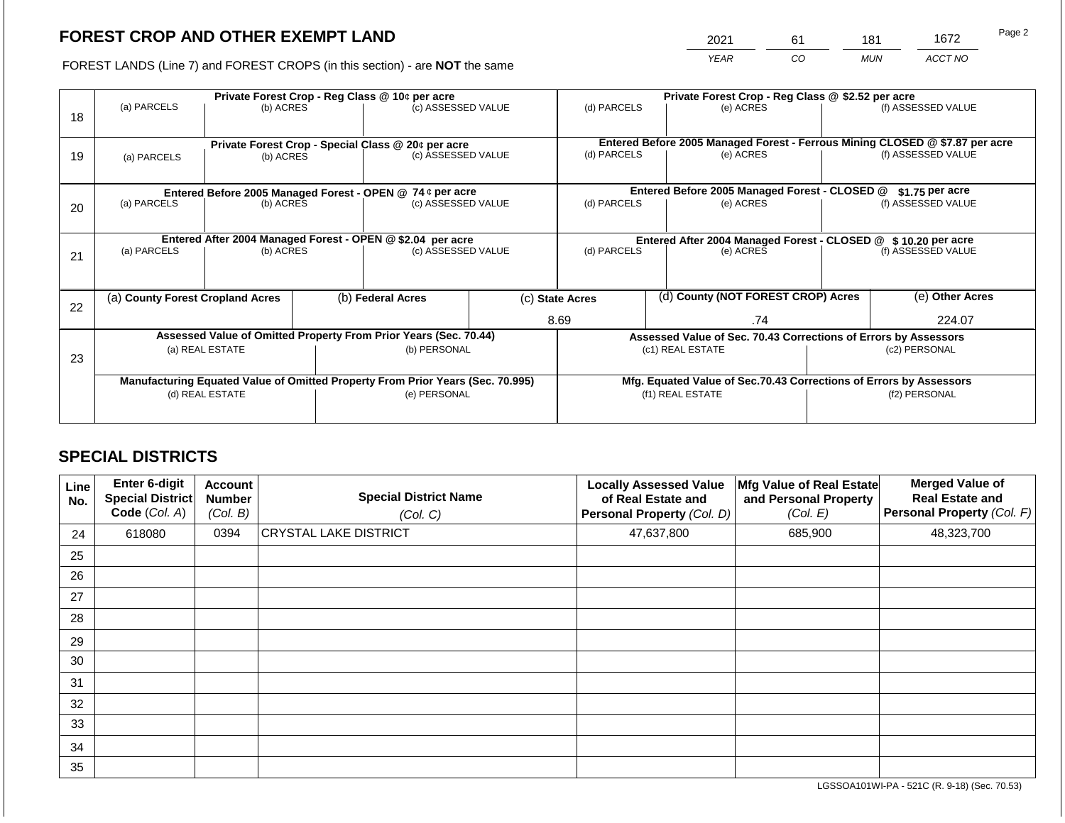2021 61 181 1672

FOREST LANDS (Line 7) and FOREST CROPS (in this section) - are **NOT** the same *YEAR CO MUN ACCT NO*

|    | Private Forest Crop - Reg Class @ 10¢ per acre                                 |                                                                  |  |                                                                          |  | Private Forest Crop - Reg Class @ \$2.52 per acre                  |  |                                                                              |                    |                    |
|----|--------------------------------------------------------------------------------|------------------------------------------------------------------|--|--------------------------------------------------------------------------|--|--------------------------------------------------------------------|--|------------------------------------------------------------------------------|--------------------|--------------------|
| 18 | (a) PARCELS                                                                    | (b) ACRES                                                        |  | (c) ASSESSED VALUE                                                       |  | (d) PARCELS                                                        |  | (e) ACRES                                                                    |                    | (f) ASSESSED VALUE |
|    |                                                                                |                                                                  |  |                                                                          |  |                                                                    |  | Entered Before 2005 Managed Forest - Ferrous Mining CLOSED @ \$7.87 per acre |                    |                    |
| 19 | (a) PARCELS                                                                    | (b) ACRES                                                        |  | Private Forest Crop - Special Class @ 20¢ per acre<br>(c) ASSESSED VALUE |  | (d) PARCELS                                                        |  | (e) ACRES                                                                    |                    | (f) ASSESSED VALUE |
|    |                                                                                |                                                                  |  |                                                                          |  |                                                                    |  |                                                                              |                    |                    |
|    |                                                                                |                                                                  |  |                                                                          |  |                                                                    |  |                                                                              |                    |                    |
|    |                                                                                |                                                                  |  | Entered Before 2005 Managed Forest - OPEN @ 74 ¢ per acre                |  |                                                                    |  | Entered Before 2005 Managed Forest - CLOSED @                                |                    | $$1.75$ per acre   |
| 20 | (a) PARCELS                                                                    | (b) ACRES                                                        |  | (c) ASSESSED VALUE                                                       |  | (d) PARCELS                                                        |  | (e) ACRES                                                                    |                    | (f) ASSESSED VALUE |
|    |                                                                                |                                                                  |  |                                                                          |  |                                                                    |  |                                                                              |                    |                    |
|    |                                                                                |                                                                  |  | Entered After 2004 Managed Forest - OPEN @ \$2.04 per acre               |  | Entered After 2004 Managed Forest - CLOSED @ \$ 10.20 per acre     |  |                                                                              |                    |                    |
| 21 | (a) PARCELS                                                                    | (b) ACRES                                                        |  | (c) ASSESSED VALUE                                                       |  | (d) PARCELS<br>(e) ACRES                                           |  |                                                                              | (f) ASSESSED VALUE |                    |
|    |                                                                                |                                                                  |  |                                                                          |  |                                                                    |  |                                                                              |                    |                    |
|    |                                                                                |                                                                  |  |                                                                          |  |                                                                    |  |                                                                              |                    |                    |
|    | (a) County Forest Cropland Acres                                               |                                                                  |  | (b) Federal Acres                                                        |  | (d) County (NOT FOREST CROP) Acres<br>(c) State Acres              |  |                                                                              | (e) Other Acres    |                    |
| 22 |                                                                                |                                                                  |  |                                                                          |  | 8.69                                                               |  | .74                                                                          |                    | 224.07             |
|    |                                                                                |                                                                  |  |                                                                          |  |                                                                    |  |                                                                              |                    |                    |
|    |                                                                                | Assessed Value of Omitted Property From Prior Years (Sec. 70.44) |  |                                                                          |  | Assessed Value of Sec. 70.43 Corrections of Errors by Assessors    |  |                                                                              |                    |                    |
| 23 |                                                                                | (a) REAL ESTATE                                                  |  | (b) PERSONAL                                                             |  |                                                                    |  | (c1) REAL ESTATE                                                             |                    | (c2) PERSONAL      |
|    |                                                                                |                                                                  |  |                                                                          |  |                                                                    |  |                                                                              |                    |                    |
|    | Manufacturing Equated Value of Omitted Property From Prior Years (Sec. 70.995) |                                                                  |  |                                                                          |  | Mfg. Equated Value of Sec.70.43 Corrections of Errors by Assessors |  |                                                                              |                    |                    |
|    | (d) REAL ESTATE                                                                |                                                                  |  | (e) PERSONAL                                                             |  |                                                                    |  | (f1) REAL ESTATE                                                             | (f2) PERSONAL      |                    |
|    |                                                                                |                                                                  |  |                                                                          |  |                                                                    |  |                                                                              |                    |                    |
|    |                                                                                |                                                                  |  |                                                                          |  |                                                                    |  |                                                                              |                    |                    |

# **SPECIAL DISTRICTS**

| Line<br>No. | <b>Enter 6-digit</b><br>Special District<br>Code (Col. A) | <b>Account</b><br><b>Number</b><br>(Col. B) | <b>Special District Name</b><br>(Col. C) | <b>Locally Assessed Value</b><br>of Real Estate and<br>Personal Property (Col. D) | Mfg Value of Real Estate<br>and Personal Property<br>(Col. E) | <b>Merged Value of</b><br><b>Real Estate and</b><br>Personal Property (Col. F) |
|-------------|-----------------------------------------------------------|---------------------------------------------|------------------------------------------|-----------------------------------------------------------------------------------|---------------------------------------------------------------|--------------------------------------------------------------------------------|
| 24          | 618080                                                    | 0394                                        | <b>CRYSTAL LAKE DISTRICT</b>             | 47,637,800                                                                        | 685,900                                                       | 48,323,700                                                                     |
| 25          |                                                           |                                             |                                          |                                                                                   |                                                               |                                                                                |
| 26          |                                                           |                                             |                                          |                                                                                   |                                                               |                                                                                |
| 27          |                                                           |                                             |                                          |                                                                                   |                                                               |                                                                                |
| 28          |                                                           |                                             |                                          |                                                                                   |                                                               |                                                                                |
| 29          |                                                           |                                             |                                          |                                                                                   |                                                               |                                                                                |
| 30          |                                                           |                                             |                                          |                                                                                   |                                                               |                                                                                |
| 31          |                                                           |                                             |                                          |                                                                                   |                                                               |                                                                                |
| 32          |                                                           |                                             |                                          |                                                                                   |                                                               |                                                                                |
| 33          |                                                           |                                             |                                          |                                                                                   |                                                               |                                                                                |
| 34          |                                                           |                                             |                                          |                                                                                   |                                                               |                                                                                |
| 35          |                                                           |                                             |                                          |                                                                                   |                                                               |                                                                                |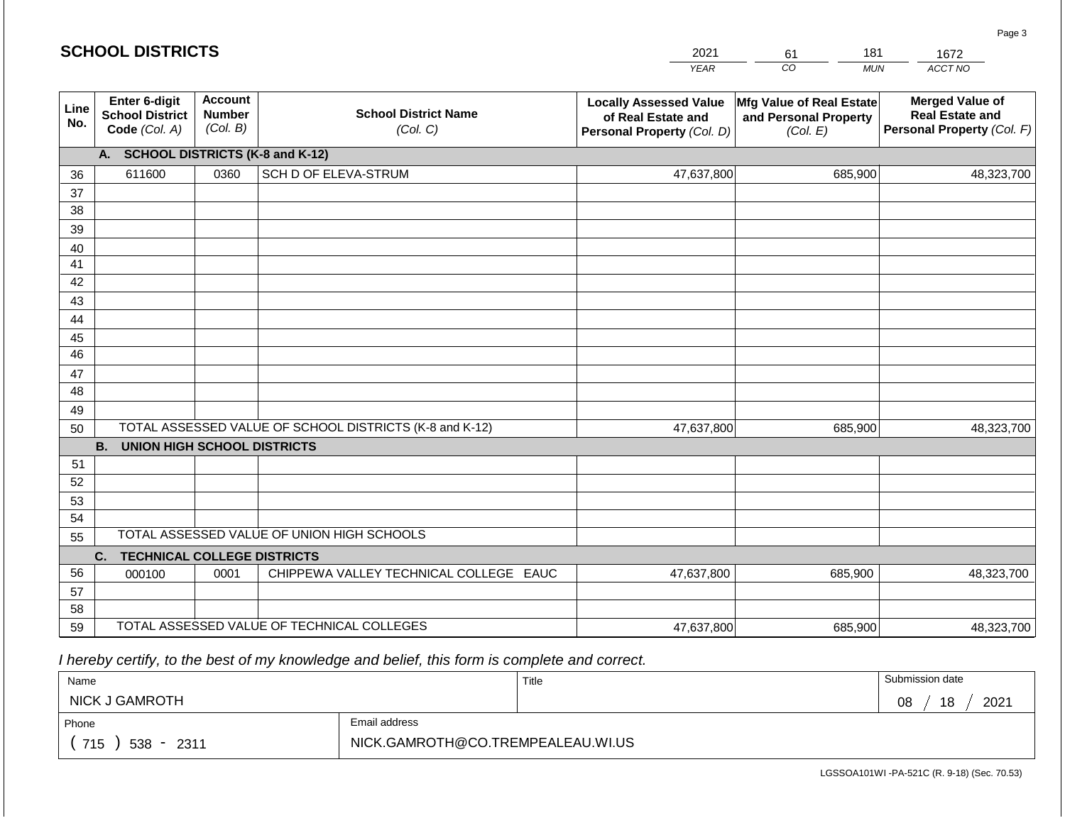#### *YEAR*  2021  $\overline{co}$ 61 *MUN*  181 *ACCT NO*  1672 **Line No. Enter 6-digit School District Code** *(Col. A)* **Account Number** *(Col. B)* **School District Name** *(Col. C)* **Locally Assessed Value of Real Estate and Personal Property** *(Col. D)* **Mfg Value of Real Estate and Personal Property** *(Col. E)* **Merged Value of Real Estate and Personal Property** *(Col. F)* **A. SCHOOL DISTRICTS (K-8 and K-12)** 36 37 38 39 40 41 42 43 44 45 46 47 48 49 50 TOTAL ASSESSED VALUE OF SCHOOL DISTRICTS (K-8 and K-12) **B. UNION HIGH SCHOOL DISTRICTS** 51 52 53 54 55 **C. TECHNICAL COLLEGE DISTRICTS** 56 57 58 59 TOTAL ASSESSED VALUE OF TECHNICAL COLLEGES TOTAL ASSESSED VALUE OF UNION HIGH SCHOOLS 611600 0360 SCH D OF ELEVA-STRUM 47,637,800 47,637,800 000100 | 0001 | CHIPPEWA VALLEY TECHNICAL COLLEGE EAUC 47,637,800 685,900 48,323,700 685,900 48,323,700 685,900 48,323,700 47,637,800 685,900 685,900 48,323,700

 *I hereby certify, to the best of my knowledge and belief, this form is complete and correct.*

| Name                   |                                   | Title | Submission date  |  |  |
|------------------------|-----------------------------------|-------|------------------|--|--|
| NICK J GAMROTH         |                                   |       | 18<br>2021<br>08 |  |  |
| Phone                  | Email address                     |       |                  |  |  |
| 715<br>$538 -$<br>2311 | NICK.GAMROTH@CO.TREMPEALEAU.WI.US |       |                  |  |  |

LGSSOA101WI -PA-521C (R. 9-18) (Sec. 70.53)

Page 3

|  | <b>SCHOOL DISTRICTS</b> |
|--|-------------------------|
|--|-------------------------|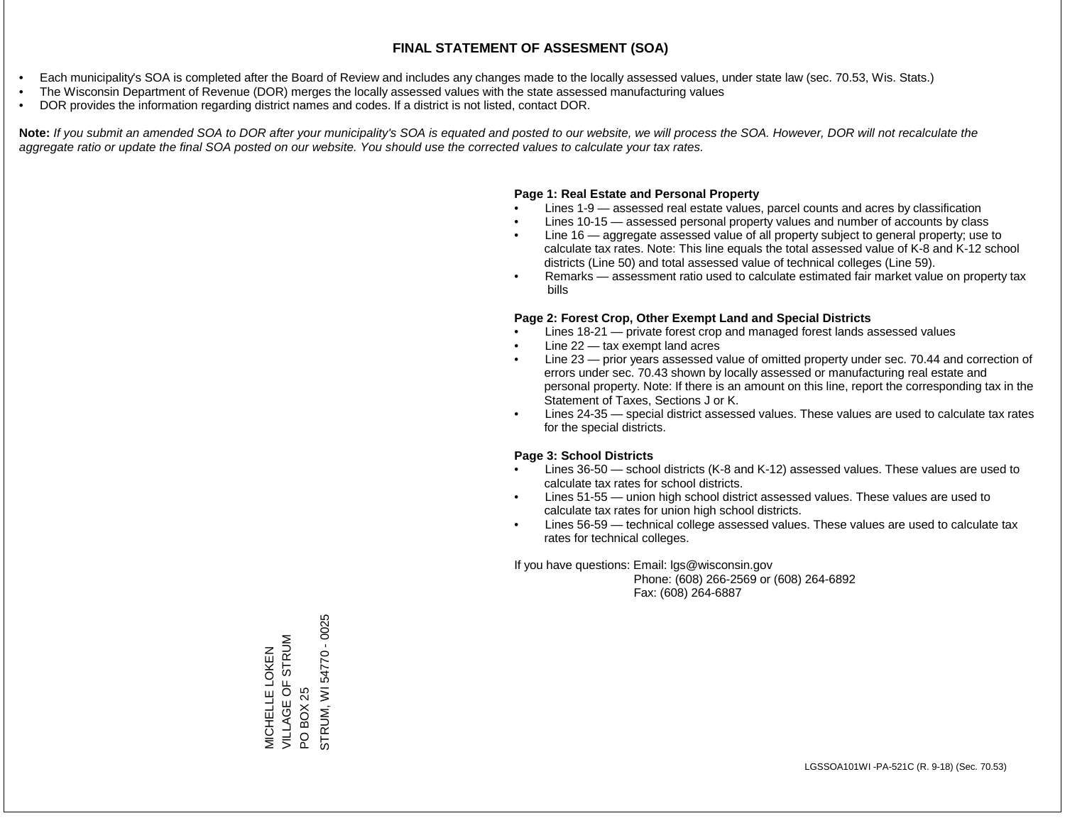- Each municipality's SOA is completed after the Board of Review and includes any changes made to the locally assessed values, under state law (sec. 70.53, Wis. Stats.)
- The Wisconsin Department of Revenue (DOR) merges the locally assessed values with the state assessed manufacturing values
- DOR provides the information regarding district names and codes. If a district is not listed, contact DOR.

Note: If you submit an amended SOA to DOR after your municipality's SOA is equated and posted to our website, we will process the SOA. However, DOR will not recalculate the *aggregate ratio or update the final SOA posted on our website. You should use the corrected values to calculate your tax rates.*

### **Page 1: Real Estate and Personal Property**

- Lines 1-9 assessed real estate values, parcel counts and acres by classification
- Lines 10-15 assessed personal property values and number of accounts by class
- Line 16 aggregate assessed value of all property subject to general property; use to calculate tax rates. Note: This line equals the total assessed value of K-8 and K-12 school districts (Line 50) and total assessed value of technical colleges (Line 59).
- Remarks assessment ratio used to calculate estimated fair market value on property tax bills

#### **Page 2: Forest Crop, Other Exempt Land and Special Districts**

- Lines 18-21 private forest crop and managed forest lands assessed values
- Line  $22 -$  tax exempt land acres
- Line 23 prior years assessed value of omitted property under sec. 70.44 and correction of errors under sec. 70.43 shown by locally assessed or manufacturing real estate and personal property. Note: If there is an amount on this line, report the corresponding tax in the Statement of Taxes, Sections J or K.
- Lines 24-35 special district assessed values. These values are used to calculate tax rates for the special districts.

#### **Page 3: School Districts**

- Lines 36-50 school districts (K-8 and K-12) assessed values. These values are used to calculate tax rates for school districts.
- Lines 51-55 union high school district assessed values. These values are used to calculate tax rates for union high school districts.
- Lines 56-59 technical college assessed values. These values are used to calculate tax rates for technical colleges.

If you have questions: Email: lgs@wisconsin.gov

 Phone: (608) 266-2569 or (608) 264-6892 Fax: (608) 264-6887

PO BOX 25<br>STRUM, WI 54770 - 0025 STRUM, WI 54770 - 0025VILLAGE OF STRUM MICHELLE LOKEN<br>VILLAGE OF STRUM MICHELLE LOKEN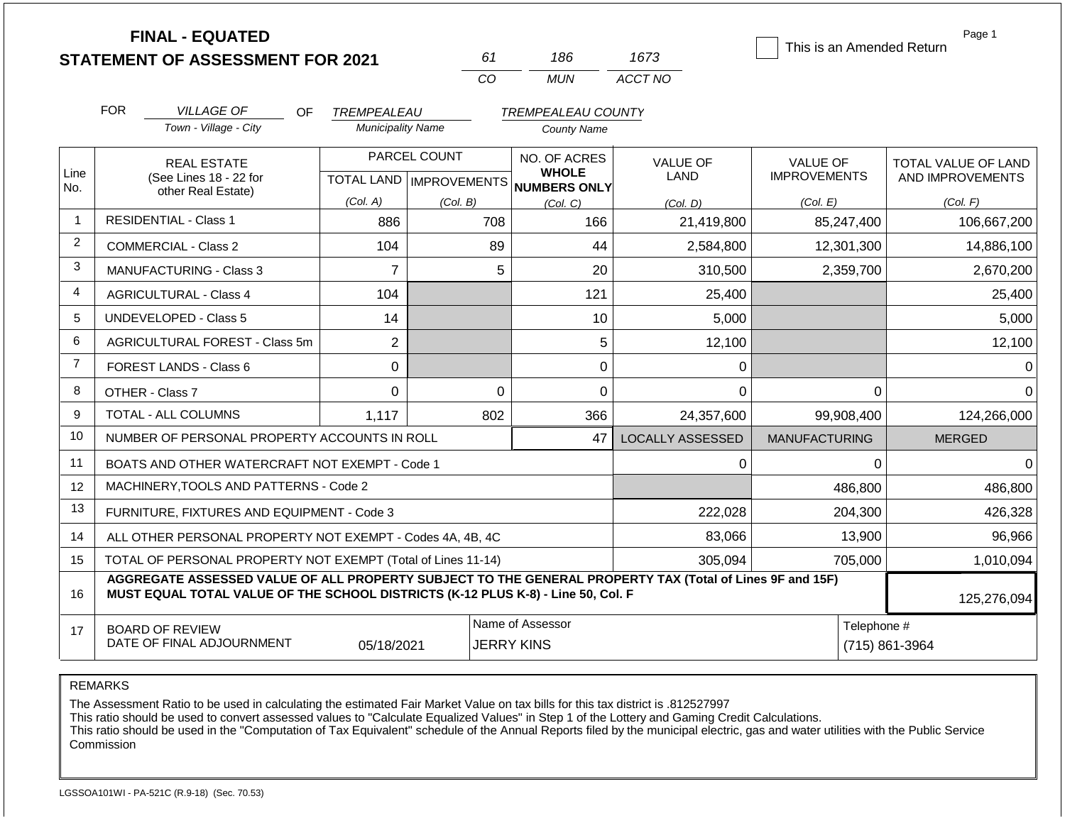|                | <b>FINAL - EQUATED</b><br><b>STATEMENT OF ASSESSMENT FOR 2021</b>                                                                                                                            |                                         | 61                        | 186                                             | 1673                          | This is an Amended Return | Page 1              |
|----------------|----------------------------------------------------------------------------------------------------------------------------------------------------------------------------------------------|-----------------------------------------|---------------------------|-------------------------------------------------|-------------------------------|---------------------------|---------------------|
|                |                                                                                                                                                                                              |                                         | CO                        | <b>MUN</b>                                      | ACCT NO                       |                           |                     |
|                |                                                                                                                                                                                              |                                         |                           |                                                 |                               |                           |                     |
|                | <b>FOR</b><br><b>VILLAGE OF</b><br><b>OF</b><br>Town - Village - City                                                                                                                        | TREMPEALEAU<br><b>Municipality Name</b> |                           | <b>TREMPEALEAU COUNTY</b><br><b>County Name</b> |                               |                           |                     |
|                |                                                                                                                                                                                              |                                         |                           |                                                 |                               |                           |                     |
| Line           | <b>REAL ESTATE</b>                                                                                                                                                                           |                                         | PARCEL COUNT              | NO. OF ACRES<br><b>WHOLE</b>                    | <b>VALUE OF</b>               | <b>VALUE OF</b>           | TOTAL VALUE OF LAND |
| No.            | (See Lines 18 - 22 for<br>other Real Estate)                                                                                                                                                 |                                         | TOTAL LAND   IMPROVEMENTS | <b>NUMBERS ONLY</b>                             | LAND                          | <b>IMPROVEMENTS</b>       | AND IMPROVEMENTS    |
|                |                                                                                                                                                                                              | (Col. A)                                | (Col. B)                  | (Col. C)                                        | (Col. D)                      | (Col. E)                  | (Col. F)            |
| $\overline{1}$ | <b>RESIDENTIAL - Class 1</b>                                                                                                                                                                 | 886                                     | 708                       | 166                                             | 21,419,800                    | 85,247,400                | 106,667,200         |
| $\overline{2}$ | <b>COMMERCIAL - Class 2</b>                                                                                                                                                                  | 104                                     | 89                        | 44                                              | 2,584,800                     | 12,301,300                | 14,886,100          |
| 3              | <b>MANUFACTURING - Class 3</b>                                                                                                                                                               | $\overline{7}$                          |                           | 5<br>20                                         | 310,500                       | 2,359,700                 | 2,670,200           |
| 4              | <b>AGRICULTURAL - Class 4</b>                                                                                                                                                                | 104                                     |                           | 121                                             | 25,400                        |                           | 25,400              |
| 5              | <b>UNDEVELOPED - Class 5</b>                                                                                                                                                                 | 14                                      |                           | 10                                              | 5,000                         |                           | 5,000               |
| 6              | AGRICULTURAL FOREST - Class 5m                                                                                                                                                               | $\overline{2}$                          |                           | 5                                               | 12,100                        |                           | 12,100              |
| $\overline{7}$ | <b>FOREST LANDS - Class 6</b>                                                                                                                                                                | $\mathbf 0$                             |                           | $\mathbf 0$                                     | $\Omega$                      |                           | $\Omega$            |
| 8              | OTHER - Class 7                                                                                                                                                                              | $\Omega$                                |                           | $\mathbf 0$<br>$\mathbf 0$                      | 0                             | $\mathbf 0$               | $\overline{0}$      |
| 9              | <b>TOTAL - ALL COLUMNS</b>                                                                                                                                                                   | 1,117                                   | 802                       | 366                                             | 24,357,600                    | 99,908,400                | 124,266,000         |
| 10             | NUMBER OF PERSONAL PROPERTY ACCOUNTS IN ROLL                                                                                                                                                 |                                         |                           | 47                                              | <b>LOCALLY ASSESSED</b>       | <b>MANUFACTURING</b>      | <b>MERGED</b>       |
| 11             | BOATS AND OTHER WATERCRAFT NOT EXEMPT - Code 1                                                                                                                                               |                                         |                           |                                                 | $\Omega$                      | $\Omega$                  | 0                   |
| 12             | MACHINERY, TOOLS AND PATTERNS - Code 2                                                                                                                                                       |                                         |                           |                                                 |                               | 486,800                   | 486,800             |
| 13             | FURNITURE, FIXTURES AND EQUIPMENT - Code 3                                                                                                                                                   |                                         |                           |                                                 | 222,028                       | 204,300                   | 426,328             |
| 14             | ALL OTHER PERSONAL PROPERTY NOT EXEMPT - Codes 4A, 4B, 4C                                                                                                                                    |                                         |                           | 83,066                                          | 13,900                        | 96,966                    |                     |
| 15             | TOTAL OF PERSONAL PROPERTY NOT EXEMPT (Total of Lines 11-14)                                                                                                                                 |                                         |                           | 305,094                                         | 705,000                       | 1,010,094                 |                     |
| 16             | AGGREGATE ASSESSED VALUE OF ALL PROPERTY SUBJECT TO THE GENERAL PROPERTY TAX (Total of Lines 9F and 15F)<br>MUST EQUAL TOTAL VALUE OF THE SCHOOL DISTRICTS (K-12 PLUS K-8) - Line 50, Col. F |                                         |                           |                                                 |                               |                           | 125,276,094         |
| 17             | <b>BOARD OF REVIEW</b><br>DATE OF FINAL ADJOURNMENT                                                                                                                                          | 05/18/2021                              |                           | Name of Assessor<br><b>JERRY KINS</b>           | Telephone #<br>(715) 861-3964 |                           |                     |

REMARKS

The Assessment Ratio to be used in calculating the estimated Fair Market Value on tax bills for this tax district is .812527997

This ratio should be used to convert assessed values to "Calculate Equalized Values" in Step 1 of the Lottery and Gaming Credit Calculations.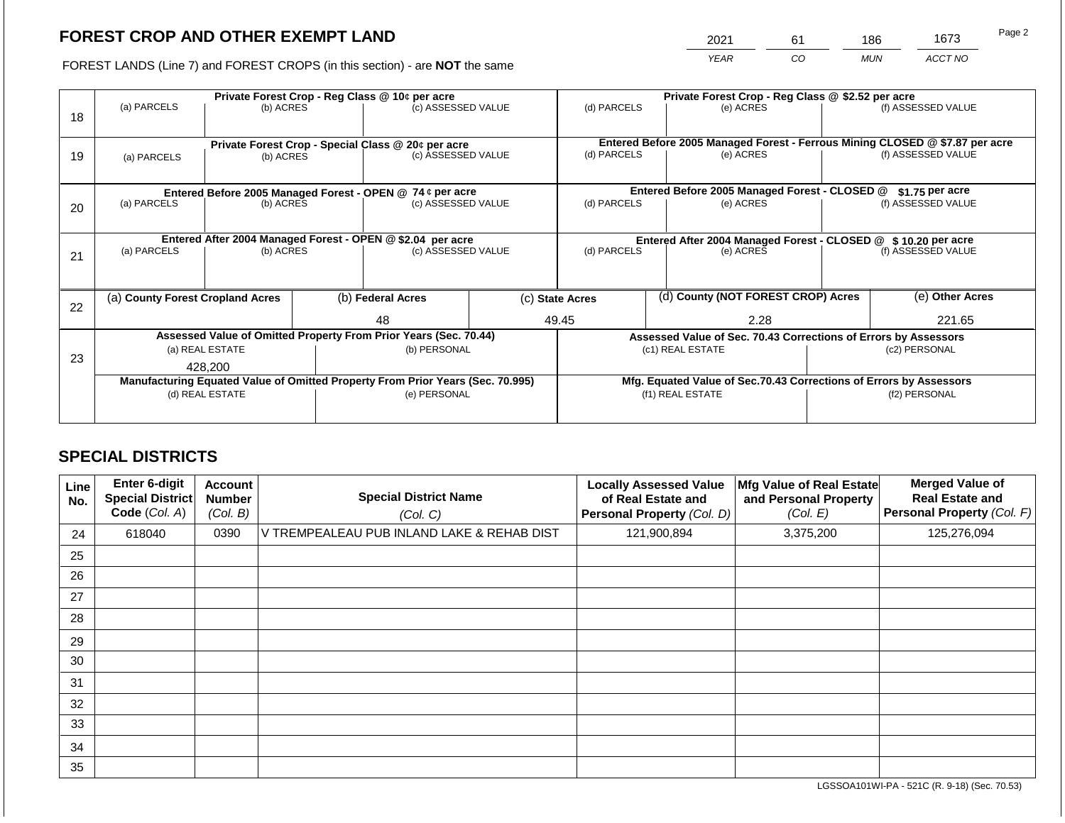2021 61 186 1673

FOREST LANDS (Line 7) and FOREST CROPS (in this section) - are **NOT** the same *YEAR CO MUN ACCT NO*

|    | Private Forest Crop - Reg Class @ 10¢ per acre                                 |                 |  |                                                                    |                                                                 | Private Forest Crop - Reg Class @ \$2.52 per acre             |  |                                                                              |               |                    |
|----|--------------------------------------------------------------------------------|-----------------|--|--------------------------------------------------------------------|-----------------------------------------------------------------|---------------------------------------------------------------|--|------------------------------------------------------------------------------|---------------|--------------------|
| 18 | (a) PARCELS                                                                    | (b) ACRES       |  | (c) ASSESSED VALUE                                                 |                                                                 | (d) PARCELS                                                   |  | (e) ACRES                                                                    |               | (f) ASSESSED VALUE |
|    |                                                                                |                 |  |                                                                    |                                                                 |                                                               |  |                                                                              |               |                    |
|    |                                                                                |                 |  | Private Forest Crop - Special Class @ 20¢ per acre                 |                                                                 |                                                               |  | Entered Before 2005 Managed Forest - Ferrous Mining CLOSED @ \$7.87 per acre |               |                    |
| 19 | (a) PARCELS                                                                    | (b) ACRES       |  | (c) ASSESSED VALUE                                                 |                                                                 | (d) PARCELS                                                   |  | (e) ACRES                                                                    |               | (f) ASSESSED VALUE |
|    |                                                                                |                 |  |                                                                    |                                                                 |                                                               |  |                                                                              |               |                    |
|    |                                                                                |                 |  | Entered Before 2005 Managed Forest - OPEN @ 74 ¢ per acre          |                                                                 |                                                               |  | Entered Before 2005 Managed Forest - CLOSED @                                |               | $$1.75$ per acre   |
| 20 | (a) PARCELS                                                                    | (b) ACRES       |  | (c) ASSESSED VALUE                                                 |                                                                 | (d) PARCELS                                                   |  | (e) ACRES                                                                    |               | (f) ASSESSED VALUE |
|    |                                                                                |                 |  |                                                                    |                                                                 |                                                               |  |                                                                              |               |                    |
|    |                                                                                |                 |  | Entered After 2004 Managed Forest - OPEN @ \$2.04 per acre         |                                                                 | Entered After 2004 Managed Forest - CLOSED @ \$10.20 per acre |  |                                                                              |               |                    |
| 21 | (a) PARCELS<br>(b) ACRES                                                       |                 |  | (c) ASSESSED VALUE                                                 |                                                                 | (d) PARCELS                                                   |  | (e) ACRES                                                                    |               | (f) ASSESSED VALUE |
|    |                                                                                |                 |  |                                                                    |                                                                 |                                                               |  |                                                                              |               |                    |
|    |                                                                                |                 |  |                                                                    |                                                                 |                                                               |  | (d) County (NOT FOREST CROP) Acres                                           |               | (e) Other Acres    |
| 22 | (a) County Forest Cropland Acres                                               |                 |  | (b) Federal Acres                                                  |                                                                 | (c) State Acres                                               |  |                                                                              |               |                    |
|    |                                                                                |                 |  | 48                                                                 |                                                                 | 49.45<br>2.28                                                 |  |                                                                              | 221.65        |                    |
|    | Assessed Value of Omitted Property From Prior Years (Sec. 70.44)               |                 |  |                                                                    | Assessed Value of Sec. 70.43 Corrections of Errors by Assessors |                                                               |  |                                                                              |               |                    |
| 23 |                                                                                | (a) REAL ESTATE |  | (b) PERSONAL                                                       |                                                                 |                                                               |  | (c1) REAL ESTATE                                                             | (c2) PERSONAL |                    |
|    | 428.200                                                                        |                 |  |                                                                    |                                                                 |                                                               |  |                                                                              |               |                    |
|    | Manufacturing Equated Value of Omitted Property From Prior Years (Sec. 70.995) |                 |  | Mfg. Equated Value of Sec.70.43 Corrections of Errors by Assessors |                                                                 |                                                               |  |                                                                              |               |                    |
|    |                                                                                | (d) REAL ESTATE |  | (e) PERSONAL                                                       |                                                                 |                                                               |  | (f1) REAL ESTATE                                                             | (f2) PERSONAL |                    |
|    |                                                                                |                 |  |                                                                    |                                                                 |                                                               |  |                                                                              |               |                    |

# **SPECIAL DISTRICTS**

| Line<br>No. | <b>Enter 6-digit</b><br><b>Special District</b><br>Code (Col. A) | <b>Account</b><br><b>Number</b><br>(Col. B) | <b>Special District Name</b><br>(Col. C)   | <b>Locally Assessed Value</b><br>of Real Estate and<br>Personal Property (Col. D) | Mfg Value of Real Estate<br>and Personal Property<br>(Col. E) | <b>Merged Value of</b><br><b>Real Estate and</b><br>Personal Property (Col. F) |
|-------------|------------------------------------------------------------------|---------------------------------------------|--------------------------------------------|-----------------------------------------------------------------------------------|---------------------------------------------------------------|--------------------------------------------------------------------------------|
| 24          | 618040                                                           | 0390                                        | V TREMPEALEAU PUB INLAND LAKE & REHAB DIST | 121,900,894                                                                       | 3,375,200                                                     | 125,276,094                                                                    |
| 25          |                                                                  |                                             |                                            |                                                                                   |                                                               |                                                                                |
| 26          |                                                                  |                                             |                                            |                                                                                   |                                                               |                                                                                |
| 27          |                                                                  |                                             |                                            |                                                                                   |                                                               |                                                                                |
| 28          |                                                                  |                                             |                                            |                                                                                   |                                                               |                                                                                |
| 29          |                                                                  |                                             |                                            |                                                                                   |                                                               |                                                                                |
| 30          |                                                                  |                                             |                                            |                                                                                   |                                                               |                                                                                |
| 31          |                                                                  |                                             |                                            |                                                                                   |                                                               |                                                                                |
| 32          |                                                                  |                                             |                                            |                                                                                   |                                                               |                                                                                |
| 33          |                                                                  |                                             |                                            |                                                                                   |                                                               |                                                                                |
| 34          |                                                                  |                                             |                                            |                                                                                   |                                                               |                                                                                |
| 35          |                                                                  |                                             |                                            |                                                                                   |                                                               |                                                                                |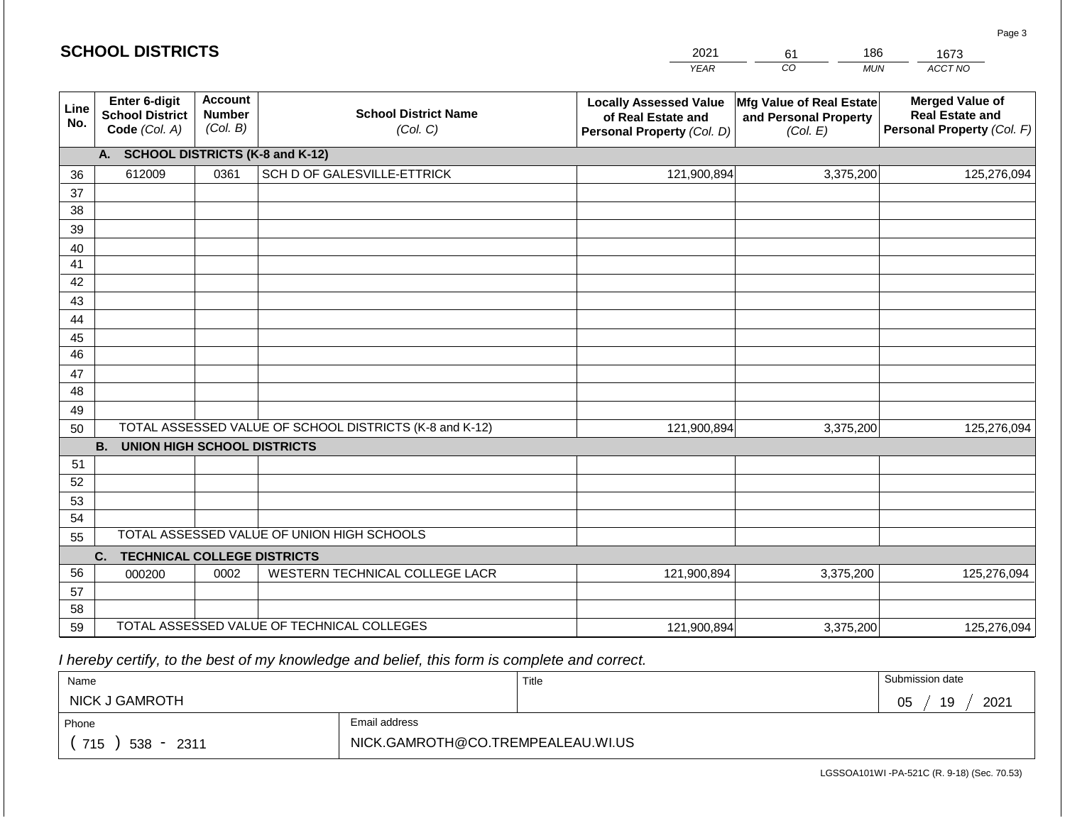#### *YEAR*  2021  $\overline{co}$ 61 *MUN*  186 *ACCT NO*  1673 **Line No. Enter 6-digit School District Code** *(Col. A)* **Account Number** *(Col. B)* **School District Name** *(Col. C)* **Locally Assessed Value of Real Estate and Personal Property** *(Col. D)* **Mfg Value of Real Estate and Personal Property** *(Col. E)* **Merged Value of Real Estate and Personal Property** *(Col. F)* **A. SCHOOL DISTRICTS (K-8 and K-12)** 36 37 38 39 40 41 42 43 44 45 46 47 48 49 50 TOTAL ASSESSED VALUE OF SCHOOL DISTRICTS (K-8 and K-12) **B. UNION HIGH SCHOOL DISTRICTS** 51 52 53 54 55 **C. TECHNICAL COLLEGE DISTRICTS** 56 57 58 59 TOTAL ASSESSED VALUE OF TECHNICAL COLLEGES TOTAL ASSESSED VALUE OF UNION HIGH SCHOOLS 612009 0361 SCH D OF GALESVILLE-ETTRICK 121,900,894 121,900,894 000200 | 0002 | WESTERN TECHNICAL COLLEGE LACR 3,375,200 125,276,094 3,375,200 125,276,094 121,900,894 3,375,200 125,276,094

 *I hereby certify, to the best of my knowledge and belief, this form is complete and correct.*

| Name                |                                   | Title | Submission date  |  |  |
|---------------------|-----------------------------------|-------|------------------|--|--|
| NICK J GAMROTH      |                                   |       | 2021<br>19<br>05 |  |  |
| Phone               | Email address                     |       |                  |  |  |
| 715<br>$538 - 2311$ | NICK.GAMROTH@CO.TREMPEALEAU.WI.US |       |                  |  |  |

121,900,894

LGSSOA101WI -PA-521C (R. 9-18) (Sec. 70.53)

3,375,200 125,276,094

Page 3

| <b>SCHOOL DISTRICTS</b> |  |
|-------------------------|--|
|-------------------------|--|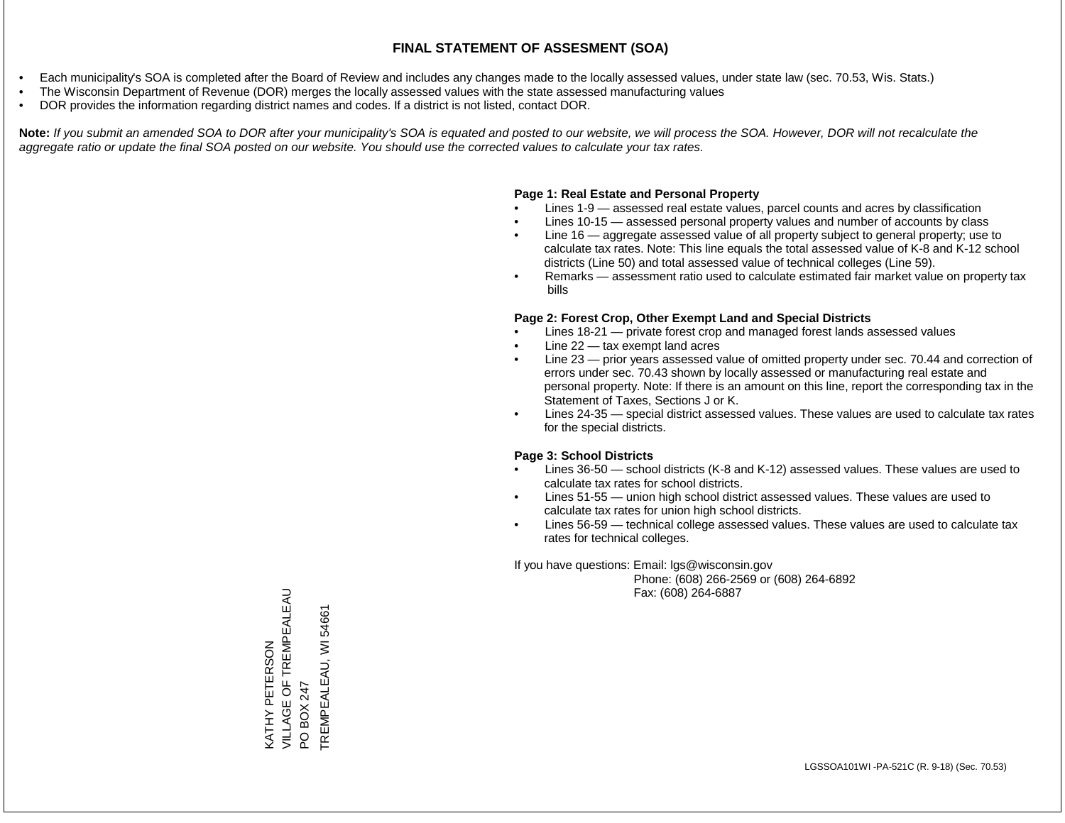- Each municipality's SOA is completed after the Board of Review and includes any changes made to the locally assessed values, under state law (sec. 70.53, Wis. Stats.)
- The Wisconsin Department of Revenue (DOR) merges the locally assessed values with the state assessed manufacturing values
- DOR provides the information regarding district names and codes. If a district is not listed, contact DOR.

Note: If you submit an amended SOA to DOR after your municipality's SOA is equated and posted to our website, we will process the SOA. However, DOR will not recalculate the *aggregate ratio or update the final SOA posted on our website. You should use the corrected values to calculate your tax rates.*

### **Page 1: Real Estate and Personal Property**

- Lines 1-9 assessed real estate values, parcel counts and acres by classification
- Lines 10-15 assessed personal property values and number of accounts by class
- Line 16 aggregate assessed value of all property subject to general property; use to calculate tax rates. Note: This line equals the total assessed value of K-8 and K-12 school districts (Line 50) and total assessed value of technical colleges (Line 59).
- Remarks assessment ratio used to calculate estimated fair market value on property tax bills

#### **Page 2: Forest Crop, Other Exempt Land and Special Districts**

- Lines 18-21 private forest crop and managed forest lands assessed values
- Line  $22 -$  tax exempt land acres
- Line 23 prior years assessed value of omitted property under sec. 70.44 and correction of errors under sec. 70.43 shown by locally assessed or manufacturing real estate and personal property. Note: If there is an amount on this line, report the corresponding tax in the Statement of Taxes, Sections J or K.
- Lines 24-35 special district assessed values. These values are used to calculate tax rates for the special districts.

#### **Page 3: School Districts**

- Lines 36-50 school districts (K-8 and K-12) assessed values. These values are used to calculate tax rates for school districts.
- Lines 51-55 union high school district assessed values. These values are used to calculate tax rates for union high school districts.
- Lines 56-59 technical college assessed values. These values are used to calculate tax rates for technical colleges.

If you have questions: Email: lgs@wisconsin.gov

 Phone: (608) 266-2569 or (608) 264-6892 Fax: (608) 264-6887

VILLAGE OF TREMPEALEAU KATHY PETERSON<br>VILLAGE OF TREMPEALEAU TREMPEALEAU, WI 54661 TREMPEALEAU, WI 54661KATHY PETERSON PO BOX 247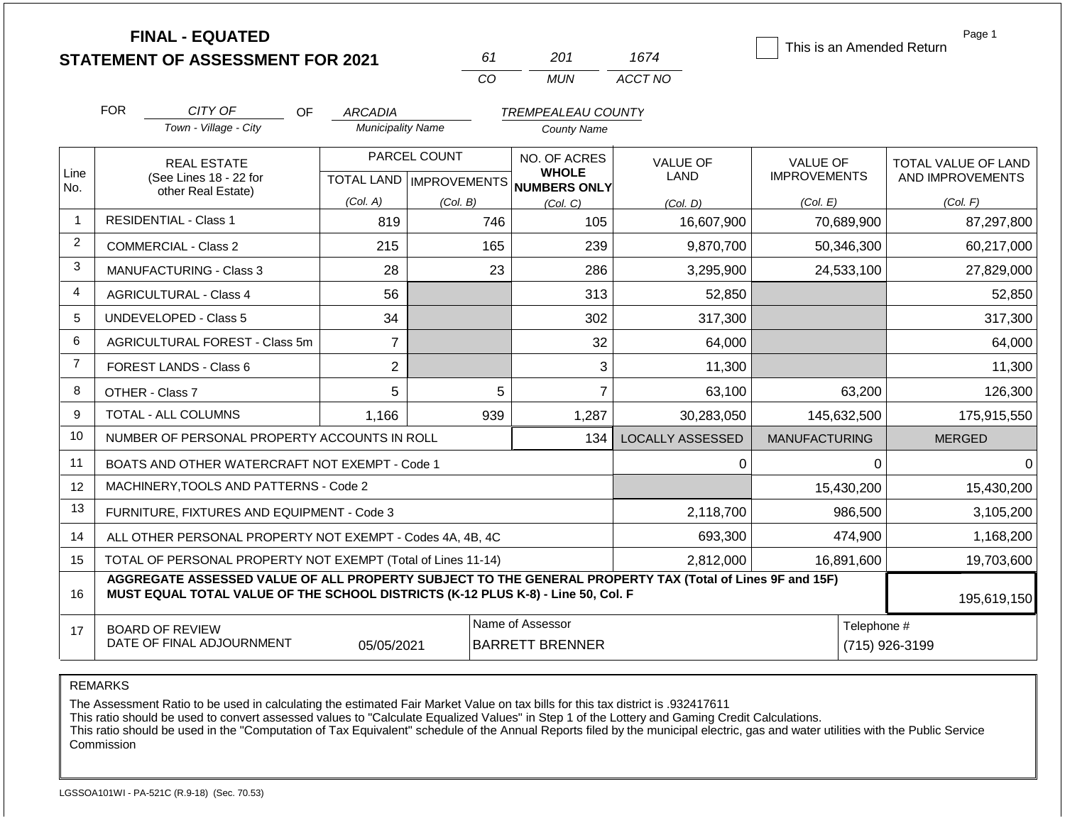**FINAL - EQUATED**

| 61  | 201 | 1674    |
|-----|-----|---------|
| CO. | MUN | ACCT NO |

This is an Amended Return

Page 1

|                | <b>FOR</b>                                                                              | CITY OF                                                                                                                                                                                      | <b>OF</b><br><b>ARCADIA</b> |              | <b>TREMPEALEAU COUNTY</b>                           |                         |                      |                     |
|----------------|-----------------------------------------------------------------------------------------|----------------------------------------------------------------------------------------------------------------------------------------------------------------------------------------------|-----------------------------|--------------|-----------------------------------------------------|-------------------------|----------------------|---------------------|
|                |                                                                                         | Town - Village - City                                                                                                                                                                        | <b>Municipality Name</b>    |              | <b>County Name</b>                                  |                         |                      |                     |
|                |                                                                                         | <b>REAL ESTATE</b>                                                                                                                                                                           |                             | PARCEL COUNT | NO. OF ACRES                                        | <b>VALUE OF</b>         | <b>VALUE OF</b>      | TOTAL VALUE OF LAND |
| Line<br>No.    |                                                                                         | (See Lines 18 - 22 for<br>other Real Estate)                                                                                                                                                 |                             |              | <b>WHOLE</b><br>TOTAL LAND MPROVEMENTS NUMBERS ONLY | LAND                    | <b>IMPROVEMENTS</b>  | AND IMPROVEMENTS    |
|                |                                                                                         |                                                                                                                                                                                              | (Col. A)                    | (Col. B)     | (Col, C)                                            | (Col. D)                | (Col. E)             | (Col. F)            |
| $\mathbf{1}$   |                                                                                         | <b>RESIDENTIAL - Class 1</b>                                                                                                                                                                 | 819                         | 746          | 105                                                 | 16,607,900              | 70,689,900           | 87,297,800          |
| $\overline{2}$ |                                                                                         | <b>COMMERCIAL - Class 2</b>                                                                                                                                                                  | 215                         | 165          | 239                                                 | 9,870,700               | 50,346,300           | 60,217,000          |
| 3              |                                                                                         | <b>MANUFACTURING - Class 3</b>                                                                                                                                                               | 28                          | 23           | 286                                                 | 3,295,900               | 24,533,100           | 27,829,000          |
| $\overline{4}$ |                                                                                         | <b>AGRICULTURAL - Class 4</b>                                                                                                                                                                | 56                          |              | 313                                                 | 52,850                  |                      | 52,850              |
| 5              |                                                                                         | UNDEVELOPED - Class 5                                                                                                                                                                        | 34                          |              | 302                                                 | 317,300                 |                      | 317,300             |
| 6              |                                                                                         | AGRICULTURAL FOREST - Class 5m                                                                                                                                                               | $\overline{7}$              |              | 32                                                  | 64,000                  |                      | 64,000              |
| $\overline{7}$ |                                                                                         | FOREST LANDS - Class 6                                                                                                                                                                       | $\overline{2}$              |              | 3                                                   | 11,300                  |                      | 11,300              |
| 8              | OTHER - Class 7                                                                         |                                                                                                                                                                                              | 5                           | 5            | $\overline{7}$                                      | 63,100                  | 63,200               | 126,300             |
| 9              |                                                                                         | TOTAL - ALL COLUMNS                                                                                                                                                                          | 1,166                       | 939          | 1,287                                               | 30,283,050              | 145,632,500          | 175,915,550         |
| 10             |                                                                                         | NUMBER OF PERSONAL PROPERTY ACCOUNTS IN ROLL                                                                                                                                                 |                             |              | 134                                                 | <b>LOCALLY ASSESSED</b> | <b>MANUFACTURING</b> | <b>MERGED</b>       |
| 11             |                                                                                         | BOATS AND OTHER WATERCRAFT NOT EXEMPT - Code 1                                                                                                                                               |                             |              |                                                     | $\Omega$                | 0                    | 0                   |
| 12             |                                                                                         | MACHINERY, TOOLS AND PATTERNS - Code 2                                                                                                                                                       |                             |              |                                                     |                         | 15,430,200           | 15,430,200          |
| 13             |                                                                                         | FURNITURE, FIXTURES AND EQUIPMENT - Code 3                                                                                                                                                   |                             |              |                                                     | 2,118,700               | 986,500              | 3,105,200           |
| 14             | 693,300<br>474,900<br>ALL OTHER PERSONAL PROPERTY NOT EXEMPT - Codes 4A, 4B, 4C         |                                                                                                                                                                                              |                             |              |                                                     |                         |                      |                     |
| 15             | TOTAL OF PERSONAL PROPERTY NOT EXEMPT (Total of Lines 11-14)<br>2,812,000<br>16,891,600 |                                                                                                                                                                                              |                             |              |                                                     |                         |                      | 19,703,600          |
| 16             |                                                                                         | AGGREGATE ASSESSED VALUE OF ALL PROPERTY SUBJECT TO THE GENERAL PROPERTY TAX (Total of Lines 9F and 15F)<br>MUST EQUAL TOTAL VALUE OF THE SCHOOL DISTRICTS (K-12 PLUS K-8) - Line 50, Col. F |                             |              |                                                     |                         |                      | 195,619,150         |
| 17             |                                                                                         | <b>BOARD OF REVIEW</b>                                                                                                                                                                       |                             |              | Name of Assessor                                    |                         | Telephone #          |                     |
|                |                                                                                         | DATE OF FINAL ADJOURNMENT                                                                                                                                                                    | 05/05/2021                  |              | <b>BARRETT BRENNER</b>                              |                         |                      | (715) 926-3199      |

REMARKS

The Assessment Ratio to be used in calculating the estimated Fair Market Value on tax bills for this tax district is .932417611

This ratio should be used to convert assessed values to "Calculate Equalized Values" in Step 1 of the Lottery and Gaming Credit Calculations.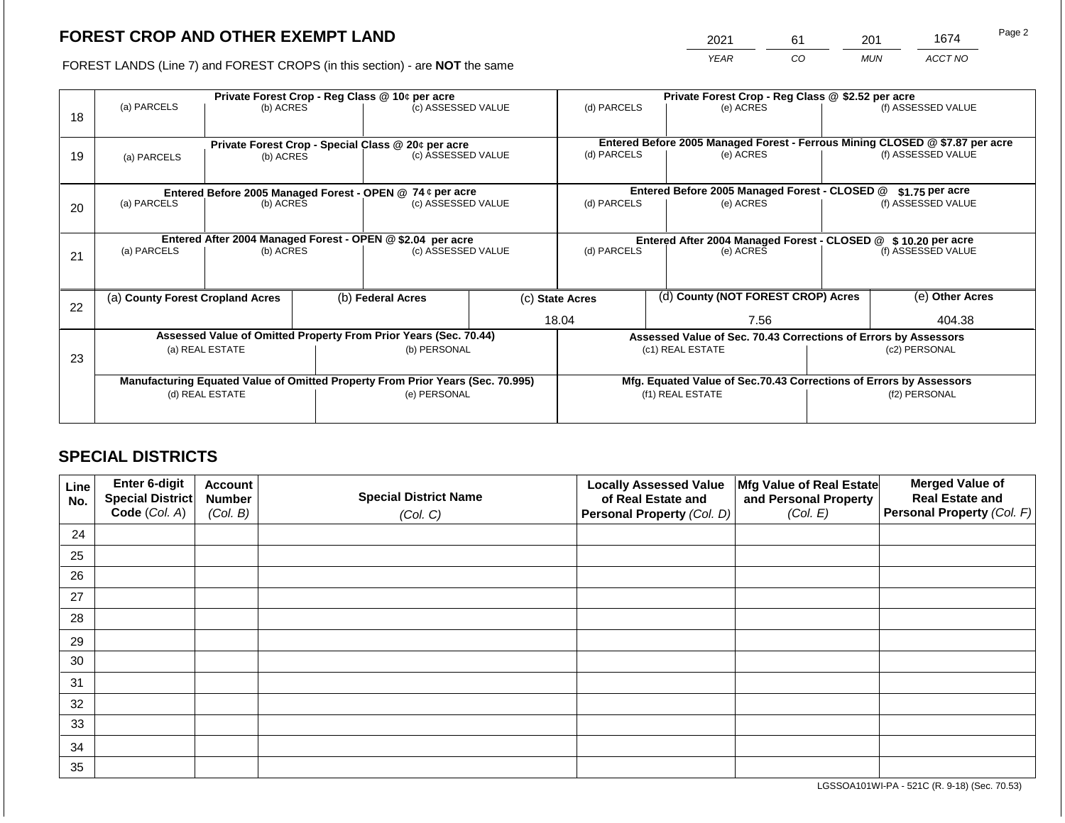2021 61 201 1674

FOREST LANDS (Line 7) and FOREST CROPS (in this section) - are **NOT** the same *YEAR CO MUN ACCT NO*

|    | Private Forest Crop - Reg Class @ 10¢ per acre |                 |  |                                                                                |  | Private Forest Crop - Reg Class @ \$2.52 per acre             |  |                                                                              |  |                    |
|----|------------------------------------------------|-----------------|--|--------------------------------------------------------------------------------|--|---------------------------------------------------------------|--|------------------------------------------------------------------------------|--|--------------------|
| 18 | (a) PARCELS                                    | (b) ACRES       |  | (c) ASSESSED VALUE                                                             |  | (d) PARCELS                                                   |  | (e) ACRES                                                                    |  | (f) ASSESSED VALUE |
|    |                                                |                 |  |                                                                                |  |                                                               |  | Entered Before 2005 Managed Forest - Ferrous Mining CLOSED @ \$7.87 per acre |  |                    |
| 19 | (a) PARCELS                                    | (b) ACRES       |  | Private Forest Crop - Special Class @ 20¢ per acre<br>(c) ASSESSED VALUE       |  | (d) PARCELS                                                   |  | (e) ACRES                                                                    |  | (f) ASSESSED VALUE |
|    |                                                |                 |  |                                                                                |  |                                                               |  |                                                                              |  |                    |
|    |                                                |                 |  | Entered Before 2005 Managed Forest - OPEN @ 74 ¢ per acre                      |  |                                                               |  | Entered Before 2005 Managed Forest - CLOSED @                                |  | $$1.75$ per acre   |
| 20 | (a) PARCELS                                    | (b) ACRES       |  | (c) ASSESSED VALUE                                                             |  | (d) PARCELS                                                   |  | (e) ACRES                                                                    |  | (f) ASSESSED VALUE |
|    |                                                |                 |  |                                                                                |  |                                                               |  |                                                                              |  |                    |
|    |                                                |                 |  | Entered After 2004 Managed Forest - OPEN @ \$2.04 per acre                     |  | Entered After 2004 Managed Forest - CLOSED @ \$10.20 per acre |  |                                                                              |  |                    |
| 21 | (a) PARCELS                                    | (b) ACRES       |  | (c) ASSESSED VALUE                                                             |  | (d) PARCELS                                                   |  | (e) ACRES                                                                    |  | (f) ASSESSED VALUE |
|    |                                                |                 |  |                                                                                |  |                                                               |  |                                                                              |  |                    |
|    | (a) County Forest Cropland Acres               |                 |  | (b) Federal Acres                                                              |  | (c) State Acres                                               |  | (d) County (NOT FOREST CROP) Acres                                           |  | (e) Other Acres    |
| 22 |                                                |                 |  |                                                                                |  | 18.04                                                         |  | 7.56                                                                         |  | 404.38             |
|    |                                                |                 |  |                                                                                |  |                                                               |  |                                                                              |  |                    |
|    |                                                |                 |  | Assessed Value of Omitted Property From Prior Years (Sec. 70.44)               |  |                                                               |  | Assessed Value of Sec. 70.43 Corrections of Errors by Assessors              |  |                    |
| 23 |                                                | (a) REAL ESTATE |  | (b) PERSONAL                                                                   |  | (c1) REAL ESTATE                                              |  |                                                                              |  | (c2) PERSONAL      |
|    |                                                |                 |  |                                                                                |  |                                                               |  |                                                                              |  |                    |
|    |                                                |                 |  | Manufacturing Equated Value of Omitted Property From Prior Years (Sec. 70.995) |  |                                                               |  | Mfg. Equated Value of Sec.70.43 Corrections of Errors by Assessors           |  |                    |
|    |                                                | (d) REAL ESTATE |  | (e) PERSONAL                                                                   |  |                                                               |  | (f1) REAL ESTATE                                                             |  | (f2) PERSONAL      |
|    |                                                |                 |  |                                                                                |  |                                                               |  |                                                                              |  |                    |
|    |                                                |                 |  |                                                                                |  |                                                               |  |                                                                              |  |                    |

# **SPECIAL DISTRICTS**

| Line<br>No. | Enter 6-digit<br>Special District | <b>Account</b><br><b>Number</b> | <b>Special District Name</b> | <b>Locally Assessed Value</b><br>of Real Estate and | Mfg Value of Real Estate<br>and Personal Property | <b>Merged Value of</b><br><b>Real Estate and</b> |
|-------------|-----------------------------------|---------------------------------|------------------------------|-----------------------------------------------------|---------------------------------------------------|--------------------------------------------------|
|             | Code (Col. A)                     | (Col. B)                        | (Col. C)                     | Personal Property (Col. D)                          | (Col. E)                                          | Personal Property (Col. F)                       |
| 24          |                                   |                                 |                              |                                                     |                                                   |                                                  |
| 25          |                                   |                                 |                              |                                                     |                                                   |                                                  |
| 26          |                                   |                                 |                              |                                                     |                                                   |                                                  |
| 27          |                                   |                                 |                              |                                                     |                                                   |                                                  |
| 28          |                                   |                                 |                              |                                                     |                                                   |                                                  |
| 29          |                                   |                                 |                              |                                                     |                                                   |                                                  |
| 30          |                                   |                                 |                              |                                                     |                                                   |                                                  |
| 31          |                                   |                                 |                              |                                                     |                                                   |                                                  |
| 32          |                                   |                                 |                              |                                                     |                                                   |                                                  |
| 33          |                                   |                                 |                              |                                                     |                                                   |                                                  |
| 34          |                                   |                                 |                              |                                                     |                                                   |                                                  |
| 35          |                                   |                                 |                              |                                                     |                                                   |                                                  |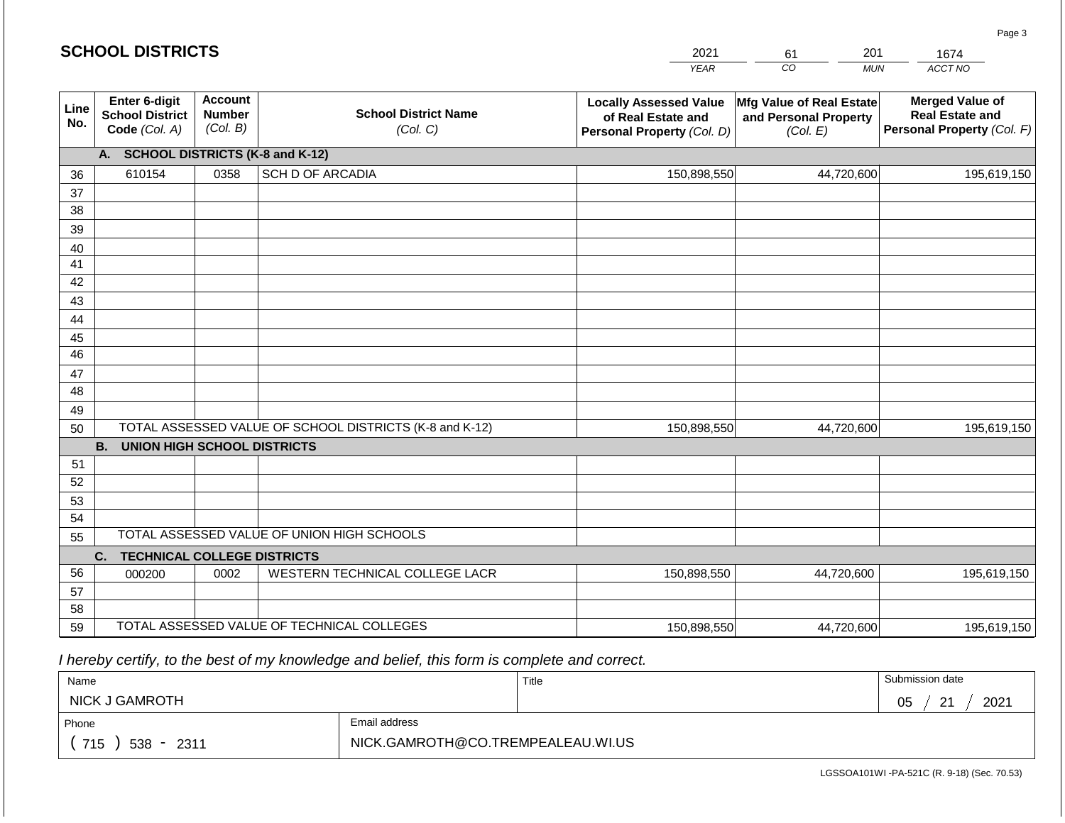#### *YEAR*   $\overline{co}$ *MUN*  201 *ACCT NO*  **Line No. Enter 6-digit School District Code** *(Col. A)* **Account Number** *(Col. B)* **School District Name** *(Col. C)* **Locally Assessed Value of Real Estate and Personal Property** *(Col. D)* **Mfg Value of Real Estate and Personal Property** *(Col. E)* **Merged Value of Real Estate and Personal Property** *(Col. F)* **A. SCHOOL DISTRICTS (K-8 and K-12)** 36 37 38 39 40 41 42 43 44 45 46 47 48 49 50 TOTAL ASSESSED VALUE OF SCHOOL DISTRICTS (K-8 and K-12) **B. UNION HIGH SCHOOL DISTRICTS** 51 52 53 54 55 **C. TECHNICAL COLLEGE DISTRICTS** 56 57 58 59 TOTAL ASSESSED VALUE OF TECHNICAL COLLEGES TOTAL ASSESSED VALUE OF UNION HIGH SCHOOLS 610154 0358 SCH D OF ARCADIA 150,898,550 150,898,550 000200 | 0002 | WESTERN TECHNICAL COLLEGE LACR 150,898,550 44,720,600 195,619,150 44,720,600 195,619,150 44,720,600 195,619,150 150,898,550 44,720,600 195,619,150

 *I hereby certify, to the best of my knowledge and belief, this form is complete and correct.*

| Name                |               | Title | Submission date        |
|---------------------|---------------|-------|------------------------|
| NICK J GAMROTH      |               |       | 2021<br>$\Omega$<br>05 |
| Phone               | Email address |       |                        |
| 715<br>$538 - 2311$ |               |       |                        |

LGSSOA101WI -PA-521C (R. 9-18) (Sec. 70.53)

2021 61

1674

Page 3

|  | <b>SCHOOL DISTRICTS</b> |
|--|-------------------------|
|--|-------------------------|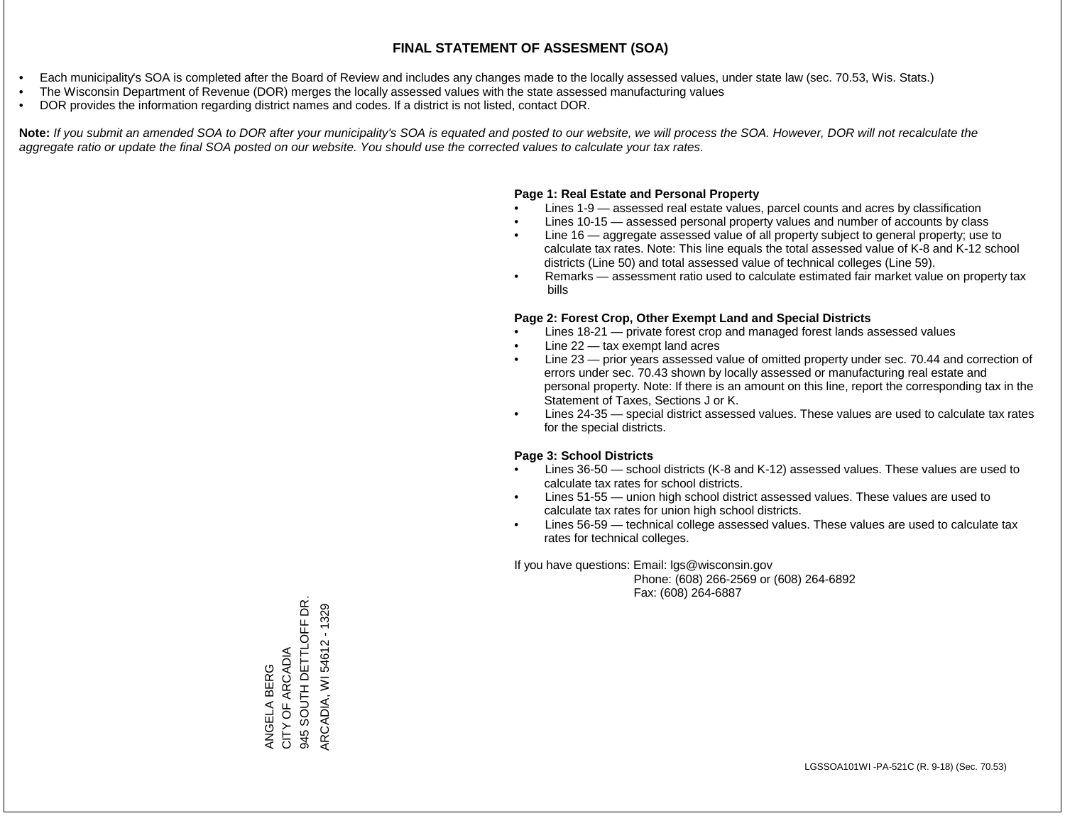- Each municipality's SOA is completed after the Board of Review and includes any changes made to the locally assessed values, under state law (sec. 70.53, Wis. Stats.)
- The Wisconsin Department of Revenue (DOR) merges the locally assessed values with the state assessed manufacturing values
- DOR provides the information regarding district names and codes. If a district is not listed, contact DOR.

Note: If you submit an amended SOA to DOR after your municipality's SOA is equated and posted to our website, we will process the SOA. However, DOR will not recalculate the *aggregate ratio or update the final SOA posted on our website. You should use the corrected values to calculate your tax rates.*

## **Page 1: Real Estate and Personal Property**

- Lines 1-9 assessed real estate values, parcel counts and acres by classification
- Lines 10-15 assessed personal property values and number of accounts by class
- Line 16 aggregate assessed value of all property subject to general property; use to calculate tax rates. Note: This line equals the total assessed value of K-8 and K-12 school districts (Line 50) and total assessed value of technical colleges (Line 59).
- Remarks assessment ratio used to calculate estimated fair market value on property tax bills

## **Page 2: Forest Crop, Other Exempt Land and Special Districts**

- Lines 18-21 private forest crop and managed forest lands assessed values
- Line  $22 -$  tax exempt land acres
- Line 23 prior years assessed value of omitted property under sec. 70.44 and correction of errors under sec. 70.43 shown by locally assessed or manufacturing real estate and personal property. Note: If there is an amount on this line, report the corresponding tax in the Statement of Taxes, Sections J or K.
- Lines 24-35 special district assessed values. These values are used to calculate tax rates for the special districts.

## **Page 3: School Districts**

- Lines 36-50 school districts (K-8 and K-12) assessed values. These values are used to calculate tax rates for school districts.
- Lines 51-55 union high school district assessed values. These values are used to calculate tax rates for union high school districts.
- Lines 56-59 technical college assessed values. These values are used to calculate tax rates for technical colleges.

If you have questions: Email: lgs@wisconsin.gov

 Phone: (608) 266-2569 or (608) 264-6892 Fax: (608) 264-6887

945 SOUTH DETTLOFF DR. 945 SOUTH DETTLOFF DR. ARCADIA, WI 54612 - 1329 ARCADIA, WI 54612 - 1329ANGELA BERG<br>CITY OF ARCADIA CITY OF ARCADIA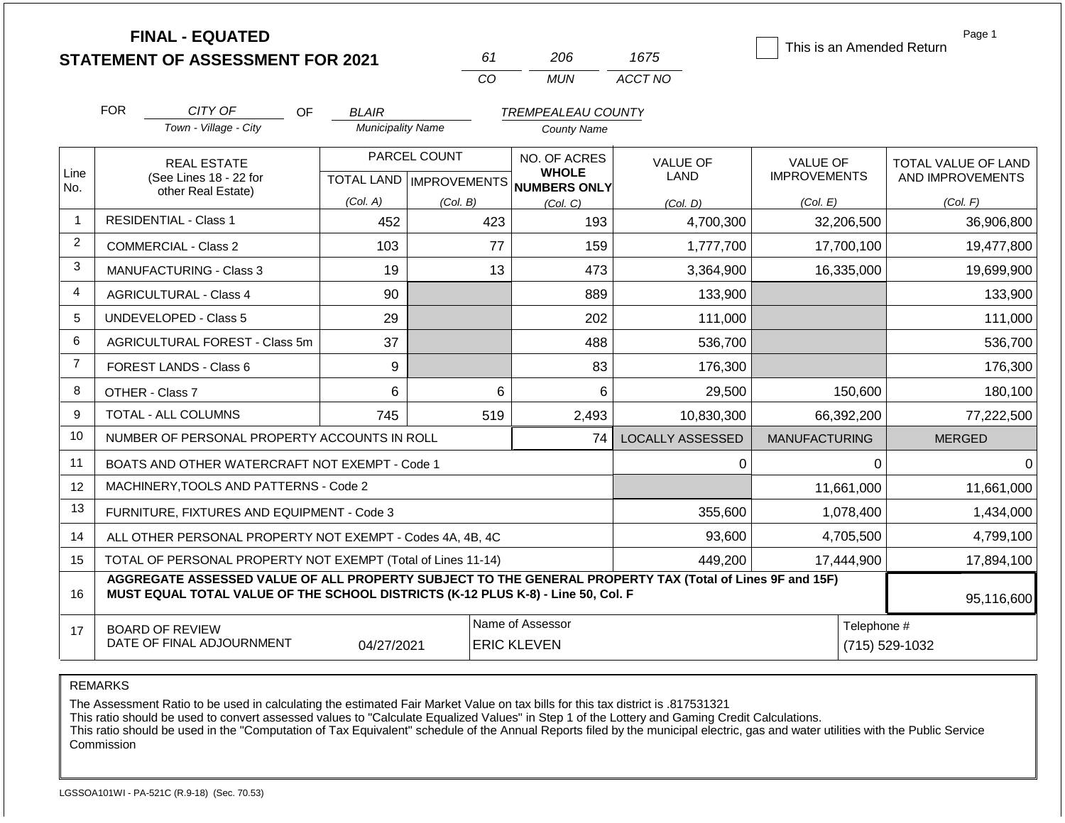|                |            | <b>FINAL - EQUATED</b>                                                                                                                                                                       |                          |                           |                              |                         | This is an Amended Return | Page 1              |
|----------------|------------|----------------------------------------------------------------------------------------------------------------------------------------------------------------------------------------------|--------------------------|---------------------------|------------------------------|-------------------------|---------------------------|---------------------|
|                |            | <b>STATEMENT OF ASSESSMENT FOR 2021</b>                                                                                                                                                      |                          | 61                        | 206                          | 1675                    |                           |                     |
|                |            |                                                                                                                                                                                              |                          | CO                        | <b>MUN</b>                   | ACCT NO                 |                           |                     |
|                | <b>FOR</b> | CITY OF<br>OF                                                                                                                                                                                | <b>BLAIR</b>             |                           | <b>TREMPEALEAU COUNTY</b>    |                         |                           |                     |
|                |            | Town - Village - City                                                                                                                                                                        | <b>Municipality Name</b> |                           | <b>County Name</b>           |                         |                           |                     |
|                |            | <b>REAL ESTATE</b>                                                                                                                                                                           |                          | PARCEL COUNT              | NO. OF ACRES                 | VALUE OF                | <b>VALUE OF</b>           | TOTAL VALUE OF LAND |
| Line<br>No.    |            | (See Lines 18 - 22 for                                                                                                                                                                       |                          | TOTAL LAND   IMPROVEMENTS | <b>WHOLE</b><br>NUMBERS ONLY | <b>LAND</b>             | <b>IMPROVEMENTS</b>       | AND IMPROVEMENTS    |
|                |            | other Real Estate)                                                                                                                                                                           | (Col. A)                 | (Col. B)                  | (Col, C)                     | (Col, D)                | (Col. E)                  | (Col. F)            |
| $\mathbf{1}$   |            | <b>RESIDENTIAL - Class 1</b>                                                                                                                                                                 | 452                      | 423                       | 193                          | 4,700,300               | 32,206,500                | 36,906,800          |
| 2              |            | <b>COMMERCIAL - Class 2</b>                                                                                                                                                                  | 103                      | 77                        | 159                          | 1,777,700               | 17,700,100                | 19,477,800          |
| 3              |            | <b>MANUFACTURING - Class 3</b>                                                                                                                                                               | 19                       | 13                        | 473                          | 3,364,900               | 16,335,000                | 19,699,900          |
| 4              |            | <b>AGRICULTURAL - Class 4</b>                                                                                                                                                                | 90                       |                           | 889                          | 133,900                 |                           | 133,900             |
| 5              |            | <b>UNDEVELOPED - Class 5</b>                                                                                                                                                                 | 29                       |                           | 202                          | 111,000                 |                           | 111,000             |
| 6              |            | AGRICULTURAL FOREST - Class 5m                                                                                                                                                               | 37                       |                           | 488                          | 536,700                 |                           | 536,700             |
| $\overline{7}$ |            | FOREST LANDS - Class 6                                                                                                                                                                       | 9                        |                           | 83                           | 176,300                 |                           | 176,300             |
| 8              |            | OTHER - Class 7                                                                                                                                                                              | 6                        | 6                         | 6                            | 29,500                  | 150,600                   | 180,100             |
| 9              |            | <b>TOTAL - ALL COLUMNS</b>                                                                                                                                                                   | 745                      | 519                       | 2,493                        | 10,830,300              | 66,392,200                | 77,222,500          |
| 10             |            | NUMBER OF PERSONAL PROPERTY ACCOUNTS IN ROLL                                                                                                                                                 |                          |                           | 74                           | <b>LOCALLY ASSESSED</b> | <b>MANUFACTURING</b>      | <b>MERGED</b>       |
| 11             |            | BOATS AND OTHER WATERCRAFT NOT EXEMPT - Code 1                                                                                                                                               |                          |                           |                              | 0                       | $\Omega$                  | $\Omega$            |
| 12             |            | MACHINERY, TOOLS AND PATTERNS - Code 2                                                                                                                                                       |                          |                           |                              |                         | 11,661,000                | 11,661,000          |
| 13             |            | FURNITURE, FIXTURES AND EQUIPMENT - Code 3                                                                                                                                                   |                          |                           |                              | 355,600                 | 1,078,400                 | 1,434,000           |
| 14             |            | ALL OTHER PERSONAL PROPERTY NOT EXEMPT - Codes 4A, 4B, 4C                                                                                                                                    |                          |                           |                              | 93,600                  | 4,705,500                 | 4,799,100           |
| 15             |            | TOTAL OF PERSONAL PROPERTY NOT EXEMPT (Total of Lines 11-14)                                                                                                                                 |                          |                           |                              | 449,200                 | 17,444,900                | 17,894,100          |
| 16             |            | AGGREGATE ASSESSED VALUE OF ALL PROPERTY SUBJECT TO THE GENERAL PROPERTY TAX (Total of Lines 9F and 15F)<br>MUST EQUAL TOTAL VALUE OF THE SCHOOL DISTRICTS (K-12 PLUS K-8) - Line 50, Col. F |                          | $\overline{\phantom{a}}$  |                              |                         |                           | 95,116,600          |

17 BOARD OF REVIEW DATE OF FINAL ADJOURNMENT Name of Assessor **Name of Assessor** Telephone # 04/27/2021 ERIC KLEVEN (715) 529-1032

REMARKS

The Assessment Ratio to be used in calculating the estimated Fair Market Value on tax bills for this tax district is .817531321

This ratio should be used to convert assessed values to "Calculate Equalized Values" in Step 1 of the Lottery and Gaming Credit Calculations.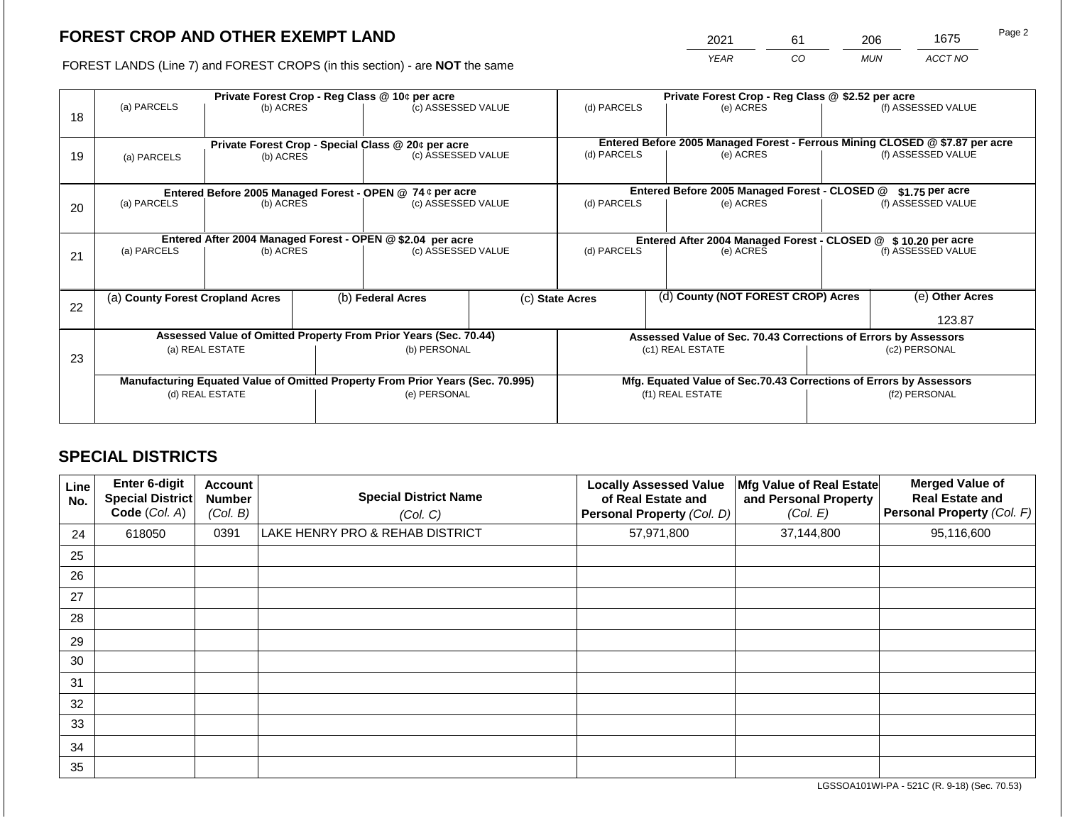2021 61 206 1675

FOREST LANDS (Line 7) and FOREST CROPS (in this section) - are **NOT** the same *YEAR CO MUN ACCT NO*

|    | Private Forest Crop - Reg Class @ 10¢ per acre |                                                                                |  |                                                    |  | Private Forest Crop - Reg Class @ \$2.52 per acre             |                                                                              |                                                                 |                                                                    |                    |  |
|----|------------------------------------------------|--------------------------------------------------------------------------------|--|----------------------------------------------------|--|---------------------------------------------------------------|------------------------------------------------------------------------------|-----------------------------------------------------------------|--------------------------------------------------------------------|--------------------|--|
| 18 | (a) PARCELS                                    | (b) ACRES                                                                      |  | (c) ASSESSED VALUE                                 |  | (d) PARCELS                                                   |                                                                              | (e) ACRES                                                       |                                                                    | (f) ASSESSED VALUE |  |
|    |                                                |                                                                                |  | Private Forest Crop - Special Class @ 20¢ per acre |  |                                                               | Entered Before 2005 Managed Forest - Ferrous Mining CLOSED @ \$7.87 per acre |                                                                 |                                                                    |                    |  |
| 19 | (a) PARCELS                                    | (b) ACRES                                                                      |  | (c) ASSESSED VALUE                                 |  | (d) PARCELS                                                   |                                                                              | (e) ACRES                                                       |                                                                    | (f) ASSESSED VALUE |  |
|    |                                                |                                                                                |  |                                                    |  |                                                               |                                                                              |                                                                 |                                                                    |                    |  |
|    |                                                | Entered Before 2005 Managed Forest - OPEN @ 74 ¢ per acre                      |  |                                                    |  |                                                               |                                                                              | Entered Before 2005 Managed Forest - CLOSED @                   |                                                                    | $$1.75$ per acre   |  |
| 20 | (a) PARCELS                                    | (b) ACRES                                                                      |  | (c) ASSESSED VALUE                                 |  | (d) PARCELS                                                   |                                                                              | (e) ACRES                                                       |                                                                    | (f) ASSESSED VALUE |  |
|    |                                                | Entered After 2004 Managed Forest - OPEN @ \$2.04 per acre                     |  |                                                    |  | Entered After 2004 Managed Forest - CLOSED @ \$10.20 per acre |                                                                              |                                                                 |                                                                    |                    |  |
| 21 | (a) PARCELS                                    | (b) ACRES                                                                      |  | (c) ASSESSED VALUE                                 |  | (d) PARCELS                                                   |                                                                              | (e) ACRES                                                       |                                                                    | (f) ASSESSED VALUE |  |
|    |                                                |                                                                                |  |                                                    |  |                                                               |                                                                              |                                                                 |                                                                    |                    |  |
|    | (a) County Forest Cropland Acres               |                                                                                |  | (b) Federal Acres                                  |  | (c) State Acres                                               |                                                                              | (d) County (NOT FOREST CROP) Acres                              |                                                                    | (e) Other Acres    |  |
| 22 |                                                |                                                                                |  |                                                    |  |                                                               |                                                                              |                                                                 |                                                                    |                    |  |
|    |                                                |                                                                                |  |                                                    |  |                                                               |                                                                              |                                                                 |                                                                    | 123.87             |  |
|    |                                                | Assessed Value of Omitted Property From Prior Years (Sec. 70.44)               |  |                                                    |  |                                                               |                                                                              | Assessed Value of Sec. 70.43 Corrections of Errors by Assessors |                                                                    |                    |  |
| 23 |                                                | (a) REAL ESTATE                                                                |  | (b) PERSONAL                                       |  |                                                               |                                                                              | (c1) REAL ESTATE                                                |                                                                    | (c2) PERSONAL      |  |
|    |                                                |                                                                                |  |                                                    |  |                                                               |                                                                              |                                                                 |                                                                    |                    |  |
|    |                                                | Manufacturing Equated Value of Omitted Property From Prior Years (Sec. 70.995) |  |                                                    |  |                                                               |                                                                              |                                                                 | Mfg. Equated Value of Sec.70.43 Corrections of Errors by Assessors |                    |  |
|    |                                                | (d) REAL ESTATE                                                                |  | (e) PERSONAL                                       |  |                                                               |                                                                              | (f1) REAL ESTATE                                                |                                                                    | (f2) PERSONAL      |  |
|    |                                                |                                                                                |  |                                                    |  |                                                               |                                                                              |                                                                 |                                                                    |                    |  |
|    |                                                |                                                                                |  |                                                    |  |                                                               |                                                                              |                                                                 |                                                                    |                    |  |

# **SPECIAL DISTRICTS**

| Line<br>No. | <b>Enter 6-digit</b><br><b>Special District</b><br>Code (Col. A) | <b>Account</b><br><b>Number</b><br>(Col. B) | <b>Special District Name</b><br>(Col. C) | <b>Locally Assessed Value</b><br>of Real Estate and<br>Personal Property (Col. D) | Mfg Value of Real Estate<br>and Personal Property<br>(Col. E) | <b>Merged Value of</b><br><b>Real Estate and</b><br>Personal Property (Col. F) |
|-------------|------------------------------------------------------------------|---------------------------------------------|------------------------------------------|-----------------------------------------------------------------------------------|---------------------------------------------------------------|--------------------------------------------------------------------------------|
| 24          | 618050                                                           | 0391                                        | LAKE HENRY PRO & REHAB DISTRICT          | 57,971,800                                                                        | 37,144,800                                                    | 95,116,600                                                                     |
| 25          |                                                                  |                                             |                                          |                                                                                   |                                                               |                                                                                |
| 26          |                                                                  |                                             |                                          |                                                                                   |                                                               |                                                                                |
| 27          |                                                                  |                                             |                                          |                                                                                   |                                                               |                                                                                |
| 28          |                                                                  |                                             |                                          |                                                                                   |                                                               |                                                                                |
| 29          |                                                                  |                                             |                                          |                                                                                   |                                                               |                                                                                |
| 30          |                                                                  |                                             |                                          |                                                                                   |                                                               |                                                                                |
| 31          |                                                                  |                                             |                                          |                                                                                   |                                                               |                                                                                |
| 32          |                                                                  |                                             |                                          |                                                                                   |                                                               |                                                                                |
| 33          |                                                                  |                                             |                                          |                                                                                   |                                                               |                                                                                |
| 34          |                                                                  |                                             |                                          |                                                                                   |                                                               |                                                                                |
| 35          |                                                                  |                                             |                                          |                                                                                   |                                                               |                                                                                |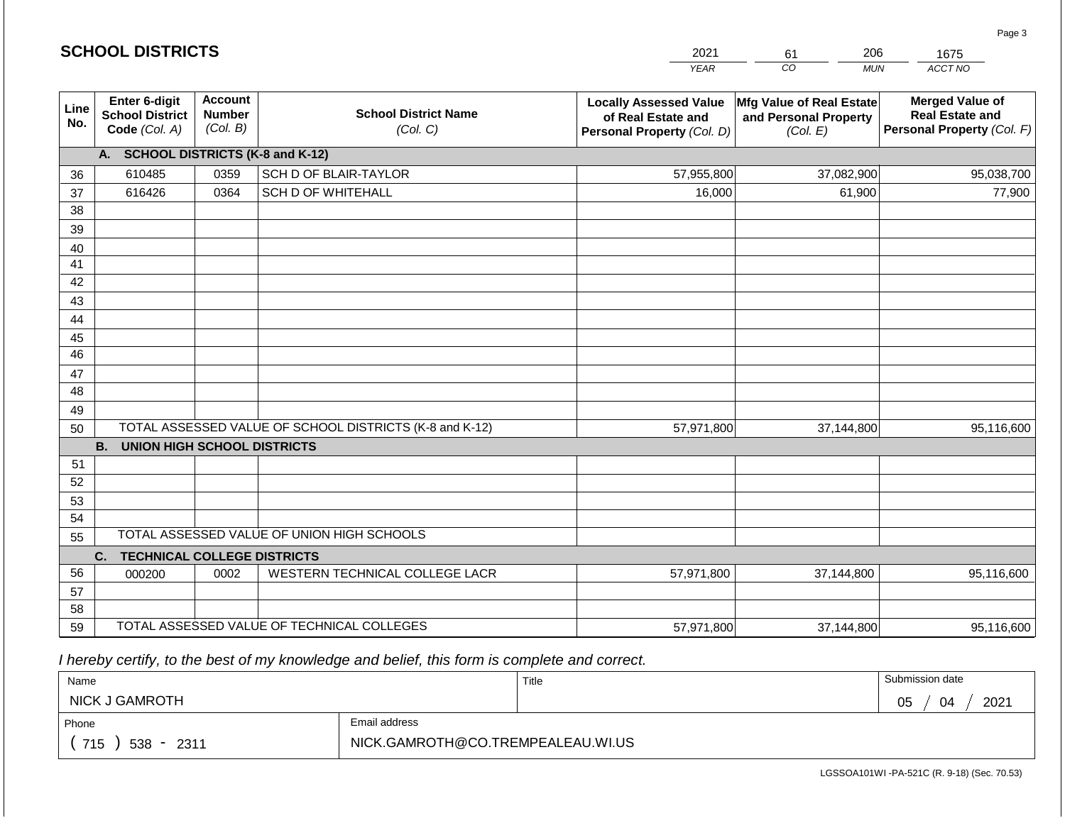|             | <b>SCHOOL DISTRICTS</b>                                  |                                             | 2021                                                    | 206<br>61                                                                         | 1675                                                          |                                                                                |
|-------------|----------------------------------------------------------|---------------------------------------------|---------------------------------------------------------|-----------------------------------------------------------------------------------|---------------------------------------------------------------|--------------------------------------------------------------------------------|
|             |                                                          |                                             |                                                         | <b>YEAR</b>                                                                       | CO<br><b>MUN</b>                                              | ACCT NO                                                                        |
| Line<br>No. | Enter 6-digit<br><b>School District</b><br>Code (Col. A) | <b>Account</b><br><b>Number</b><br>(Col. B) | <b>School District Name</b><br>(Col. C)                 | <b>Locally Assessed Value</b><br>of Real Estate and<br>Personal Property (Col. D) | Mfg Value of Real Estate<br>and Personal Property<br>(Col. E) | <b>Merged Value of</b><br><b>Real Estate and</b><br>Personal Property (Col. F) |
|             | A. SCHOOL DISTRICTS (K-8 and K-12)                       |                                             |                                                         |                                                                                   |                                                               |                                                                                |
| 36          | 610485                                                   | 0359                                        | SCH D OF BLAIR-TAYLOR                                   | 57,955,800                                                                        | 37,082,900                                                    | 95,038,700                                                                     |
| 37          | 616426                                                   | 0364                                        | <b>SCH D OF WHITEHALL</b>                               | 16,000                                                                            | 61,900                                                        | 77,900                                                                         |
| 38          |                                                          |                                             |                                                         |                                                                                   |                                                               |                                                                                |
| 39          |                                                          |                                             |                                                         |                                                                                   |                                                               |                                                                                |
| 40<br>41    |                                                          |                                             |                                                         |                                                                                   |                                                               |                                                                                |
| 42          |                                                          |                                             |                                                         |                                                                                   |                                                               |                                                                                |
| 43          |                                                          |                                             |                                                         |                                                                                   |                                                               |                                                                                |
| 44          |                                                          |                                             |                                                         |                                                                                   |                                                               |                                                                                |
| 45          |                                                          |                                             |                                                         |                                                                                   |                                                               |                                                                                |
| 46          |                                                          |                                             |                                                         |                                                                                   |                                                               |                                                                                |
| 47          |                                                          |                                             |                                                         |                                                                                   |                                                               |                                                                                |
| 48          |                                                          |                                             |                                                         |                                                                                   |                                                               |                                                                                |
| 49          |                                                          |                                             |                                                         |                                                                                   |                                                               |                                                                                |
| 50          |                                                          |                                             | TOTAL ASSESSED VALUE OF SCHOOL DISTRICTS (K-8 and K-12) | 57,971,800                                                                        | 37,144,800                                                    | 95,116,600                                                                     |
|             | <b>B.</b><br><b>UNION HIGH SCHOOL DISTRICTS</b>          |                                             |                                                         |                                                                                   |                                                               |                                                                                |
| 51<br>52    |                                                          |                                             |                                                         |                                                                                   |                                                               |                                                                                |
| 53          |                                                          |                                             |                                                         |                                                                                   |                                                               |                                                                                |
| 54          |                                                          |                                             |                                                         |                                                                                   |                                                               |                                                                                |
| 55          |                                                          |                                             | TOTAL ASSESSED VALUE OF UNION HIGH SCHOOLS              |                                                                                   |                                                               |                                                                                |
|             | <b>TECHNICAL COLLEGE DISTRICTS</b><br>C.                 |                                             |                                                         |                                                                                   |                                                               |                                                                                |
| 56          | 000200                                                   | 0002                                        | WESTERN TECHNICAL COLLEGE LACR                          | 57,971,800                                                                        | 37,144,800                                                    | 95,116,600                                                                     |
| 57          |                                                          |                                             |                                                         |                                                                                   |                                                               |                                                                                |
| 58          |                                                          |                                             |                                                         |                                                                                   |                                                               |                                                                                |
| 59          |                                                          |                                             | TOTAL ASSESSED VALUE OF TECHNICAL COLLEGES              | 57,971,800                                                                        | 37,144,800                                                    | 95,116,600                                                                     |

 *I hereby certify, to the best of my knowledge and belief, this form is complete and correct.*

**SCHOOL DISTRICTS**

| Name                   |               | Title | Submission date  |
|------------------------|---------------|-------|------------------|
| <b>NICK J GAMROTH</b>  |               |       | 2021<br>05<br>04 |
| Phone                  | Email address |       |                  |
| 715<br>$538 -$<br>2311 |               |       |                  |

LGSSOA101WI -PA-521C (R. 9-18) (Sec. 70.53)

Page 3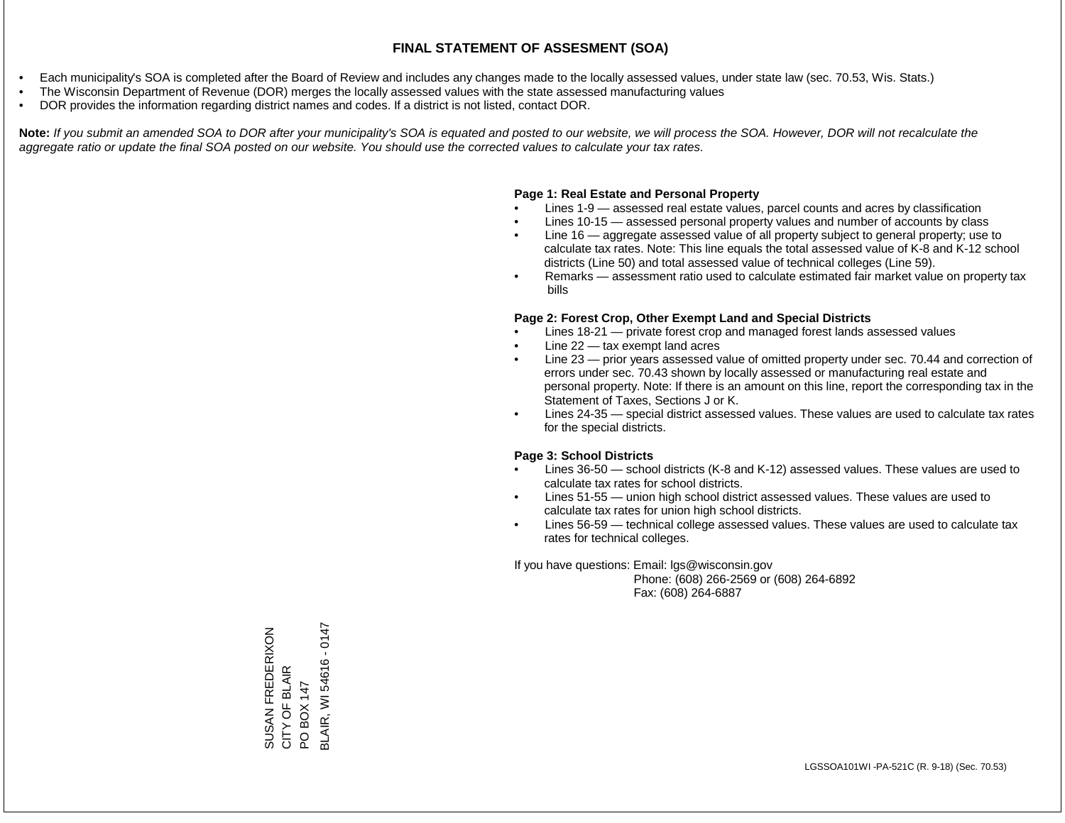- Each municipality's SOA is completed after the Board of Review and includes any changes made to the locally assessed values, under state law (sec. 70.53, Wis. Stats.)
- The Wisconsin Department of Revenue (DOR) merges the locally assessed values with the state assessed manufacturing values
- DOR provides the information regarding district names and codes. If a district is not listed, contact DOR.

Note: If you submit an amended SOA to DOR after your municipality's SOA is equated and posted to our website, we will process the SOA. However, DOR will not recalculate the *aggregate ratio or update the final SOA posted on our website. You should use the corrected values to calculate your tax rates.*

### **Page 1: Real Estate and Personal Property**

- Lines 1-9 assessed real estate values, parcel counts and acres by classification
- Lines 10-15 assessed personal property values and number of accounts by class
- Line 16 aggregate assessed value of all property subject to general property; use to calculate tax rates. Note: This line equals the total assessed value of K-8 and K-12 school districts (Line 50) and total assessed value of technical colleges (Line 59).
- Remarks assessment ratio used to calculate estimated fair market value on property tax bills

#### **Page 2: Forest Crop, Other Exempt Land and Special Districts**

- Lines 18-21 private forest crop and managed forest lands assessed values
- Line  $22 -$  tax exempt land acres
- Line 23 prior years assessed value of omitted property under sec. 70.44 and correction of errors under sec. 70.43 shown by locally assessed or manufacturing real estate and personal property. Note: If there is an amount on this line, report the corresponding tax in the Statement of Taxes, Sections J or K.
- Lines 24-35 special district assessed values. These values are used to calculate tax rates for the special districts.

#### **Page 3: School Districts**

- Lines 36-50 school districts (K-8 and K-12) assessed values. These values are used to calculate tax rates for school districts.
- Lines 51-55 union high school district assessed values. These values are used to calculate tax rates for union high school districts.
- Lines 56-59 technical college assessed values. These values are used to calculate tax rates for technical colleges.

If you have questions: Email: lgs@wisconsin.gov

 Phone: (608) 266-2569 or (608) 264-6892 Fax: (608) 264-6887

3LAIR, WI 54616 - 0147 BLAIR, WI 54616 - 0147SUSAN FREDERIXON<br>CITY OF BLAIR SUSAN FREDERIXON CITY OF BLAIR PO BOX 147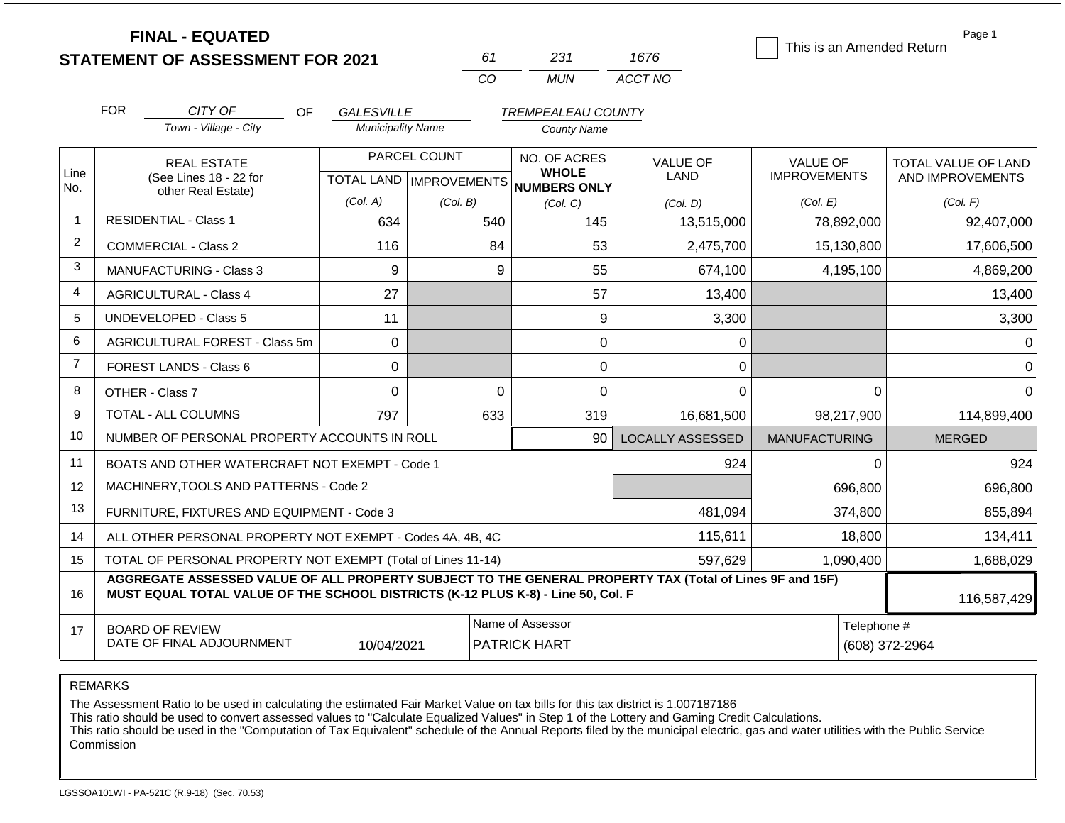|                | <b>FINAL - EQUATED</b>                                                                                                                                                                       |                          |                           |                                     |                         |                           | Page 1              |
|----------------|----------------------------------------------------------------------------------------------------------------------------------------------------------------------------------------------|--------------------------|---------------------------|-------------------------------------|-------------------------|---------------------------|---------------------|
|                | <b>STATEMENT OF ASSESSMENT FOR 2021</b>                                                                                                                                                      |                          | 61                        | 231                                 | 1676                    | This is an Amended Return |                     |
|                |                                                                                                                                                                                              |                          | CO                        | <b>MUN</b>                          | ACCT NO                 |                           |                     |
|                | <b>FOR</b><br>CITY OF<br><b>OF</b>                                                                                                                                                           | <b>GALESVILLE</b>        |                           | <b>TREMPEALEAU COUNTY</b>           |                         |                           |                     |
|                | Town - Village - City                                                                                                                                                                        | <b>Municipality Name</b> |                           | <b>County Name</b>                  |                         |                           |                     |
|                | <b>REAL ESTATE</b>                                                                                                                                                                           |                          | PARCEL COUNT              | <b>NO. OF ACRES</b>                 | <b>VALUE OF</b>         | <b>VALUE OF</b>           | TOTAL VALUE OF LAND |
| Line<br>No.    | (See Lines 18 - 22 for                                                                                                                                                                       |                          | TOTAL LAND   IMPROVEMENTS | <b>WHOLE</b><br><b>NUMBERS ONLY</b> | <b>LAND</b>             | <b>IMPROVEMENTS</b>       | AND IMPROVEMENTS    |
|                | other Real Estate)                                                                                                                                                                           | (Col. A)                 | (Col, B)                  | (Col. C)                            | (Col. D)                | (Col. E)                  | (Col. F)            |
| 1              | <b>RESIDENTIAL - Class 1</b>                                                                                                                                                                 | 634                      | 540                       | 145                                 | 13,515,000              | 78,892,000                | 92,407,000          |
| 2              | <b>COMMERCIAL - Class 2</b>                                                                                                                                                                  | 116                      | 84                        | 53                                  | 2,475,700               | 15,130,800                | 17,606,500          |
| 3              | <b>MANUFACTURING - Class 3</b>                                                                                                                                                               | 9                        | 9                         | 55                                  | 674,100                 | 4,195,100                 | 4,869,200           |
| 4              | <b>AGRICULTURAL - Class 4</b>                                                                                                                                                                | 27                       |                           | 57                                  | 13,400                  |                           | 13,400              |
| 5              | <b>UNDEVELOPED - Class 5</b>                                                                                                                                                                 | 11                       |                           | 9                                   | 3,300                   |                           | 3,300               |
| 6              | AGRICULTURAL FOREST - Class 5m                                                                                                                                                               | 0                        |                           | $\mathbf 0$                         | 0                       |                           | 0                   |
| $\overline{7}$ | FOREST LANDS - Class 6                                                                                                                                                                       | $\Omega$                 |                           | 0                                   | 0                       |                           | 0                   |
| 8              | OTHER - Class 7                                                                                                                                                                              | $\mathbf 0$              | $\overline{0}$            | 0                                   | 0                       | 0                         | $\Omega$            |
| 9              | <b>TOTAL - ALL COLUMNS</b>                                                                                                                                                                   | 797                      | 633                       | 319                                 | 16,681,500              | 98,217,900                | 114,899,400         |
| 10             | NUMBER OF PERSONAL PROPERTY ACCOUNTS IN ROLL                                                                                                                                                 |                          |                           | 90                                  | <b>LOCALLY ASSESSED</b> | <b>MANUFACTURING</b>      | <b>MERGED</b>       |
| 11             | BOATS AND OTHER WATERCRAFT NOT EXEMPT - Code 1                                                                                                                                               |                          |                           |                                     | 924                     | 0                         | 924                 |
| 12             | MACHINERY, TOOLS AND PATTERNS - Code 2                                                                                                                                                       |                          |                           |                                     |                         | 696,800                   | 696,800             |
| 13             | FURNITURE, FIXTURES AND EQUIPMENT - Code 3                                                                                                                                                   |                          |                           |                                     | 481,094                 | 374,800                   | 855,894             |
| 14             | ALL OTHER PERSONAL PROPERTY NOT EXEMPT - Codes 4A, 4B, 4C                                                                                                                                    |                          |                           |                                     | 115,611                 | 18,800                    | 134,411             |
| 15             | TOTAL OF PERSONAL PROPERTY NOT EXEMPT (Total of Lines 11-14)                                                                                                                                 |                          |                           |                                     | 597,629                 | 1,090,400                 | 1,688,029           |
| 16             | AGGREGATE ASSESSED VALUE OF ALL PROPERTY SUBJECT TO THE GENERAL PROPERTY TAX (Total of Lines 9F and 15F)<br>MUST EQUAL TOTAL VALUE OF THE SCHOOL DISTRICTS (K-12 PLUS K-8) - Line 50, Col. F |                          |                           |                                     |                         |                           | 116,587,429         |
| 17             | <b>BOARD OF REVIEW</b>                                                                                                                                                                       |                          |                           | Name of Assessor                    |                         | Telephone #               |                     |
|                | DATE OF FINAL ADJOURNMENT                                                                                                                                                                    | 10/04/2021               |                           | <b>PATRICK HART</b>                 |                         |                           | (608) 372-2964      |

REMARKS

The Assessment Ratio to be used in calculating the estimated Fair Market Value on tax bills for this tax district is 1.007187186

This ratio should be used to convert assessed values to "Calculate Equalized Values" in Step 1 of the Lottery and Gaming Credit Calculations.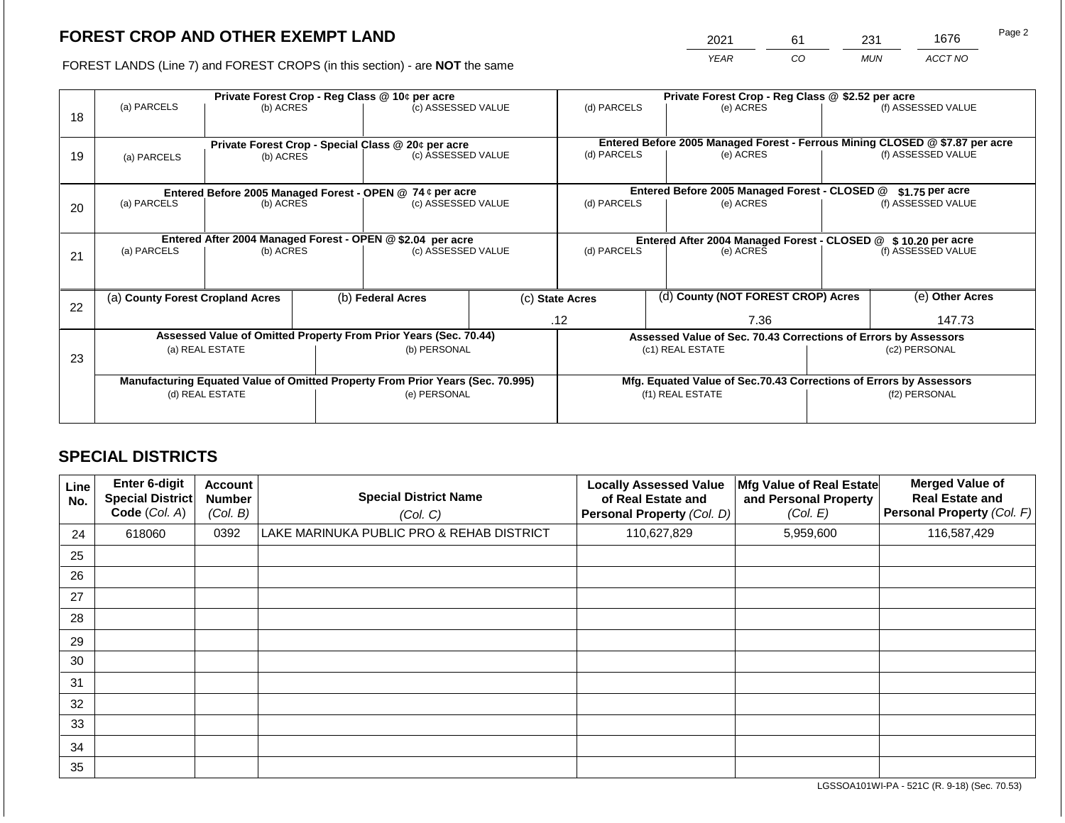2021 61 231 1676

FOREST LANDS (Line 7) and FOREST CROPS (in this section) - are **NOT** the same *YEAR CO MUN ACCT NO*

| 18 | Private Forest Crop - Reg Class @ 10¢ per acre<br>(a) PARCELS<br>(b) ACRES |                          |  | (c) ASSESSED VALUE                                                             |                    | (d) PARCELS      |                                                                                           | Private Forest Crop - Reg Class @ \$2.52 per acre<br>(e) ACRES  |                                                                    | (f) ASSESSED VALUE                                                                                 |
|----|----------------------------------------------------------------------------|--------------------------|--|--------------------------------------------------------------------------------|--------------------|------------------|-------------------------------------------------------------------------------------------|-----------------------------------------------------------------|--------------------------------------------------------------------|----------------------------------------------------------------------------------------------------|
| 19 | (a) PARCELS                                                                | (b) ACRES                |  | Private Forest Crop - Special Class @ 20¢ per acre<br>(c) ASSESSED VALUE       |                    | (d) PARCELS      |                                                                                           | (e) ACRES                                                       |                                                                    | Entered Before 2005 Managed Forest - Ferrous Mining CLOSED @ \$7.87 per acre<br>(f) ASSESSED VALUE |
|    |                                                                            |                          |  | Entered Before 2005 Managed Forest - OPEN @ 74 ¢ per acre                      |                    |                  |                                                                                           | Entered Before 2005 Managed Forest - CLOSED @                   |                                                                    | $$1.75$ per acre                                                                                   |
| 20 |                                                                            | (a) PARCELS<br>(b) ACRES |  | (c) ASSESSED VALUE                                                             |                    | (d) PARCELS      |                                                                                           | (e) ACRES                                                       |                                                                    | (f) ASSESSED VALUE                                                                                 |
|    | Entered After 2004 Managed Forest - OPEN @ \$2.04 per acre                 |                          |  |                                                                                | (c) ASSESSED VALUE |                  | Entered After 2004 Managed Forest - CLOSED @ \$10.20 per acre<br>(d) PARCELS<br>(e) ACRES |                                                                 |                                                                    | (f) ASSESSED VALUE                                                                                 |
| 21 | (a) PARCELS                                                                | (b) ACRES                |  |                                                                                |                    |                  |                                                                                           |                                                                 |                                                                    |                                                                                                    |
| 22 | (a) County Forest Cropland Acres                                           |                          |  | (b) Federal Acres                                                              |                    | (c) State Acres  |                                                                                           | (d) County (NOT FOREST CROP) Acres                              |                                                                    | (e) Other Acres                                                                                    |
|    |                                                                            |                          |  |                                                                                |                    | .12              |                                                                                           | 7.36                                                            |                                                                    | 147.73                                                                                             |
|    |                                                                            |                          |  | Assessed Value of Omitted Property From Prior Years (Sec. 70.44)               |                    |                  |                                                                                           | Assessed Value of Sec. 70.43 Corrections of Errors by Assessors |                                                                    |                                                                                                    |
| 23 | (a) REAL ESTATE                                                            |                          |  | (b) PERSONAL                                                                   |                    | (c1) REAL ESTATE |                                                                                           |                                                                 | (c2) PERSONAL                                                      |                                                                                                    |
|    |                                                                            |                          |  | Manufacturing Equated Value of Omitted Property From Prior Years (Sec. 70.995) |                    |                  |                                                                                           |                                                                 | Mfg. Equated Value of Sec.70.43 Corrections of Errors by Assessors |                                                                                                    |
|    |                                                                            | (d) REAL ESTATE          |  | (e) PERSONAL                                                                   |                    |                  | (f1) REAL ESTATE                                                                          |                                                                 | (f2) PERSONAL                                                      |                                                                                                    |
|    |                                                                            |                          |  |                                                                                |                    |                  |                                                                                           |                                                                 |                                                                    |                                                                                                    |

# **SPECIAL DISTRICTS**

| Line<br>No. | <b>Enter 6-digit</b><br>Special District<br>Code (Col. A) | <b>Account</b><br><b>Number</b><br>(Col. B) | <b>Special District Name</b><br>(Col. C)  | <b>Locally Assessed Value</b><br>of Real Estate and<br>Personal Property (Col. D) | Mfg Value of Real Estate<br>and Personal Property<br>(Col. E) | <b>Merged Value of</b><br><b>Real Estate and</b><br>Personal Property (Col. F) |
|-------------|-----------------------------------------------------------|---------------------------------------------|-------------------------------------------|-----------------------------------------------------------------------------------|---------------------------------------------------------------|--------------------------------------------------------------------------------|
| 24          | 618060                                                    | 0392                                        | LAKE MARINUKA PUBLIC PRO & REHAB DISTRICT | 110,627,829                                                                       | 5,959,600                                                     | 116,587,429                                                                    |
| 25          |                                                           |                                             |                                           |                                                                                   |                                                               |                                                                                |
| 26          |                                                           |                                             |                                           |                                                                                   |                                                               |                                                                                |
| 27          |                                                           |                                             |                                           |                                                                                   |                                                               |                                                                                |
| 28          |                                                           |                                             |                                           |                                                                                   |                                                               |                                                                                |
| 29          |                                                           |                                             |                                           |                                                                                   |                                                               |                                                                                |
| 30          |                                                           |                                             |                                           |                                                                                   |                                                               |                                                                                |
| 31          |                                                           |                                             |                                           |                                                                                   |                                                               |                                                                                |
| 32          |                                                           |                                             |                                           |                                                                                   |                                                               |                                                                                |
| 33          |                                                           |                                             |                                           |                                                                                   |                                                               |                                                                                |
| 34          |                                                           |                                             |                                           |                                                                                   |                                                               |                                                                                |
| 35          |                                                           |                                             |                                           |                                                                                   |                                                               |                                                                                |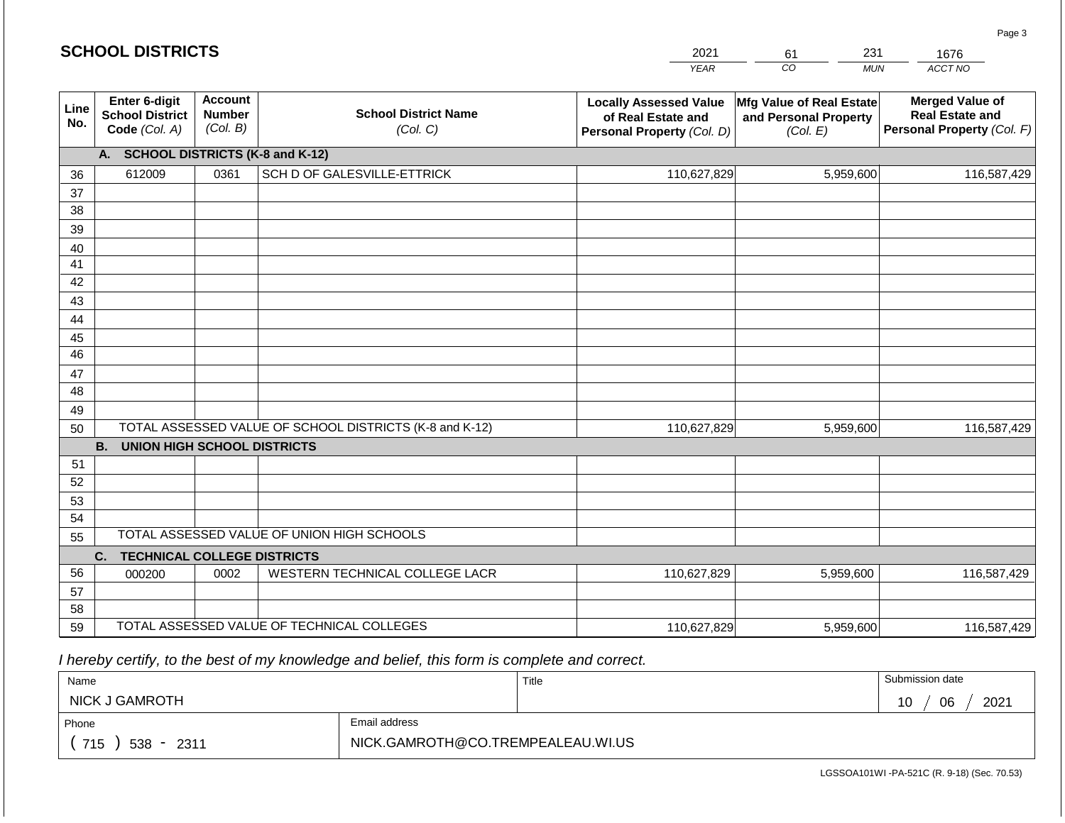| <b>SCHOOL DISTRICTS</b> |  |
|-------------------------|--|
|-------------------------|--|

| 2021        | 61  | 231 |         |
|-------------|-----|-----|---------|
| <b>YFAR</b> | 20. | MUN | ACCT NO |

| Line<br>No. | Enter 6-digit<br><b>School District</b><br>Code (Col. A) | <b>Account</b><br><b>Number</b><br>(Col. B) | <b>School District Name</b><br>(Col. C)                 | <b>Locally Assessed Value</b><br>of Real Estate and<br>Personal Property (Col. D) | Mfg Value of Real Estate<br>and Personal Property<br>(Col. E) | <b>Merged Value of</b><br><b>Real Estate and</b><br>Personal Property (Col. F) |  |  |  |  |  |  |
|-------------|----------------------------------------------------------|---------------------------------------------|---------------------------------------------------------|-----------------------------------------------------------------------------------|---------------------------------------------------------------|--------------------------------------------------------------------------------|--|--|--|--|--|--|
|             | <b>SCHOOL DISTRICTS (K-8 and K-12)</b><br>A.             |                                             |                                                         |                                                                                   |                                                               |                                                                                |  |  |  |  |  |  |
| 36          | 612009                                                   | 0361                                        | SCH D OF GALESVILLE-ETTRICK                             | 110,627,829                                                                       | 5,959,600                                                     | 116,587,429                                                                    |  |  |  |  |  |  |
| 37          |                                                          |                                             |                                                         |                                                                                   |                                                               |                                                                                |  |  |  |  |  |  |
| 38          |                                                          |                                             |                                                         |                                                                                   |                                                               |                                                                                |  |  |  |  |  |  |
| 39          |                                                          |                                             |                                                         |                                                                                   |                                                               |                                                                                |  |  |  |  |  |  |
| 40          |                                                          |                                             |                                                         |                                                                                   |                                                               |                                                                                |  |  |  |  |  |  |
| 41          |                                                          |                                             |                                                         |                                                                                   |                                                               |                                                                                |  |  |  |  |  |  |
| 42          |                                                          |                                             |                                                         |                                                                                   |                                                               |                                                                                |  |  |  |  |  |  |
| 43          |                                                          |                                             |                                                         |                                                                                   |                                                               |                                                                                |  |  |  |  |  |  |
| 44          |                                                          |                                             |                                                         |                                                                                   |                                                               |                                                                                |  |  |  |  |  |  |
| 45          |                                                          |                                             |                                                         |                                                                                   |                                                               |                                                                                |  |  |  |  |  |  |
| 46          |                                                          |                                             |                                                         |                                                                                   |                                                               |                                                                                |  |  |  |  |  |  |
| 47          |                                                          |                                             |                                                         |                                                                                   |                                                               |                                                                                |  |  |  |  |  |  |
| 48          |                                                          |                                             |                                                         |                                                                                   |                                                               |                                                                                |  |  |  |  |  |  |
| 49          |                                                          |                                             |                                                         |                                                                                   |                                                               |                                                                                |  |  |  |  |  |  |
| 50          |                                                          |                                             | TOTAL ASSESSED VALUE OF SCHOOL DISTRICTS (K-8 and K-12) | 110,627,829                                                                       | 5,959,600                                                     | 116,587,429                                                                    |  |  |  |  |  |  |
|             | <b>B.</b><br><b>UNION HIGH SCHOOL DISTRICTS</b>          |                                             |                                                         |                                                                                   |                                                               |                                                                                |  |  |  |  |  |  |
| 51          |                                                          |                                             |                                                         |                                                                                   |                                                               |                                                                                |  |  |  |  |  |  |
| 52          |                                                          |                                             |                                                         |                                                                                   |                                                               |                                                                                |  |  |  |  |  |  |
| 53          |                                                          |                                             |                                                         |                                                                                   |                                                               |                                                                                |  |  |  |  |  |  |
| 54          |                                                          |                                             |                                                         |                                                                                   |                                                               |                                                                                |  |  |  |  |  |  |
| 55          |                                                          |                                             | TOTAL ASSESSED VALUE OF UNION HIGH SCHOOLS              |                                                                                   |                                                               |                                                                                |  |  |  |  |  |  |
|             | C.<br><b>TECHNICAL COLLEGE DISTRICTS</b>                 |                                             |                                                         |                                                                                   |                                                               |                                                                                |  |  |  |  |  |  |
| 56          | 000200                                                   | 0002                                        | WESTERN TECHNICAL COLLEGE LACR                          | 110,627,829                                                                       | 5,959,600                                                     | 116,587,429                                                                    |  |  |  |  |  |  |
| 57          |                                                          |                                             |                                                         |                                                                                   |                                                               |                                                                                |  |  |  |  |  |  |
| 58          |                                                          |                                             |                                                         |                                                                                   |                                                               |                                                                                |  |  |  |  |  |  |
| 59          |                                                          |                                             | TOTAL ASSESSED VALUE OF TECHNICAL COLLEGES              | 110,627,829                                                                       | 5,959,600                                                     | 116,587,429                                                                    |  |  |  |  |  |  |

 *I hereby certify, to the best of my knowledge and belief, this form is complete and correct.*

| Name                  |                                   | Title | Submission date  |
|-----------------------|-----------------------------------|-------|------------------|
| <b>NICK J GAMROTH</b> |                                   |       | 2021<br>06<br>10 |
| Phone                 | Email address                     |       |                  |
| 715<br>$538 - 2311$   | NICK.GAMROTH@CO.TREMPEALEAU.WI.US |       |                  |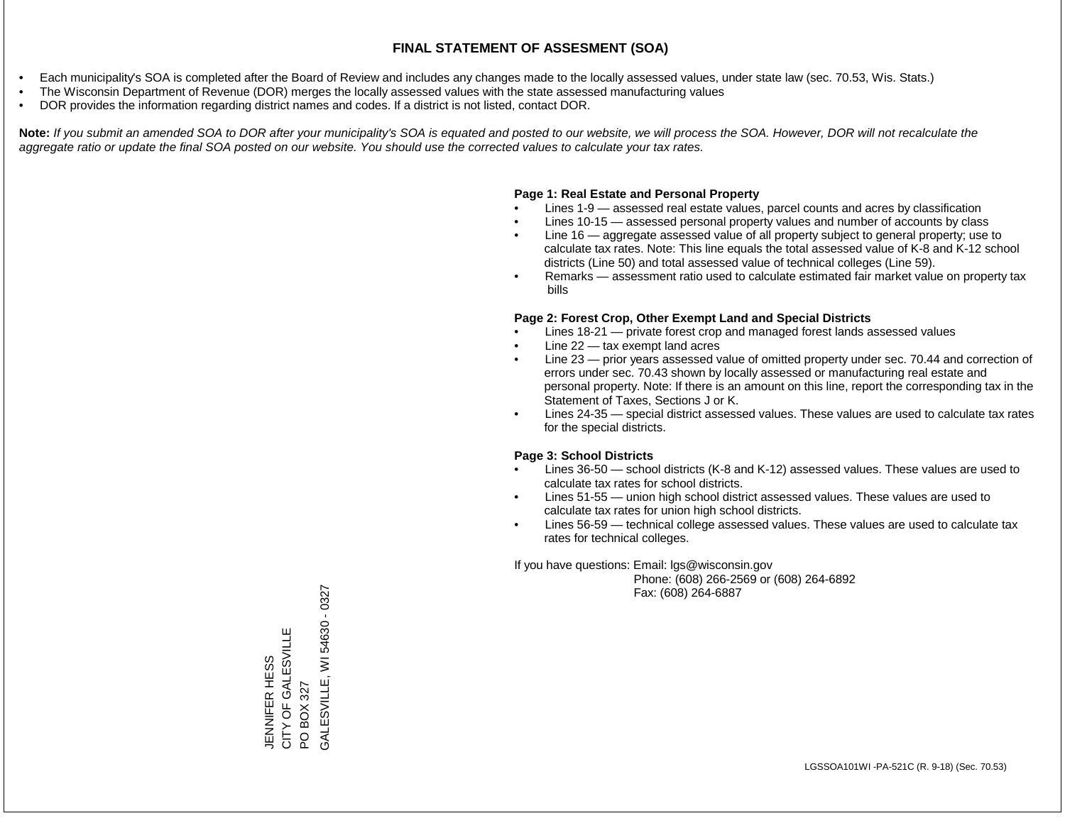- Each municipality's SOA is completed after the Board of Review and includes any changes made to the locally assessed values, under state law (sec. 70.53, Wis. Stats.)
- The Wisconsin Department of Revenue (DOR) merges the locally assessed values with the state assessed manufacturing values
- DOR provides the information regarding district names and codes. If a district is not listed, contact DOR.

Note: If you submit an amended SOA to DOR after your municipality's SOA is equated and posted to our website, we will process the SOA. However, DOR will not recalculate the *aggregate ratio or update the final SOA posted on our website. You should use the corrected values to calculate your tax rates.*

## **Page 1: Real Estate and Personal Property**

- Lines 1-9 assessed real estate values, parcel counts and acres by classification
- Lines 10-15 assessed personal property values and number of accounts by class
- Line 16 aggregate assessed value of all property subject to general property; use to calculate tax rates. Note: This line equals the total assessed value of K-8 and K-12 school districts (Line 50) and total assessed value of technical colleges (Line 59).
- Remarks assessment ratio used to calculate estimated fair market value on property tax bills

## **Page 2: Forest Crop, Other Exempt Land and Special Districts**

- Lines 18-21 private forest crop and managed forest lands assessed values
- Line  $22 -$  tax exempt land acres
- Line 23 prior years assessed value of omitted property under sec. 70.44 and correction of errors under sec. 70.43 shown by locally assessed or manufacturing real estate and personal property. Note: If there is an amount on this line, report the corresponding tax in the Statement of Taxes, Sections J or K.
- Lines 24-35 special district assessed values. These values are used to calculate tax rates for the special districts.

## **Page 3: School Districts**

- Lines 36-50 school districts (K-8 and K-12) assessed values. These values are used to calculate tax rates for school districts.
- Lines 51-55 union high school district assessed values. These values are used to calculate tax rates for union high school districts.
- Lines 56-59 technical college assessed values. These values are used to calculate tax rates for technical colleges.

If you have questions: Email: lgs@wisconsin.gov

 Phone: (608) 266-2569 or (608) 264-6892 Fax: (608) 264-6887

PO BOX 327<br>SALESVILLE, WI 54630 - 0327 GALESVILLE, WI 54630 - 0327CITY OF GALESVILLE JENNIFER HESS<br>CITY OF GALESVILLE JENNIFER HESS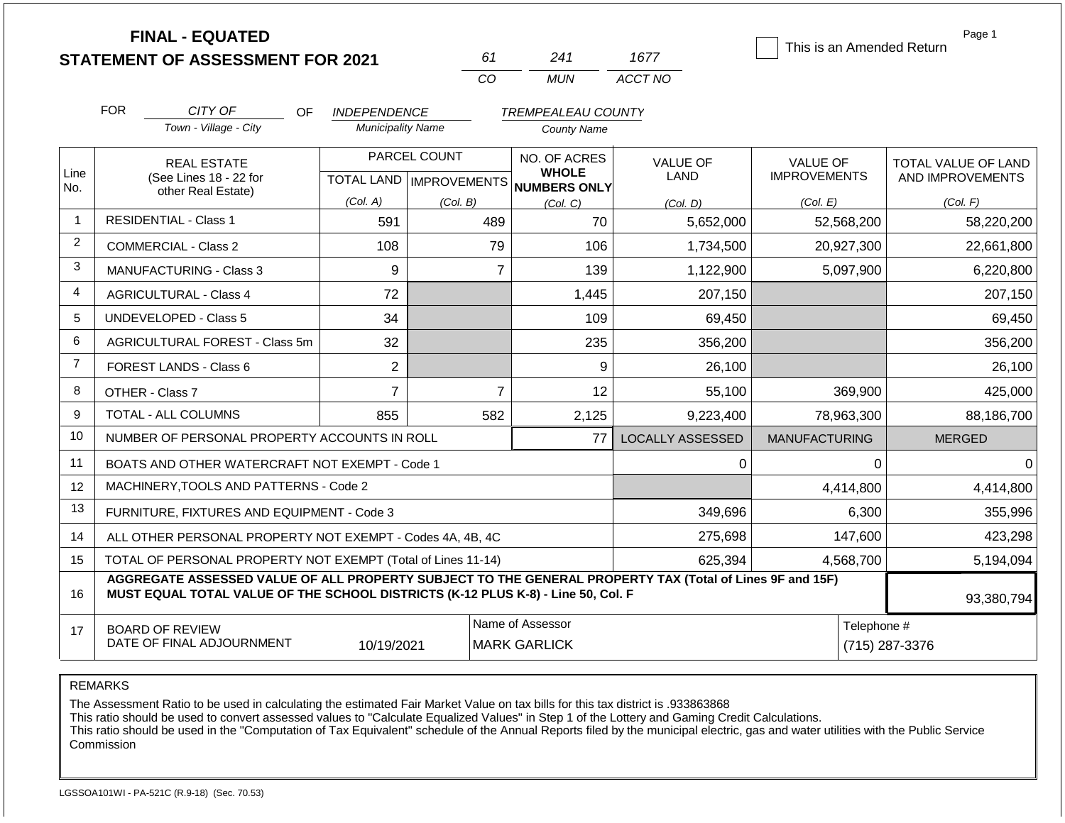| <b>STATEMENT OF ASSESSMENT FOR 2021</b> |  |
|-----------------------------------------|--|
|                                         |  |

**FINAL - EQUATED**

| 61 | 241  | 1677    |
|----|------|---------|
| Γn | MUN. | ACCT NO |

This is an Amended Return

Page 1

|                | <b>FOR</b>                                                                                                                                                                                   | CITY OF<br>OF                                                | <b>INDEPENDENCE</b>      |                           | <b>TREMPEALEAU COUNTY</b>    |                         |                      |                            |
|----------------|----------------------------------------------------------------------------------------------------------------------------------------------------------------------------------------------|--------------------------------------------------------------|--------------------------|---------------------------|------------------------------|-------------------------|----------------------|----------------------------|
|                |                                                                                                                                                                                              | Town - Village - City                                        | <b>Municipality Name</b> |                           | <b>County Name</b>           |                         |                      |                            |
|                |                                                                                                                                                                                              | <b>REAL ESTATE</b>                                           |                          | PARCEL COUNT              | NO. OF ACRES                 | <b>VALUE OF</b>         | <b>VALUE OF</b>      | <b>TOTAL VALUE OF LAND</b> |
| Line<br>No.    |                                                                                                                                                                                              | (See Lines 18 - 22 for                                       |                          | TOTAL LAND   IMPROVEMENTS | <b>WHOLE</b><br>NUMBERS ONLY | <b>LAND</b>             | <b>IMPROVEMENTS</b>  | AND IMPROVEMENTS           |
|                |                                                                                                                                                                                              | other Real Estate)                                           | (Col. A)                 | (Col. B)                  | (Col, C)                     | (Col, D)                | (Col. E)             | (Col. F)                   |
| -1             |                                                                                                                                                                                              | <b>RESIDENTIAL - Class 1</b>                                 | 591                      | 489                       | 70                           | 5,652,000               | 52,568,200           | 58,220,200                 |
| $\overline{2}$ |                                                                                                                                                                                              | <b>COMMERCIAL - Class 2</b>                                  | 108                      | 79                        | 106                          | 1,734,500               | 20,927,300           | 22,661,800                 |
| 3              |                                                                                                                                                                                              | <b>MANUFACTURING - Class 3</b>                               | 9                        | $\overline{7}$            | 139                          | 1,122,900               | 5,097,900            | 6,220,800                  |
| 4              |                                                                                                                                                                                              | <b>AGRICULTURAL - Class 4</b>                                | 72                       |                           | 1,445                        | 207,150                 |                      | 207,150                    |
| 5              | <b>UNDEVELOPED - Class 5</b>                                                                                                                                                                 |                                                              | 34                       |                           | 109                          | 69,450                  |                      | 69,450                     |
| 6              |                                                                                                                                                                                              | AGRICULTURAL FOREST - Class 5m                               | 32                       |                           | 235                          | 356,200                 |                      | 356,200                    |
| $\overline{7}$ |                                                                                                                                                                                              | FOREST LANDS - Class 6                                       | $\overline{2}$           |                           | 9                            | 26,100                  |                      | 26,100                     |
| 8              |                                                                                                                                                                                              | OTHER - Class 7                                              | $\overline{7}$           | $\overline{7}$            | 12                           | 55,100                  | 369,900              | 425,000                    |
| 9              |                                                                                                                                                                                              | <b>TOTAL - ALL COLUMNS</b>                                   | 855                      | 582                       | 2,125                        | 9,223,400               | 78,963,300           | 88,186,700                 |
| 10             |                                                                                                                                                                                              | NUMBER OF PERSONAL PROPERTY ACCOUNTS IN ROLL                 |                          |                           | 77                           | <b>LOCALLY ASSESSED</b> | <b>MANUFACTURING</b> | <b>MERGED</b>              |
| 11             |                                                                                                                                                                                              | BOATS AND OTHER WATERCRAFT NOT EXEMPT - Code 1               |                          |                           |                              | 0                       | 0                    | $\Omega$                   |
| 12             |                                                                                                                                                                                              | MACHINERY, TOOLS AND PATTERNS - Code 2                       |                          |                           |                              |                         | 4,414,800            | 4,414,800                  |
| 13             |                                                                                                                                                                                              | FURNITURE, FIXTURES AND EQUIPMENT - Code 3                   |                          |                           |                              | 349,696                 | 6,300                | 355,996                    |
| 14             |                                                                                                                                                                                              | ALL OTHER PERSONAL PROPERTY NOT EXEMPT - Codes 4A, 4B, 4C    |                          |                           |                              | 275,698                 | 147,600              | 423,298                    |
| 15             |                                                                                                                                                                                              | TOTAL OF PERSONAL PROPERTY NOT EXEMPT (Total of Lines 11-14) |                          |                           |                              | 625,394                 | 4,568,700            | 5,194,094                  |
| 16             | AGGREGATE ASSESSED VALUE OF ALL PROPERTY SUBJECT TO THE GENERAL PROPERTY TAX (Total of Lines 9F and 15F)<br>MUST EQUAL TOTAL VALUE OF THE SCHOOL DISTRICTS (K-12 PLUS K-8) - Line 50, Col. F |                                                              |                          |                           |                              |                         |                      |                            |

| 16 | MUST EQUAL TOTAL VALUE OF THE SUHOUL DISTRIUTS (N-12 PLUS N-8) - LINE 30, COI. F |            |                     |             | 93,380,794     |  |
|----|----------------------------------------------------------------------------------|------------|---------------------|-------------|----------------|--|
|    | <b>BOARD OF REVIEW</b>                                                           |            | Name of Assessor    | Telephone # |                |  |
|    | DATE OF FINAL ADJOURNMENT                                                        | 10/19/2021 | <b>MARK GARLICK</b> |             | (715) 287-3376 |  |

REMARKS

The Assessment Ratio to be used in calculating the estimated Fair Market Value on tax bills for this tax district is .933863868

This ratio should be used to convert assessed values to "Calculate Equalized Values" in Step 1 of the Lottery and Gaming Credit Calculations.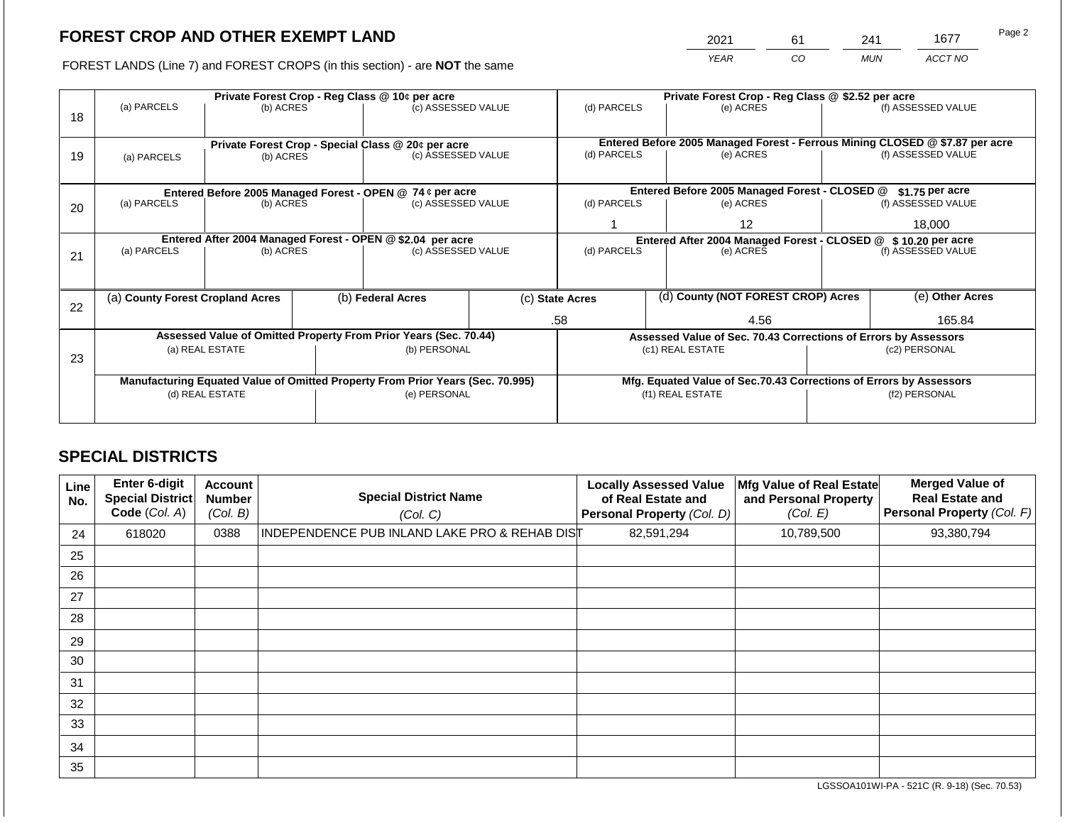2021 61 241 1677

FOREST LANDS (Line 7) and FOREST CROPS (in this section) - are **NOT** the same *YEAR CO MUN ACCT NO*

|    | Private Forest Crop - Reg Class @ 10¢ per acre |                                  |  |                                                                                |  | Private Forest Crop - Reg Class @ \$2.52 per acre              |  |                                                                 |                                                                    |                                                                              |
|----|------------------------------------------------|----------------------------------|--|--------------------------------------------------------------------------------|--|----------------------------------------------------------------|--|-----------------------------------------------------------------|--------------------------------------------------------------------|------------------------------------------------------------------------------|
| 18 | (a) PARCELS                                    | (b) ACRES                        |  | (c) ASSESSED VALUE                                                             |  | (d) PARCELS                                                    |  | (e) ACRES                                                       |                                                                    | (f) ASSESSED VALUE                                                           |
|    |                                                |                                  |  |                                                                                |  |                                                                |  |                                                                 |                                                                    |                                                                              |
|    |                                                |                                  |  |                                                                                |  |                                                                |  |                                                                 |                                                                    | Entered Before 2005 Managed Forest - Ferrous Mining CLOSED @ \$7.87 per acre |
| 19 | (a) PARCELS                                    | (b) ACRES                        |  | Private Forest Crop - Special Class @ 20¢ per acre<br>(c) ASSESSED VALUE       |  | (d) PARCELS                                                    |  | (e) ACRES                                                       |                                                                    | (f) ASSESSED VALUE                                                           |
|    |                                                |                                  |  |                                                                                |  |                                                                |  |                                                                 |                                                                    |                                                                              |
|    |                                                |                                  |  |                                                                                |  |                                                                |  |                                                                 |                                                                    |                                                                              |
|    |                                                |                                  |  | Entered Before 2005 Managed Forest - OPEN @ 74 ¢ per acre                      |  |                                                                |  | Entered Before 2005 Managed Forest - CLOSED @                   |                                                                    | $$1.75$ per acre                                                             |
| 20 | (a) PARCELS                                    | (b) ACRES                        |  | (c) ASSESSED VALUE                                                             |  | (d) PARCELS                                                    |  | (e) ACRES                                                       |                                                                    | (f) ASSESSED VALUE                                                           |
|    |                                                |                                  |  |                                                                                |  |                                                                |  | 12                                                              |                                                                    | 18.000                                                                       |
|    |                                                |                                  |  | Entered After 2004 Managed Forest - OPEN @ \$2.04 per acre                     |  | Entered After 2004 Managed Forest - CLOSED @ \$ 10.20 per acre |  |                                                                 |                                                                    |                                                                              |
| 21 | (a) PARCELS                                    | (b) ACRES                        |  | (c) ASSESSED VALUE                                                             |  | (d) PARCELS                                                    |  | (e) ACRES                                                       |                                                                    | (f) ASSESSED VALUE                                                           |
|    |                                                |                                  |  |                                                                                |  |                                                                |  |                                                                 |                                                                    |                                                                              |
|    |                                                |                                  |  |                                                                                |  |                                                                |  |                                                                 |                                                                    |                                                                              |
|    |                                                | (a) County Forest Cropland Acres |  | (b) Federal Acres                                                              |  | (c) State Acres                                                |  | (d) County (NOT FOREST CROP) Acres                              |                                                                    | (e) Other Acres                                                              |
| 22 |                                                |                                  |  |                                                                                |  |                                                                |  |                                                                 |                                                                    |                                                                              |
|    |                                                |                                  |  |                                                                                |  | 4.56<br>.58                                                    |  |                                                                 | 165.84                                                             |                                                                              |
|    |                                                |                                  |  | Assessed Value of Omitted Property From Prior Years (Sec. 70.44)               |  |                                                                |  | Assessed Value of Sec. 70.43 Corrections of Errors by Assessors |                                                                    |                                                                              |
| 23 |                                                | (a) REAL ESTATE                  |  | (b) PERSONAL                                                                   |  |                                                                |  | (c1) REAL ESTATE                                                |                                                                    | (c2) PERSONAL                                                                |
|    |                                                |                                  |  |                                                                                |  |                                                                |  |                                                                 |                                                                    |                                                                              |
|    |                                                |                                  |  | Manufacturing Equated Value of Omitted Property From Prior Years (Sec. 70.995) |  |                                                                |  |                                                                 | Mfg. Equated Value of Sec.70.43 Corrections of Errors by Assessors |                                                                              |
|    |                                                | (d) REAL ESTATE                  |  | (e) PERSONAL                                                                   |  |                                                                |  | (f1) REAL ESTATE                                                |                                                                    | (f2) PERSONAL                                                                |
|    |                                                |                                  |  |                                                                                |  |                                                                |  |                                                                 |                                                                    |                                                                              |
|    |                                                |                                  |  |                                                                                |  |                                                                |  |                                                                 |                                                                    |                                                                              |

# **SPECIAL DISTRICTS**

| Line<br>No. | <b>Enter 6-digit</b><br><b>Special District</b><br>Code (Col. A) | <b>Account</b><br><b>Number</b><br>(Col. B) | <b>Special District Name</b><br>(Col. C)                 | <b>Locally Assessed Value</b><br>of Real Estate and<br>Personal Property (Col. D) | Mfg Value of Real Estate<br>and Personal Property<br>(Col. E) | <b>Merged Value of</b><br><b>Real Estate and</b><br>Personal Property (Col. F) |
|-------------|------------------------------------------------------------------|---------------------------------------------|----------------------------------------------------------|-----------------------------------------------------------------------------------|---------------------------------------------------------------|--------------------------------------------------------------------------------|
| 24          | 618020                                                           | 0388                                        | <b>INDEPENDENCE PUB INLAND LAKE PRO &amp; REHAB DIST</b> | 82,591,294                                                                        | 10,789,500                                                    | 93,380,794                                                                     |
| 25          |                                                                  |                                             |                                                          |                                                                                   |                                                               |                                                                                |
| 26          |                                                                  |                                             |                                                          |                                                                                   |                                                               |                                                                                |
| 27          |                                                                  |                                             |                                                          |                                                                                   |                                                               |                                                                                |
| 28          |                                                                  |                                             |                                                          |                                                                                   |                                                               |                                                                                |
| 29          |                                                                  |                                             |                                                          |                                                                                   |                                                               |                                                                                |
| 30          |                                                                  |                                             |                                                          |                                                                                   |                                                               |                                                                                |
| 31          |                                                                  |                                             |                                                          |                                                                                   |                                                               |                                                                                |
| 32          |                                                                  |                                             |                                                          |                                                                                   |                                                               |                                                                                |
| 33          |                                                                  |                                             |                                                          |                                                                                   |                                                               |                                                                                |
| 34          |                                                                  |                                             |                                                          |                                                                                   |                                                               |                                                                                |
| 35          |                                                                  |                                             |                                                          |                                                                                   |                                                               |                                                                                |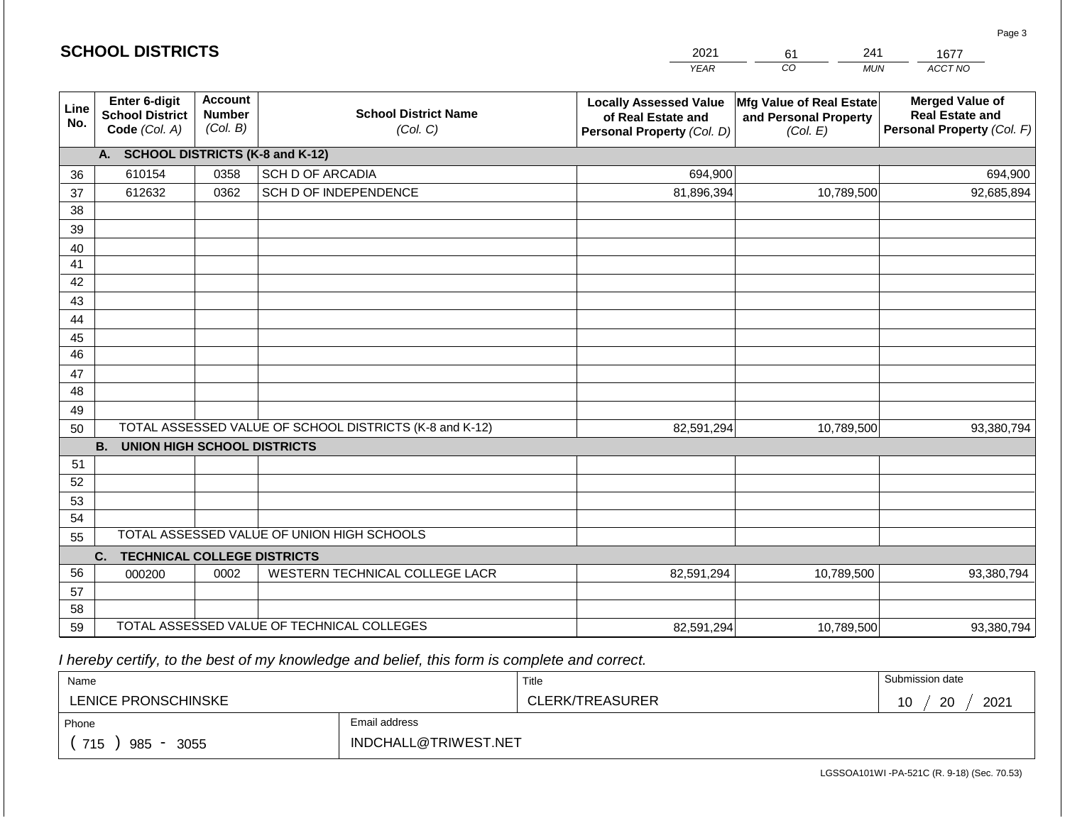|             | <b>SCHOOL DISTRICTS</b>                                  |                                             |                                                         | 2021<br>241<br>61<br>1677                                                         |                                                               |                                                                                |  |  |
|-------------|----------------------------------------------------------|---------------------------------------------|---------------------------------------------------------|-----------------------------------------------------------------------------------|---------------------------------------------------------------|--------------------------------------------------------------------------------|--|--|
|             |                                                          |                                             |                                                         | <b>YEAR</b>                                                                       | CO<br><b>MUN</b>                                              | ACCT NO                                                                        |  |  |
| Line<br>No. | Enter 6-digit<br><b>School District</b><br>Code (Col. A) | <b>Account</b><br><b>Number</b><br>(Col. B) | <b>School District Name</b><br>(Col. C)                 | <b>Locally Assessed Value</b><br>of Real Estate and<br>Personal Property (Col. D) | Mfg Value of Real Estate<br>and Personal Property<br>(Col. E) | <b>Merged Value of</b><br><b>Real Estate and</b><br>Personal Property (Col. F) |  |  |
|             | A. SCHOOL DISTRICTS (K-8 and K-12)                       |                                             |                                                         |                                                                                   |                                                               |                                                                                |  |  |
| 36          | 610154                                                   | 0358                                        | <b>SCH D OF ARCADIA</b>                                 | 694,900                                                                           |                                                               | 694,900                                                                        |  |  |
| 37          | 612632                                                   | 0362                                        | SCH D OF INDEPENDENCE                                   | 81,896,394                                                                        | 10,789,500                                                    | 92,685,894                                                                     |  |  |
| 38          |                                                          |                                             |                                                         |                                                                                   |                                                               |                                                                                |  |  |
| 39          |                                                          |                                             |                                                         |                                                                                   |                                                               |                                                                                |  |  |
| 40          |                                                          |                                             |                                                         |                                                                                   |                                                               |                                                                                |  |  |
| 41          |                                                          |                                             |                                                         |                                                                                   |                                                               |                                                                                |  |  |
| 42          |                                                          |                                             |                                                         |                                                                                   |                                                               |                                                                                |  |  |
| 43          |                                                          |                                             |                                                         |                                                                                   |                                                               |                                                                                |  |  |
| 44          |                                                          |                                             |                                                         |                                                                                   |                                                               |                                                                                |  |  |
| 45<br>46    |                                                          |                                             |                                                         |                                                                                   |                                                               |                                                                                |  |  |
| 47          |                                                          |                                             |                                                         |                                                                                   |                                                               |                                                                                |  |  |
| 48          |                                                          |                                             |                                                         |                                                                                   |                                                               |                                                                                |  |  |
| 49          |                                                          |                                             |                                                         |                                                                                   |                                                               |                                                                                |  |  |
| 50          |                                                          |                                             | TOTAL ASSESSED VALUE OF SCHOOL DISTRICTS (K-8 and K-12) | 82,591,294                                                                        | 10,789,500                                                    | 93,380,794                                                                     |  |  |
|             | <b>B.</b><br><b>UNION HIGH SCHOOL DISTRICTS</b>          |                                             |                                                         |                                                                                   |                                                               |                                                                                |  |  |
| 51          |                                                          |                                             |                                                         |                                                                                   |                                                               |                                                                                |  |  |
| 52          |                                                          |                                             |                                                         |                                                                                   |                                                               |                                                                                |  |  |
| 53          |                                                          |                                             |                                                         |                                                                                   |                                                               |                                                                                |  |  |
| 54          |                                                          |                                             |                                                         |                                                                                   |                                                               |                                                                                |  |  |
| 55          |                                                          |                                             | TOTAL ASSESSED VALUE OF UNION HIGH SCHOOLS              |                                                                                   |                                                               |                                                                                |  |  |
|             | C.<br><b>TECHNICAL COLLEGE DISTRICTS</b>                 |                                             |                                                         |                                                                                   |                                                               |                                                                                |  |  |
| 56          | 000200                                                   | 0002                                        | WESTERN TECHNICAL COLLEGE LACR                          | 82,591,294                                                                        | 10,789,500                                                    | 93,380,794                                                                     |  |  |
| 57          |                                                          |                                             |                                                         |                                                                                   |                                                               |                                                                                |  |  |
| 58          |                                                          |                                             |                                                         |                                                                                   |                                                               |                                                                                |  |  |
| 59          |                                                          |                                             | TOTAL ASSESSED VALUE OF TECHNICAL COLLEGES              | 82,591,294                                                                        | 10,789,500                                                    | 93,380,794                                                                     |  |  |

 *I hereby certify, to the best of my knowledge and belief, this form is complete and correct.*

**SCHOOL DISTRICTS**

| Name                |                      | Title           | Submission date  |  |  |
|---------------------|----------------------|-----------------|------------------|--|--|
| LENICE PRONSCHINSKE |                      | CLERK/TREASURER | 20<br>2021<br>10 |  |  |
| Phone               | Email address        |                 |                  |  |  |
| 715<br>985<br>3055  | INDCHALL@TRIWEST.NET |                 |                  |  |  |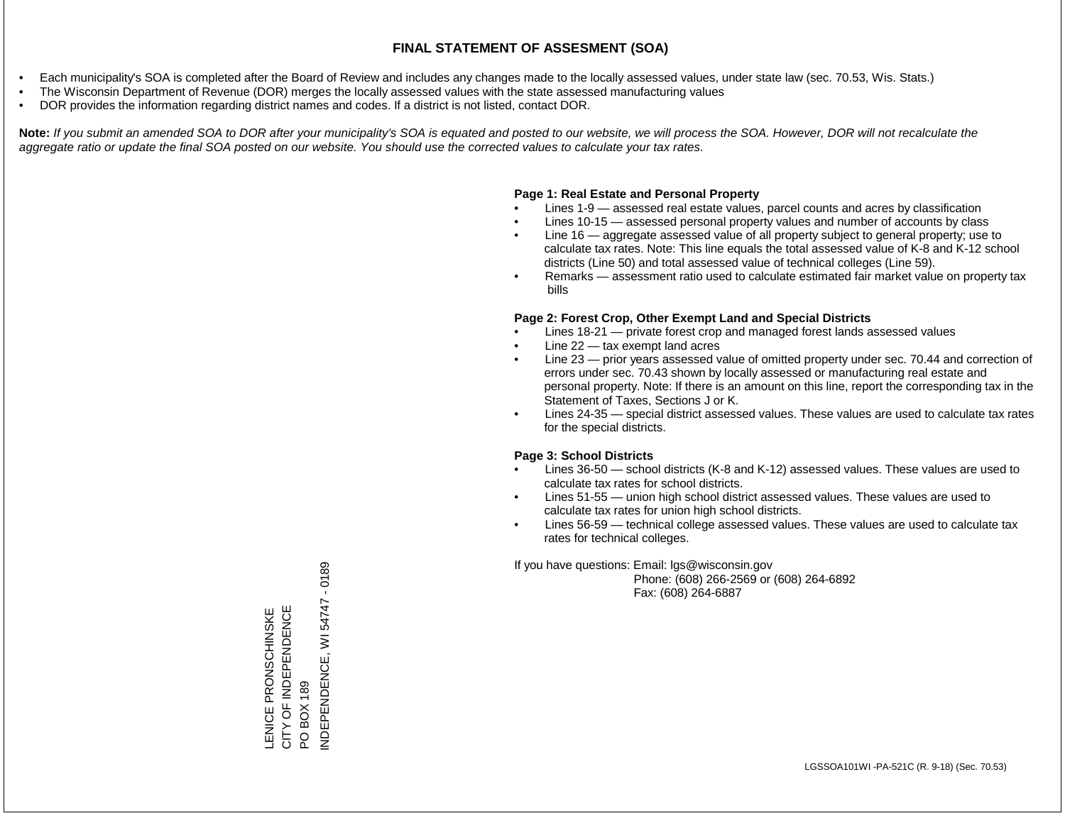- Each municipality's SOA is completed after the Board of Review and includes any changes made to the locally assessed values, under state law (sec. 70.53, Wis. Stats.)
- The Wisconsin Department of Revenue (DOR) merges the locally assessed values with the state assessed manufacturing values
- DOR provides the information regarding district names and codes. If a district is not listed, contact DOR.

Note: If you submit an amended SOA to DOR after your municipality's SOA is equated and posted to our website, we will process the SOA. However, DOR will not recalculate the *aggregate ratio or update the final SOA posted on our website. You should use the corrected values to calculate your tax rates.*

### **Page 1: Real Estate and Personal Property**

- Lines 1-9 assessed real estate values, parcel counts and acres by classification
- Lines 10-15 assessed personal property values and number of accounts by class
- Line 16 aggregate assessed value of all property subject to general property; use to calculate tax rates. Note: This line equals the total assessed value of K-8 and K-12 school districts (Line 50) and total assessed value of technical colleges (Line 59).
- Remarks assessment ratio used to calculate estimated fair market value on property tax bills

#### **Page 2: Forest Crop, Other Exempt Land and Special Districts**

- Lines 18-21 private forest crop and managed forest lands assessed values
- Line  $22 -$  tax exempt land acres
- Line 23 prior years assessed value of omitted property under sec. 70.44 and correction of errors under sec. 70.43 shown by locally assessed or manufacturing real estate and personal property. Note: If there is an amount on this line, report the corresponding tax in the Statement of Taxes, Sections J or K.
- Lines 24-35 special district assessed values. These values are used to calculate tax rates for the special districts.

#### **Page 3: School Districts**

- Lines 36-50 school districts (K-8 and K-12) assessed values. These values are used to calculate tax rates for school districts.
- Lines 51-55 union high school district assessed values. These values are used to calculate tax rates for union high school districts.
- Lines 56-59 technical college assessed values. These values are used to calculate tax rates for technical colleges.

If you have questions: Email: lgs@wisconsin.gov

 Phone: (608) 266-2569 or (608) 264-6892 Fax: (608) 264-6887

PO BOX 189<br>NDEPENDENCE, WI 54747 - 0189 INDEPENDENCE, WI 54747 - 0189CITY OF INDEPENDENCE LENICE PRONSCHINSKE<br>CITY OF INDEPENDENCE LENICE PRONSCHINSKE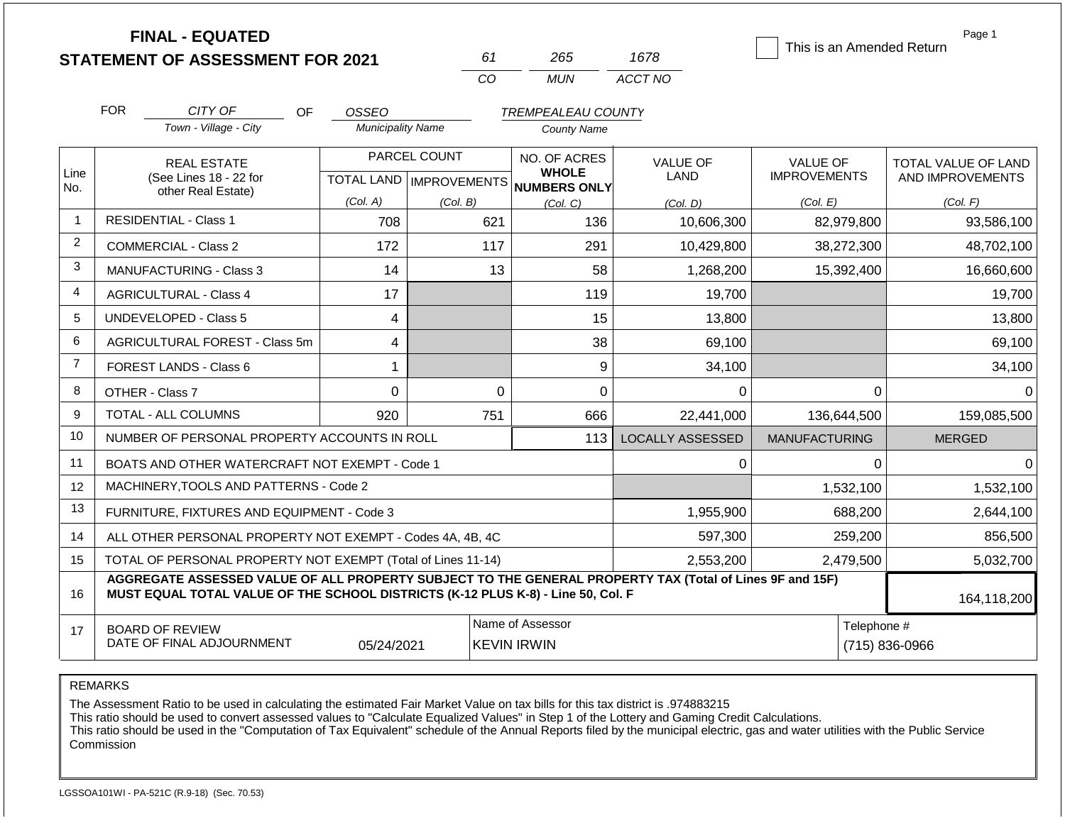|                |                                                                                                                                                                                              | <b>FINAL - EQUATED</b>                                       |                           |          |                    |                                        |                         |                      |                               | Page 1<br>This is an Amended Return |
|----------------|----------------------------------------------------------------------------------------------------------------------------------------------------------------------------------------------|--------------------------------------------------------------|---------------------------|----------|--------------------|----------------------------------------|-------------------------|----------------------|-------------------------------|-------------------------------------|
|                |                                                                                                                                                                                              | <b>STATEMENT OF ASSESSMENT FOR 2021</b>                      |                           |          | 61                 | 265                                    | 1678                    |                      |                               |                                     |
|                |                                                                                                                                                                                              |                                                              |                           |          | CO                 | <b>MUN</b>                             | ACCT NO                 |                      |                               |                                     |
|                | <b>FOR</b>                                                                                                                                                                                   | CITY OF<br>OF                                                | OSSEO                     |          |                    | <b>TREMPEALEAU COUNTY</b>              |                         |                      |                               |                                     |
|                | Town - Village - City                                                                                                                                                                        |                                                              | <b>Municipality Name</b>  |          | <b>County Name</b> |                                        |                         |                      |                               |                                     |
|                |                                                                                                                                                                                              | <b>REAL ESTATE</b>                                           | PARCEL COUNT              |          |                    | NO. OF ACRES                           | <b>VALUE OF</b>         | <b>VALUE OF</b>      |                               | TOTAL VALUE OF LAND                 |
| Line<br>No.    |                                                                                                                                                                                              | (See Lines 18 - 22 for                                       | TOTAL LAND   IMPROVEMENTS |          |                    | <b>WHOLE</b><br>NUMBERS ONLY           | <b>LAND</b>             | <b>IMPROVEMENTS</b>  |                               | AND IMPROVEMENTS                    |
|                | other Real Estate)                                                                                                                                                                           |                                                              | (Col. A)                  | (Col. B) |                    | (Col. C)                               | (Col. D)                | (Col. E)             |                               | (Col. F)                            |
| $\overline{1}$ |                                                                                                                                                                                              | <b>RESIDENTIAL - Class 1</b>                                 | 708                       |          | 621                | 136                                    | 10,606,300              |                      | 82,979,800                    | 93,586,100                          |
| 2              |                                                                                                                                                                                              | <b>COMMERCIAL - Class 2</b>                                  | 172                       |          | 117                | 291                                    | 10,429,800              |                      | 38,272,300                    | 48,702,100                          |
| 3              | <b>MANUFACTURING - Class 3</b>                                                                                                                                                               |                                                              | 14                        |          | 13                 | 58                                     | 1,268,200               |                      | 15,392,400                    | 16,660,600                          |
| 4              | <b>AGRICULTURAL - Class 4</b>                                                                                                                                                                |                                                              | 17                        |          |                    | 119                                    |                         | 19,700               |                               | 19,700                              |
| 5              |                                                                                                                                                                                              | <b>UNDEVELOPED - Class 5</b>                                 | 4                         |          |                    | 15                                     | 13,800                  |                      |                               | 13,800                              |
| 6              |                                                                                                                                                                                              | AGRICULTURAL FOREST - Class 5m                               | 4                         |          |                    | 38                                     | 69,100                  |                      |                               | 69,100                              |
| 7              |                                                                                                                                                                                              | FOREST LANDS - Class 6                                       | 1                         |          |                    | 9                                      | 34,100                  |                      |                               | 34,100                              |
| 8              | OTHER - Class 7                                                                                                                                                                              |                                                              | $\mathbf 0$               |          | $\Omega$           | 0                                      | 0                       |                      | $\Omega$                      | $\Omega$                            |
| 9              |                                                                                                                                                                                              | <b>TOTAL - ALL COLUMNS</b>                                   | 920                       |          | 751                | 666                                    | 22,441,000              |                      | 136,644,500                   | 159,085,500                         |
| 10             |                                                                                                                                                                                              | NUMBER OF PERSONAL PROPERTY ACCOUNTS IN ROLL                 |                           |          |                    | 113                                    | <b>LOCALLY ASSESSED</b> | <b>MANUFACTURING</b> |                               | <b>MERGED</b>                       |
| 11             |                                                                                                                                                                                              | BOATS AND OTHER WATERCRAFT NOT EXEMPT - Code 1               |                           |          |                    |                                        | 0                       |                      | 0                             | $\Omega$                            |
| 12             |                                                                                                                                                                                              | MACHINERY, TOOLS AND PATTERNS - Code 2                       |                           |          |                    |                                        |                         |                      | 1,532,100                     | 1,532,100                           |
| 13             |                                                                                                                                                                                              | FURNITURE, FIXTURES AND EQUIPMENT - Code 3                   |                           |          |                    |                                        | 1,955,900               |                      | 688,200                       | 2,644,100                           |
| 14             |                                                                                                                                                                                              | ALL OTHER PERSONAL PROPERTY NOT EXEMPT - Codes 4A, 4B, 4C    |                           |          |                    |                                        | 597,300                 | 259,200              |                               | 856,500                             |
| 15             |                                                                                                                                                                                              | TOTAL OF PERSONAL PROPERTY NOT EXEMPT (Total of Lines 11-14) |                           |          | 2,553,200          |                                        | 2,479,500               | 5,032,700            |                               |                                     |
| 16             | AGGREGATE ASSESSED VALUE OF ALL PROPERTY SUBJECT TO THE GENERAL PROPERTY TAX (Total of Lines 9F and 15F)<br>MUST EQUAL TOTAL VALUE OF THE SCHOOL DISTRICTS (K-12 PLUS K-8) - Line 50, Col. F |                                                              |                           |          |                    |                                        |                         |                      |                               | 164,118,200                         |
| 17             | <b>BOARD OF REVIEW</b><br>DATE OF FINAL ADJOURNMENT<br>05/24/2021                                                                                                                            |                                                              |                           |          |                    | Name of Assessor<br><b>KEVIN IRWIN</b> |                         |                      | Telephone #<br>(715) 836-0966 |                                     |

REMARKS

The Assessment Ratio to be used in calculating the estimated Fair Market Value on tax bills for this tax district is .974883215

This ratio should be used to convert assessed values to "Calculate Equalized Values" in Step 1 of the Lottery and Gaming Credit Calculations.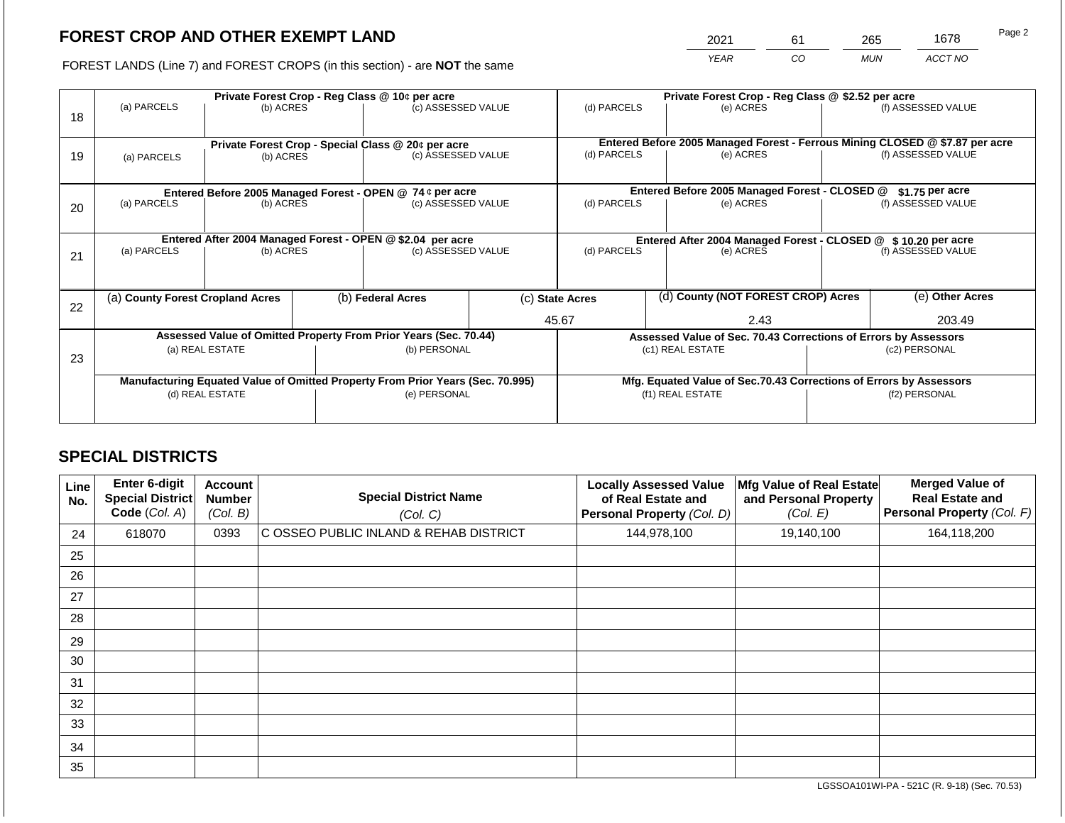2021 61 265 1678

FOREST LANDS (Line 7) and FOREST CROPS (in this section) - are **NOT** the same *YEAR CO MUN ACCT NO*

|    |             |                                  |  | Private Forest Crop - Reg Class @ 10¢ per acre                                 |                   | Private Forest Crop - Reg Class @ \$2.52 per acre |                                                       |                                                                              |                    |                    |
|----|-------------|----------------------------------|--|--------------------------------------------------------------------------------|-------------------|---------------------------------------------------|-------------------------------------------------------|------------------------------------------------------------------------------|--------------------|--------------------|
| 18 | (a) PARCELS | (b) ACRES                        |  | (c) ASSESSED VALUE                                                             |                   | (d) PARCELS                                       |                                                       | (e) ACRES                                                                    |                    | (f) ASSESSED VALUE |
|    |             |                                  |  |                                                                                |                   |                                                   |                                                       | Entered Before 2005 Managed Forest - Ferrous Mining CLOSED @ \$7.87 per acre |                    |                    |
| 19 | (a) PARCELS | (b) ACRES                        |  | Private Forest Crop - Special Class @ 20¢ per acre<br>(c) ASSESSED VALUE       |                   | (d) PARCELS                                       |                                                       | (e) ACRES                                                                    |                    | (f) ASSESSED VALUE |
|    |             |                                  |  |                                                                                |                   |                                                   |                                                       |                                                                              |                    |                    |
|    |             |                                  |  | Entered Before 2005 Managed Forest - OPEN @ 74 ¢ per acre                      |                   |                                                   |                                                       | Entered Before 2005 Managed Forest - CLOSED @                                |                    | $$1.75$ per acre   |
| 20 | (a) PARCELS | (c) ASSESSED VALUE<br>(b) ACRES  |  | (d) PARCELS                                                                    |                   | (e) ACRES                                         |                                                       | (f) ASSESSED VALUE                                                           |                    |                    |
|    |             |                                  |  |                                                                                |                   |                                                   |                                                       |                                                                              |                    |                    |
|    |             |                                  |  | Entered After 2004 Managed Forest - OPEN @ \$2.04 per acre                     |                   |                                                   |                                                       | Entered After 2004 Managed Forest - CLOSED @ \$10.20 per acre                |                    |                    |
| 21 | (a) PARCELS | (b) ACRES                        |  | (c) ASSESSED VALUE                                                             |                   | (d) PARCELS<br>(e) ACRES                          |                                                       |                                                                              | (f) ASSESSED VALUE |                    |
|    |             |                                  |  |                                                                                |                   |                                                   |                                                       |                                                                              |                    |                    |
| 22 |             | (a) County Forest Cropland Acres |  |                                                                                | (b) Federal Acres |                                                   | (d) County (NOT FOREST CROP) Acres<br>(c) State Acres |                                                                              |                    | (e) Other Acres    |
|    |             |                                  |  |                                                                                |                   | 45.67<br>2.43                                     |                                                       |                                                                              | 203.49             |                    |
|    |             |                                  |  | Assessed Value of Omitted Property From Prior Years (Sec. 70.44)               |                   |                                                   |                                                       | Assessed Value of Sec. 70.43 Corrections of Errors by Assessors              |                    |                    |
| 23 |             | (a) REAL ESTATE                  |  | (b) PERSONAL                                                                   |                   |                                                   |                                                       | (c1) REAL ESTATE                                                             |                    | (c2) PERSONAL      |
|    |             |                                  |  |                                                                                |                   |                                                   |                                                       |                                                                              |                    |                    |
|    |             |                                  |  | Manufacturing Equated Value of Omitted Property From Prior Years (Sec. 70.995) |                   |                                                   |                                                       | Mfg. Equated Value of Sec.70.43 Corrections of Errors by Assessors           |                    |                    |
|    |             | (d) REAL ESTATE                  |  | (e) PERSONAL                                                                   |                   | (f1) REAL ESTATE                                  |                                                       |                                                                              | (f2) PERSONAL      |                    |
|    |             |                                  |  |                                                                                |                   |                                                   |                                                       |                                                                              |                    |                    |

# **SPECIAL DISTRICTS**

| Line<br>No. | <b>Enter 6-digit</b><br>Special District<br>Code (Col. A) | <b>Account</b><br><b>Number</b><br>(Col. B) | <b>Special District Name</b><br>(Col. C) | <b>Locally Assessed Value</b><br>of Real Estate and<br>Personal Property (Col. D) | Mfg Value of Real Estate<br>and Personal Property<br>(Col. E) | <b>Merged Value of</b><br><b>Real Estate and</b><br>Personal Property (Col. F) |
|-------------|-----------------------------------------------------------|---------------------------------------------|------------------------------------------|-----------------------------------------------------------------------------------|---------------------------------------------------------------|--------------------------------------------------------------------------------|
| 24          | 618070                                                    | 0393                                        | C OSSEO PUBLIC INLAND & REHAB DISTRICT   | 144,978,100                                                                       | 19,140,100                                                    | 164,118,200                                                                    |
| 25          |                                                           |                                             |                                          |                                                                                   |                                                               |                                                                                |
| 26          |                                                           |                                             |                                          |                                                                                   |                                                               |                                                                                |
| 27          |                                                           |                                             |                                          |                                                                                   |                                                               |                                                                                |
| 28          |                                                           |                                             |                                          |                                                                                   |                                                               |                                                                                |
| 29          |                                                           |                                             |                                          |                                                                                   |                                                               |                                                                                |
| 30          |                                                           |                                             |                                          |                                                                                   |                                                               |                                                                                |
| 31          |                                                           |                                             |                                          |                                                                                   |                                                               |                                                                                |
| 32          |                                                           |                                             |                                          |                                                                                   |                                                               |                                                                                |
| 33          |                                                           |                                             |                                          |                                                                                   |                                                               |                                                                                |
| 34          |                                                           |                                             |                                          |                                                                                   |                                                               |                                                                                |
| 35          |                                                           |                                             |                                          |                                                                                   |                                                               |                                                                                |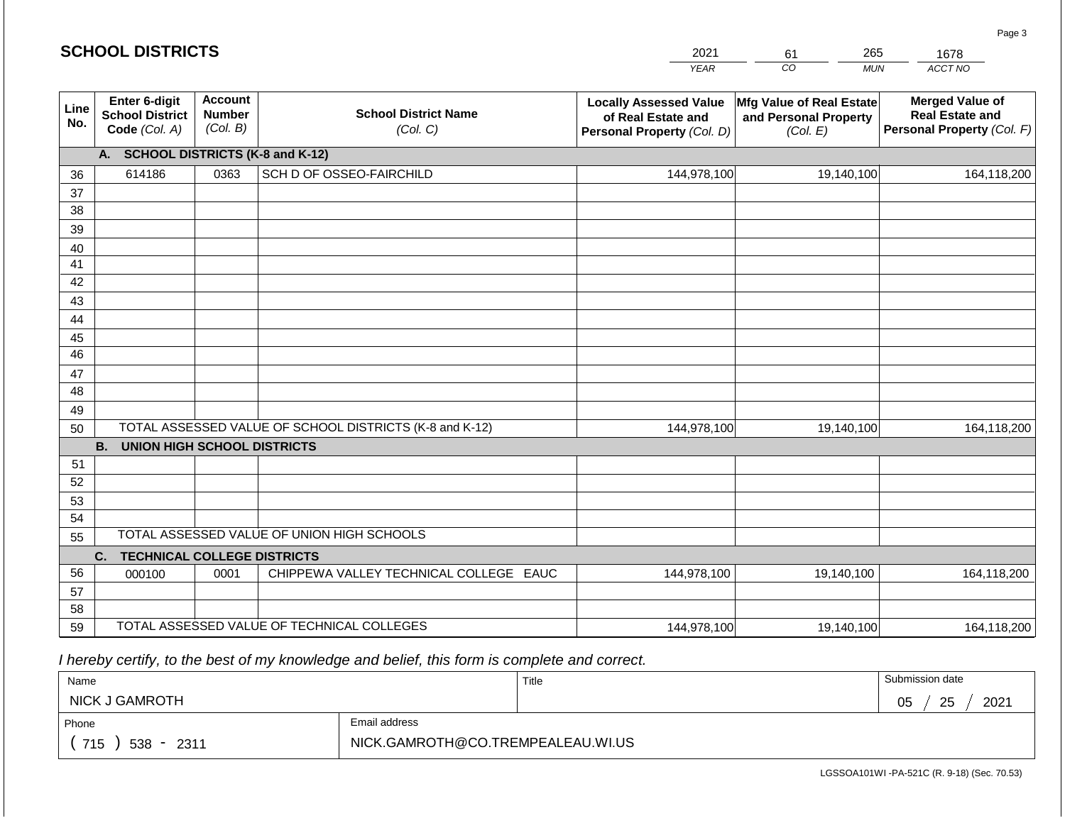#### *YEAR*  2021  $\overline{co}$ 61 *MUN*  265 *ACCT NO*  1678 **Line No. Enter 6-digit School District Code** *(Col. A)* **Account Number** *(Col. B)* **School District Name** *(Col. C)* **Locally Assessed Value of Real Estate and Personal Property** *(Col. D)* **Mfg Value of Real Estate and Personal Property** *(Col. E)* **Merged Value of Real Estate and Personal Property** *(Col. F)* **A. SCHOOL DISTRICTS (K-8 and K-12)** 36 37 38 39 40 41 42 43 44 45 46 47 48 49 50 TOTAL ASSESSED VALUE OF SCHOOL DISTRICTS (K-8 and K-12) **B. UNION HIGH SCHOOL DISTRICTS** 51 52 53 54 55 **C. TECHNICAL COLLEGE DISTRICTS** 56 57 58 59 TOTAL ASSESSED VALUE OF TECHNICAL COLLEGES TOTAL ASSESSED VALUE OF UNION HIGH SCHOOLS 614186 0363 SCH D OF OSSEO-FAIRCHILD 144,978,100 144,978,100 000100 | 0001 | CHIPPEWA VALLEY TECHNICAL COLLEGE EAUC 19,140,100 164,118,200 19,140,100 164,118,200 144,978,100 19,140,100 164,118,200

 *I hereby certify, to the best of my knowledge and belief, this form is complete and correct.*

**SCHOOL DISTRICTS**

| Name                   |               | Title | Submission date       |
|------------------------|---------------|-------|-----------------------|
| <b>NICK J GAMROTH</b>  |               |       | 2021<br>25<br>∩ҕ<br>◡ |
| Phone                  | Email address |       |                       |
| 715<br>$538 -$<br>2311 |               |       |                       |

144,978,100

LGSSOA101WI -PA-521C (R. 9-18) (Sec. 70.53)

19,140,100 164,118,200

Page 3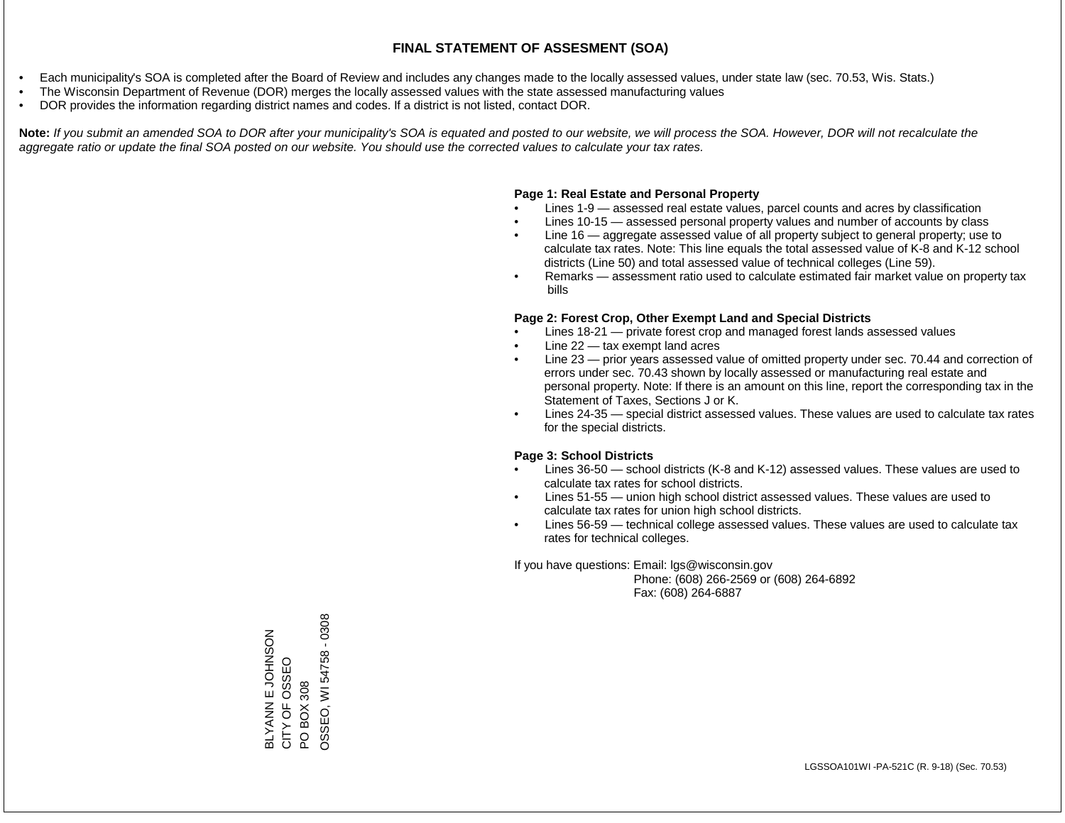- Each municipality's SOA is completed after the Board of Review and includes any changes made to the locally assessed values, under state law (sec. 70.53, Wis. Stats.)
- The Wisconsin Department of Revenue (DOR) merges the locally assessed values with the state assessed manufacturing values
- DOR provides the information regarding district names and codes. If a district is not listed, contact DOR.

Note: If you submit an amended SOA to DOR after your municipality's SOA is equated and posted to our website, we will process the SOA. However, DOR will not recalculate the *aggregate ratio or update the final SOA posted on our website. You should use the corrected values to calculate your tax rates.*

### **Page 1: Real Estate and Personal Property**

- Lines 1-9 assessed real estate values, parcel counts and acres by classification
- Lines 10-15 assessed personal property values and number of accounts by class
- Line 16 aggregate assessed value of all property subject to general property; use to calculate tax rates. Note: This line equals the total assessed value of K-8 and K-12 school districts (Line 50) and total assessed value of technical colleges (Line 59).
- Remarks assessment ratio used to calculate estimated fair market value on property tax bills

#### **Page 2: Forest Crop, Other Exempt Land and Special Districts**

- Lines 18-21 private forest crop and managed forest lands assessed values
- Line  $22 -$  tax exempt land acres
- Line 23 prior years assessed value of omitted property under sec. 70.44 and correction of errors under sec. 70.43 shown by locally assessed or manufacturing real estate and personal property. Note: If there is an amount on this line, report the corresponding tax in the Statement of Taxes, Sections J or K.
- Lines 24-35 special district assessed values. These values are used to calculate tax rates for the special districts.

#### **Page 3: School Districts**

- Lines 36-50 school districts (K-8 and K-12) assessed values. These values are used to calculate tax rates for school districts.
- Lines 51-55 union high school district assessed values. These values are used to calculate tax rates for union high school districts.
- Lines 56-59 technical college assessed values. These values are used to calculate tax rates for technical colleges.

If you have questions: Email: lgs@wisconsin.gov

 Phone: (608) 266-2569 or (608) 264-6892 Fax: (608) 264-6887

BLYANN E JOHNSON CITY OF OSSEO BLYANN E JOHNSON<br>CITY OF OSSEO<br>PO BOX 308<br>OSSEO, WI 54758 - 0308 OSSEO, WI 54758 - 0308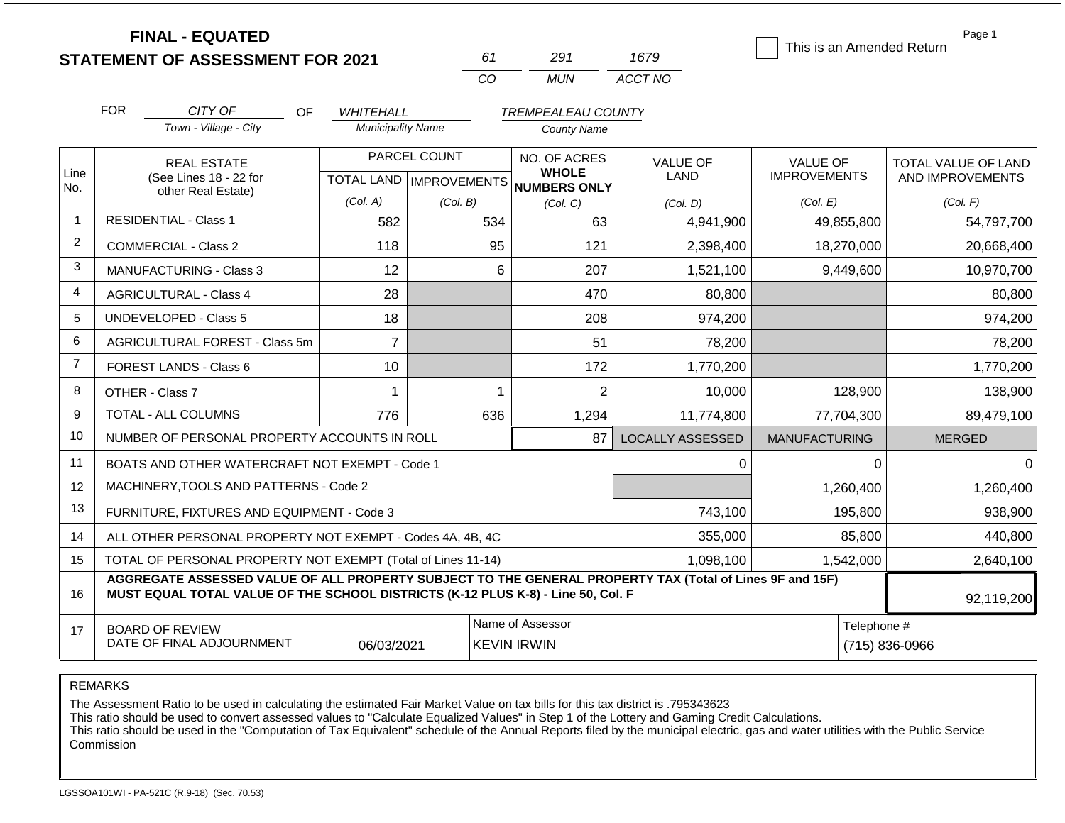|                |                         | <b>FINAL - EQUATED</b><br><b>STATEMENT OF ASSESSMENT FOR 2021</b>                                        |                          | 61                               | 291                                 | 1679                    | This is an Amended Return | Page 1              |
|----------------|-------------------------|----------------------------------------------------------------------------------------------------------|--------------------------|----------------------------------|-------------------------------------|-------------------------|---------------------------|---------------------|
|                |                         |                                                                                                          |                          | CO                               | <b>MUN</b>                          | ACCT NO                 |                           |                     |
|                |                         |                                                                                                          |                          |                                  |                                     |                         |                           |                     |
|                | <b>FOR</b>              | CITY OF<br><b>OF</b>                                                                                     | <b>WHITEHALL</b>         |                                  | <b>TREMPEALEAU COUNTY</b>           |                         |                           |                     |
|                |                         | Town - Village - City                                                                                    | <b>Municipality Name</b> |                                  | <b>County Name</b>                  |                         |                           |                     |
|                |                         | <b>REAL ESTATE</b>                                                                                       |                          | PARCEL COUNT                     | NO. OF ACRES                        | VALUE OF                | <b>VALUE OF</b>           | TOTAL VALUE OF LAND |
| Line<br>No.    |                         | (See Lines 18 - 22 for                                                                                   |                          | <b>TOTAL LAND   IMPROVEMENTS</b> | <b>WHOLE</b><br><b>NUMBERS ONLY</b> | LAND                    | <b>IMPROVEMENTS</b>       | AND IMPROVEMENTS    |
|                |                         | other Real Estate)                                                                                       | (Col. A)                 | (Col. B)                         | (Col, C)                            | (Col. D)                | (Col. E)                  | (Col. F)            |
| $\mathbf{1}$   |                         | <b>RESIDENTIAL - Class 1</b>                                                                             | 582                      | 534                              | 63                                  | 4,941,900               | 49,855,800                | 54,797,700          |
| $\overline{c}$ |                         | <b>COMMERCIAL - Class 2</b>                                                                              | 118                      | 95                               | 121                                 | 2,398,400               | 18,270,000                | 20,668,400          |
| 3              |                         | <b>MANUFACTURING - Class 3</b>                                                                           | 12                       | 6                                | 207                                 | 1,521,100               | 9,449,600                 | 10,970,700          |
| 4              |                         | <b>AGRICULTURAL - Class 4</b>                                                                            | 28                       |                                  | 470                                 | 80,800                  |                           | 80,800              |
| 5              |                         | <b>UNDEVELOPED - Class 5</b>                                                                             | 18                       |                                  | 208                                 | 974,200                 |                           | 974,200             |
| 6              |                         | AGRICULTURAL FOREST - Class 5m                                                                           | $\overline{7}$           |                                  | 51                                  | 78,200                  |                           | 78,200              |
| $\overline{7}$ |                         | FOREST LANDS - Class 6                                                                                   | 10                       |                                  | 172                                 | 1,770,200               |                           | 1,770,200           |
| 8              |                         | OTHER - Class 7                                                                                          |                          |                                  | $\overline{2}$                      | 10,000                  | 128,900                   | 138,900             |
| 9              |                         | TOTAL - ALL COLUMNS                                                                                      | 776                      | 636                              | 1,294                               | 11,774,800              | 77,704,300                | 89,479,100          |
| 10             |                         | NUMBER OF PERSONAL PROPERTY ACCOUNTS IN ROLL                                                             |                          |                                  | 87                                  | <b>LOCALLY ASSESSED</b> | <b>MANUFACTURING</b>      | <b>MERGED</b>       |
| 11             |                         | BOATS AND OTHER WATERCRAFT NOT EXEMPT - Code 1                                                           |                          |                                  |                                     | 0                       | $\Omega$                  | $\Omega$            |
| 12             |                         | MACHINERY, TOOLS AND PATTERNS - Code 2                                                                   |                          |                                  |                                     |                         | 1,260,400                 | 1,260,400           |
| 13             |                         | FURNITURE, FIXTURES AND EQUIPMENT - Code 3                                                               |                          |                                  |                                     | 743,100                 | 195,800                   | 938,900             |
| 14             |                         | ALL OTHER PERSONAL PROPERTY NOT EXEMPT - Codes 4A, 4B, 4C                                                |                          |                                  |                                     | 355,000                 | 85,800                    | 440,800             |
| 15             |                         | TOTAL OF PERSONAL PROPERTY NOT EXEMPT (Total of Lines 11-14)                                             |                          |                                  |                                     | 1,098,100               | 1,542,000                 | 2,640,100           |
|                |                         | AGGREGATE ASSESSED VALUE OF ALL PROPERTY SUBJECT TO THE GENERAL PROPERTY TAX (Total of Lines 9F and 15F) |                          |                                  |                                     |                         |                           |                     |
| 16             |                         | MUST EQUAL TOTAL VALUE OF THE SCHOOL DISTRICTS (K-12 PLUS K-8) - Line 50, Col. F                         |                          |                                  |                                     |                         |                           | 92,119,200          |
|                | <b>DOADD OF BELLEIM</b> | Telephone #                                                                                              |                          |                                  |                                     |                         |                           |                     |

17 BOARD OF REVIEW DATE OF FINAL ADJOURNMENT Name of Assessor **Telephone #** Telephone # 06/03/2021 KEVIN IRWIN (715) 836-0966

REMARKS

The Assessment Ratio to be used in calculating the estimated Fair Market Value on tax bills for this tax district is .795343623

This ratio should be used to convert assessed values to "Calculate Equalized Values" in Step 1 of the Lottery and Gaming Credit Calculations.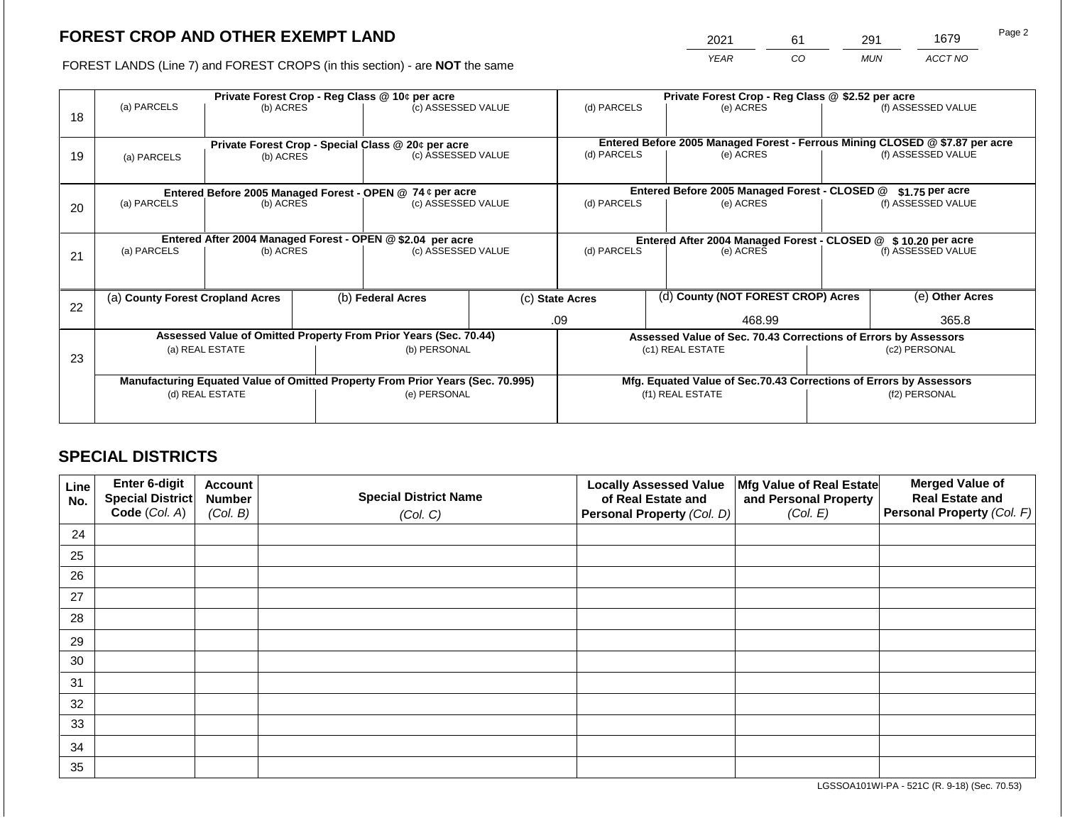2021 61 291 1679

FOREST LANDS (Line 7) and FOREST CROPS (in this section) - are **NOT** the same *YEAR CO MUN ACCT NO*

|    |                                                                                |                                                            |                                                               | Private Forest Crop - Reg Class @ 10¢ per acre                           |                                                                    | Private Forest Crop - Reg Class @ \$2.52 per acre |  |                                                                              |               |                    |
|----|--------------------------------------------------------------------------------|------------------------------------------------------------|---------------------------------------------------------------|--------------------------------------------------------------------------|--------------------------------------------------------------------|---------------------------------------------------|--|------------------------------------------------------------------------------|---------------|--------------------|
| 18 | (a) PARCELS                                                                    | (b) ACRES                                                  |                                                               | (c) ASSESSED VALUE                                                       |                                                                    | (d) PARCELS                                       |  | (e) ACRES                                                                    |               | (f) ASSESSED VALUE |
|    |                                                                                |                                                            |                                                               |                                                                          |                                                                    |                                                   |  | Entered Before 2005 Managed Forest - Ferrous Mining CLOSED @ \$7.87 per acre |               |                    |
| 19 | (a) PARCELS                                                                    | (b) ACRES                                                  |                                                               | Private Forest Crop - Special Class @ 20¢ per acre<br>(c) ASSESSED VALUE |                                                                    | (d) PARCELS                                       |  | (e) ACRES                                                                    |               | (f) ASSESSED VALUE |
|    |                                                                                |                                                            |                                                               |                                                                          |                                                                    |                                                   |  |                                                                              |               |                    |
|    |                                                                                |                                                            |                                                               | Entered Before 2005 Managed Forest - OPEN @ 74 ¢ per acre                |                                                                    |                                                   |  | Entered Before 2005 Managed Forest - CLOSED @                                |               | $$1.75$ per acre   |
| 20 |                                                                                | (a) PARCELS<br>(c) ASSESSED VALUE<br>(b) ACRES             |                                                               | (d) PARCELS                                                              |                                                                    | (e) ACRES                                         |  | (f) ASSESSED VALUE                                                           |               |                    |
|    |                                                                                |                                                            |                                                               |                                                                          |                                                                    |                                                   |  |                                                                              |               |                    |
|    |                                                                                | Entered After 2004 Managed Forest - OPEN @ \$2.04 per acre | Entered After 2004 Managed Forest - CLOSED @ \$10.20 per acre |                                                                          |                                                                    |                                                   |  |                                                                              |               |                    |
| 21 | (a) PARCELS                                                                    | (b) ACRES                                                  |                                                               | (c) ASSESSED VALUE                                                       |                                                                    | (d) PARCELS                                       |  | (e) ACRES                                                                    |               | (f) ASSESSED VALUE |
|    |                                                                                |                                                            |                                                               |                                                                          |                                                                    |                                                   |  |                                                                              |               |                    |
| 22 | (a) County Forest Cropland Acres                                               |                                                            |                                                               | (b) Federal Acres                                                        |                                                                    | (c) State Acres                                   |  | (d) County (NOT FOREST CROP) Acres                                           |               | (e) Other Acres    |
|    |                                                                                |                                                            |                                                               |                                                                          |                                                                    | 468.99<br>.09                                     |  |                                                                              | 365.8         |                    |
|    |                                                                                |                                                            |                                                               | Assessed Value of Omitted Property From Prior Years (Sec. 70.44)         |                                                                    |                                                   |  | Assessed Value of Sec. 70.43 Corrections of Errors by Assessors              |               |                    |
| 23 |                                                                                | (a) REAL ESTATE                                            |                                                               | (b) PERSONAL                                                             |                                                                    |                                                   |  | (c1) REAL ESTATE                                                             |               | (c2) PERSONAL      |
|    |                                                                                |                                                            |                                                               |                                                                          |                                                                    |                                                   |  |                                                                              |               |                    |
|    | Manufacturing Equated Value of Omitted Property From Prior Years (Sec. 70.995) |                                                            |                                                               |                                                                          | Mfg. Equated Value of Sec.70.43 Corrections of Errors by Assessors |                                                   |  |                                                                              |               |                    |
|    |                                                                                | (d) REAL ESTATE                                            |                                                               | (e) PERSONAL                                                             |                                                                    | (f1) REAL ESTATE                                  |  |                                                                              | (f2) PERSONAL |                    |
|    |                                                                                |                                                            |                                                               |                                                                          |                                                                    |                                                   |  |                                                                              |               |                    |

# **SPECIAL DISTRICTS**

| Line<br>No. | Enter 6-digit<br>Special District<br>Code (Col. A) | <b>Account</b><br><b>Number</b><br>(Col. B) | <b>Special District Name</b><br>(Col. C) | <b>Locally Assessed Value</b><br>of Real Estate and<br><b>Personal Property (Col. D)</b> | Mfg Value of Real Estate<br>and Personal Property<br>(Col. E) | <b>Merged Value of</b><br><b>Real Estate and</b><br>Personal Property (Col. F) |
|-------------|----------------------------------------------------|---------------------------------------------|------------------------------------------|------------------------------------------------------------------------------------------|---------------------------------------------------------------|--------------------------------------------------------------------------------|
| 24          |                                                    |                                             |                                          |                                                                                          |                                                               |                                                                                |
| 25          |                                                    |                                             |                                          |                                                                                          |                                                               |                                                                                |
| 26          |                                                    |                                             |                                          |                                                                                          |                                                               |                                                                                |
| 27          |                                                    |                                             |                                          |                                                                                          |                                                               |                                                                                |
| 28          |                                                    |                                             |                                          |                                                                                          |                                                               |                                                                                |
| 29          |                                                    |                                             |                                          |                                                                                          |                                                               |                                                                                |
| 30          |                                                    |                                             |                                          |                                                                                          |                                                               |                                                                                |
| 31          |                                                    |                                             |                                          |                                                                                          |                                                               |                                                                                |
| 32          |                                                    |                                             |                                          |                                                                                          |                                                               |                                                                                |
| 33          |                                                    |                                             |                                          |                                                                                          |                                                               |                                                                                |
| 34          |                                                    |                                             |                                          |                                                                                          |                                                               |                                                                                |
| 35          |                                                    |                                             |                                          |                                                                                          |                                                               |                                                                                |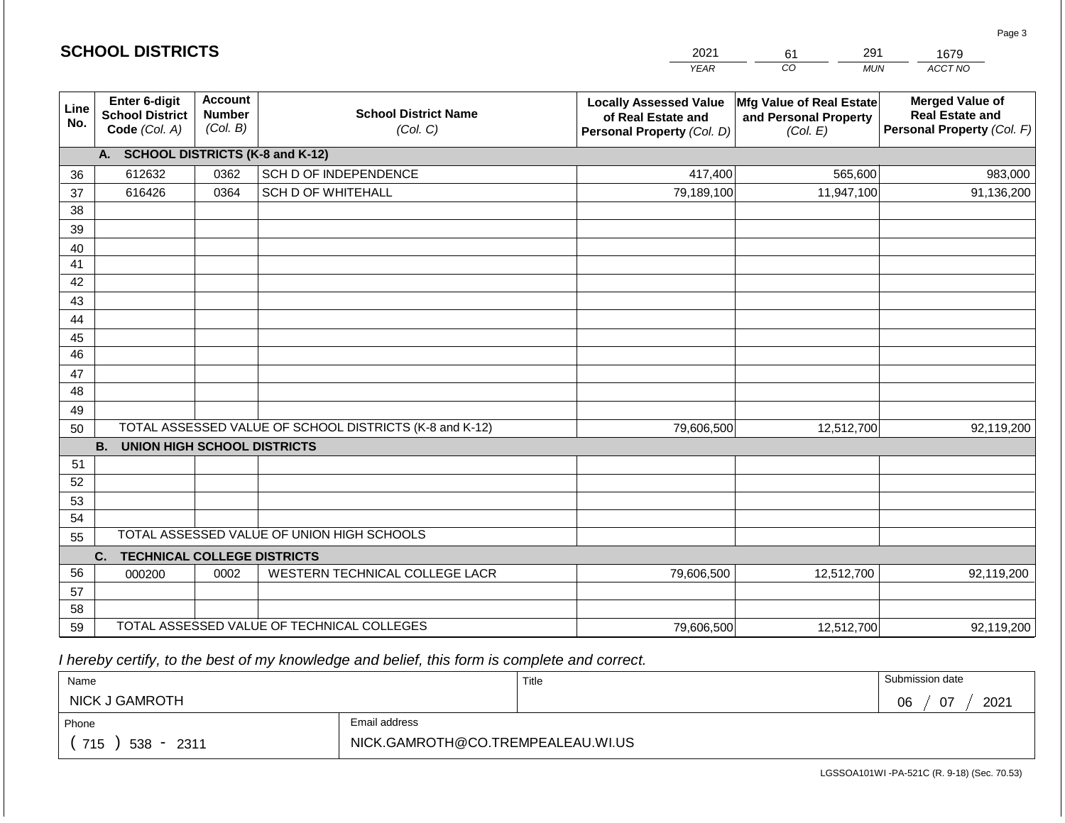|                       | <b>SCHOOL DISTRICTS</b>                                  |                                             |                                                         | 2021                                                                              | 291<br>61                                                     | 1679                                                                           |
|-----------------------|----------------------------------------------------------|---------------------------------------------|---------------------------------------------------------|-----------------------------------------------------------------------------------|---------------------------------------------------------------|--------------------------------------------------------------------------------|
|                       |                                                          |                                             |                                                         | <b>YEAR</b>                                                                       | CO<br><b>MUN</b>                                              | ACCT NO                                                                        |
| Line<br>No.           | Enter 6-digit<br><b>School District</b><br>Code (Col. A) | <b>Account</b><br><b>Number</b><br>(Col. B) | <b>School District Name</b><br>(Col. C)                 | <b>Locally Assessed Value</b><br>of Real Estate and<br>Personal Property (Col. D) | Mfg Value of Real Estate<br>and Personal Property<br>(Col. E) | <b>Merged Value of</b><br><b>Real Estate and</b><br>Personal Property (Col. F) |
|                       | A. SCHOOL DISTRICTS (K-8 and K-12)                       |                                             |                                                         |                                                                                   |                                                               |                                                                                |
| 36                    | 612632                                                   | 0362                                        | SCH D OF INDEPENDENCE                                   | 417,400                                                                           | 565,600                                                       | 983,000                                                                        |
| 37                    | 616426                                                   | 0364                                        | <b>SCH D OF WHITEHALL</b>                               | 79,189,100                                                                        | 11,947,100                                                    | 91,136,200                                                                     |
| 38                    |                                                          |                                             |                                                         |                                                                                   |                                                               |                                                                                |
| 39                    |                                                          |                                             |                                                         |                                                                                   |                                                               |                                                                                |
| 40                    |                                                          |                                             |                                                         |                                                                                   |                                                               |                                                                                |
| 41                    |                                                          |                                             |                                                         |                                                                                   |                                                               |                                                                                |
| 42                    |                                                          |                                             |                                                         |                                                                                   |                                                               |                                                                                |
| 43                    |                                                          |                                             |                                                         |                                                                                   |                                                               |                                                                                |
| 44                    |                                                          |                                             |                                                         |                                                                                   |                                                               |                                                                                |
| 45<br>$\overline{46}$ |                                                          |                                             |                                                         |                                                                                   |                                                               |                                                                                |
| 47                    |                                                          |                                             |                                                         |                                                                                   |                                                               |                                                                                |
| 48                    |                                                          |                                             |                                                         |                                                                                   |                                                               |                                                                                |
| 49                    |                                                          |                                             |                                                         |                                                                                   |                                                               |                                                                                |
| 50                    |                                                          |                                             | TOTAL ASSESSED VALUE OF SCHOOL DISTRICTS (K-8 and K-12) | 79,606,500                                                                        | 12,512,700                                                    | 92,119,200                                                                     |
|                       | <b>B. UNION HIGH SCHOOL DISTRICTS</b>                    |                                             |                                                         |                                                                                   |                                                               |                                                                                |
| 51                    |                                                          |                                             |                                                         |                                                                                   |                                                               |                                                                                |
| 52                    |                                                          |                                             |                                                         |                                                                                   |                                                               |                                                                                |
| 53                    |                                                          |                                             |                                                         |                                                                                   |                                                               |                                                                                |
| 54                    |                                                          |                                             |                                                         |                                                                                   |                                                               |                                                                                |
| 55                    |                                                          |                                             | TOTAL ASSESSED VALUE OF UNION HIGH SCHOOLS              |                                                                                   |                                                               |                                                                                |
|                       | C.<br><b>TECHNICAL COLLEGE DISTRICTS</b>                 |                                             |                                                         |                                                                                   |                                                               |                                                                                |
| 56                    | 000200                                                   | 0002                                        | WESTERN TECHNICAL COLLEGE LACR                          | 79,606,500                                                                        | 12,512,700                                                    | 92,119,200                                                                     |
| 57                    |                                                          |                                             |                                                         |                                                                                   |                                                               |                                                                                |
| 58                    |                                                          |                                             |                                                         |                                                                                   |                                                               |                                                                                |
| 59                    |                                                          |                                             | TOTAL ASSESSED VALUE OF TECHNICAL COLLEGES              | 79,606,500                                                                        | 12,512,700                                                    | 92,119,200                                                                     |

 *I hereby certify, to the best of my knowledge and belief, this form is complete and correct.*

**SCHOOL DISTRICTS**

| Name                    |                                   | Title | Submission date  |  |  |
|-------------------------|-----------------------------------|-------|------------------|--|--|
| <b>NICK J GAMROTH</b>   |                                   |       | 2021<br>07<br>06 |  |  |
| Phone                   | Email address                     |       |                  |  |  |
| 715<br>$538 - $<br>2311 | NICK.GAMROTH@CO.TREMPEALEAU.WI.US |       |                  |  |  |

Page 3